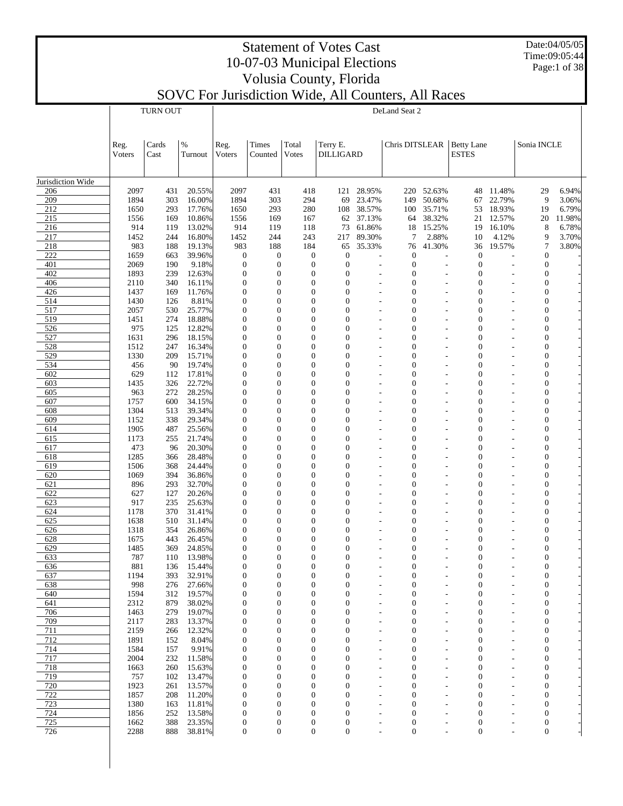Date:04/05/05 Time:09:05:44 Page:1 of 38

#### Statement of Votes Cast 10-07-03 Municipal Elections Volusia County, Florida

|                   |                | <b>TURN OUT</b> |                  |                                      |                                      |                                      |                                      |                  | DeLand Seat 2                        |                  |                                      |                  |                                      |                 |
|-------------------|----------------|-----------------|------------------|--------------------------------------|--------------------------------------|--------------------------------------|--------------------------------------|------------------|--------------------------------------|------------------|--------------------------------------|------------------|--------------------------------------|-----------------|
|                   | Reg.<br>Voters | Cards<br>Cast   | $\%$<br>Turnout  | Reg.<br>Voters                       | Times<br>Counted                     | Total<br>Votes                       | Terry E.<br><b>DILLIGARD</b>         |                  | Chris DITSLEAR                       |                  | <b>Betty Lane</b><br><b>ESTES</b>    |                  | Sonia INCLE                          |                 |
| Jurisdiction Wide |                |                 |                  |                                      |                                      |                                      |                                      |                  |                                      |                  |                                      |                  |                                      |                 |
| 206               | 2097           | 431             | 20.55%           | 2097                                 | 431                                  | 418                                  | 121                                  | 28.95%           |                                      | 220 52.63%       | 48                                   | 11.48%           | 29                                   | 6.94%           |
| 209               | 1894           | 303             | 16.00%           | 1894                                 | 303                                  | 294                                  | 69                                   | 23.47%           | 149                                  | 50.68%           | 67                                   | 22.79%           | 9                                    | 3.06%           |
| 212               | 1650           | 293             | 17.76%           | 1650                                 | 293                                  | 280                                  | 108                                  | 38.57%           | 100                                  | 35.71%           | 53                                   | 18.93%           | 19                                   | 6.79%           |
| 215<br>216        | 1556<br>914    | 169<br>119      | 10.86%<br>13.02% | 1556<br>914                          | 169<br>119                           | 167<br>118                           | 62<br>73                             | 37.13%<br>61.86% | 64<br>18                             | 38.32%<br>15.25% | 21<br>19                             | 12.57%<br>16.10% | 20<br>8                              | 11.98%<br>6.78% |
| 217               | 1452           | 244             | 16.80%           | 1452                                 | 244                                  | 243                                  | 217                                  | 89.30%           | 7                                    | 2.88%            | 10                                   | 4.12%            | 9                                    | 3.70%           |
| 218               | 983            | 188             | 19.13%           | 983                                  | 188                                  | 184                                  | 65                                   | 35.33%           | 76                                   | 41.30%           | 36                                   | 19.57%           | $\overline{7}$                       | 3.80%           |
| 222               | 1659           | 663             | 39.96%           | $\boldsymbol{0}$                     | $\boldsymbol{0}$                     | $\mathbf{0}$                         | $\boldsymbol{0}$                     |                  | $\boldsymbol{0}$                     |                  | $\boldsymbol{0}$                     |                  | $\mathbf{0}$                         |                 |
| 401               | 2069           | 190             | 9.18%            | $\boldsymbol{0}$                     | $\mathbf{0}$                         | $\mathbf{0}$                         | $\boldsymbol{0}$                     |                  | $\boldsymbol{0}$                     |                  | $\boldsymbol{0}$                     | L,               | $\theta$                             |                 |
| 402               | 1893           | 239             | 12.63%           | $\boldsymbol{0}$                     | $\mathbf{0}$                         | $\mathbf{0}$                         | $\mathbf{0}$                         |                  | $\boldsymbol{0}$                     |                  | $\boldsymbol{0}$                     |                  | $\boldsymbol{0}$                     |                 |
| 406<br>426        | 2110<br>1437   | 340<br>169      | 16.11%<br>11.76% | $\mathbf{0}$<br>$\mathbf{0}$         | $\mathbf{0}$<br>$\mathbf{0}$         | $\overline{0}$<br>$\overline{0}$     | $\mathbf{0}$<br>$\mathbf{0}$         |                  | $\mathbf{0}$<br>$\mathbf{0}$         |                  | $\mathbf{0}$<br>$\mathbf{0}$         | L,               | $\boldsymbol{0}$<br>$\boldsymbol{0}$ |                 |
| 514               | 1430           | 126             | 8.81%            | $\mathbf{0}$                         | $\mathbf{0}$                         | $\mathbf{0}$                         | $\overline{0}$                       |                  | $\mathbf{0}$                         |                  | $\mathbf{0}$                         |                  | $\overline{0}$                       |                 |
| 517               | 2057           | 530             | 25.77%           | $\mathbf{0}$                         | $\mathbf{0}$                         | $\overline{0}$                       | $\mathbf{0}$                         |                  | $\mathbf{0}$                         |                  | $\mathbf{0}$                         |                  | $\boldsymbol{0}$                     |                 |
| 519               | 1451           | 274             | 18.88%           | $\mathbf{0}$                         | $\mathbf{0}$                         | $\mathbf{0}$                         | $\overline{0}$                       |                  | $\mathbf{0}$                         |                  | $\mathbf{0}$                         |                  | $\boldsymbol{0}$                     |                 |
| 526               | 975            | 125             | 12.82%           | $\boldsymbol{0}$                     | $\mathbf{0}$                         | $\overline{0}$                       | $\mathbf{0}$                         |                  | $\boldsymbol{0}$                     |                  | $\boldsymbol{0}$                     |                  | $\boldsymbol{0}$                     |                 |
| 527               | 1631           | 296             | 18.15%           | $\mathbf{0}$                         | $\overline{0}$                       | $\mathbf{0}$                         | $\overline{0}$                       |                  | $\mathbf{0}$                         |                  | $\mathbf{0}$                         |                  | $\boldsymbol{0}$                     |                 |
| 528<br>529        | 1512<br>1330   | 247<br>209      | 16.34%<br>15.71% | $\boldsymbol{0}$<br>$\mathbf{0}$     | $\mathbf{0}$<br>$\mathbf{0}$         | $\overline{0}$<br>$\mathbf{0}$       | $\mathbf{0}$<br>$\mathbf{0}$         |                  | $\boldsymbol{0}$<br>$\mathbf{0}$     |                  | $\mathbf{0}$<br>$\mathbf{0}$         | L,               | $\boldsymbol{0}$<br>$\mathbf{0}$     |                 |
| 534               | 456            | 90              | 19.74%           | $\mathbf{0}$                         | $\mathbf{0}$                         | $\overline{0}$                       | $\mathbf{0}$                         |                  | $\boldsymbol{0}$                     |                  | $\mathbf{0}$                         |                  | $\boldsymbol{0}$                     |                 |
| 602               | 629            | 112             | 17.81%           | $\mathbf{0}$                         | $\overline{0}$                       | $\mathbf{0}$                         | $\overline{0}$                       |                  | $\mathbf{0}$                         |                  | $\mathbf{0}$                         |                  | $\overline{0}$                       |                 |
| 603               | 1435           | 326             | 22.72%           | $\mathbf{0}$                         | $\mathbf{0}$                         | $\overline{0}$                       | $\mathbf{0}$                         |                  | $\boldsymbol{0}$                     |                  | $\mathbf{0}$                         |                  | $\boldsymbol{0}$                     |                 |
| 605               | 963            | 272             | 28.25%           | $\mathbf{0}$                         | $\mathbf{0}$                         | $\mathbf{0}$                         | $\mathbf{0}$                         |                  | $\mathbf{0}$                         |                  | $\mathbf{0}$                         |                  | $\boldsymbol{0}$                     |                 |
| 607               | 1757           | 600             | 34.15%           | $\boldsymbol{0}$                     | $\mathbf{0}$                         | $\overline{0}$                       | $\mathbf{0}$                         |                  | $\boldsymbol{0}$                     |                  | $\boldsymbol{0}$                     |                  | $\boldsymbol{0}$                     |                 |
| 608<br>609        | 1304<br>1152   | 513<br>338      | 39.34%<br>29.34% | $\mathbf{0}$<br>$\mathbf{0}$         | $\overline{0}$<br>$\mathbf{0}$       | $\mathbf{0}$<br>$\overline{0}$       | $\overline{0}$<br>$\mathbf{0}$       |                  | $\mathbf{0}$<br>$\boldsymbol{0}$     |                  | $\mathbf{0}$<br>$\mathbf{0}$         |                  | $\boldsymbol{0}$<br>$\boldsymbol{0}$ |                 |
| 614               | 1905           | 487             | 25.56%           | $\mathbf{0}$                         | $\mathbf{0}$                         | $\mathbf{0}$                         | $\mathbf{0}$                         |                  | $\mathbf{0}$                         |                  | $\mathbf{0}$                         | L,               | $\mathbf{0}$                         |                 |
| 615               | 1173           | 255             | 21.74%           | $\mathbf{0}$                         | $\mathbf{0}$                         | $\overline{0}$                       | $\mathbf{0}$                         |                  | $\boldsymbol{0}$                     |                  | $\mathbf{0}$                         |                  | $\boldsymbol{0}$                     |                 |
| 617               | 473            | 96              | 20.30%           | $\mathbf{0}$                         | $\overline{0}$                       | $\overline{0}$                       | $\overline{0}$                       |                  | $\mathbf{0}$                         |                  | $\mathbf{0}$                         |                  | $\overline{0}$                       |                 |
| 618               | 1285           | 366             | 28.48%           | $\mathbf{0}$                         | $\mathbf{0}$                         | $\overline{0}$                       | $\mathbf{0}$                         |                  | $\boldsymbol{0}$                     |                  | $\mathbf{0}$                         |                  | $\boldsymbol{0}$                     |                 |
| 619               | 1506           | 368             | 24.44%           | $\mathbf{0}$                         | $\mathbf{0}$                         | $\mathbf{0}$                         | $\mathbf{0}$                         |                  | $\mathbf{0}$                         |                  | $\mathbf{0}$                         |                  | $\boldsymbol{0}$                     |                 |
| 620<br>621        | 1069<br>896    | 394<br>293      | 36.86%<br>32.70% | $\boldsymbol{0}$<br>$\mathbf{0}$     | $\mathbf{0}$<br>$\overline{0}$       | $\overline{0}$<br>$\mathbf{0}$       | $\mathbf{0}$<br>$\overline{0}$       |                  | $\boldsymbol{0}$<br>$\mathbf{0}$     |                  | $\boldsymbol{0}$<br>$\mathbf{0}$     |                  | $\boldsymbol{0}$<br>$\boldsymbol{0}$ |                 |
| 622               | 627            | 127             | 20.26%           | $\boldsymbol{0}$                     | $\mathbf{0}$                         | $\overline{0}$                       | $\mathbf{0}$                         |                  | $\boldsymbol{0}$                     |                  | $\mathbf{0}$                         |                  | $\boldsymbol{0}$                     |                 |
| 623               | 917            | 235             | 25.63%           | $\mathbf{0}$                         | $\mathbf{0}$                         | $\mathbf{0}$                         | $\mathbf{0}$                         |                  | $\mathbf{0}$                         |                  | $\mathbf{0}$                         | L,               | $\boldsymbol{0}$                     |                 |
| 624               | 1178           | 370             | 31.41%           | $\mathbf{0}$                         | $\mathbf{0}$                         | $\overline{0}$                       | $\mathbf{0}$                         |                  | $\boldsymbol{0}$                     |                  | $\mathbf{0}$                         |                  | $\boldsymbol{0}$                     |                 |
| 625               | 1638           | 510             | 31.14%           | $\mathbf{0}$                         | $\overline{0}$                       | $\mathbf{0}$                         | 0                                    |                  | $\mathbf{0}$                         |                  | $\mathbf{0}$                         |                  | $\theta$                             |                 |
| 626               | 1318           | 354             | 26.86%           | $\mathbf{0}$                         | $\mathbf{0}$                         | $\mathbf{0}$                         | $\mathbf{0}$                         |                  | $\boldsymbol{0}$                     |                  | $\mathbf{0}$                         |                  | $\mathbf{0}$                         |                 |
| 628<br>629        | 1675<br>1485   | 443<br>369      | 26.45%<br>24.85% | 0<br>$\boldsymbol{0}$                | $\overline{0}$<br>$\mathbf{0}$       | $\theta$<br>$\overline{0}$           | $\overline{0}$<br>$\boldsymbol{0}$   |                  | $\mathbf{0}$<br>$\boldsymbol{0}$     |                  | $\overline{0}$<br>$\boldsymbol{0}$   |                  | $\boldsymbol{0}$<br>$\boldsymbol{0}$ |                 |
| 633               | 787            |                 | 110 13.98%       | $\Omega$                             | $\Omega$                             | $\theta$                             | $\Omega$                             |                  | $\Omega$                             |                  | $\theta$                             |                  | 0                                    |                 |
| 636               | 881            | 136             | 15.44%           | $\boldsymbol{0}$                     | $\boldsymbol{0}$                     | $\boldsymbol{0}$                     | $\boldsymbol{0}$                     |                  | $\boldsymbol{0}$                     |                  | $\boldsymbol{0}$                     |                  | $\boldsymbol{0}$                     |                 |
| 637               | 1194           | 393             | 32.91%           | $\boldsymbol{0}$                     | $\boldsymbol{0}$                     | $\boldsymbol{0}$                     | $\boldsymbol{0}$                     |                  | $\boldsymbol{0}$                     |                  | $\boldsymbol{0}$                     |                  | 0                                    |                 |
| 638               | 998            | 276             | 27.66%           | $\boldsymbol{0}$                     | $\boldsymbol{0}$                     | $\boldsymbol{0}$                     | $\boldsymbol{0}$                     |                  | $\boldsymbol{0}$                     |                  | $\boldsymbol{0}$                     |                  | $\boldsymbol{0}$                     |                 |
| 640               | 1594           | 312             | 19.57%           | $\boldsymbol{0}$                     | $\mathbf{0}$                         | $\boldsymbol{0}$                     | $\boldsymbol{0}$                     |                  | $\boldsymbol{0}$                     |                  | $\boldsymbol{0}$                     |                  | $\mathbf{0}$                         |                 |
| 641<br>706        | 2312<br>1463   | 879<br>279      | 38.02%<br>19.07% | $\boldsymbol{0}$<br>$\boldsymbol{0}$ | $\mathbf{0}$<br>$\mathbf{0}$         | $\boldsymbol{0}$<br>$\bf{0}$         | $\boldsymbol{0}$<br>$\boldsymbol{0}$ |                  | $\boldsymbol{0}$<br>$\boldsymbol{0}$ |                  | $\boldsymbol{0}$<br>$\boldsymbol{0}$ |                  | $\boldsymbol{0}$<br>$\mathbf{0}$     |                 |
| 709               | 2117           | 283             | 13.37%           | $\boldsymbol{0}$                     | $\boldsymbol{0}$                     | $\boldsymbol{0}$                     | $\boldsymbol{0}$                     |                  | $\boldsymbol{0}$                     |                  | $\boldsymbol{0}$                     |                  | $\boldsymbol{0}$                     |                 |
| 711               | 2159           | 266             | 12.32%           | $\boldsymbol{0}$                     | $\boldsymbol{0}$                     | $\boldsymbol{0}$                     | $\boldsymbol{0}$                     |                  | $\boldsymbol{0}$                     |                  | $\boldsymbol{0}$                     |                  | $\mathbf{0}$                         |                 |
| 712               | 1891           | 152             | 8.04%            | $\boldsymbol{0}$                     | $\boldsymbol{0}$                     | $\boldsymbol{0}$                     | $\boldsymbol{0}$                     |                  | $\boldsymbol{0}$                     |                  | $\boldsymbol{0}$                     |                  | $\boldsymbol{0}$                     |                 |
| 714               | 1584           | 157             | 9.91%            | $\boldsymbol{0}$                     | $\boldsymbol{0}$                     | $\boldsymbol{0}$                     | $\boldsymbol{0}$                     |                  | $\boldsymbol{0}$                     |                  | $\boldsymbol{0}$                     |                  | $\mathbf{0}$                         |                 |
| 717               | 2004           | 232             | 11.58%           | $\boldsymbol{0}$                     | $\boldsymbol{0}$                     | $\boldsymbol{0}$                     | $\boldsymbol{0}$                     |                  | $\boldsymbol{0}$                     |                  | $\boldsymbol{0}$                     |                  | $\boldsymbol{0}$                     |                 |
| 718<br>719        | 1663<br>757    | 260<br>102      | 15.63%<br>13.47% | $\boldsymbol{0}$<br>$\boldsymbol{0}$ | $\boldsymbol{0}$<br>$\boldsymbol{0}$ | $\boldsymbol{0}$<br>$\boldsymbol{0}$ | $\boldsymbol{0}$<br>$\boldsymbol{0}$ |                  | $\boldsymbol{0}$<br>$\boldsymbol{0}$ |                  | $\boldsymbol{0}$<br>$\boldsymbol{0}$ |                  | $\mathbf{0}$<br>$\boldsymbol{0}$     |                 |
| 720               | 1923           | 261             | 13.57%           | $\boldsymbol{0}$                     | $\mathbf{0}$                         | $\bf{0}$                             | $\boldsymbol{0}$                     |                  | $\boldsymbol{0}$                     |                  | $\boldsymbol{0}$                     |                  | $\mathbf{0}$                         |                 |
| 722               | 1857           | 208             | 11.20%           | $\boldsymbol{0}$                     | $\mathbf{0}$                         | $\boldsymbol{0}$                     | $\boldsymbol{0}$                     |                  | $\boldsymbol{0}$                     |                  | $\boldsymbol{0}$                     |                  | $\boldsymbol{0}$                     |                 |
| 723               | 1380           | 163             | 11.81%           | $\boldsymbol{0}$                     | $\mathbf{0}$                         | $\boldsymbol{0}$                     | $\boldsymbol{0}$                     |                  | $\boldsymbol{0}$                     |                  | $\boldsymbol{0}$                     |                  | $\mathbf{0}$                         |                 |
| 724               | 1856           | 252             | 13.58%           | $\boldsymbol{0}$                     | $\boldsymbol{0}$                     | $\boldsymbol{0}$                     | $\boldsymbol{0}$                     |                  | $\boldsymbol{0}$                     |                  | $\boldsymbol{0}$                     |                  | $\boldsymbol{0}$                     |                 |
| 725               | 1662           | 388             | 23.35%           | $\boldsymbol{0}$                     | $\boldsymbol{0}$                     | 0                                    | $\boldsymbol{0}$                     |                  | $\boldsymbol{0}$                     |                  | $\boldsymbol{0}$                     |                  | $\boldsymbol{0}$                     |                 |
| 726               | 2288           | 888             | 38.81%           | $\boldsymbol{0}$                     | $\boldsymbol{0}$                     | $\boldsymbol{0}$                     | $\boldsymbol{0}$                     |                  | $\boldsymbol{0}$                     |                  | $\boldsymbol{0}$                     |                  | $\boldsymbol{0}$                     |                 |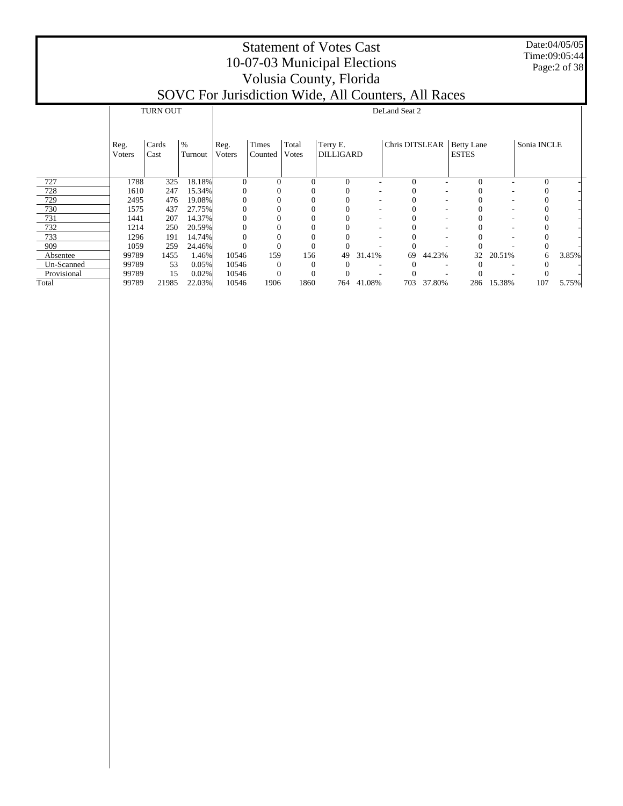Date:04/05/05 Time:09:05:44 Page:2 of 38

|             |        | <b>TURN OUT</b> |         |              |          |          |           |            | DeLand Seat 2  |        |                   |        |             |       |
|-------------|--------|-----------------|---------|--------------|----------|----------|-----------|------------|----------------|--------|-------------------|--------|-------------|-------|
|             |        |                 |         |              |          |          |           |            |                |        |                   |        |             |       |
|             |        |                 |         |              |          |          |           |            |                |        |                   |        |             |       |
|             | Reg.   | Cards           | $\%$    | Reg.         | Times    | Total    | Terry E.  |            | Chris DITSLEAR |        | <b>Betty Lane</b> |        | Sonia INCLE |       |
|             | Voters | Cast            | Turnout | Voters       | Counted  | Votes    | DILLIGARD |            |                |        | <b>ESTES</b>      |        |             |       |
|             |        |                 |         |              |          |          |           |            |                |        |                   |        |             |       |
| 727         | 1788   | 325             | 18.18%  | $\mathbf{0}$ |          | $\Omega$ | $\Omega$  |            | $\Omega$       |        | $\Omega$          |        | $\Omega$    |       |
| 728         | 1610   | 247             | 15.34%  | $\mathbf{0}$ |          |          |           |            |                |        |                   |        |             |       |
| 729         | 2495   | 476             | 19.08%  | 0            |          |          |           |            |                |        |                   |        |             |       |
| 730         | 1575   | 437             | 27.75%  |              |          |          |           |            |                |        |                   |        |             |       |
| 731         | 1441   | 207             | 14.37%  | $\Omega$     |          |          |           |            |                |        |                   |        |             |       |
| 732         | 1214   | 250             | 20.59%  | $\Omega$     |          |          |           |            |                |        |                   |        |             |       |
| 733         | 1296   | 191             | 14.74%  |              |          |          |           |            |                |        |                   |        |             |       |
| 909         | 1059   | 259             | 24.46%  |              |          | $\Omega$ |           |            |                |        |                   |        |             |       |
| Absentee    | 99789  | 1455            | 1.46%   | 10546        | 159      | 156      | 49        | 31.41%     | 69             | 44.23% | 32                | 20.51% | 6           | 3.85% |
| Un-Scanned  | 99789  | 53              | 0.05%   | 10546        | $\Omega$ |          |           |            |                |        |                   |        |             |       |
| Provisional | 99789  | 15              | 0.02%   | 10546        | $\Omega$ | $\theta$ |           |            |                |        |                   |        |             |       |
| Total       | 99789  | 21985           | 22.03%  | 10546        | 1906     | 1860     |           | 764 41.08% | 703            | 37.80% | 286               | 15.38% | 107         | 5.75% |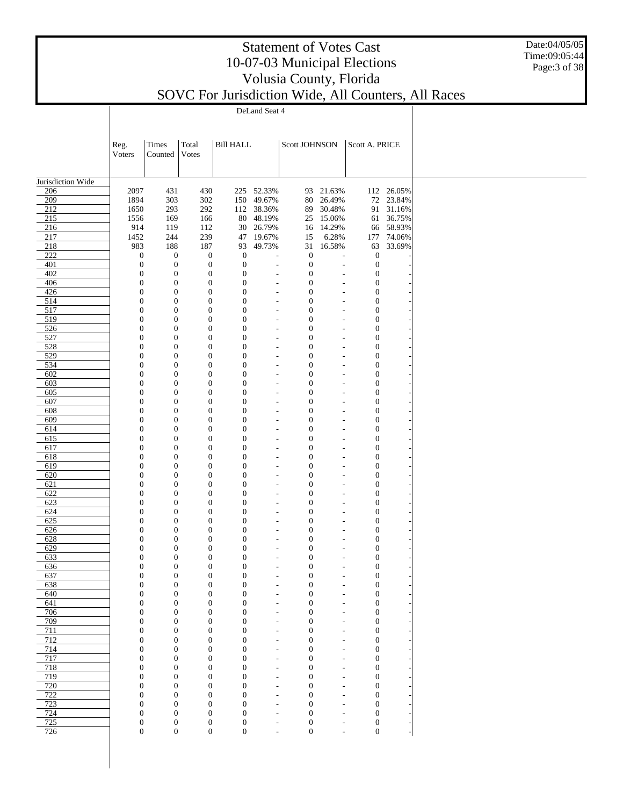Date:04/05/05 Time:09:05:44 Page:3 of 38

|                   |                                      |                                      |                                      |                                  | DeLand Seat 4                                        |                                      |                                  |                                      |                        |  |
|-------------------|--------------------------------------|--------------------------------------|--------------------------------------|----------------------------------|------------------------------------------------------|--------------------------------------|----------------------------------|--------------------------------------|------------------------|--|
|                   |                                      |                                      |                                      |                                  |                                                      |                                      |                                  |                                      |                        |  |
|                   |                                      |                                      |                                      |                                  |                                                      |                                      |                                  |                                      |                        |  |
|                   | Reg.                                 | Times                                | Total                                | <b>Bill HALL</b>                 |                                                      | Scott JOHNSON                        |                                  | Scott A. PRICE                       |                        |  |
|                   | Voters                               | Counted                              | <b>Votes</b>                         |                                  |                                                      |                                      |                                  |                                      |                        |  |
|                   |                                      |                                      |                                      |                                  |                                                      |                                      |                                  |                                      |                        |  |
| Jurisdiction Wide |                                      |                                      |                                      |                                  |                                                      |                                      |                                  |                                      |                        |  |
| 206               | 2097                                 | 431                                  | 430                                  |                                  | 225 52.33%                                           | 93                                   | 21.63%                           |                                      | 112 26.05%             |  |
| 209<br>212        | 1894<br>1650                         | 303<br>293                           | 302<br>292                           | 150<br>112                       | 49.67%<br>38.36%                                     | 80<br>89                             | 26.49%<br>30.48%                 |                                      | 72 23.84%<br>91 31.16% |  |
| 215               | 1556                                 | 169                                  | 166                                  | 80                               | 48.19%                                               | 25                                   | 15.06%                           |                                      | 61 36.75%              |  |
| 216               | 914                                  | 119                                  | 112                                  | 30                               | 26.79%                                               | 16                                   | 14.29%                           |                                      | 66 58.93%              |  |
| 217               | 1452                                 | 244                                  | 239                                  | 47                               | 19.67%                                               | 15                                   | 6.28%                            | 177                                  | 74.06%                 |  |
| 218               | 983                                  | 188                                  | 187                                  | 93                               | 49.73%                                               | 31                                   | 16.58%                           | 63                                   | 33.69%                 |  |
| 222               | $\boldsymbol{0}$                     | $\boldsymbol{0}$                     | $\boldsymbol{0}$                     | $\boldsymbol{0}$                 | $\overline{a}$                                       | $\boldsymbol{0}$                     |                                  | $\mathbf{0}$                         |                        |  |
| 401<br>402        | $\boldsymbol{0}$<br>$\boldsymbol{0}$ | $\boldsymbol{0}$<br>$\boldsymbol{0}$ | $\mathbf{0}$<br>$\boldsymbol{0}$     | $\boldsymbol{0}$<br>$\mathbf{0}$ | $\overline{a}$<br>$\overline{a}$                     | $\boldsymbol{0}$<br>$\boldsymbol{0}$ | Ĭ.<br>Ĭ.                         | $\mathbf{0}$<br>$\boldsymbol{0}$     |                        |  |
| 406               | $\boldsymbol{0}$                     | $\boldsymbol{0}$                     | $\boldsymbol{0}$                     | $\mathbf{0}$                     | $\overline{a}$                                       | $\boldsymbol{0}$                     | Ĭ.                               | $\boldsymbol{0}$                     |                        |  |
| 426               | $\boldsymbol{0}$                     | $\boldsymbol{0}$                     | $\boldsymbol{0}$                     | $\mathbf{0}$                     | $\overline{a}$                                       | $\boldsymbol{0}$                     | $\overline{\phantom{a}}$         | $\boldsymbol{0}$                     |                        |  |
| 514               | $\boldsymbol{0}$                     | $\boldsymbol{0}$                     | $\boldsymbol{0}$                     | $\mathbf{0}$                     | $\overline{a}$                                       | $\boldsymbol{0}$                     | L,                               | $\boldsymbol{0}$                     |                        |  |
| 517               | $\boldsymbol{0}$                     | $\boldsymbol{0}$                     | $\boldsymbol{0}$                     | $\mathbf{0}$                     | $\overline{a}$                                       | $\boldsymbol{0}$                     | $\overline{\phantom{a}}$         | $\boldsymbol{0}$                     |                        |  |
| 519               | $\boldsymbol{0}$                     | $\boldsymbol{0}$                     | $\boldsymbol{0}$                     | $\mathbf{0}$                     | $\overline{a}$                                       | $\boldsymbol{0}$                     | L,                               | $\boldsymbol{0}$                     |                        |  |
| 526               | $\boldsymbol{0}$                     | $\boldsymbol{0}$                     | $\boldsymbol{0}$                     | $\mathbf{0}$                     | $\overline{a}$                                       | $\boldsymbol{0}$                     | $\overline{\phantom{a}}$         | $\boldsymbol{0}$                     |                        |  |
| 527<br>528        | $\boldsymbol{0}$<br>$\boldsymbol{0}$ | $\boldsymbol{0}$<br>$\boldsymbol{0}$ | $\boldsymbol{0}$<br>$\boldsymbol{0}$ | $\mathbf{0}$<br>$\mathbf{0}$     | $\overline{a}$<br>$\overline{a}$                     | $\boldsymbol{0}$<br>$\boldsymbol{0}$ | L,<br>L,                         | $\boldsymbol{0}$<br>$\boldsymbol{0}$ |                        |  |
| 529               | $\boldsymbol{0}$                     | $\boldsymbol{0}$                     | $\boldsymbol{0}$                     | $\mathbf{0}$                     | $\overline{\phantom{a}}$                             | $\boldsymbol{0}$                     | $\overline{a}$                   | $\boldsymbol{0}$                     |                        |  |
| 534               | $\boldsymbol{0}$                     | $\boldsymbol{0}$                     | $\boldsymbol{0}$                     | $\mathbf{0}$                     | $\overline{\phantom{m}}$                             | $\boldsymbol{0}$                     | $\overline{\phantom{a}}$         | $\boldsymbol{0}$                     |                        |  |
| 602               | $\boldsymbol{0}$                     | $\boldsymbol{0}$                     | $\boldsymbol{0}$                     | $\mathbf{0}$                     | $\overline{\phantom{a}}$                             | $\boldsymbol{0}$                     | $\overline{a}$                   | $\boldsymbol{0}$                     |                        |  |
| 603               | $\boldsymbol{0}$                     | $\boldsymbol{0}$                     | $\boldsymbol{0}$                     | $\mathbf{0}$                     | $\overline{\phantom{m}}$                             | $\boldsymbol{0}$                     | ÷,                               | $\boldsymbol{0}$                     |                        |  |
| 605               | $\boldsymbol{0}$                     | $\boldsymbol{0}$                     | $\boldsymbol{0}$                     | $\mathbf{0}$                     | $\overline{\phantom{a}}$                             | $\boldsymbol{0}$                     | $\overline{a}$                   | $\boldsymbol{0}$                     |                        |  |
| 607               | $\boldsymbol{0}$                     | $\boldsymbol{0}$                     | $\boldsymbol{0}$                     | $\mathbf{0}$                     | $\overline{\phantom{m}}$                             | $\boldsymbol{0}$                     | $\overline{\phantom{a}}$         | $\boldsymbol{0}$                     |                        |  |
| 608<br>609        | $\boldsymbol{0}$<br>$\boldsymbol{0}$ | $\boldsymbol{0}$<br>$\boldsymbol{0}$ | $\boldsymbol{0}$<br>$\boldsymbol{0}$ | $\mathbf{0}$<br>$\mathbf{0}$     | $\overline{\phantom{a}}$<br>$\overline{\phantom{a}}$ | $\boldsymbol{0}$<br>$\boldsymbol{0}$ | $\overline{a}$<br>÷,             | $\boldsymbol{0}$<br>$\boldsymbol{0}$ |                        |  |
| 614               | $\boldsymbol{0}$                     | $\boldsymbol{0}$                     | $\boldsymbol{0}$                     | $\mathbf{0}$                     | $\overline{\phantom{a}}$                             | $\boldsymbol{0}$                     | $\overline{a}$                   | $\boldsymbol{0}$                     |                        |  |
| 615               | $\boldsymbol{0}$                     | $\boldsymbol{0}$                     | $\boldsymbol{0}$                     | $\mathbf{0}$                     | $\overline{a}$                                       | $\boldsymbol{0}$                     | L,                               | $\boldsymbol{0}$                     |                        |  |
| 617               | $\boldsymbol{0}$                     | $\boldsymbol{0}$                     | $\boldsymbol{0}$                     | $\mathbf{0}$                     | $\overline{a}$                                       | $\boldsymbol{0}$                     | L,                               | $\boldsymbol{0}$                     |                        |  |
| 618               | $\boldsymbol{0}$                     | $\boldsymbol{0}$                     | $\boldsymbol{0}$                     | $\mathbf{0}$                     | $\overline{a}$                                       | $\boldsymbol{0}$                     | $\overline{\phantom{a}}$         | $\boldsymbol{0}$                     |                        |  |
| 619               | $\boldsymbol{0}$                     | $\boldsymbol{0}$                     | $\boldsymbol{0}$                     | $\mathbf{0}$                     | $\overline{a}$                                       | $\boldsymbol{0}$                     | L,                               | $\boldsymbol{0}$                     |                        |  |
| 620               | $\boldsymbol{0}$<br>$\boldsymbol{0}$ | $\boldsymbol{0}$<br>$\boldsymbol{0}$ | $\boldsymbol{0}$<br>$\boldsymbol{0}$ | $\mathbf{0}$<br>$\mathbf{0}$     | $\overline{a}$                                       | $\boldsymbol{0}$                     | $\overline{\phantom{a}}$         | $\boldsymbol{0}$<br>$\boldsymbol{0}$ |                        |  |
| 621<br>622        | $\boldsymbol{0}$                     | $\boldsymbol{0}$                     | $\boldsymbol{0}$                     | $\mathbf{0}$                     | $\overline{a}$<br>$\overline{a}$                     | $\boldsymbol{0}$<br>$\boldsymbol{0}$ | L,<br>L,                         | $\boldsymbol{0}$                     |                        |  |
| 623               | $\boldsymbol{0}$                     | $\boldsymbol{0}$                     | $\boldsymbol{0}$                     | $\mathbf{0}$                     | $\overline{\phantom{a}}$                             | $\boldsymbol{0}$                     | $\overline{a}$                   | $\boldsymbol{0}$                     |                        |  |
| 624               | $\boldsymbol{0}$                     | $\boldsymbol{0}$                     | $\boldsymbol{0}$                     | $\mathbf{0}$                     | $\overline{\phantom{m}}$                             | $\boldsymbol{0}$                     | ÷,                               | $\boldsymbol{0}$                     |                        |  |
| 625               | $\boldsymbol{0}$                     | $\boldsymbol{0}$                     | $\boldsymbol{0}$                     | $\mathbf{0}$                     | $\overline{\phantom{a}}$                             | $\boldsymbol{0}$                     | $\overline{a}$                   | $\boldsymbol{0}$                     |                        |  |
| 626               | $\boldsymbol{0}$                     | $\boldsymbol{0}$                     | $\boldsymbol{0}$                     | $\mathbf{0}$                     | $\overline{\phantom{a}}$                             | $\boldsymbol{0}$                     | ÷,                               | $\boldsymbol{0}$                     |                        |  |
| 628               | $\boldsymbol{0}$                     | $\boldsymbol{0}$                     | $\boldsymbol{0}$                     | $\mathbf{0}$                     | $\overline{\phantom{a}}$                             | $\boldsymbol{0}$                     |                                  | $\boldsymbol{0}$                     |                        |  |
| 629<br>633        | $\boldsymbol{0}$<br>$\mathbf{0}$     | $\boldsymbol{0}$<br>$\mathbf{0}$     | $\boldsymbol{0}$<br>$\overline{0}$   | $\mathbf{0}$<br>$\mathbf{0}$     | $\overline{\phantom{m}}$<br>$\overline{\phantom{a}}$ | $\boldsymbol{0}$<br>$\mathbf{0}$     | ÷,<br>÷,                         | $\boldsymbol{0}$<br>$\mathbf{0}$     |                        |  |
| 636               | $\boldsymbol{0}$                     | $\boldsymbol{0}$                     | 0                                    | $\boldsymbol{0}$                 |                                                      | $\boldsymbol{0}$                     |                                  | $\boldsymbol{0}$                     |                        |  |
| 637               | $\boldsymbol{0}$                     | $\boldsymbol{0}$                     | $\boldsymbol{0}$                     | $\boldsymbol{0}$                 | $\overline{\phantom{a}}$                             | $\boldsymbol{0}$                     | ÷,                               | $\boldsymbol{0}$                     |                        |  |
| 638               | $\boldsymbol{0}$                     | $\boldsymbol{0}$                     | $\boldsymbol{0}$                     | $\mathbf{0}$                     | $\overline{\phantom{m}}$                             | $\boldsymbol{0}$                     | ÷,                               | $\boldsymbol{0}$                     |                        |  |
| 640               | $\boldsymbol{0}$                     | $\boldsymbol{0}$                     | $\boldsymbol{0}$                     | $\boldsymbol{0}$                 | $\overline{\phantom{a}}$                             | $\boldsymbol{0}$                     | L,                               | $\boldsymbol{0}$                     |                        |  |
| 641               | $\boldsymbol{0}$                     | $\boldsymbol{0}$                     | $\boldsymbol{0}$                     | $\mathbf{0}$                     | $\overline{a}$                                       | $\boldsymbol{0}$                     | $\overline{\phantom{a}}$         | $\boldsymbol{0}$                     |                        |  |
| 706               | $\boldsymbol{0}$                     | $\boldsymbol{0}$                     | $\boldsymbol{0}$                     | $\boldsymbol{0}$                 | $\overline{a}$                                       | $\boldsymbol{0}$                     | L,                               | $\boldsymbol{0}$                     |                        |  |
| 709<br>711        | $\boldsymbol{0}$<br>$\boldsymbol{0}$ | $\boldsymbol{0}$<br>$\boldsymbol{0}$ | $\boldsymbol{0}$<br>$\boldsymbol{0}$ | $\mathbf{0}$<br>$\boldsymbol{0}$ | $\overline{a}$<br>$\overline{a}$                     | $\boldsymbol{0}$<br>$\boldsymbol{0}$ | $\overline{\phantom{a}}$<br>L,   | $\boldsymbol{0}$<br>$\boldsymbol{0}$ |                        |  |
| 712               | $\boldsymbol{0}$                     | $\boldsymbol{0}$                     | $\boldsymbol{0}$                     | $\mathbf{0}$                     | $\overline{a}$                                       | $\boldsymbol{0}$                     | $\overline{\phantom{a}}$         | $\boldsymbol{0}$                     |                        |  |
| 714               | $\boldsymbol{0}$                     | $\boldsymbol{0}$                     | $\boldsymbol{0}$                     | $\boldsymbol{0}$                 | $\overline{\phantom{a}}$                             | $\boldsymbol{0}$                     | L,                               | $\boldsymbol{0}$                     |                        |  |
| 717               | $\boldsymbol{0}$                     | $\boldsymbol{0}$                     | $\boldsymbol{0}$                     | $\mathbf{0}$                     | $\overline{\phantom{m}}$                             | $\boldsymbol{0}$                     | $\overline{a}$                   | $\boldsymbol{0}$                     |                        |  |
| 718               | $\boldsymbol{0}$                     | $\boldsymbol{0}$                     | $\boldsymbol{0}$                     | $\boldsymbol{0}$                 | $\overline{\phantom{m}}$                             | $\boldsymbol{0}$                     | $\overline{a}$                   | $\boldsymbol{0}$                     |                        |  |
| 719               | $\boldsymbol{0}$                     | $\boldsymbol{0}$                     | $\boldsymbol{0}$                     | $\mathbf{0}$                     | $\overline{\phantom{m}}$                             | $\boldsymbol{0}$                     | $\overline{\phantom{a}}$         | $\boldsymbol{0}$                     |                        |  |
| 720               | $\boldsymbol{0}$                     | $\boldsymbol{0}$                     | $\boldsymbol{0}$                     | $\boldsymbol{0}$                 | $\overline{\phantom{m}}$                             | $\boldsymbol{0}$                     | $\overline{a}$                   | $\boldsymbol{0}$                     |                        |  |
| 722               | $\boldsymbol{0}$<br>$\boldsymbol{0}$ | $\boldsymbol{0}$<br>$\boldsymbol{0}$ | $\boldsymbol{0}$<br>$\boldsymbol{0}$ | $\mathbf{0}$<br>$\boldsymbol{0}$ | $\overline{\phantom{m}}$                             | $\boldsymbol{0}$<br>$\boldsymbol{0}$ | $\overline{a}$                   | $\boldsymbol{0}$<br>$\boldsymbol{0}$ |                        |  |
| 723<br>724        | $\boldsymbol{0}$                     | $\boldsymbol{0}$                     | $\boldsymbol{0}$                     | $\mathbf{0}$                     | $\overline{\phantom{m}}$<br>$\overline{\phantom{m}}$ | $\boldsymbol{0}$                     | $\overline{a}$<br>$\overline{a}$ | $\boldsymbol{0}$                     |                        |  |
| 725               | $\boldsymbol{0}$                     | $\boldsymbol{0}$                     | $\boldsymbol{0}$                     | $\boldsymbol{0}$                 | $\overline{\phantom{m}}$                             | $\boldsymbol{0}$                     | $\overline{a}$                   | $\boldsymbol{0}$                     |                        |  |
| 726               | $\boldsymbol{0}$                     | $\boldsymbol{0}$                     | $\boldsymbol{0}$                     | $\boldsymbol{0}$                 | $\overline{\phantom{a}}$                             | $\boldsymbol{0}$                     | $\overline{a}$                   | $\boldsymbol{0}$                     |                        |  |
|                   |                                      |                                      |                                      |                                  |                                                      |                                      |                                  |                                      |                        |  |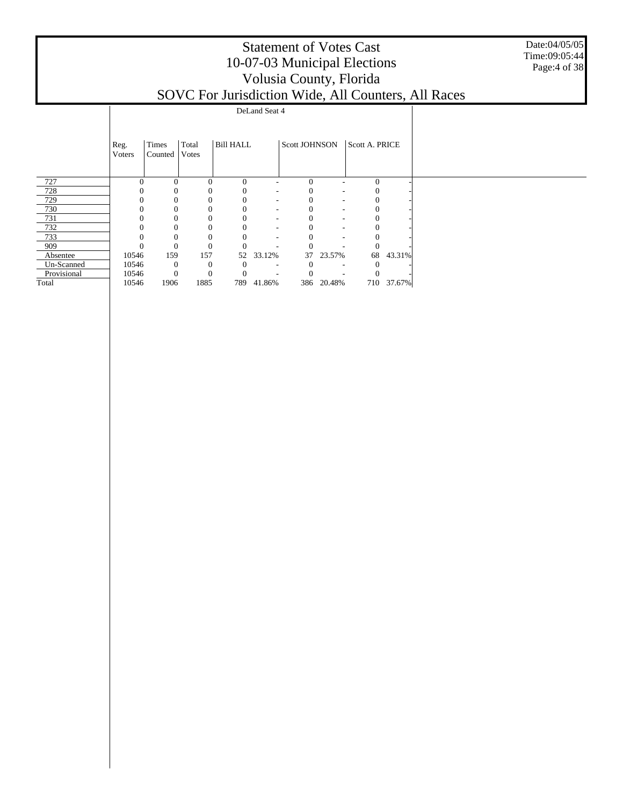Date:04/05/05 Time:09:05:44 Page:4 of 38

|             |                |                  |                |                  | DeLand Seat 4            |               |        |                |            |  |  |
|-------------|----------------|------------------|----------------|------------------|--------------------------|---------------|--------|----------------|------------|--|--|
|             |                |                  |                |                  |                          |               |        |                |            |  |  |
|             | Reg.<br>Voters | Times<br>Counted | Total<br>Votes | <b>Bill HALL</b> |                          | Scott JOHNSON |        | Scott A. PRICE |            |  |  |
| 727         |                |                  | $\Omega$       | $\Omega$         |                          | $\Omega$      |        | $\Omega$       |            |  |  |
| 728         |                |                  |                |                  | $\overline{\phantom{a}}$ |               | ۰      |                |            |  |  |
| 729         |                |                  |                |                  | $\overline{\phantom{a}}$ |               | ٠      |                |            |  |  |
| 730         |                |                  |                |                  | $\overline{\phantom{a}}$ |               | ٠      |                |            |  |  |
| 731         |                |                  |                | $\Omega$         | $\overline{\phantom{a}}$ |               | ٠      |                |            |  |  |
| 732         |                |                  |                | 0                | $\overline{\phantom{a}}$ |               | ٠      |                |            |  |  |
| 733         |                |                  |                | $\theta$         | ٠                        |               | ۰      |                |            |  |  |
| 909         |                | $\theta$         |                |                  |                          |               |        |                |            |  |  |
| Absentee    | 10546          | 159              | 157            | 52               | 33.12%                   | 37            | 23.57% | 68             | 43.31%     |  |  |
| Un-Scanned  | 10546          | $\theta$         | $\theta$       | $\theta$         | ٠                        |               |        |                |            |  |  |
| Provisional | 10546          | $\Omega$         | $\theta$       |                  |                          |               |        |                |            |  |  |
| Total       | 10546          | 1906             | 1885           | 789              | 41.86%                   | 386           | 20.48% |                | 710 37.67% |  |  |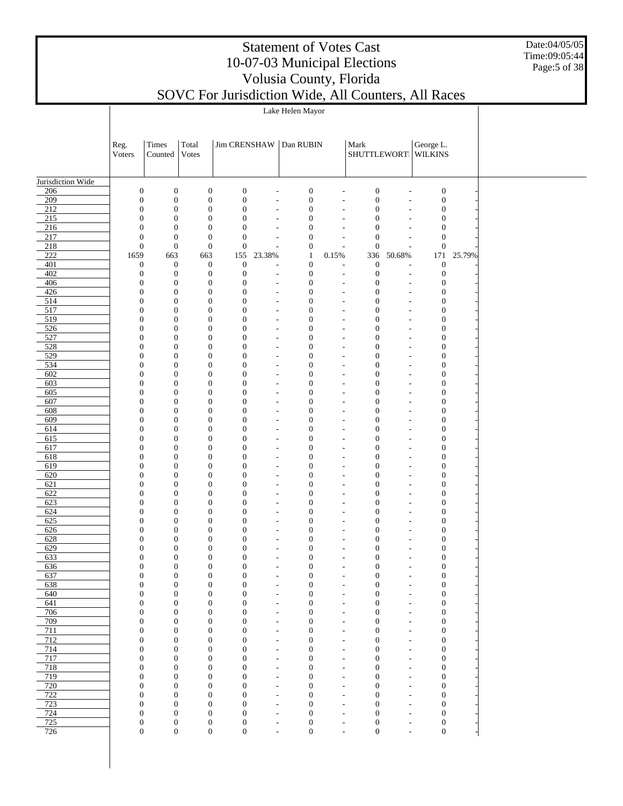#### Date:04/05/05 Time:09:05:44 Page:5 of 38

|                         |                                      |                                      |                                      |                                  |                                                      | Lake Helen Mayor                     |                                                      |                                  |                                                      |                                      |        |
|-------------------------|--------------------------------------|--------------------------------------|--------------------------------------|----------------------------------|------------------------------------------------------|--------------------------------------|------------------------------------------------------|----------------------------------|------------------------------------------------------|--------------------------------------|--------|
|                         |                                      |                                      |                                      |                                  |                                                      |                                      |                                                      |                                  |                                                      |                                      |        |
|                         | Reg.<br>Voters                       | Times<br>Counted                     | Total<br>Votes                       | <b>Jim CRENSHAW</b>              |                                                      | Dan RUBIN                            |                                                      | Mark                             |                                                      | George L.<br>SHUTTLEWORT WILKINS     |        |
|                         |                                      |                                      |                                      |                                  |                                                      |                                      |                                                      |                                  |                                                      |                                      |        |
| Jurisdiction Wide       |                                      |                                      |                                      |                                  |                                                      |                                      |                                                      |                                  |                                                      |                                      |        |
| 206                     | $\boldsymbol{0}$                     | $\boldsymbol{0}$                     | $\boldsymbol{0}$                     | $\boldsymbol{0}$                 | $\overline{a}$                                       | $\boldsymbol{0}$                     | $\overline{a}$                                       | $\boldsymbol{0}$                 | $\overline{a}$                                       | $\boldsymbol{0}$                     |        |
| 209                     | $\boldsymbol{0}$                     | $\boldsymbol{0}$                     | $\boldsymbol{0}$                     | $\mathbf{0}$                     | $\overline{\phantom{a}}$                             | $\boldsymbol{0}$                     | $\overline{\phantom{a}}$                             | $\boldsymbol{0}$                 | $\overline{\phantom{a}}$                             | $\boldsymbol{0}$                     |        |
| 212                     | $\boldsymbol{0}$                     | $\boldsymbol{0}$                     | $\boldsymbol{0}$                     | $\boldsymbol{0}$                 | $\overline{a}$                                       | $\boldsymbol{0}$                     | $\overline{a}$                                       | $\mathbf{0}$                     | $\overline{\phantom{a}}$                             | $\boldsymbol{0}$                     |        |
| $\overline{215}$<br>216 | $\overline{0}$<br>$\boldsymbol{0}$   | $\boldsymbol{0}$<br>$\boldsymbol{0}$ | $\boldsymbol{0}$<br>$\boldsymbol{0}$ | $\overline{0}$<br>$\mathbf{0}$   | $\overline{\phantom{a}}$<br>$\overline{\phantom{a}}$ | $\boldsymbol{0}$<br>$\mathbf{0}$     | $\overline{\phantom{a}}$<br>٠                        | $\mathbf{0}$<br>$\mathbf{0}$     | $\overline{\phantom{a}}$                             | $\boldsymbol{0}$<br>$\boldsymbol{0}$ |        |
| 217                     | $\boldsymbol{0}$                     | $\boldsymbol{0}$                     | $\boldsymbol{0}$                     | $\mathbf{0}$                     | $\overline{\phantom{a}}$                             | $\boldsymbol{0}$                     | $\overline{\phantom{a}}$                             | $\mathbf{0}$                     | $\sim$                                               | $\boldsymbol{0}$                     |        |
| 218                     | $\boldsymbol{0}$                     | $\boldsymbol{0}$                     | $\boldsymbol{0}$                     | $\mathbf{0}$                     |                                                      | $\boldsymbol{0}$                     | $\overline{a}$                                       | $\boldsymbol{0}$                 | $\overline{a}$                                       | $\boldsymbol{0}$                     |        |
| 222                     | 1659                                 | 663                                  | 663                                  | 155                              | 23.38%                                               | $\mathbf{1}$                         | 0.15%                                                | 336                              | 50.68%                                               | 171                                  | 25.79% |
| 401                     | $\boldsymbol{0}$                     | $\boldsymbol{0}$                     | $\boldsymbol{0}$                     | $\boldsymbol{0}$                 | $\overline{\phantom{a}}$                             | $\boldsymbol{0}$                     | $\overline{a}$                                       | $\boldsymbol{0}$                 | $\overline{a}$                                       | $\boldsymbol{0}$                     |        |
| 402                     | $\boldsymbol{0}$                     | $\boldsymbol{0}$                     | $\boldsymbol{0}$                     | $\boldsymbol{0}$                 | $\overline{\phantom{a}}$                             | $\boldsymbol{0}$                     | $\sim$                                               | $\boldsymbol{0}$                 | $\overline{\phantom{a}}$                             | $\boldsymbol{0}$                     |        |
| 406<br>426              | $\boldsymbol{0}$<br>$\boldsymbol{0}$ | $\boldsymbol{0}$<br>$\boldsymbol{0}$ | $\boldsymbol{0}$<br>$\boldsymbol{0}$ | $\boldsymbol{0}$<br>$\mathbf{0}$ | $\overline{a}$                                       | $\boldsymbol{0}$<br>$\boldsymbol{0}$ | $\overline{\phantom{a}}$                             | $\mathbf{0}$<br>$\mathbf{0}$     | $\overline{\phantom{a}}$                             | $\boldsymbol{0}$<br>$\boldsymbol{0}$ |        |
| 514                     | $\boldsymbol{0}$                     | $\boldsymbol{0}$                     | $\boldsymbol{0}$                     | $\mathbf{0}$                     | $\overline{\phantom{a}}$<br>$\overline{\phantom{a}}$ | $\boldsymbol{0}$                     | $\overline{\phantom{a}}$<br>$\overline{\phantom{a}}$ | $\mathbf{0}$                     | $\overline{\phantom{a}}$<br>$\overline{\phantom{a}}$ | $\boldsymbol{0}$                     |        |
| 517                     | $\overline{0}$                       | $\boldsymbol{0}$                     | $\boldsymbol{0}$                     | $\mathbf{0}$                     | $\overline{\phantom{a}}$                             | $\mathbf{0}$                         | $\overline{\phantom{a}}$                             | $\mathbf{0}$                     | $\overline{\phantom{a}}$                             | $\boldsymbol{0}$                     |        |
| 519                     | $\boldsymbol{0}$                     | $\boldsymbol{0}$                     | $\boldsymbol{0}$                     | $\mathbf{0}$                     | $\sim$                                               | $\boldsymbol{0}$                     | $\overline{a}$                                       | $\mathbf{0}$                     | $\overline{\phantom{a}}$                             | $\boldsymbol{0}$                     |        |
| 526                     | $\overline{0}$                       | $\boldsymbol{0}$                     | $\boldsymbol{0}$                     | $\mathbf{0}$                     | $\sim$                                               | $\mathbf{0}$                         | $\sim$                                               | $\mathbf{0}$                     | $\sim$                                               | $\boldsymbol{0}$                     |        |
| 527                     | $\boldsymbol{0}$                     | $\boldsymbol{0}$                     | $\boldsymbol{0}$                     | $\mathbf{0}$                     | $\overline{a}$                                       | $\boldsymbol{0}$                     | $\overline{a}$                                       | $\mathbf{0}$                     | $\overline{\phantom{a}}$                             | $\boldsymbol{0}$                     |        |
| 528                     | $\boldsymbol{0}$                     | $\boldsymbol{0}$                     | $\boldsymbol{0}$                     | $\mathbf{0}$                     | $\sim$                                               | $\boldsymbol{0}$                     | $\sim$                                               | $\mathbf{0}$                     | $\overline{\phantom{a}}$                             | $\boldsymbol{0}$                     |        |
| 529<br>534              | $\boldsymbol{0}$<br>$\overline{0}$   | $\boldsymbol{0}$<br>$\boldsymbol{0}$ | $\boldsymbol{0}$<br>$\boldsymbol{0}$ | $\mathbf{0}$<br>$\mathbf{0}$     | $\overline{\phantom{a}}$                             | $\boldsymbol{0}$<br>$\boldsymbol{0}$ | ٠                                                    | $\mathbf{0}$<br>$\mathbf{0}$     | $\overline{\phantom{a}}$                             | $\boldsymbol{0}$<br>$\boldsymbol{0}$ |        |
| 602                     | $\boldsymbol{0}$                     | $\boldsymbol{0}$                     | $\boldsymbol{0}$                     | $\mathbf{0}$                     | $\overline{\phantom{a}}$<br>$\overline{\phantom{a}}$ | $\boldsymbol{0}$                     | $\overline{\phantom{a}}$<br>٠                        | $\mathbf{0}$                     | $\overline{\phantom{a}}$<br>$\overline{\phantom{a}}$ | $\boldsymbol{0}$                     |        |
| 603                     | $\overline{0}$                       | $\boldsymbol{0}$                     | $\boldsymbol{0}$                     | $\mathbf{0}$                     | $\overline{\phantom{a}}$                             | $\boldsymbol{0}$                     | $\overline{\phantom{a}}$                             | $\mathbf{0}$                     | $\overline{\phantom{a}}$                             | $\boldsymbol{0}$                     |        |
| 605                     | $\boldsymbol{0}$                     | $\boldsymbol{0}$                     | $\boldsymbol{0}$                     | $\mathbf{0}$                     | $\overline{\phantom{a}}$                             | $\boldsymbol{0}$                     | ٠                                                    | $\mathbf{0}$                     | $\overline{\phantom{a}}$                             | $\boldsymbol{0}$                     |        |
| 607                     | $\overline{0}$                       | $\boldsymbol{0}$                     | $\boldsymbol{0}$                     | $\mathbf{0}$                     | $\sim$                                               | $\mathbf{0}$                         | $\sim$                                               | $\mathbf{0}$                     | $\overline{\phantom{a}}$                             | $\boldsymbol{0}$                     |        |
| 608                     | $\boldsymbol{0}$                     | $\boldsymbol{0}$                     | $\boldsymbol{0}$                     | $\mathbf{0}$                     | $\overline{a}$                                       | $\boldsymbol{0}$                     | $\overline{a}$                                       | $\mathbf{0}$                     | $\overline{\phantom{a}}$                             | $\boldsymbol{0}$                     |        |
| 609                     | $\boldsymbol{0}$                     | $\boldsymbol{0}$                     | $\boldsymbol{0}$                     | $\mathbf{0}$                     | $\sim$                                               | $\boldsymbol{0}$                     | $\sim$                                               | $\mathbf{0}$                     | $\sim$                                               | $\boldsymbol{0}$                     |        |
| 614                     | $\boldsymbol{0}$<br>$\overline{0}$   | $\boldsymbol{0}$                     | $\boldsymbol{0}$                     | $\mathbf{0}$                     | $\overline{\phantom{a}}$                             | $\boldsymbol{0}$                     | ٠                                                    | $\mathbf{0}$                     | $\overline{\phantom{a}}$                             | $\boldsymbol{0}$                     |        |
| 615<br>617              | $\boldsymbol{0}$                     | $\boldsymbol{0}$<br>$\boldsymbol{0}$ | $\boldsymbol{0}$<br>$\boldsymbol{0}$ | $\mathbf{0}$<br>$\mathbf{0}$     | $\overline{\phantom{a}}$<br>$\overline{\phantom{a}}$ | $\boldsymbol{0}$<br>$\boldsymbol{0}$ | $\overline{\phantom{a}}$<br>٠                        | $\mathbf{0}$<br>$\mathbf{0}$     | $\overline{\phantom{a}}$<br>$\overline{\phantom{a}}$ | $\boldsymbol{0}$<br>$\boldsymbol{0}$ |        |
| 618                     | $\overline{0}$                       | $\boldsymbol{0}$                     | $\boldsymbol{0}$                     | $\mathbf{0}$                     | $\overline{\phantom{a}}$                             | $\boldsymbol{0}$                     | $\overline{\phantom{a}}$                             | $\mathbf{0}$                     | $\overline{\phantom{a}}$                             | $\boldsymbol{0}$                     |        |
| 619                     | $\boldsymbol{0}$                     | $\boldsymbol{0}$                     | $\boldsymbol{0}$                     | $\mathbf{0}$                     | $\overline{\phantom{a}}$                             | $\boldsymbol{0}$                     | ٠                                                    | $\mathbf{0}$                     | $\overline{\phantom{a}}$                             | $\boldsymbol{0}$                     |        |
| 620                     | $\overline{0}$                       | $\boldsymbol{0}$                     | $\boldsymbol{0}$                     | $\mathbf{0}$                     | $\overline{\phantom{a}}$                             | $\mathbf{0}$                         | $\sim$                                               | $\mathbf{0}$                     | $\overline{\phantom{a}}$                             | $\boldsymbol{0}$                     |        |
| 621                     | $\boldsymbol{0}$                     | $\boldsymbol{0}$                     | $\boldsymbol{0}$                     | $\mathbf{0}$                     | $\overline{a}$                                       | $\boldsymbol{0}$                     | $\overline{a}$                                       | $\mathbf{0}$                     | $\overline{\phantom{a}}$                             | $\boldsymbol{0}$                     |        |
| 622                     | $\boldsymbol{0}$                     | $\boldsymbol{0}$                     | $\boldsymbol{0}$                     | $\mathbf{0}$                     | $\sim$                                               | $\boldsymbol{0}$                     | $\tilde{\phantom{a}}$                                | $\mathbf{0}$                     | $\sim$                                               | $\boldsymbol{0}$                     |        |
| 623                     | $\boldsymbol{0}$                     | $\boldsymbol{0}$                     | $\boldsymbol{0}$                     | $\mathbf{0}$                     | $\overline{a}$                                       | $\boldsymbol{0}$                     | $\overline{a}$                                       | $\mathbf{0}$                     | $\overline{\phantom{a}}$                             | $\boldsymbol{0}$                     |        |
| 624<br>625              | $\mathbf{0}$<br>$\boldsymbol{0}$     | $\boldsymbol{0}$<br>$\boldsymbol{0}$ | $\boldsymbol{0}$<br>$\boldsymbol{0}$ | $\mathbf{0}$<br>$\mathbf{0}$     | $\overline{\phantom{a}}$<br>$\overline{\phantom{a}}$ | $\boldsymbol{0}$<br>$\boldsymbol{0}$ | $\overline{\phantom{a}}$<br>٠                        | $\mathbf{0}$<br>$\mathbf{0}$     | $\overline{\phantom{a}}$<br>$\overline{\phantom{a}}$ | $\boldsymbol{0}$<br>$\boldsymbol{0}$ |        |
| 626                     | $\boldsymbol{0}$                     | $\boldsymbol{0}$                     | $\boldsymbol{0}$                     | $\mathbf{0}$                     | $\overline{\phantom{a}}$                             | $\boldsymbol{0}$                     | $\overline{\phantom{a}}$                             | $\mathbf{0}$                     | $\overline{\phantom{a}}$                             | $\boldsymbol{0}$                     |        |
| 628                     | $\boldsymbol{0}$                     | $\boldsymbol{0}$                     | $\boldsymbol{0}$                     | $\mathbf{0}$                     | $\overline{\phantom{a}}$                             | $\boldsymbol{0}$                     | ٠                                                    | $\mathbf{0}$                     | $\overline{\phantom{a}}$                             | $\boldsymbol{0}$                     |        |
| 629                     | $\boldsymbol{0}$                     | $\boldsymbol{0}$                     | $\boldsymbol{0}$                     | $\mathbf{0}$                     | $\overline{\phantom{a}}$                             | $\boldsymbol{0}$                     | $\overline{\phantom{a}}$                             | $\mathbf{0}$                     | $\overline{\phantom{a}}$                             | $\boldsymbol{0}$                     |        |
| 633                     | $\boldsymbol{0}$                     | $\overline{0}$                       | $\overline{0}$                       | $\mathbf{0}$                     | $\overline{a}$                                       | $\boldsymbol{0}$                     | $\overline{\phantom{a}}$                             | $\mathbf{0}$                     | $\overline{\phantom{a}}$                             | $\boldsymbol{0}$                     |        |
| 636                     | $\boldsymbol{0}$                     | $\boldsymbol{0}$<br>$\boldsymbol{0}$ | $\boldsymbol{0}$<br>$\boldsymbol{0}$ | $\boldsymbol{0}$                 | $\overline{\phantom{a}}$                             | $\boldsymbol{0}$                     | ٠                                                    | $\mathbf{0}$                     | ٠                                                    | 0                                    |        |
| 637<br>638              | $\boldsymbol{0}$<br>$\boldsymbol{0}$ | $\boldsymbol{0}$                     | $\boldsymbol{0}$                     | $\boldsymbol{0}$<br>$\mathbf{0}$ | $\overline{\phantom{a}}$<br>$\overline{\phantom{a}}$ | $\boldsymbol{0}$<br>$\boldsymbol{0}$ | ٠<br>$\overline{\phantom{a}}$                        | $\boldsymbol{0}$<br>$\mathbf{0}$ | ٠<br>$\overline{\phantom{a}}$                        | $\boldsymbol{0}$<br>$\boldsymbol{0}$ |        |
| 640                     | $\boldsymbol{0}$                     | $\boldsymbol{0}$                     | $\boldsymbol{0}$                     | $\mathbf{0}$                     | $\overline{\phantom{a}}$                             | $\boldsymbol{0}$                     | $\overline{\phantom{a}}$                             | $\mathbf{0}$                     | $\overline{\phantom{a}}$                             | $\boldsymbol{0}$                     |        |
| 641                     | $\boldsymbol{0}$                     | $\boldsymbol{0}$                     | $\boldsymbol{0}$                     | $\mathbf{0}$                     | $\overline{\phantom{a}}$                             | $\boldsymbol{0}$                     | $\overline{\phantom{a}}$                             | $\mathbf{0}$                     | $\overline{\phantom{a}}$                             | $\boldsymbol{0}$                     |        |
| 706                     | $\boldsymbol{0}$                     | $\boldsymbol{0}$                     | $\boldsymbol{0}$                     | $\mathbf{0}$                     | $\overline{\phantom{a}}$                             | $\boldsymbol{0}$                     | ٠                                                    | $\mathbf{0}$                     | ٠                                                    | $\boldsymbol{0}$                     |        |
| 709                     | $\boldsymbol{0}$                     | $\overline{0}$                       | $\boldsymbol{0}$                     | $\mathbf{0}$                     | $\overline{\phantom{a}}$                             | $\boldsymbol{0}$                     | $\overline{\phantom{a}}$                             | $\mathbf{0}$                     | $\overline{\phantom{a}}$                             | $\boldsymbol{0}$                     |        |
| 711                     | $\boldsymbol{0}$                     | $\boldsymbol{0}$                     | $\boldsymbol{0}$                     | $\boldsymbol{0}$                 | ٠                                                    | $\boldsymbol{0}$                     | $\tilde{\phantom{a}}$                                | $\mathbf{0}$                     | $\overline{\phantom{a}}$                             | $\boldsymbol{0}$                     |        |
| 712                     | $\boldsymbol{0}$                     | $\boldsymbol{0}$                     | $\boldsymbol{0}$                     | $\mathbf{0}$                     | $\sim$                                               | $\boldsymbol{0}$                     | $\tilde{\phantom{a}}$                                | $\mathbf{0}$                     | $\overline{\phantom{a}}$                             | $\boldsymbol{0}$                     |        |
| 714<br>717              | $\boldsymbol{0}$<br>$\boldsymbol{0}$ | $\boldsymbol{0}$<br>$\boldsymbol{0}$ | $\boldsymbol{0}$<br>$\boldsymbol{0}$ | $\mathbf{0}$<br>$\mathbf{0}$     | $\overline{\phantom{a}}$<br>$\overline{\phantom{a}}$ | $\boldsymbol{0}$<br>$\boldsymbol{0}$ | ٠<br>$\overline{\phantom{a}}$                        | $\mathbf{0}$<br>$\mathbf{0}$     | $\overline{\phantom{a}}$<br>$\overline{\phantom{a}}$ | $\boldsymbol{0}$<br>$\boldsymbol{0}$ |        |
| 718                     | $\boldsymbol{0}$                     | $\boldsymbol{0}$                     | $\boldsymbol{0}$                     | $\boldsymbol{0}$                 | $\overline{\phantom{a}}$                             | $\boldsymbol{0}$                     | $\overline{\phantom{a}}$                             | $\mathbf{0}$                     | $\overline{\phantom{a}}$                             | $\boldsymbol{0}$                     |        |
| 719                     | $\boldsymbol{0}$                     | $\boldsymbol{0}$                     | $\boldsymbol{0}$                     | $\mathbf{0}$                     | $\overline{\phantom{a}}$                             | $\boldsymbol{0}$                     | $\overline{\phantom{a}}$                             | $\mathbf{0}$                     | $\overline{\phantom{a}}$                             | $\boldsymbol{0}$                     |        |
| 720                     | $\boldsymbol{0}$                     | $\boldsymbol{0}$                     | $\boldsymbol{0}$                     | $\mathbf{0}$                     | $\overline{\phantom{a}}$                             | $\boldsymbol{0}$                     | ٠                                                    | $\mathbf{0}$                     | ٠                                                    | $\boldsymbol{0}$                     |        |
| 722                     | $\boldsymbol{0}$                     | $\overline{0}$                       | $\boldsymbol{0}$                     | $\mathbf{0}$                     | $\overline{\phantom{a}}$                             | $\boldsymbol{0}$                     | $\overline{\phantom{a}}$                             | $\mathbf{0}$                     | $\overline{\phantom{a}}$                             | $\boldsymbol{0}$                     |        |
| 723                     | $\boldsymbol{0}$                     | $\boldsymbol{0}$                     | $\boldsymbol{0}$                     | $\mathbf{0}$                     | ٠                                                    | $\boldsymbol{0}$                     | $\overline{a}$                                       | $\mathbf{0}$                     | $\overline{\phantom{a}}$                             | $\boldsymbol{0}$                     |        |
| 724                     | $\boldsymbol{0}$                     | $\boldsymbol{0}$                     | $\boldsymbol{0}$<br>$\boldsymbol{0}$ | $\mathbf{0}$                     | $\overline{\phantom{a}}$                             | $\boldsymbol{0}$                     | $\overline{\phantom{a}}$                             | $\mathbf{0}$<br>$\mathbf{0}$     | $\overline{\phantom{a}}$                             | $\boldsymbol{0}$                     |        |
| 725<br>726              | $\boldsymbol{0}$<br>$\boldsymbol{0}$ | $\boldsymbol{0}$<br>$\boldsymbol{0}$ | $\boldsymbol{0}$                     | $\boldsymbol{0}$<br>$\mathbf{0}$ | $\overline{\phantom{a}}$<br>$\sim$                   | $\boldsymbol{0}$<br>$\boldsymbol{0}$ | $\overline{\phantom{a}}$<br>$\overline{\phantom{a}}$ | $\boldsymbol{0}$                 | $\overline{\phantom{a}}$<br>$\overline{\phantom{a}}$ | $\boldsymbol{0}$<br>$\boldsymbol{0}$ |        |
|                         |                                      |                                      |                                      |                                  |                                                      |                                      |                                                      |                                  |                                                      |                                      |        |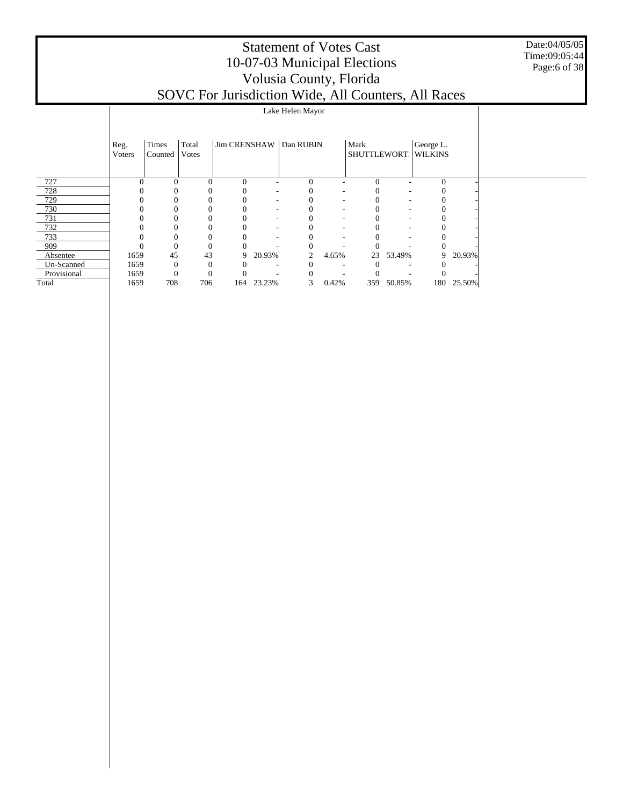#### Date:04/05/05 Time:09:05:44 Page:6 of 38

|             |                |                  |                |          | .          |                          | $-2$  | - - - - - - 7 |            |                                  | .          |  |
|-------------|----------------|------------------|----------------|----------|------------|--------------------------|-------|---------------|------------|----------------------------------|------------|--|
|             |                |                  |                |          |            | Lake Helen Mayor         |       |               |            |                                  |            |  |
|             | Reg.<br>Voters | Times<br>Counted | Total<br>Votes |          |            | Jim CRENSHAW   Dan RUBIN |       | Mark          |            | George L.<br>SHUTTLEWORT WILKINS |            |  |
| 727         |                | $\Omega$         | 0              | $\Omega$ |            | $\Omega$                 |       | $\Omega$      |            |                                  |            |  |
| 728         |                |                  |                |          |            |                          |       |               |            |                                  |            |  |
| 729         |                | 0                |                |          |            |                          |       |               |            |                                  |            |  |
| 730         |                | 0                |                |          |            |                          |       |               |            |                                  |            |  |
| 731         |                |                  |                |          |            |                          |       |               |            |                                  |            |  |
| 732         |                | $^{(1)}$         |                |          |            |                          |       |               |            |                                  |            |  |
| 733         |                | 0                |                |          |            |                          |       |               |            |                                  |            |  |
| 909         |                | $\mathbf{0}$     | $\theta$       |          |            |                          |       |               |            |                                  |            |  |
| Absentee    | 1659           | 45               | 43             | 9        | 20.93%     | 2                        | 4.65% | 23            | 53.49%     | 9                                | 20.93%     |  |
| Un-Scanned  | 1659           | $\mathbf{0}$     | $\mathbf{0}$   |          |            |                          |       |               |            |                                  |            |  |
| Provisional | 1659           | $\mathbf{0}$     | $\theta$       |          |            |                          |       |               |            |                                  |            |  |
| Total       | 1659           | 708              | 706            |          | 164 23.23% | 3                        | 0.42% |               | 359 50.85% |                                  | 180 25.50% |  |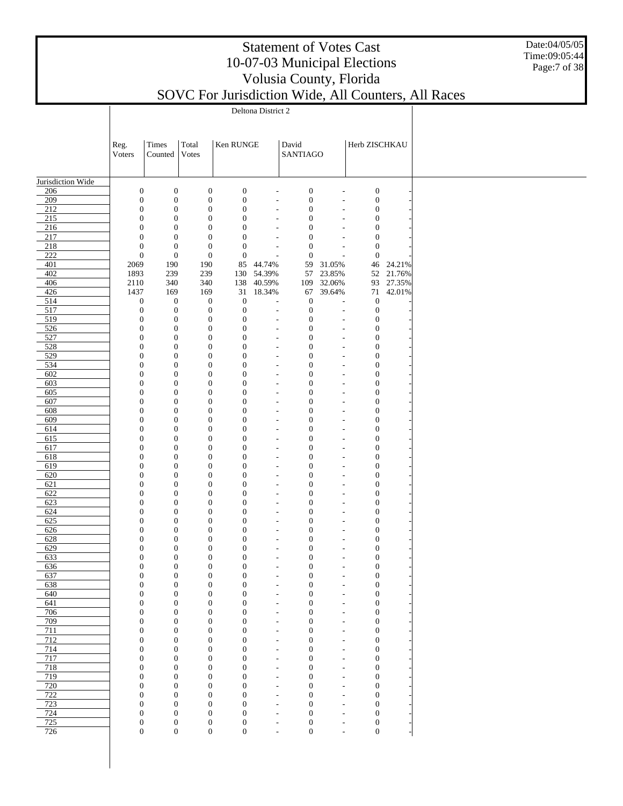#### Date:04/05/05 Time:09:05:44 Page:7 of 38

### Statement of Votes Cast 10-07-03 Municipal Elections Volusia County, Florida

|                   | Reg.<br>Voters                       | Times<br>Counted                     | Total<br>Votes                       | Ken RUNGE                            |                                                      | David<br>SANTIAGO                    |                                                      | Herb ZISCHKAU                        |                  |
|-------------------|--------------------------------------|--------------------------------------|--------------------------------------|--------------------------------------|------------------------------------------------------|--------------------------------------|------------------------------------------------------|--------------------------------------|------------------|
| Jurisdiction Wide |                                      |                                      |                                      |                                      |                                                      |                                      |                                                      |                                      |                  |
| 206               | $\boldsymbol{0}$                     | $\boldsymbol{0}$                     | $\boldsymbol{0}$                     | $\boldsymbol{0}$                     | ÷,                                                   | $\boldsymbol{0}$                     | $\overline{\phantom{a}}$                             | $\boldsymbol{0}$                     |                  |
| 209               | $\boldsymbol{0}$                     | $\boldsymbol{0}$                     | $\boldsymbol{0}$                     | $\boldsymbol{0}$                     | $\overline{\phantom{a}}$                             | $\boldsymbol{0}$                     | $\overline{a}$                                       | $\boldsymbol{0}$                     |                  |
| 212               | $\boldsymbol{0}$                     | $\boldsymbol{0}$                     | $\boldsymbol{0}$                     | $\boldsymbol{0}$                     | $\sim$                                               | $\boldsymbol{0}$                     | $\overline{\phantom{a}}$                             | $\boldsymbol{0}$                     |                  |
| 215               | $\boldsymbol{0}$                     | $\boldsymbol{0}$                     | $\boldsymbol{0}$                     | $\boldsymbol{0}$                     | $\overline{a}$                                       | $\mathbf{0}$                         | $\overline{\phantom{a}}$                             | $\boldsymbol{0}$                     |                  |
| 216<br>217        | $\boldsymbol{0}$<br>$\boldsymbol{0}$ | $\boldsymbol{0}$<br>$\boldsymbol{0}$ | $\boldsymbol{0}$<br>$\boldsymbol{0}$ | $\boldsymbol{0}$<br>$\boldsymbol{0}$ | $\sim$<br>$\overline{a}$                             | $\boldsymbol{0}$<br>$\boldsymbol{0}$ | ÷,<br>$\overline{\phantom{a}}$                       | $\boldsymbol{0}$<br>$\boldsymbol{0}$ |                  |
| 218               | $\boldsymbol{0}$                     | $\boldsymbol{0}$                     | $\boldsymbol{0}$                     | $\boldsymbol{0}$                     | $\sim$                                               | $\boldsymbol{0}$                     | $\overline{a}$                                       | $\boldsymbol{0}$                     |                  |
| 222               | $\boldsymbol{0}$                     | $\boldsymbol{0}$                     | $\boldsymbol{0}$                     | $\boldsymbol{0}$                     | L,                                                   | $\boldsymbol{0}$                     | $\overline{\phantom{a}}$                             | $\boldsymbol{0}$                     |                  |
| 401               | 2069                                 | 190                                  | 190                                  | 85                                   | 44.74%                                               | 59                                   | 31.05%                                               | 46                                   | 24.21%           |
| 402<br>406        | 1893<br>2110                         | 239<br>340                           | 239<br>340                           | 138                                  | 130 54.39%<br>40.59%                                 | 57<br>109                            | 23.85%<br>32.06%                                     | 52<br>93                             | 21.76%<br>27.35% |
| 426               | 1437                                 | 169                                  | 169                                  | 31                                   | 18.34%                                               | 67                                   | 39.64%                                               | 71                                   | 42.01%           |
| 514               | $\boldsymbol{0}$                     | $\boldsymbol{0}$                     | $\boldsymbol{0}$                     | $\boldsymbol{0}$                     | L,                                                   | $\mathbf{0}$                         | J.                                                   | $\boldsymbol{0}$                     |                  |
| 517               | $\boldsymbol{0}$                     | $\boldsymbol{0}$                     | $\boldsymbol{0}$                     | $\boldsymbol{0}$                     | $\overline{\phantom{a}}$                             | $\boldsymbol{0}$                     | $\overline{\phantom{a}}$                             | $\boldsymbol{0}$                     |                  |
| 519               | $\boldsymbol{0}$                     | $\boldsymbol{0}$                     | $\boldsymbol{0}$                     | $\boldsymbol{0}$                     | $\sim$                                               | $\mathbf{0}$                         | $\overline{\phantom{a}}$                             | $\mathbf{0}$                         |                  |
| 526<br>527        | $\boldsymbol{0}$<br>$\boldsymbol{0}$ | $\boldsymbol{0}$<br>$\boldsymbol{0}$ | $\boldsymbol{0}$<br>$\boldsymbol{0}$ | $\boldsymbol{0}$<br>$\boldsymbol{0}$ | $\overline{\phantom{a}}$<br>$\overline{\phantom{a}}$ | $\mathbf{0}$<br>$\boldsymbol{0}$     | $\overline{\phantom{a}}$<br>$\overline{\phantom{a}}$ | $\boldsymbol{0}$<br>$\boldsymbol{0}$ |                  |
| 528               | $\boldsymbol{0}$                     | $\boldsymbol{0}$                     | $\boldsymbol{0}$                     | $\boldsymbol{0}$                     | $\overline{a}$                                       | $\boldsymbol{0}$                     | $\overline{a}$                                       | $\boldsymbol{0}$                     |                  |
| 529               | $\boldsymbol{0}$                     | $\boldsymbol{0}$                     | $\boldsymbol{0}$                     | $\boldsymbol{0}$                     | $\overline{\phantom{a}}$                             | $\boldsymbol{0}$                     | $\overline{\phantom{a}}$                             | $\boldsymbol{0}$                     |                  |
| 534               | $\boldsymbol{0}$                     | $\boldsymbol{0}$                     | $\boldsymbol{0}$                     | $\boldsymbol{0}$                     | $\overline{a}$                                       | $\boldsymbol{0}$                     | $\overline{\phantom{a}}$                             | $\boldsymbol{0}$                     |                  |
| 602<br>603        | $\boldsymbol{0}$<br>$\boldsymbol{0}$ | $\boldsymbol{0}$<br>$\boldsymbol{0}$ | $\boldsymbol{0}$<br>$\boldsymbol{0}$ | $\boldsymbol{0}$<br>$\boldsymbol{0}$ | $\overline{a}$<br>$\overline{a}$                     | $\boldsymbol{0}$<br>$\boldsymbol{0}$ | $\overline{a}$<br>$\overline{\phantom{a}}$           | $\boldsymbol{0}$<br>$\boldsymbol{0}$ |                  |
| 605               | $\boldsymbol{0}$                     | $\boldsymbol{0}$                     | $\boldsymbol{0}$                     | $\boldsymbol{0}$                     | $\overline{a}$                                       | $\boldsymbol{0}$                     | $\overline{a}$                                       | $\boldsymbol{0}$                     |                  |
| 607               | $\boldsymbol{0}$                     | $\boldsymbol{0}$                     | $\boldsymbol{0}$                     | $\boldsymbol{0}$                     | $\overline{a}$                                       | $\boldsymbol{0}$                     | $\overline{\phantom{a}}$                             | $\boldsymbol{0}$                     |                  |
| 608               | $\boldsymbol{0}$                     | $\boldsymbol{0}$                     | $\boldsymbol{0}$                     | $\boldsymbol{0}$                     | ÷,                                                   | $\boldsymbol{0}$                     | $\overline{\phantom{a}}$                             | $\boldsymbol{0}$                     |                  |
| 609               | $\boldsymbol{0}$                     | $\boldsymbol{0}$                     | $\boldsymbol{0}$                     | $\boldsymbol{0}$                     | $\overline{a}$                                       | $\boldsymbol{0}$                     | $\overline{a}$                                       | $\boldsymbol{0}$                     |                  |
| 614<br>615        | $\boldsymbol{0}$<br>$\boldsymbol{0}$ | $\boldsymbol{0}$<br>$\boldsymbol{0}$ | $\boldsymbol{0}$<br>$\boldsymbol{0}$ | $\boldsymbol{0}$<br>$\boldsymbol{0}$ | ٠<br>$\overline{a}$                                  | $\boldsymbol{0}$<br>$\boldsymbol{0}$ | $\overline{\phantom{a}}$<br>$\overline{\phantom{a}}$ | $\boldsymbol{0}$<br>$\boldsymbol{0}$ |                  |
| 617               | $\boldsymbol{0}$                     | $\boldsymbol{0}$                     | $\boldsymbol{0}$                     | $\boldsymbol{0}$                     | $\overline{\phantom{a}}$                             | $\boldsymbol{0}$                     | $\overline{a}$                                       | $\boldsymbol{0}$                     |                  |
| 618               | $\boldsymbol{0}$                     | $\boldsymbol{0}$                     | $\boldsymbol{0}$                     | $\boldsymbol{0}$                     | $\overline{a}$                                       | $\boldsymbol{0}$                     | $\overline{\phantom{a}}$                             | $\boldsymbol{0}$                     |                  |
| 619               | $\boldsymbol{0}$                     | $\boldsymbol{0}$                     | $\boldsymbol{0}$                     | $\boldsymbol{0}$                     | $\overline{a}$                                       | $\boldsymbol{0}$                     | $\overline{a}$                                       | $\boldsymbol{0}$                     |                  |
| 620               | $\boldsymbol{0}$                     | $\boldsymbol{0}$                     | $\boldsymbol{0}$                     | $\boldsymbol{0}$                     | $\overline{a}$                                       | $\boldsymbol{0}$                     | $\overline{\phantom{a}}$                             | $\boldsymbol{0}$                     |                  |
| 621<br>622        | $\boldsymbol{0}$<br>$\boldsymbol{0}$ | $\boldsymbol{0}$<br>$\boldsymbol{0}$ | $\boldsymbol{0}$<br>$\boldsymbol{0}$ | $\boldsymbol{0}$<br>$\boldsymbol{0}$ | L,<br>$\overline{a}$                                 | $\boldsymbol{0}$<br>$\boldsymbol{0}$ | $\overline{\phantom{a}}$<br>$\overline{a}$           | $\boldsymbol{0}$<br>$\boldsymbol{0}$ |                  |
| 623               | $\boldsymbol{0}$                     | $\boldsymbol{0}$                     | $\boldsymbol{0}$                     | $\boldsymbol{0}$                     | ٠                                                    | $\boldsymbol{0}$                     | $\overline{\phantom{a}}$                             | $\boldsymbol{0}$                     |                  |
| 624               | $\boldsymbol{0}$                     | $\boldsymbol{0}$                     | $\boldsymbol{0}$                     | $\boldsymbol{0}$                     | $\overline{a}$                                       | $\boldsymbol{0}$                     | $\overline{\phantom{a}}$                             | $\boldsymbol{0}$                     |                  |
| 625               | $\boldsymbol{0}$                     | $\boldsymbol{0}$                     | $\boldsymbol{0}$                     | $\boldsymbol{0}$                     | $\overline{a}$                                       | $\boldsymbol{0}$                     | $\overline{a}$                                       | $\boldsymbol{0}$                     |                  |
| 626               | $\boldsymbol{0}$                     | $\boldsymbol{0}$                     | $\boldsymbol{0}$                     | $\boldsymbol{0}$                     | $\overline{a}$                                       | $\boldsymbol{0}$                     | $\overline{\phantom{a}}$                             | $\boldsymbol{0}$                     |                  |
| 628<br>629        | $\boldsymbol{0}$<br>$\boldsymbol{0}$ | $\boldsymbol{0}$<br>$\boldsymbol{0}$ | $\boldsymbol{0}$<br>$\boldsymbol{0}$ | $\boldsymbol{0}$<br>$\boldsymbol{0}$ | $\overline{a}$<br>$\overline{a}$                     | $\boldsymbol{0}$<br>$\boldsymbol{0}$ | $\overline{a}$<br>$\overline{\phantom{a}}$           | $\boldsymbol{0}$<br>$\boldsymbol{0}$ |                  |
| 633               | $\boldsymbol{0}$                     | $\boldsymbol{0}$                     | $\boldsymbol{0}$                     | $\boldsymbol{0}$                     | $\overline{a}$                                       | $\boldsymbol{0}$                     | $\overline{a}$                                       | $\boldsymbol{0}$                     |                  |
| 636               | 0                                    | 0                                    | $\bf{0}$                             | $\bf{0}$                             |                                                      | $\bf{0}$                             | $\overline{a}$                                       | 0                                    |                  |
| 637               | $\boldsymbol{0}$                     | $\boldsymbol{0}$                     | $\boldsymbol{0}$                     | $\boldsymbol{0}$                     | ÷,                                                   | $\boldsymbol{0}$                     | $\overline{a}$                                       | $\boldsymbol{0}$                     |                  |
| 638<br>640        | $\boldsymbol{0}$                     | $\boldsymbol{0}$                     | $\boldsymbol{0}$                     | $\boldsymbol{0}$                     | $\overline{a}$                                       | $\boldsymbol{0}$                     | $\overline{\phantom{a}}$                             | $\boldsymbol{0}$                     |                  |
| 641               | $\boldsymbol{0}$<br>$\boldsymbol{0}$ | $\boldsymbol{0}$<br>$\boldsymbol{0}$ | $\boldsymbol{0}$<br>$\boldsymbol{0}$ | $\boldsymbol{0}$<br>$\boldsymbol{0}$ | $\overline{a}$<br>$\overline{a}$                     | $\boldsymbol{0}$<br>$\boldsymbol{0}$ | $\overline{\phantom{a}}$<br>$\overline{\phantom{a}}$ | $\boldsymbol{0}$<br>$\boldsymbol{0}$ |                  |
| 706               | $\boldsymbol{0}$                     | $\boldsymbol{0}$                     | $\boldsymbol{0}$                     | $\boldsymbol{0}$                     | $\overline{a}$                                       | $\boldsymbol{0}$                     | $\overline{\phantom{a}}$                             | $\boldsymbol{0}$                     |                  |
| 709               | $\boldsymbol{0}$                     | $\boldsymbol{0}$                     | $\boldsymbol{0}$                     | $\boldsymbol{0}$                     | $\overline{a}$                                       | $\boldsymbol{0}$                     | $\overline{\phantom{a}}$                             | $\boldsymbol{0}$                     |                  |
| 711               | $\boldsymbol{0}$                     | $\boldsymbol{0}$                     | $\boldsymbol{0}$                     | $\boldsymbol{0}$                     | L,                                                   | $\boldsymbol{0}$                     | $\overline{a}$                                       | $\boldsymbol{0}$                     |                  |
| 712<br>714        | $\boldsymbol{0}$<br>$\boldsymbol{0}$ | $\boldsymbol{0}$<br>$\boldsymbol{0}$ | $\boldsymbol{0}$<br>$\boldsymbol{0}$ | $\boldsymbol{0}$<br>$\boldsymbol{0}$ | $\overline{a}$<br>$\overline{a}$                     | $\boldsymbol{0}$<br>$\boldsymbol{0}$ | $\overline{\phantom{a}}$<br>$\overline{\phantom{a}}$ | $\boldsymbol{0}$<br>$\boldsymbol{0}$ |                  |
| 717               | $\boldsymbol{0}$                     | $\boldsymbol{0}$                     | $\boldsymbol{0}$                     | $\boldsymbol{0}$                     | $\overline{a}$                                       | $\boldsymbol{0}$                     | $\overline{\phantom{a}}$                             | $\boldsymbol{0}$                     |                  |
| 718               | $\boldsymbol{0}$                     | $\boldsymbol{0}$                     | $\boldsymbol{0}$                     | $\boldsymbol{0}$                     | $\overline{a}$                                       | $\boldsymbol{0}$                     | $\overline{\phantom{a}}$                             | $\boldsymbol{0}$                     |                  |
| 719               | $\boldsymbol{0}$                     | $\boldsymbol{0}$                     | $\boldsymbol{0}$                     | $\boldsymbol{0}$                     | $\overline{a}$                                       | $\boldsymbol{0}$                     | $\overline{\phantom{a}}$                             | $\boldsymbol{0}$                     |                  |
| 720               | $\boldsymbol{0}$                     | $\boldsymbol{0}$                     | $\boldsymbol{0}$                     | $\boldsymbol{0}$                     | $\overline{a}$                                       | $\boldsymbol{0}$                     | $\overline{\phantom{a}}$                             | $\boldsymbol{0}$                     |                  |
| 722<br>723        | $\boldsymbol{0}$<br>$\boldsymbol{0}$ | $\boldsymbol{0}$<br>$\boldsymbol{0}$ | $\boldsymbol{0}$<br>$\boldsymbol{0}$ | $\boldsymbol{0}$<br>$\boldsymbol{0}$ | $\overline{a}$<br>$\overline{\phantom{a}}$           | $\boldsymbol{0}$<br>$\boldsymbol{0}$ | $\overline{\phantom{a}}$<br>$\overline{\phantom{a}}$ | $\boldsymbol{0}$<br>$\boldsymbol{0}$ |                  |
| 724               | $\boldsymbol{0}$                     | $\boldsymbol{0}$                     | $\boldsymbol{0}$                     | $\boldsymbol{0}$                     | $\overline{a}$                                       | $\mathbf{0}$                         | $\overline{\phantom{a}}$                             | $\boldsymbol{0}$                     |                  |
| 725               | $\boldsymbol{0}$                     | $\boldsymbol{0}$                     | $\boldsymbol{0}$                     | $\boldsymbol{0}$                     | $\overline{a}$                                       | $\boldsymbol{0}$                     | $\overline{\phantom{a}}$                             | $\boldsymbol{0}$                     |                  |
| 726               | $\boldsymbol{0}$                     | $\boldsymbol{0}$                     | $\boldsymbol{0}$                     | $\boldsymbol{0}$                     | $\overline{a}$                                       | $\boldsymbol{0}$                     | ÷,                                                   | $\boldsymbol{0}$                     |                  |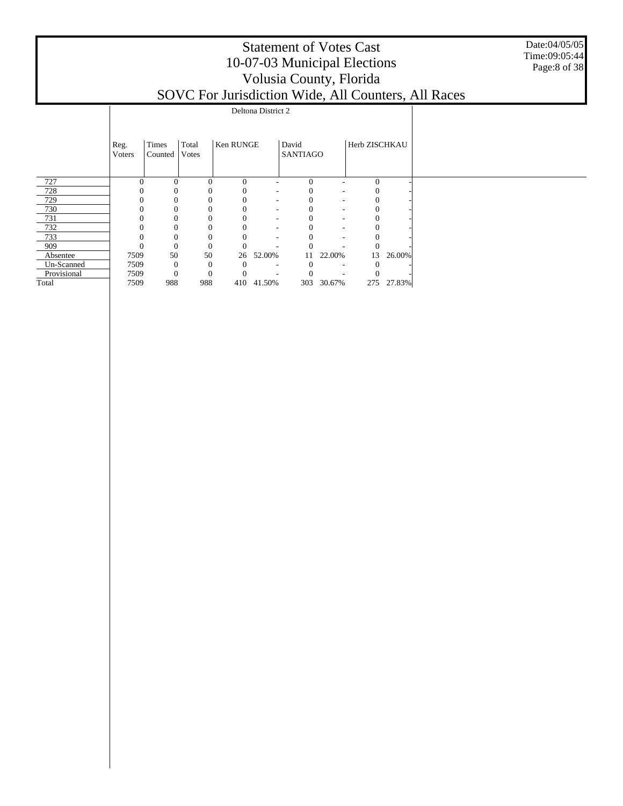Date:04/05/05 Time:09:05:44 Page:8 of 38

|             |                |                  |                        |           | Deltona District 2       |                          |                          |               |            |  |
|-------------|----------------|------------------|------------------------|-----------|--------------------------|--------------------------|--------------------------|---------------|------------|--|
|             | Reg.<br>Voters | Times<br>Counted | Total<br><b>V</b> otes | Ken RUNGE |                          | David<br><b>SANTIAGO</b> |                          | Herb ZISCHKAU |            |  |
| 727         | $\Omega$       | $\Omega$         | $\Omega$               | $\Omega$  |                          | $\Omega$                 |                          | $\Omega$      |            |  |
| 728         |                | 0                |                        | 0         | $\overline{\phantom{a}}$ |                          | $\overline{\phantom{a}}$ |               |            |  |
| 729         |                |                  |                        | $\Omega$  | $\overline{\phantom{a}}$ |                          | $\overline{\phantom{a}}$ |               |            |  |
| 730         | $\mathbf{0}$   | 0                |                        | $\theta$  | $\overline{\phantom{a}}$ |                          | $\overline{\phantom{a}}$ | $\mathbf{0}$  |            |  |
| 731         | $\Omega$       | 0                |                        | $\theta$  | $\overline{\phantom{a}}$ | $\theta$                 | $\overline{\phantom{a}}$ | $\theta$      |            |  |
| 732         | $\Omega$       | 0                |                        | $\theta$  | ٠                        | $_{0}$                   | -                        | $\theta$      |            |  |
| 733         | $\Omega$       | 0                |                        | 0         |                          |                          | -                        |               |            |  |
| 909         |                | $\mathbf{0}$     |                        |           |                          |                          |                          |               |            |  |
| Absentee    | 7509           | 50               | 50                     | 26        | 52.00%                   | 11                       | 22.00%                   | 13            | 26.00%     |  |
| Un-Scanned  | 7509           | $\overline{0}$   |                        | $\Omega$  | ٠                        | $\theta$                 | ۰.                       |               |            |  |
| Provisional | 7509           | $\Omega$         | $\Omega$               |           |                          |                          |                          |               |            |  |
| Total       | 7509           | 988              | 988                    |           | 410 41.50%               | 303                      | 30.67%                   |               | 275 27.83% |  |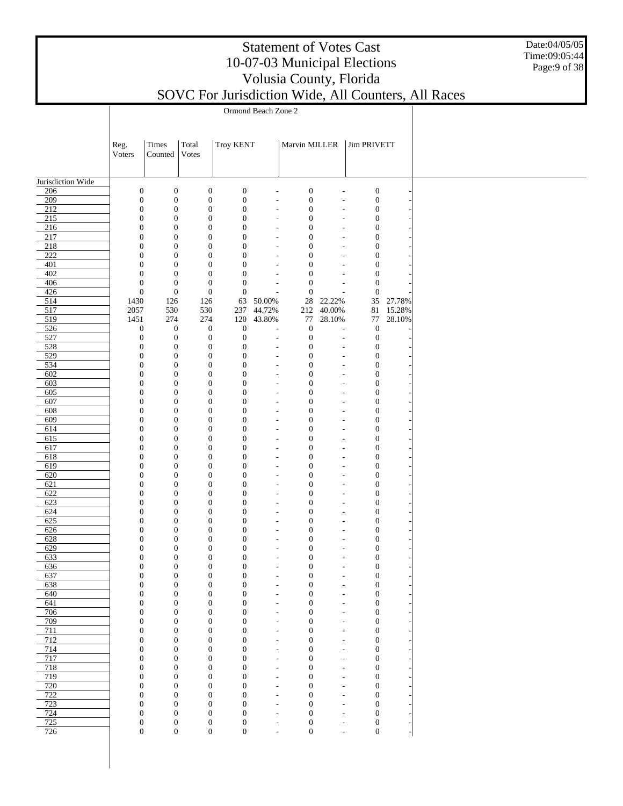Date:04/05/05 Time:09:05:44 Page:9 of 38

|                   |                                      | Ormond Beach Zone 2                  |                                      |                                      |                                            |                                      |                                            |                                      |                  |  |  |  |
|-------------------|--------------------------------------|--------------------------------------|--------------------------------------|--------------------------------------|--------------------------------------------|--------------------------------------|--------------------------------------------|--------------------------------------|------------------|--|--|--|
|                   |                                      |                                      |                                      |                                      |                                            |                                      |                                            |                                      |                  |  |  |  |
|                   | Marvin MILLER                        |                                      |                                      |                                      |                                            |                                      |                                            |                                      |                  |  |  |  |
|                   | Reg.                                 | Times                                | Total                                | <b>Troy KENT</b>                     |                                            |                                      |                                            | <b>Jim PRIVETT</b>                   |                  |  |  |  |
|                   | Voters                               | Counted                              | <b>Votes</b>                         |                                      |                                            |                                      |                                            |                                      |                  |  |  |  |
|                   |                                      |                                      |                                      |                                      |                                            |                                      |                                            |                                      |                  |  |  |  |
| Jurisdiction Wide |                                      |                                      |                                      |                                      |                                            |                                      |                                            |                                      |                  |  |  |  |
| 206               | $\boldsymbol{0}$                     | $\boldsymbol{0}$                     | $\boldsymbol{0}$                     | $\boldsymbol{0}$                     | ÷,                                         | $\boldsymbol{0}$                     | L,                                         | $\boldsymbol{0}$                     |                  |  |  |  |
| 209<br>212        | $\boldsymbol{0}$<br>$\boldsymbol{0}$ | $\boldsymbol{0}$<br>$\boldsymbol{0}$ | $\boldsymbol{0}$<br>$\boldsymbol{0}$ | $\boldsymbol{0}$<br>$\boldsymbol{0}$ | $\overline{\phantom{a}}$<br>$\overline{a}$ | $\boldsymbol{0}$<br>$\boldsymbol{0}$ | $\overline{a}$<br>÷,                       | $\boldsymbol{0}$<br>$\boldsymbol{0}$ |                  |  |  |  |
| 215               | $\mathbf{0}$                         | $\boldsymbol{0}$                     | $\boldsymbol{0}$                     | $\boldsymbol{0}$                     | $\overline{\phantom{a}}$                   | $\boldsymbol{0}$                     | L,                                         | $\boldsymbol{0}$                     |                  |  |  |  |
| 216               | $\boldsymbol{0}$                     | $\boldsymbol{0}$                     | $\boldsymbol{0}$                     | $\boldsymbol{0}$                     | $\overline{a}$                             | $\boldsymbol{0}$                     | ÷,                                         | $\boldsymbol{0}$                     |                  |  |  |  |
| 217               | $\mathbf{0}$                         | $\boldsymbol{0}$                     | $\boldsymbol{0}$                     | $\boldsymbol{0}$                     | $\overline{\phantom{a}}$                   | $\boldsymbol{0}$                     | Ĭ.                                         | $\boldsymbol{0}$                     |                  |  |  |  |
| 218<br>222        | $\boldsymbol{0}$<br>$\mathbf{0}$     | $\boldsymbol{0}$<br>$\boldsymbol{0}$ | $\boldsymbol{0}$<br>$\boldsymbol{0}$ | $\boldsymbol{0}$<br>$\boldsymbol{0}$ | $\overline{a}$<br>$\overline{\phantom{a}}$ | $\boldsymbol{0}$<br>$\boldsymbol{0}$ | ÷,<br>L,                                   | $\boldsymbol{0}$<br>$\boldsymbol{0}$ |                  |  |  |  |
| 401               | $\boldsymbol{0}$                     | $\boldsymbol{0}$                     | $\boldsymbol{0}$                     | $\boldsymbol{0}$                     | ÷,                                         | $\boldsymbol{0}$                     | ä,                                         | $\boldsymbol{0}$                     |                  |  |  |  |
| 402               | $\mathbf{0}$                         | $\boldsymbol{0}$                     | $\boldsymbol{0}$                     | $\boldsymbol{0}$                     | $\overline{\phantom{a}}$                   | $\boldsymbol{0}$                     | Ĭ.                                         | $\boldsymbol{0}$                     |                  |  |  |  |
| 406               | $\boldsymbol{0}$                     | $\boldsymbol{0}$                     | $\boldsymbol{0}$                     | $\boldsymbol{0}$                     | L.                                         | $\boldsymbol{0}$                     | L,                                         | $\boldsymbol{0}$                     |                  |  |  |  |
| 426               | $\boldsymbol{0}$                     | $\boldsymbol{0}$                     | $\boldsymbol{0}$                     | $\boldsymbol{0}$                     | L,                                         | $\boldsymbol{0}$                     | L,                                         | $\boldsymbol{0}$                     |                  |  |  |  |
| 514<br>517        | 1430<br>2057                         | 126<br>530                           | 126<br>530                           | 63<br>237                            | 50.00%<br>44.72%                           | $28\,$<br>212                        | 22.22%<br>40.00%                           | 35<br>81                             | 27.78%<br>15.28% |  |  |  |
| 519               | 1451                                 | 274                                  | 274                                  | 120                                  | 43.80%                                     | 77                                   | 28.10%                                     | 77                                   | 28.10%           |  |  |  |
| 526               | $\boldsymbol{0}$                     | $\boldsymbol{0}$                     | $\boldsymbol{0}$                     | $\boldsymbol{0}$                     | L,                                         | $\boldsymbol{0}$                     | L,                                         | $\boldsymbol{0}$                     |                  |  |  |  |
| 527               | $\boldsymbol{0}$                     | $\boldsymbol{0}$                     | $\boldsymbol{0}$                     | $\boldsymbol{0}$                     | L.                                         | $\boldsymbol{0}$                     | $\overline{a}$                             | $\boldsymbol{0}$                     |                  |  |  |  |
| 528<br>529        | $\boldsymbol{0}$<br>$\boldsymbol{0}$ | $\boldsymbol{0}$<br>$\boldsymbol{0}$ | $\boldsymbol{0}$<br>$\boldsymbol{0}$ | $\boldsymbol{0}$<br>$\boldsymbol{0}$ | $\overline{\phantom{a}}$<br>÷,             | $\boldsymbol{0}$<br>$\boldsymbol{0}$ | L,<br>ä,                                   | $\boldsymbol{0}$<br>$\boldsymbol{0}$ |                  |  |  |  |
| 534               | $\boldsymbol{0}$                     | $\boldsymbol{0}$                     | $\boldsymbol{0}$                     | $\boldsymbol{0}$                     | $\overline{\phantom{a}}$                   | $\boldsymbol{0}$                     | Ĭ.                                         | $\boldsymbol{0}$                     |                  |  |  |  |
| 602               | $\boldsymbol{0}$                     | $\boldsymbol{0}$                     | $\boldsymbol{0}$                     | $\boldsymbol{0}$                     | ÷,                                         | $\boldsymbol{0}$                     | $\overline{a}$                             | $\boldsymbol{0}$                     |                  |  |  |  |
| 603               | $\mathbf{0}$                         | $\boldsymbol{0}$                     | $\boldsymbol{0}$                     | $\boldsymbol{0}$                     | $\overline{\phantom{a}}$                   | $\boldsymbol{0}$                     | Ĭ.                                         | $\boldsymbol{0}$                     |                  |  |  |  |
| 605<br>607        | $\boldsymbol{0}$<br>$\mathbf{0}$     | $\boldsymbol{0}$                     | $\boldsymbol{0}$<br>$\boldsymbol{0}$ | $\boldsymbol{0}$<br>$\boldsymbol{0}$ | ÷,                                         | $\boldsymbol{0}$<br>$\boldsymbol{0}$ | ä,                                         | $\boldsymbol{0}$<br>$\boldsymbol{0}$ |                  |  |  |  |
| 608               | $\boldsymbol{0}$                     | $\boldsymbol{0}$<br>$\boldsymbol{0}$ | $\boldsymbol{0}$                     | $\boldsymbol{0}$                     | $\overline{\phantom{a}}$<br>÷,             | $\boldsymbol{0}$                     | $\overline{a}$<br>$\overline{a}$           | $\boldsymbol{0}$                     |                  |  |  |  |
| 609               | $\mathbf{0}$                         | $\boldsymbol{0}$                     | $\boldsymbol{0}$                     | $\boldsymbol{0}$                     | $\overline{\phantom{a}}$                   | $\boldsymbol{0}$                     | $\overline{a}$                             | $\boldsymbol{0}$                     |                  |  |  |  |
| 614               | $\boldsymbol{0}$                     | $\boldsymbol{0}$                     | $\boldsymbol{0}$                     | $\boldsymbol{0}$                     | $\overline{a}$                             | $\boldsymbol{0}$                     | ä,                                         | $\boldsymbol{0}$                     |                  |  |  |  |
| 615               | $\mathbf{0}$                         | $\boldsymbol{0}$                     | $\boldsymbol{0}$                     | $\boldsymbol{0}$                     | $\overline{\phantom{a}}$                   | $\boldsymbol{0}$                     | $\overline{a}$                             | $\boldsymbol{0}$                     |                  |  |  |  |
| 617<br>618        | $\boldsymbol{0}$<br>$\mathbf{0}$     | $\boldsymbol{0}$<br>$\boldsymbol{0}$ | $\boldsymbol{0}$<br>$\boldsymbol{0}$ | $\boldsymbol{0}$<br>$\boldsymbol{0}$ | ÷,<br>$\overline{\phantom{a}}$             | $\boldsymbol{0}$<br>$\boldsymbol{0}$ | $\overline{a}$<br>$\overline{a}$           | $\boldsymbol{0}$<br>$\boldsymbol{0}$ |                  |  |  |  |
| 619               | $\boldsymbol{0}$                     | $\boldsymbol{0}$                     | $\boldsymbol{0}$                     | $\boldsymbol{0}$                     | $\overline{a}$                             | $\boldsymbol{0}$                     | ä,                                         | $\boldsymbol{0}$                     |                  |  |  |  |
| 620               | $\mathbf{0}$                         | $\boldsymbol{0}$                     | $\boldsymbol{0}$                     | $\boldsymbol{0}$                     | $\overline{\phantom{a}}$                   | $\boldsymbol{0}$                     | $\overline{a}$                             | $\boldsymbol{0}$                     |                  |  |  |  |
| 621               | $\boldsymbol{0}$                     | $\boldsymbol{0}$                     | $\boldsymbol{0}$                     | $\boldsymbol{0}$                     | $\overline{a}$                             | $\boldsymbol{0}$                     | ä,                                         | $\boldsymbol{0}$                     |                  |  |  |  |
| 622<br>623        | $\mathbf{0}$<br>$\boldsymbol{0}$     | $\boldsymbol{0}$<br>$\boldsymbol{0}$ | $\boldsymbol{0}$<br>$\boldsymbol{0}$ | $\boldsymbol{0}$<br>$\boldsymbol{0}$ | $\overline{\phantom{a}}$<br>$\overline{a}$ | $\boldsymbol{0}$<br>$\boldsymbol{0}$ | $\overline{a}$<br>$\overline{a}$           | $\boldsymbol{0}$<br>$\boldsymbol{0}$ |                  |  |  |  |
| 624               | $\mathbf{0}$                         | $\boldsymbol{0}$                     | $\boldsymbol{0}$                     | $\boldsymbol{0}$                     | $\overline{\phantom{a}}$                   | $\boldsymbol{0}$                     | $\overline{a}$                             | $\boldsymbol{0}$                     |                  |  |  |  |
| 625               | $\boldsymbol{0}$                     | $\boldsymbol{0}$                     | $\boldsymbol{0}$                     | $\boldsymbol{0}$                     | $\overline{\phantom{a}}$                   | $\boldsymbol{0}$                     | $\overline{a}$                             | $\boldsymbol{0}$                     |                  |  |  |  |
| 626               | $\mathbf{0}$                         | $\boldsymbol{0}$                     | $\boldsymbol{0}$                     | $\boldsymbol{0}$                     | $\overline{\phantom{a}}$                   | $\boldsymbol{0}$                     | $\overline{a}$                             | $\boldsymbol{0}$                     |                  |  |  |  |
| 628               | $\boldsymbol{0}$                     | $\boldsymbol{0}$                     | $\boldsymbol{0}$                     | $\boldsymbol{0}$                     | $\overline{a}$                             | $\boldsymbol{0}$                     | $\overline{\phantom{a}}$                   | $\boldsymbol{0}$                     |                  |  |  |  |
| 629<br>633        | $\mathbf{0}$<br>$\mathbf{0}$         | $\boldsymbol{0}$<br>$\mathbf{0}$     | $\boldsymbol{0}$<br>$\overline{0}$   | $\boldsymbol{0}$<br>$\boldsymbol{0}$ | $\overline{\phantom{a}}$<br>$\overline{a}$ | $\boldsymbol{0}$<br>$\mathbf{0}$     | $\overline{a}$<br>$\overline{\phantom{a}}$ | $\boldsymbol{0}$<br>$\overline{0}$   |                  |  |  |  |
| 636               | $\boldsymbol{0}$                     | $\boldsymbol{0}$                     | $\boldsymbol{0}$                     | $\boldsymbol{0}$                     | ÷,                                         | $\boldsymbol{0}$                     | $\qquad \qquad \blacksquare$               | $\boldsymbol{0}$                     |                  |  |  |  |
| 637               | $\boldsymbol{0}$                     | $\boldsymbol{0}$                     | $\boldsymbol{0}$                     | $\boldsymbol{0}$                     | $\overline{a}$                             | $\boldsymbol{0}$                     | $\overline{\phantom{a}}$                   | $\boldsymbol{0}$                     |                  |  |  |  |
| 638               | $\boldsymbol{0}$                     | $\boldsymbol{0}$                     | $\boldsymbol{0}$                     | $\boldsymbol{0}$                     | $\overline{\phantom{a}}$                   | $\boldsymbol{0}$                     | $\overline{a}$                             | $\boldsymbol{0}$                     |                  |  |  |  |
| 640<br>641        | $\boldsymbol{0}$<br>$\boldsymbol{0}$ | $\boldsymbol{0}$<br>$\boldsymbol{0}$ | $\boldsymbol{0}$<br>$\boldsymbol{0}$ | $\boldsymbol{0}$<br>$\boldsymbol{0}$ | $\overline{a}$<br>$\overline{\phantom{a}}$ | $\boldsymbol{0}$<br>$\boldsymbol{0}$ | $\overline{\phantom{a}}$<br>$\overline{a}$ | $\boldsymbol{0}$<br>$\boldsymbol{0}$ |                  |  |  |  |
| 706               | $\boldsymbol{0}$                     | $\boldsymbol{0}$                     | $\boldsymbol{0}$                     | $\boldsymbol{0}$                     | $\overline{\phantom{a}}$                   | $\boldsymbol{0}$                     | $\overline{\phantom{a}}$                   | $\boldsymbol{0}$                     |                  |  |  |  |
| 709               | $\boldsymbol{0}$                     | $\boldsymbol{0}$                     | $\boldsymbol{0}$                     | $\boldsymbol{0}$                     | $\overline{\phantom{a}}$                   | $\boldsymbol{0}$                     | $\overline{a}$                             | $\boldsymbol{0}$                     |                  |  |  |  |
| 711               | $\boldsymbol{0}$                     | $\boldsymbol{0}$                     | $\boldsymbol{0}$                     | $\boldsymbol{0}$                     | $\overline{a}$                             | $\boldsymbol{0}$                     | ä,                                         | $\boldsymbol{0}$                     |                  |  |  |  |
| 712               | $\boldsymbol{0}$                     | $\boldsymbol{0}$                     | $\boldsymbol{0}$                     | $\boldsymbol{0}$                     | $\overline{\phantom{a}}$                   | $\boldsymbol{0}$                     | $\overline{a}$                             | $\boldsymbol{0}$                     |                  |  |  |  |
| 714<br>717        | $\boldsymbol{0}$<br>$\boldsymbol{0}$ | $\boldsymbol{0}$<br>$\boldsymbol{0}$ | $\boldsymbol{0}$<br>$\boldsymbol{0}$ | $\boldsymbol{0}$<br>$\boldsymbol{0}$ | $\overline{a}$<br>$\overline{\phantom{a}}$ | $\boldsymbol{0}$<br>$\boldsymbol{0}$ | ä,<br>Ĭ.                                   | $\boldsymbol{0}$<br>$\boldsymbol{0}$ |                  |  |  |  |
| 718               | $\boldsymbol{0}$                     | $\boldsymbol{0}$                     | $\boldsymbol{0}$                     | $\boldsymbol{0}$                     | $\overline{a}$                             | $\boldsymbol{0}$                     | ä,                                         | $\boldsymbol{0}$                     |                  |  |  |  |
| 719               | $\boldsymbol{0}$                     | $\boldsymbol{0}$                     | $\boldsymbol{0}$                     | $\boldsymbol{0}$                     | $\overline{\phantom{a}}$                   | $\boldsymbol{0}$                     | $\overline{a}$                             | $\boldsymbol{0}$                     |                  |  |  |  |
| 720               | $\boldsymbol{0}$                     | $\boldsymbol{0}$                     | $\boldsymbol{0}$                     | $\boldsymbol{0}$                     | $\overline{a}$                             | $\boldsymbol{0}$                     | ä,                                         | $\boldsymbol{0}$                     |                  |  |  |  |
| 722<br>723        | $\boldsymbol{0}$<br>$\boldsymbol{0}$ | $\boldsymbol{0}$<br>$\boldsymbol{0}$ | $\boldsymbol{0}$<br>$\boldsymbol{0}$ | $\boldsymbol{0}$<br>$\boldsymbol{0}$ | $\overline{\phantom{a}}$<br>$\overline{a}$ | $\boldsymbol{0}$<br>$\boldsymbol{0}$ | $\overline{a}$<br>ä,                       | $\boldsymbol{0}$<br>$\boldsymbol{0}$ |                  |  |  |  |
| 724               | $\boldsymbol{0}$                     | $\boldsymbol{0}$                     | $\boldsymbol{0}$                     | $\boldsymbol{0}$                     | $\overline{\phantom{a}}$                   | $\boldsymbol{0}$                     | Ĭ.                                         | $\boldsymbol{0}$                     |                  |  |  |  |
| 725               | $\boldsymbol{0}$                     | $\boldsymbol{0}$                     | $\boldsymbol{0}$                     | $\boldsymbol{0}$                     | $\overline{a}$                             | $\boldsymbol{0}$                     | ä,                                         | $\boldsymbol{0}$                     |                  |  |  |  |
| 726               | $\boldsymbol{0}$                     | $\boldsymbol{0}$                     | $\boldsymbol{0}$                     | $\boldsymbol{0}$                     |                                            | $\boldsymbol{0}$                     | L,                                         | $\boldsymbol{0}$                     |                  |  |  |  |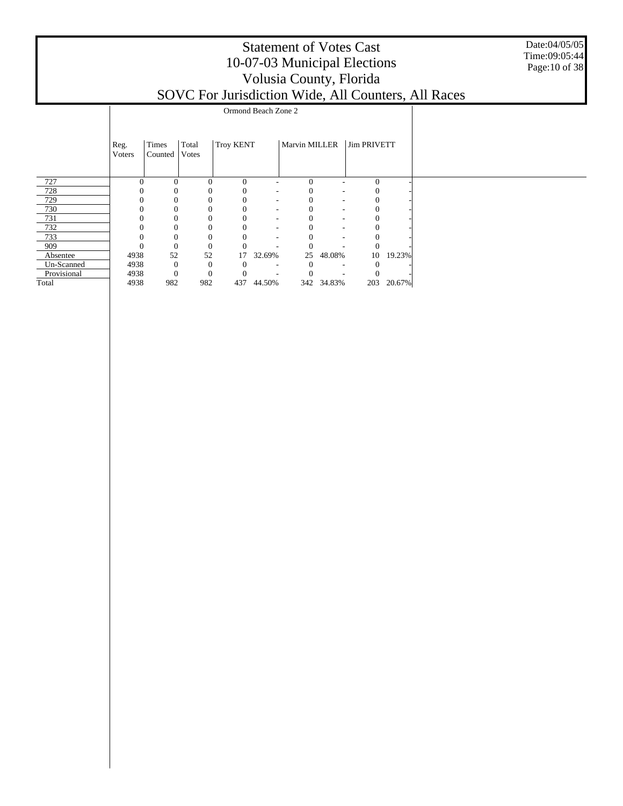Date:04/05/05 Time:09:05:44 Page:10 of 38

|             |                |                  |                        |                  | Ormond Beach Zone 2      |               |                          |              |        |  |
|-------------|----------------|------------------|------------------------|------------------|--------------------------|---------------|--------------------------|--------------|--------|--|
|             | Reg.<br>Voters | Times<br>Counted | Total<br><b>V</b> otes | <b>Troy KENT</b> |                          | Marvin MILLER |                          | Jim PRIVETT  |        |  |
| 727         | $\Omega$       | $\Omega$         | $\Omega$               | $\Omega$         |                          | $\Omega$      |                          | $\Omega$     |        |  |
| 728         |                | 0                |                        | 0                | $\overline{\phantom{a}}$ | $\theta$      | $\overline{\phantom{a}}$ |              |        |  |
| 729         |                | $\Omega$         |                        | $\theta$         | $\overline{\phantom{a}}$ |               | $\overline{\phantom{a}}$ |              |        |  |
| 730         | $\mathbf{0}$   | 0                |                        | $\theta$         | $\overline{\phantom{a}}$ |               | $\overline{\phantom{a}}$ | $\mathbf{0}$ |        |  |
| 731         | $\mathbf{0}$   | 0                |                        | $\theta$         | $\overline{\phantom{a}}$ | 0             | $\overline{\phantom{a}}$ | $\theta$     |        |  |
| 732         | $\Omega$       | 0                | $\Omega$               | $\overline{0}$   | ٠                        | 0             | -                        | $\left($     |        |  |
| 733         | $\Omega$       | 0                |                        | $\Omega$         |                          | 0             | -                        |              |        |  |
| 909         |                | $\theta$         |                        |                  |                          |               |                          |              |        |  |
| Absentee    | 4938           | 52               | 52                     | 17               | 32.69%                   | 25            | 48.08%                   | 10           | 19.23% |  |
| Un-Scanned  | 4938           | $\overline{0}$   | $\Omega$               | $\Omega$         | ٠                        | $\theta$      | $\overline{\phantom{a}}$ |              |        |  |
| Provisional | 4938           | $\Omega$         | $\overline{0}$         |                  |                          |               |                          |              |        |  |
| Total       | 4938           | 982              | 982                    | 437              | 44.50%                   |               | 342 34.83%               | 203          | 20.67% |  |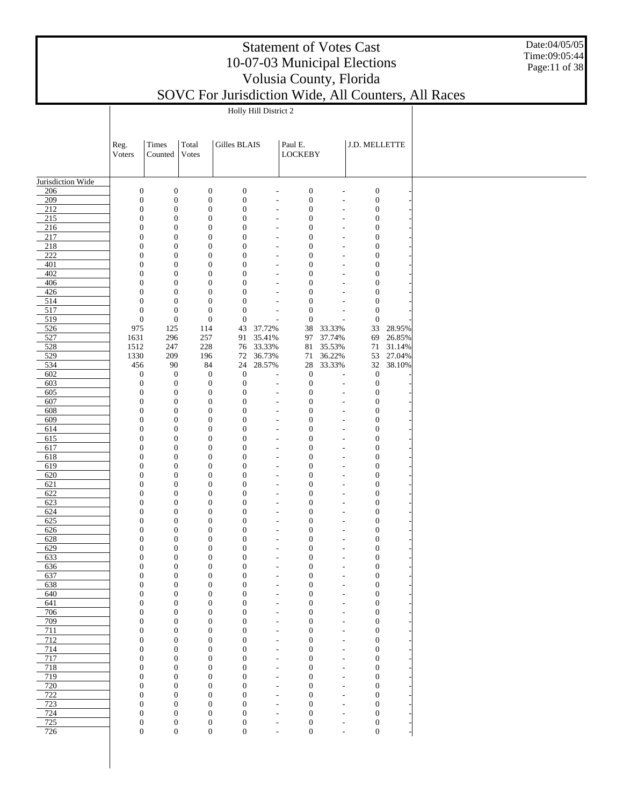Date:04/05/05 Time:09:05:44 Page:11 of 38

|                   |                                      | Holly Hill District 2            |                                      |                                      |                                                      |                                      |                                                      |                                      |        |  |  |  |  |
|-------------------|--------------------------------------|----------------------------------|--------------------------------------|--------------------------------------|------------------------------------------------------|--------------------------------------|------------------------------------------------------|--------------------------------------|--------|--|--|--|--|
|                   |                                      |                                  |                                      |                                      |                                                      |                                      |                                                      |                                      |        |  |  |  |  |
|                   | Reg.                                 | Times                            | Total                                | Gilles BLAIS                         |                                                      | Paul E.                              |                                                      | J.D. MELLETTE                        |        |  |  |  |  |
|                   | Voters                               | Counted                          | Votes                                |                                      |                                                      | <b>LOCKEBY</b>                       |                                                      |                                      |        |  |  |  |  |
|                   |                                      |                                  |                                      |                                      |                                                      |                                      |                                                      |                                      |        |  |  |  |  |
| Jurisdiction Wide |                                      |                                  |                                      |                                      |                                                      |                                      |                                                      |                                      |        |  |  |  |  |
| 206               | $\boldsymbol{0}$                     | $\boldsymbol{0}$                 | $\boldsymbol{0}$                     | $\boldsymbol{0}$                     |                                                      | $\boldsymbol{0}$                     |                                                      | $\boldsymbol{0}$                     |        |  |  |  |  |
| 209               | $\boldsymbol{0}$                     | $\boldsymbol{0}$                 | $\boldsymbol{0}$                     | $\boldsymbol{0}$                     | $\overline{\phantom{a}}$                             | $\boldsymbol{0}$                     | $\overline{\phantom{m}}$                             | $\boldsymbol{0}$                     |        |  |  |  |  |
| 212               | $\boldsymbol{0}$<br>$\boldsymbol{0}$ | $\boldsymbol{0}$<br>$\mathbf{0}$ | $\boldsymbol{0}$<br>$\boldsymbol{0}$ | $\boldsymbol{0}$<br>$\boldsymbol{0}$ | $\overline{a}$                                       | $\boldsymbol{0}$<br>$\boldsymbol{0}$ | $\overline{\phantom{m}}$                             | $\boldsymbol{0}$                     |        |  |  |  |  |
| 215<br>216        | $\boldsymbol{0}$                     | $\mathbf{0}$                     | $\boldsymbol{0}$                     | $\boldsymbol{0}$                     | $\overline{\phantom{a}}$<br>$\overline{a}$           | $\boldsymbol{0}$                     | $\overline{\phantom{m}}$<br>$\overline{\phantom{a}}$ | $\boldsymbol{0}$<br>$\boldsymbol{0}$ |        |  |  |  |  |
| 217               | $\boldsymbol{0}$                     | $\mathbf{0}$                     | $\boldsymbol{0}$                     | $\boldsymbol{0}$                     | $\overline{\phantom{a}}$                             | $\boldsymbol{0}$                     | $\overline{\phantom{m}}$                             | $\boldsymbol{0}$                     |        |  |  |  |  |
| 218               | $\boldsymbol{0}$                     | $\mathbf{0}$                     | $\boldsymbol{0}$                     | $\boldsymbol{0}$                     | $\overline{a}$                                       | $\boldsymbol{0}$                     | $\overline{\phantom{a}}$                             | $\boldsymbol{0}$                     |        |  |  |  |  |
| 222               | $\boldsymbol{0}$                     | $\mathbf{0}$                     | $\boldsymbol{0}$                     | $\boldsymbol{0}$                     | $\overline{\phantom{a}}$                             | $\boldsymbol{0}$                     | $\overline{\phantom{m}}$                             | $\boldsymbol{0}$                     |        |  |  |  |  |
| 401<br>402        | $\boldsymbol{0}$<br>$\boldsymbol{0}$ | $\mathbf{0}$<br>$\mathbf{0}$     | $\boldsymbol{0}$<br>$\boldsymbol{0}$ | $\boldsymbol{0}$<br>$\boldsymbol{0}$ | $\overline{\phantom{a}}$<br>$\overline{\phantom{a}}$ | $\boldsymbol{0}$<br>$\boldsymbol{0}$ | $\overline{\phantom{m}}$<br>$\overline{\phantom{m}}$ | $\boldsymbol{0}$<br>$\boldsymbol{0}$ |        |  |  |  |  |
| 406               | $\boldsymbol{0}$                     | $\mathbf{0}$                     | $\boldsymbol{0}$                     | $\boldsymbol{0}$                     | $\overline{a}$                                       | $\boldsymbol{0}$                     | $\overline{\phantom{a}}$                             | $\boldsymbol{0}$                     |        |  |  |  |  |
| 426               | $\boldsymbol{0}$                     | $\mathbf{0}$                     | $\boldsymbol{0}$                     | $\mathbf{0}$                         | $\overline{\phantom{a}}$                             | $\boldsymbol{0}$                     | $\overline{\phantom{a}}$                             | $\boldsymbol{0}$                     |        |  |  |  |  |
| 514               | $\boldsymbol{0}$                     | $\mathbf{0}$                     | $\boldsymbol{0}$                     | $\boldsymbol{0}$                     | $\overline{a}$                                       | $\boldsymbol{0}$                     |                                                      | $\boldsymbol{0}$                     |        |  |  |  |  |
| 517<br>519        | $\boldsymbol{0}$<br>$\boldsymbol{0}$ | $\mathbf{0}$<br>$\boldsymbol{0}$ | $\boldsymbol{0}$<br>$\boldsymbol{0}$ | $\boldsymbol{0}$<br>$\boldsymbol{0}$ | $\overline{\phantom{a}}$<br>$\overline{a}$           | $\boldsymbol{0}$<br>$\boldsymbol{0}$ | $\overline{\phantom{m}}$                             | $\boldsymbol{0}$<br>$\boldsymbol{0}$ |        |  |  |  |  |
| 526               | 975                                  | 125                              | 114                                  | 43                                   | 37.72%                                               | 38                                   | 33.33%                                               | 33                                   | 28.95% |  |  |  |  |
| 527               | 1631                                 | 296                              | 257                                  | 91                                   | 35.41%                                               | 97                                   | 37.74%                                               | 69                                   | 26.85% |  |  |  |  |
| 528               | 1512                                 | 247                              | 228                                  |                                      | 76 33.33%                                            | 81                                   | 35.53%                                               | 71                                   | 31.14% |  |  |  |  |
| 529               | 1330                                 | 209                              | 196                                  | 72                                   | 36.73%                                               | 71                                   | 36.22%                                               | 53                                   | 27.04% |  |  |  |  |
| 534<br>602        | 456<br>$\boldsymbol{0}$              | 90<br>$\boldsymbol{0}$           | 84<br>$\mathbf{0}$                   | 24<br>$\mathbf{0}$                   | 28.57%<br>$\overline{a}$                             | 28<br>$\boldsymbol{0}$               | 33.33%                                               | 32<br>$\boldsymbol{0}$               | 38.10% |  |  |  |  |
| 603               | $\boldsymbol{0}$                     | $\boldsymbol{0}$                 | $\boldsymbol{0}$                     | $\boldsymbol{0}$                     | $\overline{\phantom{a}}$                             | $\boldsymbol{0}$                     | $\overline{a}$                                       | $\boldsymbol{0}$                     |        |  |  |  |  |
| 605               | $\boldsymbol{0}$                     | $\boldsymbol{0}$                 | $\boldsymbol{0}$                     | $\boldsymbol{0}$                     | $\overline{a}$                                       | $\boldsymbol{0}$                     | $\overline{\phantom{a}}$                             | $\boldsymbol{0}$                     |        |  |  |  |  |
| 607               | $\boldsymbol{0}$                     | $\mathbf{0}$                     | $\boldsymbol{0}$                     | $\boldsymbol{0}$                     | $\overline{\phantom{a}}$                             | $\boldsymbol{0}$                     | $\overline{a}$                                       | $\boldsymbol{0}$                     |        |  |  |  |  |
| 608<br>609        | $\boldsymbol{0}$<br>$\boldsymbol{0}$ | $\mathbf{0}$<br>$\mathbf{0}$     | $\boldsymbol{0}$<br>$\boldsymbol{0}$ | $\boldsymbol{0}$<br>$\boldsymbol{0}$ | $\overline{a}$                                       | $\boldsymbol{0}$<br>$\boldsymbol{0}$ | $\overline{a}$                                       | $\boldsymbol{0}$<br>$\boldsymbol{0}$ |        |  |  |  |  |
| 614               | $\boldsymbol{0}$                     | $\mathbf{0}$                     | $\boldsymbol{0}$                     | $\boldsymbol{0}$                     | $\overline{\phantom{a}}$<br>$\overline{a}$           | $\boldsymbol{0}$                     | $\overline{\phantom{m}}$<br>$\overline{\phantom{m}}$ | $\boldsymbol{0}$                     |        |  |  |  |  |
| 615               | $\boldsymbol{0}$                     | $\mathbf{0}$                     | $\boldsymbol{0}$                     | $\boldsymbol{0}$                     | $\overline{\phantom{a}}$                             | $\boldsymbol{0}$                     | $\overline{\phantom{m}}$                             | $\boldsymbol{0}$                     |        |  |  |  |  |
| 617               | $\boldsymbol{0}$                     | $\mathbf{0}$                     | $\boldsymbol{0}$                     | $\boldsymbol{0}$                     | $\overline{\phantom{a}}$                             | $\boldsymbol{0}$                     | $\overline{\phantom{m}}$                             | $\boldsymbol{0}$                     |        |  |  |  |  |
| 618               | $\boldsymbol{0}$                     | $\mathbf{0}$                     | $\boldsymbol{0}$                     | $\boldsymbol{0}$                     | $\overline{\phantom{a}}$                             | $\boldsymbol{0}$                     | $\overline{\phantom{m}}$                             | $\boldsymbol{0}$                     |        |  |  |  |  |
| 619<br>620        | $\boldsymbol{0}$<br>$\boldsymbol{0}$ | $\mathbf{0}$<br>$\mathbf{0}$     | $\boldsymbol{0}$<br>$\boldsymbol{0}$ | $\boldsymbol{0}$<br>$\boldsymbol{0}$ | $\overline{a}$<br>$\overline{\phantom{a}}$           | $\boldsymbol{0}$<br>$\boldsymbol{0}$ | $\overline{a}$<br>$\overline{\phantom{m}}$           | $\boldsymbol{0}$<br>$\boldsymbol{0}$ |        |  |  |  |  |
| 621               | $\boldsymbol{0}$                     | $\mathbf{0}$                     | $\boldsymbol{0}$                     | $\boldsymbol{0}$                     | $\overline{\phantom{a}}$                             | $\boldsymbol{0}$                     | $\overline{\phantom{m}}$                             | $\boldsymbol{0}$                     |        |  |  |  |  |
| 622               | $\boldsymbol{0}$                     | $\mathbf{0}$                     | $\boldsymbol{0}$                     | $\boldsymbol{0}$                     | $\overline{\phantom{a}}$                             | $\boldsymbol{0}$                     | $\overline{\phantom{m}}$                             | $\boldsymbol{0}$                     |        |  |  |  |  |
| 623               | $\boldsymbol{0}$                     | $\mathbf{0}$                     | $\boldsymbol{0}$                     | $\boldsymbol{0}$                     | $\overline{\phantom{m}}$                             | $\boldsymbol{0}$                     | $\overline{\phantom{m}}$                             | $\boldsymbol{0}$                     |        |  |  |  |  |
| 624               | $\boldsymbol{0}$                     | $\mathbf{0}$                     | $\boldsymbol{0}$                     | $\boldsymbol{0}$                     | $\overline{\phantom{a}}$                             | $\boldsymbol{0}$                     | $\overline{\phantom{m}}$                             | $\boldsymbol{0}$                     |        |  |  |  |  |
| 625<br>626        | $\boldsymbol{0}$<br>$\boldsymbol{0}$ | $\mathbf{0}$<br>$\mathbf{0}$     | $\boldsymbol{0}$<br>$\boldsymbol{0}$ | $\boldsymbol{0}$<br>$\boldsymbol{0}$ | $\overline{a}$<br>$\overline{\phantom{a}}$           | $\boldsymbol{0}$<br>$\boldsymbol{0}$ | $\overline{\phantom{a}}$<br>$\overline{\phantom{m}}$ | $\boldsymbol{0}$<br>$\boldsymbol{0}$ |        |  |  |  |  |
| 628               | $\boldsymbol{0}$                     | $\mathbf{0}$                     | $\boldsymbol{0}$                     | $\boldsymbol{0}$                     | $\overline{a}$                                       | $\boldsymbol{0}$                     | $\overline{\phantom{m}}$                             | $\boldsymbol{0}$                     |        |  |  |  |  |
| 629               | $\boldsymbol{0}$                     | $\mathbf{0}$                     | $\boldsymbol{0}$                     | $\boldsymbol{0}$                     | $\overline{\phantom{a}}$                             | $\boldsymbol{0}$                     | $\overline{\phantom{m}}$                             | $\boldsymbol{0}$                     |        |  |  |  |  |
| 633               | $\boldsymbol{0}$                     | $\mathbf{0}$                     | $\boldsymbol{0}$                     | $\boldsymbol{0}$                     | $\overline{a}$                                       | $\boldsymbol{0}$                     | $\overline{\phantom{a}}$                             | $\boldsymbol{0}$                     |        |  |  |  |  |
| 636<br>637        | 0<br>$\boldsymbol{0}$                | $\boldsymbol{0}$<br>$\mathbf{0}$ | $\mathbf{0}$<br>$\boldsymbol{0}$     | $\overline{0}$<br>$\boldsymbol{0}$   |                                                      | $\boldsymbol{0}$<br>$\boldsymbol{0}$ |                                                      | 0<br>$\boldsymbol{0}$                |        |  |  |  |  |
| 638               | $\boldsymbol{0}$                     | $\mathbf{0}$                     | $\boldsymbol{0}$                     | $\boldsymbol{0}$                     | $\overline{\phantom{m}}$                             | $\boldsymbol{0}$                     | $\overline{a}$<br>$\overline{\phantom{m}}$           | $\boldsymbol{0}$                     |        |  |  |  |  |
| 640               | $\boldsymbol{0}$                     | $\mathbf{0}$                     | $\boldsymbol{0}$                     | $\boldsymbol{0}$                     | $\overline{\phantom{a}}$                             | $\boldsymbol{0}$                     | $\overline{\phantom{a}}$                             | $\boldsymbol{0}$                     |        |  |  |  |  |
| 641               | $\mathbf{0}$                         | $\mathbf{0}$                     | $\boldsymbol{0}$                     | $\boldsymbol{0}$                     | $\overline{\phantom{m}}$                             | $\boldsymbol{0}$                     | $\overline{\phantom{a}}$                             | $\boldsymbol{0}$                     |        |  |  |  |  |
| 706               | $\boldsymbol{0}$                     | $\mathbf{0}$                     | $\boldsymbol{0}$                     | $\boldsymbol{0}$                     | $\overline{\phantom{m}}$                             | $\boldsymbol{0}$                     | $\overline{\phantom{a}}$                             | $\boldsymbol{0}$                     |        |  |  |  |  |
| 709<br>711        | $\boldsymbol{0}$<br>$\boldsymbol{0}$ | $\mathbf{0}$<br>$\mathbf{0}$     | $\boldsymbol{0}$<br>$\boldsymbol{0}$ | $\boldsymbol{0}$<br>$\mathbf{0}$     | $\overline{\phantom{m}}$<br>$\overline{\phantom{a}}$ | $\boldsymbol{0}$<br>$\boldsymbol{0}$ | $\overline{\phantom{m}}$<br>$\overline{\phantom{a}}$ | $\boldsymbol{0}$<br>$\boldsymbol{0}$ |        |  |  |  |  |
| 712               | $\boldsymbol{0}$                     | $\mathbf{0}$                     | $\boldsymbol{0}$                     | $\mathbf{0}$                         | $\overline{\phantom{m}}$                             | $\boldsymbol{0}$                     | $\overline{\phantom{m}}$                             | $\boldsymbol{0}$                     |        |  |  |  |  |
| 714               | $\boldsymbol{0}$                     | $\mathbf{0}$                     | $\boldsymbol{0}$                     | $\mathbf{0}$                         | $\overline{\phantom{a}}$                             | $\boldsymbol{0}$                     | $\overline{\phantom{a}}$                             | $\boldsymbol{0}$                     |        |  |  |  |  |
| 717               | $\boldsymbol{0}$                     | $\mathbf{0}$                     | $\boldsymbol{0}$                     | $\boldsymbol{0}$                     | $\overline{\phantom{m}}$                             | $\boldsymbol{0}$                     | $\overline{\phantom{m}}$                             | $\boldsymbol{0}$                     |        |  |  |  |  |
| 718               | $\boldsymbol{0}$                     | $\mathbf{0}$                     | $\boldsymbol{0}$                     | $\boldsymbol{0}$                     | $\overline{\phantom{m}}$                             | $\boldsymbol{0}$                     | $\overline{\phantom{m}}$                             | $\boldsymbol{0}$                     |        |  |  |  |  |
| 719<br>720        | $\boldsymbol{0}$<br>$\boldsymbol{0}$ | $\mathbf{0}$<br>$\mathbf{0}$     | $\boldsymbol{0}$<br>$\boldsymbol{0}$ | $\boldsymbol{0}$<br>$\boldsymbol{0}$ | $\overline{\phantom{a}}$<br>$\overline{\phantom{a}}$ | $\boldsymbol{0}$<br>$\boldsymbol{0}$ | $\overline{\phantom{m}}$<br>$\overline{a}$           | $\boldsymbol{0}$<br>$\boldsymbol{0}$ |        |  |  |  |  |
| 722               | $\boldsymbol{0}$                     | $\mathbf{0}$                     | $\boldsymbol{0}$                     | $\boldsymbol{0}$                     | $\overline{\phantom{a}}$                             | $\boldsymbol{0}$                     | $\overline{\phantom{m}}$                             | $\boldsymbol{0}$                     |        |  |  |  |  |
| 723               | $\boldsymbol{0}$                     | $\mathbf{0}$                     | $\boldsymbol{0}$                     | $\mathbf{0}$                         | $\overline{\phantom{a}}$                             | $\boldsymbol{0}$                     | $\overline{\phantom{a}}$                             | $\boldsymbol{0}$                     |        |  |  |  |  |
| 724               | $\boldsymbol{0}$                     | $\mathbf{0}$                     | $\boldsymbol{0}$                     | $\boldsymbol{0}$                     | $\overline{\phantom{a}}$                             | $\boldsymbol{0}$                     | $\overline{\phantom{m}}$                             | $\boldsymbol{0}$                     |        |  |  |  |  |
| 725<br>726        | $\boldsymbol{0}$<br>$\boldsymbol{0}$ | $\mathbf{0}$<br>$\mathbf{0}$     | $\boldsymbol{0}$<br>$\boldsymbol{0}$ | $\boldsymbol{0}$                     | $\overline{\phantom{a}}$                             | $\boldsymbol{0}$<br>$\boldsymbol{0}$ |                                                      | $\boldsymbol{0}$                     |        |  |  |  |  |
|                   |                                      |                                  |                                      | $\boldsymbol{0}$                     | $\overline{\phantom{a}}$                             |                                      | $\overline{\phantom{m}}$                             | $\boldsymbol{0}$                     |        |  |  |  |  |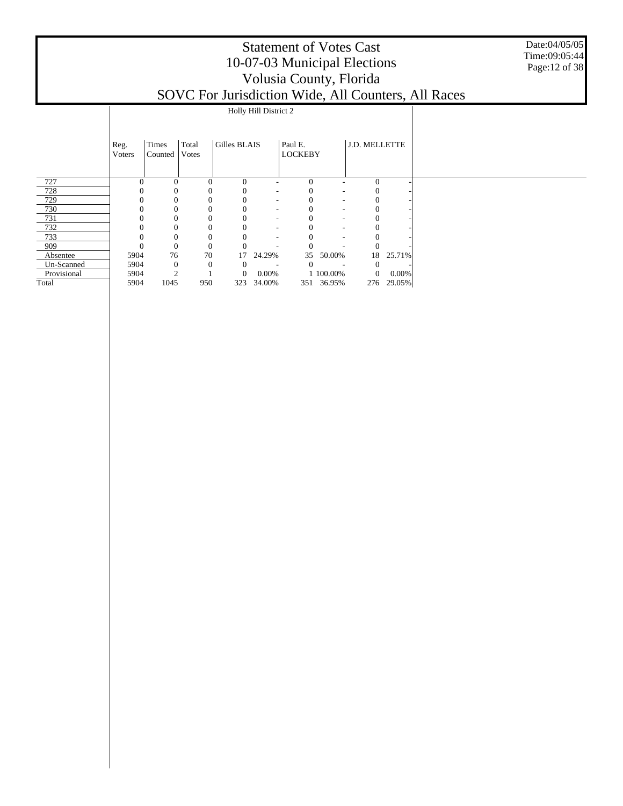Date:04/05/05 Time:09:05:44 Page:12 of 38

|             |                |                  |                | Holly Hill District 2 |                          |                           |                          |               |           |
|-------------|----------------|------------------|----------------|-----------------------|--------------------------|---------------------------|--------------------------|---------------|-----------|
|             | Reg.<br>Voters | Times<br>Counted | Total<br>Votes | Gilles BLAIS          |                          | Paul E.<br><b>LOCKEBY</b> |                          | J.D. MELLETTE |           |
| 727         | $\Omega$       | $\Omega$         | $\theta$       | $\Omega$              |                          | $\Omega$                  |                          | $\Omega$      |           |
| 728         |                |                  | 0              |                       | $\overline{\phantom{a}}$ |                           | $\overline{\phantom{a}}$ |               |           |
| 729         | $\Omega$       |                  | 0              | 0                     | $\overline{\phantom{a}}$ |                           | $\sim$                   |               |           |
| 730         | $\mathbf{0}$   |                  | 0              | 0                     | $\overline{\phantom{a}}$ |                           | $\overline{\phantom{a}}$ | $\theta$      |           |
| 731         | $\Omega$       | 0                | 0              | 0                     | $\overline{\phantom{a}}$ |                           | $\overline{\phantom{a}}$ | $_{0}$        |           |
| 732         | 0              | 0                | 0              |                       | $\overline{\phantom{a}}$ |                           | ٠                        |               |           |
| 733         |                |                  | 0              |                       |                          |                           |                          |               |           |
| 909         | $\theta$       | $\theta$         | $\theta$       |                       |                          |                           |                          |               |           |
| Absentee    | 5904           | 76               | 70             | 17                    | 24.29%                   | 35                        | 50.00%                   |               | 18 25.71% |
| Un-Scanned  | 5904           | $\mathbf{0}$     | $\Omega$       | $\theta$              |                          | $\overline{0}$            |                          | 0             |           |
| Provisional | 5904           | $\overline{c}$   |                | $\overline{0}$        | $0.00\%$                 |                           | 1 100.00%                | $\mathbf{0}$  | $0.00\%$  |
| Total       | 5904           | 1045             | 950            | 323                   | 34.00%                   |                           | 351 36.95%               | 276           | 29.05%    |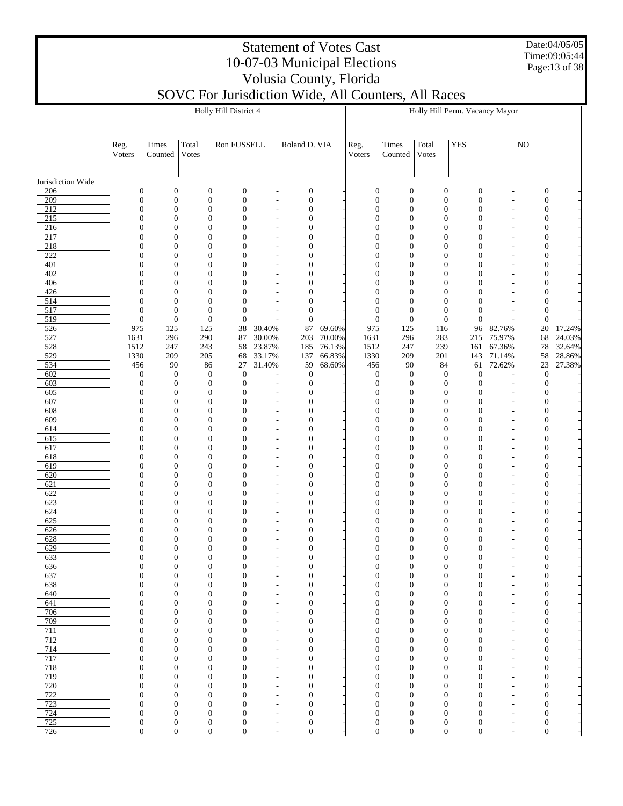Date:04/05/05 Time:09:05:44 Page:13 of 38

# Statement of Votes Cast 10-07-03 Municipal Elections Volusia County, Florida

|                   |                                      |                                      |                                      | Holly Hill District 4                |                                                      |                                      |                  |                                      |                                      |                                      | Holly Hill Perm. Vacancy Mayor       |                                            |                                      |                  |
|-------------------|--------------------------------------|--------------------------------------|--------------------------------------|--------------------------------------|------------------------------------------------------|--------------------------------------|------------------|--------------------------------------|--------------------------------------|--------------------------------------|--------------------------------------|--------------------------------------------|--------------------------------------|------------------|
|                   | Reg.<br>Voters                       | Times<br>Counted                     | Total<br>Votes                       | Ron FUSSELL                          |                                                      | Roland D. VIA                        |                  | Reg.<br>Voters                       | <b>Times</b><br>Counted              | Total<br>Votes                       | <b>YES</b>                           |                                            | NO                                   |                  |
| Jurisdiction Wide |                                      |                                      |                                      |                                      |                                                      |                                      |                  |                                      |                                      |                                      |                                      |                                            |                                      |                  |
| 206               | $\mathbf{0}$                         | $\boldsymbol{0}$                     | $\boldsymbol{0}$                     | $\boldsymbol{0}$                     |                                                      | $\boldsymbol{0}$                     |                  | $\boldsymbol{0}$                     | $\boldsymbol{0}$                     | $\boldsymbol{0}$                     | $\boldsymbol{0}$                     |                                            | $\boldsymbol{0}$                     |                  |
| 209               | $\mathbf{0}$                         | $\boldsymbol{0}$                     | $\boldsymbol{0}$                     | $\boldsymbol{0}$                     | $\overline{\phantom{a}}$                             | $\boldsymbol{0}$                     |                  | $\boldsymbol{0}$                     | $\boldsymbol{0}$                     | $\boldsymbol{0}$                     | $\boldsymbol{0}$                     | $\overline{a}$                             | $\boldsymbol{0}$                     |                  |
| 212<br>215        | $\mathbf{0}$<br>$\overline{0}$       | $\boldsymbol{0}$<br>$\overline{0}$   | $\boldsymbol{0}$<br>$\mathbf{0}$     | $\boldsymbol{0}$<br>$\mathbf{0}$     | ٠                                                    | $\boldsymbol{0}$<br>$\mathbf{0}$     |                  | $\boldsymbol{0}$<br>$\boldsymbol{0}$ | $\boldsymbol{0}$<br>$\overline{0}$   | $\boldsymbol{0}$<br>$\boldsymbol{0}$ | $\boldsymbol{0}$<br>$\boldsymbol{0}$ | ٠                                          | $\boldsymbol{0}$<br>$\mathbf{0}$     |                  |
| 216               | $\mathbf{0}$                         | $\overline{0}$                       | $\mathbf{0}$                         | $\mathbf{0}$                         | ٠                                                    | $\boldsymbol{0}$                     |                  | $\boldsymbol{0}$                     | $\overline{0}$                       | $\boldsymbol{0}$                     | $\boldsymbol{0}$                     | ٠<br>L                                     | $\boldsymbol{0}$                     |                  |
| 217               | $\overline{0}$                       | $\overline{0}$                       | $\mathbf{0}$                         | $\mathbf{0}$                         | $\overline{\phantom{a}}$                             | $\mathbf{0}$                         |                  | $\boldsymbol{0}$                     | $\overline{0}$                       | $\boldsymbol{0}$                     | $\boldsymbol{0}$                     | $\overline{a}$                             | $\boldsymbol{0}$                     |                  |
| 218               | $\overline{0}$                       | $\overline{0}$                       | $\mathbf{0}$                         | $\mathbf{0}$                         | ٠                                                    | $\boldsymbol{0}$                     |                  | $\boldsymbol{0}$                     | $\overline{0}$                       | $\boldsymbol{0}$                     | $\boldsymbol{0}$                     | $\overline{a}$                             | $\boldsymbol{0}$                     |                  |
| 222               | $\theta$                             | $\overline{0}$                       | $\mathbf{0}$                         | $\Omega$                             | $\overline{\phantom{a}}$                             | $\mathbf{0}$                         |                  | $\boldsymbol{0}$                     | $\overline{0}$                       | $\boldsymbol{0}$                     | $\boldsymbol{0}$                     | $\overline{a}$                             | $\mathbf{0}$                         |                  |
| 401               | $\mathbf{0}$                         | $\overline{0}$                       | $\mathbf{0}$                         | $\mathbf{0}$                         |                                                      | $\boldsymbol{0}$                     |                  | $\boldsymbol{0}$                     | $\overline{0}$                       | $\boldsymbol{0}$                     | $\boldsymbol{0}$                     | L,                                         | $\boldsymbol{0}$                     |                  |
| 402<br>406        | $\overline{0}$<br>$\overline{0}$     | $\mathbf{0}$<br>$\overline{0}$       | $\mathbf{0}$<br>$\mathbf{0}$         | $\Omega$<br>$\mathbf{0}$             | $\overline{\phantom{a}}$                             | $\mathbf{0}$<br>$\boldsymbol{0}$     |                  | $\boldsymbol{0}$<br>$\boldsymbol{0}$ | $\overline{0}$<br>$\overline{0}$     | $\boldsymbol{0}$<br>$\boldsymbol{0}$ | $\boldsymbol{0}$<br>$\boldsymbol{0}$ | $\overline{a}$<br>L                        | $\mathbf{0}$<br>$\boldsymbol{0}$     |                  |
| 426               | $\theta$                             | $\overline{0}$                       | $\mathbf{0}$                         | $\Omega$                             | ٠                                                    | $\mathbf{0}$                         |                  | $\overline{0}$                       | $\overline{0}$                       | $\mathbf{0}$                         | $\overline{0}$                       | ٠                                          | $\mathbf{0}$                         |                  |
| 514               | $\overline{0}$                       | $\overline{0}$                       | $\mathbf{0}$                         | $\mathbf{0}$                         |                                                      | $\boldsymbol{0}$                     |                  | $\boldsymbol{0}$                     | $\overline{0}$                       | $\mathbf{0}$                         | $\boldsymbol{0}$                     |                                            | $\boldsymbol{0}$                     |                  |
| 517               | $\mathbf{0}$                         | $\boldsymbol{0}$                     | $\mathbf{0}$                         | $\mathbf{0}$                         | ٠                                                    | $\boldsymbol{0}$                     |                  | $\boldsymbol{0}$                     | $\overline{0}$                       | $\mathbf{0}$                         | $\boldsymbol{0}$                     | ٠                                          | $\boldsymbol{0}$                     |                  |
| 519               | $\mathbf{0}$                         | $\boldsymbol{0}$                     | $\mathbf{0}$                         | $\boldsymbol{0}$                     |                                                      | $\boldsymbol{0}$                     |                  | $\boldsymbol{0}$                     | $\boldsymbol{0}$                     | $\boldsymbol{0}$                     | $\boldsymbol{0}$                     |                                            | $\boldsymbol{0}$                     |                  |
| 526<br>527        | 975<br>1631                          | 125<br>296                           | 125<br>290                           | 38<br>87                             | 30.40%<br>30.00%                                     | 87<br>203                            | 69.60%<br>70.00% | 975<br>1631                          | 125<br>296                           | 116<br>283                           | 96<br>215                            | 82.76%<br>75.97%                           | 20<br>68                             | 17.24%<br>24.03% |
| 528               | 1512                                 | 247                                  | 243                                  | 58                                   | 23.87%                                               | 185                                  | 76.13%           | 1512                                 | 247                                  | 239                                  | 161                                  | 67.36%                                     | 78                                   | 32.64%           |
| 529               | 1330                                 | 209                                  | 205                                  | 68                                   | 33.17%                                               | 137                                  | 66.83%           | 1330                                 | 209                                  | 201                                  | 143                                  | 71.14%                                     | 58                                   | 28.86%           |
| 534               | 456                                  | 90                                   | 86                                   | 27                                   | 31.40%                                               | 59                                   | 68.60%           | 456                                  | 90                                   | 84                                   | 61                                   | 72.62%                                     | 23                                   | 27.38%           |
| 602               | $\mathbf{0}$                         | $\mathbf{0}$                         | $\boldsymbol{0}$                     | $\mathbf{0}$                         | ٠                                                    | $\boldsymbol{0}$                     |                  | $\boldsymbol{0}$                     | $\mathbf{0}$                         | $\mathbf{0}$                         | $\boldsymbol{0}$                     |                                            | $\boldsymbol{0}$                     |                  |
| 603<br>605        | $\mathbf{0}$<br>$\boldsymbol{0}$     | $\boldsymbol{0}$<br>$\boldsymbol{0}$ | $\boldsymbol{0}$<br>$\boldsymbol{0}$ | $\mathbf{0}$<br>$\mathbf{0}$         | $\overline{\phantom{a}}$                             | $\boldsymbol{0}$<br>$\boldsymbol{0}$ |                  | $\boldsymbol{0}$<br>$\boldsymbol{0}$ | $\boldsymbol{0}$<br>$\boldsymbol{0}$ | $\boldsymbol{0}$<br>$\boldsymbol{0}$ | $\boldsymbol{0}$<br>$\boldsymbol{0}$ | $\overline{\phantom{a}}$<br>$\overline{a}$ | $\boldsymbol{0}$<br>$\boldsymbol{0}$ |                  |
| 607               | $\mathbf{0}$                         | $\mathbf{0}$                         | $\mathbf{0}$                         | $\Omega$                             | $\overline{\phantom{a}}$                             | $\mathbf{0}$                         |                  | $\boldsymbol{0}$                     | $\overline{0}$                       | $\boldsymbol{0}$                     | $\boldsymbol{0}$                     | $\overline{a}$                             | $\boldsymbol{0}$                     |                  |
| 608               | $\mathbf{0}$                         | $\boldsymbol{0}$                     | $\mathbf{0}$                         | $\mathbf{0}$                         |                                                      | $\boldsymbol{0}$                     |                  | $\boldsymbol{0}$                     | $\mathbf{0}$                         | $\boldsymbol{0}$                     | $\boldsymbol{0}$                     | L,                                         | $\boldsymbol{0}$                     |                  |
| 609               | $\overline{0}$                       | $\mathbf{0}$                         | $\mathbf{0}$                         | $\Omega$                             | $\overline{\phantom{a}}$                             | $\boldsymbol{0}$                     |                  | $\boldsymbol{0}$                     | $\overline{0}$                       | $\boldsymbol{0}$                     | $\boldsymbol{0}$                     | $\overline{a}$                             | $\boldsymbol{0}$                     |                  |
| 614               | $\mathbf{0}$                         | $\overline{0}$                       | $\mathbf{0}$                         | $\mathbf{0}$                         |                                                      | $\boldsymbol{0}$                     |                  | $\boldsymbol{0}$                     | $\overline{0}$                       | $\boldsymbol{0}$                     | $\boldsymbol{0}$                     | ٠                                          | $\boldsymbol{0}$                     |                  |
| 615<br>617        | $\Omega$<br>$\mathbf{0}$             | $\overline{0}$<br>$\overline{0}$     | $\mathbf{0}$<br>$\mathbf{0}$         | $\Omega$<br>$\mathbf{0}$             | $\overline{\phantom{a}}$                             | $\mathbf{0}$<br>$\boldsymbol{0}$     |                  | $\boldsymbol{0}$<br>$\boldsymbol{0}$ | $\overline{0}$<br>$\overline{0}$     | $\boldsymbol{0}$<br>$\boldsymbol{0}$ | $\boldsymbol{0}$<br>$\boldsymbol{0}$ | ٠                                          | $\mathbf{0}$                         |                  |
| 618               | $\overline{0}$                       | $\overline{0}$                       | $\mathbf{0}$                         | $\mathbf{0}$                         | ٠                                                    | $\boldsymbol{0}$                     |                  | $\boldsymbol{0}$                     | $\overline{0}$                       | $\boldsymbol{0}$                     | $\boldsymbol{0}$                     | L<br>٠                                     | $\boldsymbol{0}$<br>$\mathbf{0}$     |                  |
| 619               | $\overline{0}$                       | $\boldsymbol{0}$                     | $\mathbf{0}$                         | $\mathbf{0}$                         |                                                      | $\boldsymbol{0}$                     |                  | $\boldsymbol{0}$                     | $\mathbf{0}$                         | $\boldsymbol{0}$                     | $\boldsymbol{0}$                     | L                                          | $\boldsymbol{0}$                     |                  |
| 620               | $\Omega$                             | $\overline{0}$                       | $\mathbf{0}$                         | $\mathbf{0}$                         | ٠                                                    | $\boldsymbol{0}$                     |                  | $\boldsymbol{0}$                     | $\overline{0}$                       | $\boldsymbol{0}$                     | $\boldsymbol{0}$                     | ٠                                          | $\mathbf{0}$                         |                  |
| 621               | $\mathbf{0}$                         | $\boldsymbol{0}$                     | $\mathbf{0}$                         | $\mathbf{0}$                         |                                                      | $\boldsymbol{0}$                     |                  | $\boldsymbol{0}$                     | $\overline{0}$                       | $\boldsymbol{0}$                     | $\boldsymbol{0}$                     |                                            | $\boldsymbol{0}$                     |                  |
| 622<br>623        | $\overline{0}$<br>$\mathbf{0}$       | $\overline{0}$<br>$\boldsymbol{0}$   | $\mathbf{0}$<br>$\mathbf{0}$         | $\mathbf{0}$<br>$\mathbf{0}$         | ٠                                                    | $\boldsymbol{0}$<br>$\boldsymbol{0}$ |                  | $\boldsymbol{0}$<br>$\boldsymbol{0}$ | $\overline{0}$<br>$\mathbf{0}$       | $\boldsymbol{0}$<br>$\boldsymbol{0}$ | $\boldsymbol{0}$<br>$\boldsymbol{0}$ | ٠                                          | $\mathbf{0}$<br>$\boldsymbol{0}$     |                  |
| 624               | $\Omega$                             | $\overline{0}$                       | $\mathbf{0}$                         | $\mathbf{0}$                         | ٠                                                    | $\boldsymbol{0}$                     |                  | $\boldsymbol{0}$                     | $\overline{0}$                       | $\boldsymbol{0}$                     | $\boldsymbol{0}$                     | ٠<br>٠                                     | $\mathbf{0}$                         |                  |
| 625               | $\mathbf{0}$                         | $\boldsymbol{0}$                     | $\mathbf{0}$                         | $\mathbf{0}$                         |                                                      | $\boldsymbol{0}$                     |                  | $\boldsymbol{0}$                     | $\overline{0}$                       | $\boldsymbol{0}$                     | $\boldsymbol{0}$                     | L                                          | $\boldsymbol{0}$                     |                  |
| 626               | $\Omega$                             | $\overline{0}$                       | $\mathbf{0}$                         | $\mathbf{0}$                         | ٠                                                    | $\boldsymbol{0}$                     |                  | $\boldsymbol{0}$                     | $\overline{0}$                       | $\boldsymbol{0}$                     | $\boldsymbol{0}$                     | ٠                                          | $\boldsymbol{0}$                     |                  |
| 628               | $\mathbf{0}$                         | $\boldsymbol{0}$                     | $\boldsymbol{0}$                     | $\mathbf{0}$                         |                                                      | $\boldsymbol{0}$                     |                  | $\boldsymbol{0}$                     | $\overline{0}$                       | $\boldsymbol{0}$                     | $\boldsymbol{0}$                     |                                            | $\boldsymbol{0}$                     |                  |
| 629<br>633        | $\mathbf{0}$<br>$\mathbf{0}$         | $\mathbf{0}$<br>$\overline{0}$       | $\mathbf{0}$<br>$\boldsymbol{0}$     | $\mathbf{0}$<br>$\boldsymbol{0}$     | $\overline{\phantom{a}}$<br>$\overline{\phantom{a}}$ | $\boldsymbol{0}$<br>$\boldsymbol{0}$ |                  | $\boldsymbol{0}$<br>$\boldsymbol{0}$ | $\overline{0}$<br>$\overline{0}$     | $\mathbf{0}$<br>$\mathbf{0}$         | $\boldsymbol{0}$<br>$\boldsymbol{0}$ | ٠<br>$\overline{a}$                        | $\boldsymbol{0}$<br>$\boldsymbol{0}$ |                  |
| 636               | 0                                    | $\boldsymbol{0}$                     | $\boldsymbol{0}$                     | $\mathbf{0}$                         |                                                      | 0                                    |                  | 0                                    | 0                                    | $\mathbf 0$                          | $\boldsymbol{0}$                     |                                            | 0                                    |                  |
| 637               | $\boldsymbol{0}$                     | $\boldsymbol{0}$                     | $\boldsymbol{0}$                     | $\mathbf{0}$                         |                                                      | $\boldsymbol{0}$                     |                  | $\boldsymbol{0}$                     | $\boldsymbol{0}$                     | $\boldsymbol{0}$                     | $\boldsymbol{0}$                     | ٠                                          | $\boldsymbol{0}$                     |                  |
| 638               | $\overline{0}$                       | $\overline{0}$                       | $\mathbf{0}$                         | $\mathbf{0}$                         | $\overline{\phantom{a}}$                             | $\mathbf{0}$                         |                  | $\boldsymbol{0}$                     | $\mathbf{0}$                         | $\mathbf{0}$                         | $\boldsymbol{0}$                     | ٠                                          | $\boldsymbol{0}$                     |                  |
| 640               | $\boldsymbol{0}$                     | $\boldsymbol{0}$                     | $\boldsymbol{0}$                     | $\mathbf{0}$                         | $\overline{\phantom{a}}$                             | $\boldsymbol{0}$                     |                  | $\boldsymbol{0}$                     | $\mathbf{0}$                         | $\boldsymbol{0}$                     | $\boldsymbol{0}$                     | ٠                                          | $\boldsymbol{0}$                     |                  |
| 641<br>706        | $\overline{0}$<br>$\boldsymbol{0}$   | $\overline{0}$<br>$\boldsymbol{0}$   | $\mathbf{0}$<br>$\boldsymbol{0}$     | $\mathbf{0}$<br>$\mathbf{0}$         | $\overline{\phantom{a}}$                             | $\mathbf{0}$<br>$\boldsymbol{0}$     |                  | $\boldsymbol{0}$<br>$\boldsymbol{0}$ | $\mathbf{0}$<br>$\mathbf{0}$         | $\mathbf{0}$<br>$\boldsymbol{0}$     | $\boldsymbol{0}$<br>$\boldsymbol{0}$ | ٠                                          | $\mathbf{0}$<br>$\boldsymbol{0}$     |                  |
| 709               | $\overline{0}$                       | $\overline{0}$                       | $\mathbf{0}$                         | $\mathbf{0}$                         | ٠<br>$\overline{\phantom{a}}$                        | $\mathbf{0}$                         |                  | $\boldsymbol{0}$                     | $\mathbf{0}$                         | $\boldsymbol{0}$                     | $\boldsymbol{0}$                     | ٠<br>٠                                     | $\boldsymbol{0}$                     |                  |
| 711               | $\boldsymbol{0}$                     | $\boldsymbol{0}$                     | $\boldsymbol{0}$                     | $\mathbf{0}$                         | $\overline{\phantom{a}}$                             | $\boldsymbol{0}$                     |                  | $\boldsymbol{0}$                     | $\boldsymbol{0}$                     | $\boldsymbol{0}$                     | $\boldsymbol{0}$                     | ٠                                          | $\boldsymbol{0}$                     |                  |
| 712               | $\overline{0}$                       | $\overline{0}$                       | $\mathbf{0}$                         | $\mathbf{0}$                         | $\overline{\phantom{a}}$                             | $\mathbf{0}$                         |                  | $\boldsymbol{0}$                     | $\mathbf{0}$                         | $\boldsymbol{0}$                     | $\boldsymbol{0}$                     | ٠                                          | $\boldsymbol{0}$                     |                  |
| 714               | $\boldsymbol{0}$                     | $\boldsymbol{0}$                     | $\boldsymbol{0}$                     | $\mathbf{0}$                         | $\overline{\phantom{a}}$                             | $\boldsymbol{0}$                     |                  | $\boldsymbol{0}$                     | $\boldsymbol{0}$                     | $\boldsymbol{0}$                     | $\boldsymbol{0}$                     | ٠                                          | $\boldsymbol{0}$                     |                  |
| 717               | $\overline{0}$                       | $\overline{0}$                       | $\mathbf{0}$                         | $\mathbf{0}$                         | $\overline{\phantom{a}}$                             | $\mathbf{0}$                         |                  | $\boldsymbol{0}$                     | $\mathbf{0}$                         | $\boldsymbol{0}$                     | $\boldsymbol{0}$                     | $\overline{\phantom{a}}$                   | $\boldsymbol{0}$                     |                  |
| 718<br>719        | $\boldsymbol{0}$<br>$\overline{0}$   | $\boldsymbol{0}$<br>$\overline{0}$   | $\boldsymbol{0}$<br>$\mathbf{0}$     | $\mathbf{0}$<br>$\mathbf{0}$         | $\overline{\phantom{a}}$<br>$\overline{\phantom{a}}$ | $\boldsymbol{0}$<br>$\mathbf{0}$     |                  | $\boldsymbol{0}$<br>$\boldsymbol{0}$ | $\boldsymbol{0}$<br>$\mathbf{0}$     | $\boldsymbol{0}$<br>$\boldsymbol{0}$ | $\boldsymbol{0}$<br>$\boldsymbol{0}$ | ٠<br>٠                                     | $\boldsymbol{0}$<br>$\boldsymbol{0}$ |                  |
| 720               | $\boldsymbol{0}$                     | $\boldsymbol{0}$                     | $\boldsymbol{0}$                     | $\mathbf{0}$                         | $\overline{\phantom{a}}$                             | $\boldsymbol{0}$                     |                  | $\boldsymbol{0}$                     | $\mathbf{0}$                         | $\boldsymbol{0}$                     | $\boldsymbol{0}$                     | ٠                                          | $\boldsymbol{0}$                     |                  |
| 722               | $\overline{0}$                       | $\overline{0}$                       | $\mathbf{0}$                         | $\mathbf{0}$                         | $\overline{\phantom{a}}$                             | $\mathbf{0}$                         |                  | $\boldsymbol{0}$                     | $\mathbf{0}$                         | $\boldsymbol{0}$                     | $\boldsymbol{0}$                     | $\overline{\phantom{a}}$                   | $\boldsymbol{0}$                     |                  |
| 723               | $\boldsymbol{0}$                     | $\boldsymbol{0}$                     | $\mathbf{0}$                         | $\mathbf{0}$                         | $\overline{\phantom{a}}$                             | $\boldsymbol{0}$                     |                  | $\boldsymbol{0}$                     | $\mathbf{0}$                         | $\boldsymbol{0}$                     | $\boldsymbol{0}$                     | ٠                                          | $\boldsymbol{0}$                     |                  |
| 724               | $\mathbf{0}$                         | $\overline{0}$                       | $\mathbf{0}$                         | $\mathbf{0}$                         | $\overline{\phantom{a}}$                             | $\boldsymbol{0}$                     |                  | $\boldsymbol{0}$                     | $\mathbf{0}$                         | $\boldsymbol{0}$                     | $\boldsymbol{0}$                     | ٠                                          | $\boldsymbol{0}$                     |                  |
| 725<br>726        | $\boldsymbol{0}$<br>$\boldsymbol{0}$ | $\boldsymbol{0}$<br>$\overline{0}$   | $\boldsymbol{0}$<br>$\boldsymbol{0}$ | $\boldsymbol{0}$<br>$\boldsymbol{0}$ | $\overline{\phantom{a}}$<br>$\overline{\phantom{a}}$ | $\boldsymbol{0}$<br>$\boldsymbol{0}$ |                  | $\boldsymbol{0}$<br>$\boldsymbol{0}$ | $\boldsymbol{0}$<br>$\boldsymbol{0}$ | $\boldsymbol{0}$<br>$\mathbf{0}$     | $\boldsymbol{0}$<br>$\boldsymbol{0}$ | ٠<br>$\overline{a}$                        | $\boldsymbol{0}$<br>$\boldsymbol{0}$ |                  |
|                   |                                      |                                      |                                      |                                      |                                                      |                                      |                  |                                      |                                      |                                      |                                      |                                            |                                      |                  |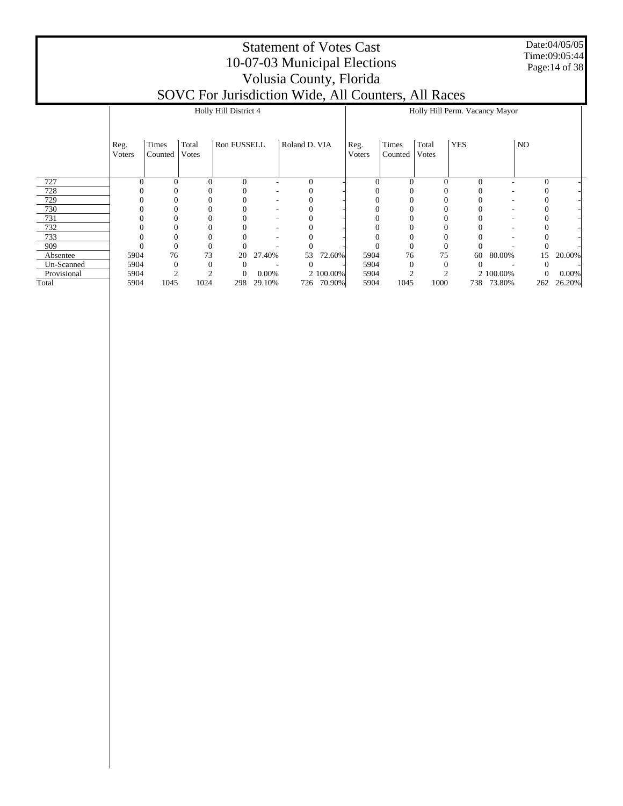Date:04/05/05 Time:09:05:44 Page:14 of 38

|             |                |                  |                | Holly Hill District 4 |        |               |            |                |                  |                | Holly Hill Perm. Vacancy Mayor |            |                |          |
|-------------|----------------|------------------|----------------|-----------------------|--------|---------------|------------|----------------|------------------|----------------|--------------------------------|------------|----------------|----------|
|             | Reg.<br>Voters | Times<br>Counted | Total<br>Votes | Ron FUSSELL           |        | Roland D. VIA |            | Reg.<br>Voters | Times<br>Counted | Total<br>Votes | <b>YES</b>                     |            | N <sub>O</sub> |          |
| 727         | $\Omega$       | $\Omega$         |                | $\Omega$              |        | $\theta$      |            | $\Omega$       | $\Omega$         |                | $\Omega$                       |            | $\theta$       |          |
| 728         |                |                  |                |                       |        |               |            |                |                  |                |                                |            |                |          |
| 729         |                |                  |                |                       |        |               |            |                |                  |                |                                |            |                |          |
| 730         |                |                  |                |                       |        |               |            |                |                  |                |                                |            |                |          |
| 731         |                |                  |                |                       |        |               |            |                |                  |                |                                |            |                |          |
| 732         |                |                  |                |                       |        |               |            |                |                  |                |                                |            |                |          |
| 733         |                |                  |                |                       |        |               |            |                |                  |                |                                |            |                |          |
| 909         |                | 0                |                |                       |        |               |            |                | $_{0}$           |                | 0                              |            |                |          |
| Absentee    | 5904           | 76               | 73             | 20                    | 27.40% | 53            | 72.60%     | 5904           | 76               | 75             | 60                             | 80.00%     | 15             | 20.00%   |
| Un-Scanned  | 5904           | 0                |                | 0                     |        | 0             |            | 5904           |                  |                | $\Omega$                       |            |                |          |
| Provisional | 5904           |                  |                | $\theta$              | 0.00%  |               | 2 100.00%  | 5904           |                  |                |                                | 2 100.00%  | 0              | $0.00\%$ |
| Total       | 5904           | 1045             | 1024           | 298                   | 29.10% |               | 726 70.90% | 5904           | 1045             | 1000           |                                | 738 73.80% | 262            | 26.20%   |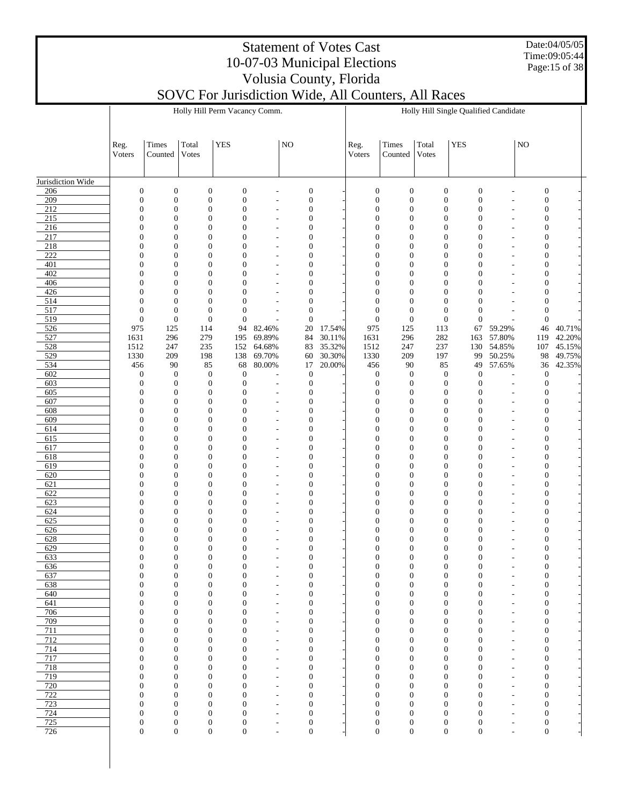Date:04/05/05 Time:09:05:44 Page:15 of 38

|                   |                                      |                                      |                                      | Holly Hill Perm Vacancy Comm.        |                      |                                      |        |                                      |                                      |                                      | Holly Hill Single Qualified Candidate |                                            |                                  |        |
|-------------------|--------------------------------------|--------------------------------------|--------------------------------------|--------------------------------------|----------------------|--------------------------------------|--------|--------------------------------------|--------------------------------------|--------------------------------------|---------------------------------------|--------------------------------------------|----------------------------------|--------|
|                   | Reg.<br>Voters                       | Times<br>Counted                     | Total<br>Votes                       | <b>YES</b>                           |                      | NO                                   |        | Reg.<br>Voters                       | Times<br>Counted                     | Total<br>Votes                       | <b>YES</b>                            |                                            | $\rm NO$                         |        |
| Jurisdiction Wide |                                      |                                      |                                      |                                      |                      |                                      |        |                                      |                                      |                                      |                                       |                                            |                                  |        |
| 206               | $\boldsymbol{0}$                     | $\boldsymbol{0}$                     | $\boldsymbol{0}$                     | $\boldsymbol{0}$                     | L,                   | $\boldsymbol{0}$                     |        | $\boldsymbol{0}$                     | $\boldsymbol{0}$                     | $\boldsymbol{0}$                     | $\boldsymbol{0}$                      | L,                                         | $\boldsymbol{0}$                 |        |
| 209               | $\boldsymbol{0}$                     | $\boldsymbol{0}$                     | $\mathbf{0}$                         | $\boldsymbol{0}$                     | $\overline{a}$       | $\boldsymbol{0}$                     |        | $\boldsymbol{0}$                     | $\boldsymbol{0}$                     | $\boldsymbol{0}$                     | $\boldsymbol{0}$                      | L,                                         | $\mathbf{0}$                     |        |
| 212               | $\mathbf{0}$                         | $\boldsymbol{0}$                     | $\boldsymbol{0}$                     | $\boldsymbol{0}$                     | ÷,                   | $\boldsymbol{0}$                     |        | $\boldsymbol{0}$                     | $\boldsymbol{0}$                     | $\boldsymbol{0}$                     | $\boldsymbol{0}$                      | $\overline{a}$                             | 0                                |        |
| 215               | 0                                    | $\boldsymbol{0}$                     | $\boldsymbol{0}$                     | $\boldsymbol{0}$                     | ÷,                   | $\boldsymbol{0}$                     |        | $\overline{0}$                       | $\boldsymbol{0}$                     | $\mathbf{0}$                         | $\overline{0}$                        | $\overline{a}$                             | 0                                |        |
| 216               | 0                                    | $\boldsymbol{0}$                     | $\boldsymbol{0}$                     | $\boldsymbol{0}$                     | ÷,                   | $\boldsymbol{0}$                     |        | $\boldsymbol{0}$                     | $\boldsymbol{0}$                     | $\boldsymbol{0}$                     | $\boldsymbol{0}$                      | $\overline{a}$                             | 0                                |        |
| 217<br>218        | 0<br>0                               | $\boldsymbol{0}$<br>$\boldsymbol{0}$ | $\boldsymbol{0}$<br>$\boldsymbol{0}$ | $\boldsymbol{0}$<br>$\boldsymbol{0}$ | ÷,<br>÷,             | $\boldsymbol{0}$<br>$\boldsymbol{0}$ |        | $\overline{0}$<br>$\boldsymbol{0}$   | $\boldsymbol{0}$<br>$\boldsymbol{0}$ | $\boldsymbol{0}$<br>$\boldsymbol{0}$ | $\overline{0}$<br>$\boldsymbol{0}$    | $\overline{a}$<br>÷,                       | 0<br>0                           |        |
| 222               | 0                                    | $\boldsymbol{0}$                     | $\boldsymbol{0}$                     | $\overline{0}$                       | $\overline{a}$       | $\boldsymbol{0}$                     |        | $\overline{0}$                       | $\boldsymbol{0}$                     | $\boldsymbol{0}$                     | $\overline{0}$                        | $\overline{a}$                             | 0                                |        |
| 401               | 0                                    | $\boldsymbol{0}$                     | $\boldsymbol{0}$                     | $\boldsymbol{0}$                     | ÷,                   | $\boldsymbol{0}$                     |        | $\boldsymbol{0}$                     | $\boldsymbol{0}$                     | $\boldsymbol{0}$                     | $\boldsymbol{0}$                      | ÷,                                         | 0                                |        |
| 402               | $\boldsymbol{0}$                     | $\boldsymbol{0}$                     | $\boldsymbol{0}$                     | $\overline{0}$                       | $\overline{a}$       | $\boldsymbol{0}$                     |        | $\overline{0}$                       | $\boldsymbol{0}$                     | $\mathbf{0}$                         | $\overline{0}$                        | $\overline{a}$                             | 0                                |        |
| 406               | $\boldsymbol{0}$                     | $\boldsymbol{0}$                     | $\boldsymbol{0}$                     | $\boldsymbol{0}$                     | L,                   | $\boldsymbol{0}$                     |        | $\boldsymbol{0}$                     | $\boldsymbol{0}$                     | $\boldsymbol{0}$                     | $\boldsymbol{0}$                      | ÷,                                         | 0                                |        |
| 426               | $\boldsymbol{0}$                     | $\boldsymbol{0}$                     | $\boldsymbol{0}$                     | $\overline{0}$                       | ÷,                   | $\boldsymbol{0}$                     |        | $\overline{0}$                       | $\mathbf{0}$                         | $\mathbf{0}$                         | $\overline{0}$                        | ÷,                                         | 0                                |        |
| 514               | $\boldsymbol{0}$                     | $\boldsymbol{0}$                     | $\mathbf{0}$                         | $\boldsymbol{0}$                     | L,                   | $\boldsymbol{0}$                     |        | $\boldsymbol{0}$                     | $\boldsymbol{0}$                     | $\mathbf{0}$                         | $\boldsymbol{0}$                      |                                            | 0                                |        |
| 517<br>519        | $\boldsymbol{0}$<br>$\boldsymbol{0}$ | $\boldsymbol{0}$<br>$\boldsymbol{0}$ | $\boldsymbol{0}$<br>$\mathbf{0}$     | $\boldsymbol{0}$<br>$\mathbf{0}$     | ÷,                   | $\boldsymbol{0}$<br>$\boldsymbol{0}$ |        | $\boldsymbol{0}$<br>$\boldsymbol{0}$ | $\boldsymbol{0}$<br>$\boldsymbol{0}$ | $\mathbf{0}$<br>$\boldsymbol{0}$     | $\overline{0}$<br>$\boldsymbol{0}$    | $\overline{a}$                             | $\mathbf{0}$<br>$\mathbf{0}$     |        |
| 526               | 975                                  | 125                                  | 114                                  | 94                                   | 82.46%               | 20                                   | 17.54% | 975                                  | 125                                  | 113                                  | 67                                    | 59.29%                                     | 46                               | 40.71% |
| 527               | 1631                                 | 296                                  | 279                                  | 195                                  | 69.89%               | 84                                   | 30.11% | 1631                                 | 296                                  | 282                                  | 163                                   | 57.80%                                     | 119                              | 42.20% |
| 528               | 1512                                 | 247                                  | 235                                  | 152                                  | 64.68%               | 83                                   | 35.32% | 1512                                 | 247                                  | 237                                  | 130                                   | 54.85%                                     | 107                              | 45.15% |
| 529               | 1330                                 | 209                                  | 198                                  | 138                                  | 69.70%               | 60                                   | 30.30% | 1330                                 | 209                                  | 197                                  | 99                                    | 50.25%                                     | 98                               | 49.75% |
| 534               | 456                                  | 90                                   | 85                                   | 68                                   | 80.00%               | 17                                   | 20.00% | 456                                  | 90                                   | 85                                   | 49                                    | 57.65%                                     | 36                               | 42.35% |
| 602               | $\boldsymbol{0}$                     | $\boldsymbol{0}$                     | $\mathbf{0}$                         | $\mathbf{0}$                         | ÷                    | $\mathbf{0}$                         |        | $\boldsymbol{0}$                     | $\mathbf{0}$                         | $\boldsymbol{0}$                     | $\boldsymbol{0}$                      | L,                                         | $\boldsymbol{0}$                 |        |
| 603<br>605        | $\boldsymbol{0}$<br>$\mathbf{0}$     | $\boldsymbol{0}$<br>$\boldsymbol{0}$ | $\mathbf{0}$<br>$\mathbf{0}$         | $\mathbf{0}$<br>$\boldsymbol{0}$     | ÷,<br>÷,             | $\boldsymbol{0}$<br>$\boldsymbol{0}$ |        | $\boldsymbol{0}$<br>$\boldsymbol{0}$ | $\boldsymbol{0}$<br>$\boldsymbol{0}$ | $\boldsymbol{0}$<br>$\boldsymbol{0}$ | $\boldsymbol{0}$<br>0                 | $\overline{\phantom{a}}$<br>$\overline{a}$ | $\mathbf{0}$<br>0                |        |
| 607               | $\boldsymbol{0}$                     | $\boldsymbol{0}$                     | $\boldsymbol{0}$                     | $\overline{0}$                       | ÷,                   | $\boldsymbol{0}$                     |        | $\boldsymbol{0}$                     | $\boldsymbol{0}$                     | $\boldsymbol{0}$                     | $\overline{0}$                        | $\overline{a}$                             | 0                                |        |
| 608               | 0                                    | $\boldsymbol{0}$                     | $\boldsymbol{0}$                     | $\boldsymbol{0}$                     | ÷,                   | $\boldsymbol{0}$                     |        | $\boldsymbol{0}$                     | $\boldsymbol{0}$                     | $\boldsymbol{0}$                     | $\boldsymbol{0}$                      | $\overline{a}$                             | 0                                |        |
| 609               | $\boldsymbol{0}$                     | $\boldsymbol{0}$                     | $\boldsymbol{0}$                     | $\overline{0}$                       | ÷,                   | $\boldsymbol{0}$                     |        | $\boldsymbol{0}$                     | $\boldsymbol{0}$                     | $\boldsymbol{0}$                     | $\overline{0}$                        | $\overline{a}$                             | 0                                |        |
| 614               | 0                                    | $\boldsymbol{0}$                     | $\boldsymbol{0}$                     | $\boldsymbol{0}$                     | $\overline{a}$       | $\boldsymbol{0}$                     |        | $\boldsymbol{0}$                     | $\boldsymbol{0}$                     | $\boldsymbol{0}$                     | $\boldsymbol{0}$                      | ÷,                                         | 0                                |        |
| 615<br>617        | $\boldsymbol{0}$                     | $\boldsymbol{0}$<br>$\boldsymbol{0}$ | $\boldsymbol{0}$                     | $\overline{0}$<br>$\boldsymbol{0}$   | $\overline{a}$       | $\boldsymbol{0}$                     |        | $\overline{0}$<br>$\boldsymbol{0}$   | $\boldsymbol{0}$<br>$\boldsymbol{0}$ | $\boldsymbol{0}$                     | $\overline{0}$<br>$\boldsymbol{0}$    | $\overline{a}$                             | 0                                |        |
| 618               | 0<br>$\boldsymbol{0}$                | $\boldsymbol{0}$                     | $\boldsymbol{0}$<br>$\boldsymbol{0}$ | $\boldsymbol{0}$                     | ÷,<br>$\overline{a}$ | $\boldsymbol{0}$<br>$\boldsymbol{0}$ |        | $\boldsymbol{0}$                     | $\boldsymbol{0}$                     | $\boldsymbol{0}$<br>$\boldsymbol{0}$ | $\overline{0}$                        | ÷,<br>$\overline{a}$                       | 0<br>0                           |        |
| 619               | $\boldsymbol{0}$                     | $\boldsymbol{0}$                     | $\boldsymbol{0}$                     | $\boldsymbol{0}$                     | L,                   | $\boldsymbol{0}$                     |        | $\boldsymbol{0}$                     | $\boldsymbol{0}$                     | $\boldsymbol{0}$                     | $\boldsymbol{0}$                      | ÷,                                         | 0                                |        |
| 620               | $\boldsymbol{0}$                     | $\boldsymbol{0}$                     | $\boldsymbol{0}$                     | $\overline{0}$                       | ÷,                   | $\boldsymbol{0}$                     |        | $\overline{0}$                       | $\boldsymbol{0}$                     | $\mathbf{0}$                         | $\overline{0}$                        | $\overline{a}$                             | 0                                |        |
| 621               | 0                                    | $\boldsymbol{0}$                     | $\boldsymbol{0}$                     | $\boldsymbol{0}$                     | ÷,                   | $\boldsymbol{0}$                     |        | $\boldsymbol{0}$                     | $\boldsymbol{0}$                     | $\boldsymbol{0}$                     | $\boldsymbol{0}$                      | $\overline{a}$                             | 0                                |        |
| 622               | 0                                    | $\boldsymbol{0}$                     | $\boldsymbol{0}$                     | $\boldsymbol{0}$                     | ÷,                   | $\boldsymbol{0}$                     |        | $\overline{0}$                       | $\boldsymbol{0}$                     | $\boldsymbol{0}$                     | $\overline{0}$                        | $\overline{a}$                             | 0                                |        |
| 623<br>624        | 0<br>0                               | $\boldsymbol{0}$<br>$\boldsymbol{0}$ | $\boldsymbol{0}$<br>$\boldsymbol{0}$ | $\boldsymbol{0}$<br>$\overline{0}$   | ÷,<br>÷,             | $\boldsymbol{0}$<br>$\boldsymbol{0}$ |        | $\boldsymbol{0}$<br>$\overline{0}$   | $\boldsymbol{0}$<br>$\boldsymbol{0}$ | $\boldsymbol{0}$<br>$\mathbf{0}$     | $\boldsymbol{0}$<br>$\overline{0}$    | $\overline{a}$<br>$\overline{a}$           | 0<br>0                           |        |
| 625               | 0                                    | $\boldsymbol{0}$                     | $\boldsymbol{0}$                     | $\boldsymbol{0}$                     | ÷,                   | $\boldsymbol{0}$                     |        | $\boldsymbol{0}$                     | $\boldsymbol{0}$                     | $\boldsymbol{0}$                     | $\boldsymbol{0}$                      | ÷,                                         | 0                                |        |
| 626               | 0                                    | $\boldsymbol{0}$                     | $\boldsymbol{0}$                     | $\boldsymbol{0}$                     | $\overline{a}$       | $\boldsymbol{0}$                     |        | $\boldsymbol{0}$                     | $\boldsymbol{0}$                     | $\boldsymbol{0}$                     | 0                                     | $\overline{a}$                             | 0                                |        |
| 628               | 0                                    | $\boldsymbol{0}$                     | $\boldsymbol{0}$                     | $\boldsymbol{0}$                     | L,                   | $\boldsymbol{0}$                     |        | $\boldsymbol{0}$                     | $\boldsymbol{0}$                     | $\boldsymbol{0}$                     | 0                                     | ٠                                          | $\boldsymbol{0}$                 |        |
| 629               | 0                                    | $\boldsymbol{0}$                     | $\boldsymbol{0}$                     | $\boldsymbol{0}$                     | ÷,                   | $\boldsymbol{0}$                     |        | $\boldsymbol{0}$                     | $\mathbf{0}$                         | $\boldsymbol{0}$                     | $\overline{0}$                        | $\overline{a}$                             | $\mathbf{0}$                     |        |
| 633               | $\overline{0}$                       | $\boldsymbol{0}$                     | $\mathbf{0}$                         | $\boldsymbol{0}$                     | ÷,                   | $\boldsymbol{0}$                     |        | $\overline{0}$                       | $\mathbf{0}$                         | $\overline{0}$                       | $\mathbf{0}$                          | ÷,                                         | $\mathbf{0}$                     |        |
| 636<br>637        | 0<br>$\boldsymbol{0}$                | $\boldsymbol{0}$<br>$\boldsymbol{0}$ | $\mathbf{0}$<br>$\mathbf{0}$         | 0<br>$\boldsymbol{0}$                | L                    | 0<br>$\boldsymbol{0}$                |        | 0<br>$\boldsymbol{0}$                | $\mathbf{0}$<br>$\boldsymbol{0}$     | 0<br>$\mathbf{0}$                    | 0<br>$\boldsymbol{0}$                 |                                            | $\boldsymbol{0}$<br>$\mathbf{0}$ |        |
| 638               | $\boldsymbol{0}$                     | $\boldsymbol{0}$                     | $\boldsymbol{0}$                     | $\boldsymbol{0}$                     | ÷,                   | 0                                    |        | $\overline{0}$                       | $\mathbf{0}$                         | $\mathbf{0}$                         | $\overline{0}$                        | $\overline{a}$                             | $\mathbf{0}$                     |        |
| 640               | $\boldsymbol{0}$                     | $\boldsymbol{0}$                     | $\mathbf{0}$                         | $\boldsymbol{0}$                     | ٠                    | 0                                    |        | $\boldsymbol{0}$                     | $\boldsymbol{0}$                     | $\mathbf{0}$                         | $\boldsymbol{0}$                      | $\overline{a}$                             | $\mathbf{0}$                     |        |
| 641               | $\overline{0}$                       | $\boldsymbol{0}$                     | $\boldsymbol{0}$                     | $\boldsymbol{0}$                     | ÷,                   | 0                                    |        | $\overline{0}$                       | $\mathbf{0}$                         | $\mathbf{0}$                         | $\overline{0}$                        | $\overline{a}$                             | $\overline{0}$                   |        |
| 706               | $\boldsymbol{0}$                     | $\boldsymbol{0}$                     | $\mathbf{0}$                         | $\boldsymbol{0}$                     | L,                   | 0                                    |        | $\boldsymbol{0}$                     | $\boldsymbol{0}$                     | $\mathbf{0}$                         | $\boldsymbol{0}$                      | ÷,                                         | $\mathbf{0}$                     |        |
| 709<br>711        | $\boldsymbol{0}$<br>$\boldsymbol{0}$ | $\boldsymbol{0}$<br>$\boldsymbol{0}$ | $\boldsymbol{0}$<br>$\mathbf{0}$     | $\boldsymbol{0}$<br>$\boldsymbol{0}$ | $\overline{a}$<br>÷, | $\overline{0}$<br>0                  |        | $\overline{0}$<br>$\boldsymbol{0}$   | $\mathbf{0}$<br>$\boldsymbol{0}$     | $\boldsymbol{0}$<br>$\mathbf{0}$     | $\overline{0}$<br>$\boldsymbol{0}$    | $\overline{a}$<br>÷,                       | $\mathbf{0}$<br>$\boldsymbol{0}$ |        |
| 712               | $\overline{0}$                       | $\boldsymbol{0}$                     | $\boldsymbol{0}$                     | $\overline{0}$                       | ÷,                   | $\overline{0}$                       |        | $\overline{0}$                       | $\mathbf{0}$                         | $\mathbf{0}$                         | $\overline{0}$                        | $\overline{\phantom{a}}$                   | $\mathbf{0}$                     |        |
| 714               | $\boldsymbol{0}$                     | $\boldsymbol{0}$                     | $\mathbf{0}$                         | $\boldsymbol{0}$                     | L,                   | 0                                    |        | $\boldsymbol{0}$                     | $\boldsymbol{0}$                     | $\mathbf{0}$                         | $\boldsymbol{0}$                      | ÷,                                         | $\boldsymbol{0}$                 |        |
| 717               | $\overline{0}$                       | $\boldsymbol{0}$                     | $\boldsymbol{0}$                     | $\boldsymbol{0}$                     | $\overline{a}$       | $\overline{0}$                       |        | $\overline{0}$                       | $\mathbf{0}$                         | $\mathbf{0}$                         | $\overline{0}$                        | $\overline{a}$                             | $\mathbf{0}$                     |        |
| 718               | $\boldsymbol{0}$                     | $\boldsymbol{0}$                     | $\mathbf{0}$                         | $\boldsymbol{0}$                     | ÷,                   | 0                                    |        | $\boldsymbol{0}$                     | $\boldsymbol{0}$                     | $\mathbf{0}$                         | $\boldsymbol{0}$                      | $\overline{a}$                             | $\boldsymbol{0}$                 |        |
| 719               | $\overline{0}$                       | $\boldsymbol{0}$                     | $\boldsymbol{0}$                     | $\overline{0}$                       | ÷,                   | $\overline{0}$                       |        | $\overline{0}$                       | $\mathbf{0}$                         | $\overline{0}$                       | $\overline{0}$                        | $\overline{a}$                             | $\mathbf{0}$                     |        |
| 720<br>722        | $\boldsymbol{0}$<br>$\boldsymbol{0}$ | $\boldsymbol{0}$<br>$\boldsymbol{0}$ | $\mathbf{0}$<br>$\boldsymbol{0}$     | $\boldsymbol{0}$<br>$\boldsymbol{0}$ | ٠<br>÷,              | 0<br>0                               |        | $\boldsymbol{0}$<br>$\overline{0}$   | $\boldsymbol{0}$<br>$\mathbf{0}$     | $\mathbf{0}$<br>$\overline{0}$       | $\boldsymbol{0}$<br>$\overline{0}$    | $\overline{a}$<br>$\overline{a}$           | $\boldsymbol{0}$<br>$\mathbf{0}$ |        |
| 723               | $\boldsymbol{0}$                     | $\boldsymbol{0}$                     | $\mathbf{0}$                         | $\boldsymbol{0}$                     | L,                   | $\boldsymbol{0}$                     |        | $\boldsymbol{0}$                     | $\boldsymbol{0}$                     | $\mathbf{0}$                         | $\boldsymbol{0}$                      | ÷,                                         | $\boldsymbol{0}$                 |        |
| 724               | $\boldsymbol{0}$                     | $\boldsymbol{0}$                     | $\boldsymbol{0}$                     | $\boldsymbol{0}$                     | ÷,                   | $\boldsymbol{0}$                     |        | $\overline{0}$                       | $\mathbf{0}$                         | $\boldsymbol{0}$                     | $\overline{0}$                        | $\overline{a}$                             | $\mathbf{0}$                     |        |
| 725               | $\boldsymbol{0}$                     | $\boldsymbol{0}$                     | $\boldsymbol{0}$                     | $\boldsymbol{0}$                     | ÷                    | $\boldsymbol{0}$                     |        | $\boldsymbol{0}$                     | $\boldsymbol{0}$                     | $\boldsymbol{0}$                     | $\boldsymbol{0}$                      | ٠                                          | $\boldsymbol{0}$                 |        |
| $\overline{726}$  | $\overline{0}$                       | $\boldsymbol{0}$                     | $\boldsymbol{0}$                     | $\boldsymbol{0}$                     | L,                   | 0                                    |        | $\overline{0}$                       | $\boldsymbol{0}$                     | $\boldsymbol{0}$                     | $\boldsymbol{0}$                      | $\sim$                                     | $\mathbf{0}$                     |        |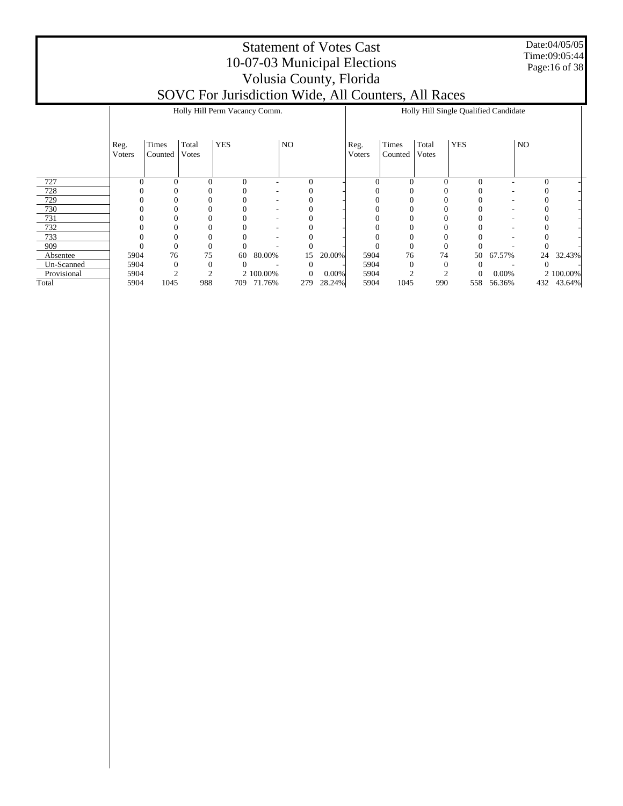Date:04/05/05 Time:09:05:44 Page:16 of 38

|             |        |              |              | Holly Hill Perm Vacancy Comm. |           |          |          |          |          |          | Holly Hill Single Qualified Candidate |        |                   |           |
|-------------|--------|--------------|--------------|-------------------------------|-----------|----------|----------|----------|----------|----------|---------------------------------------|--------|-------------------|-----------|
|             | Reg.   | Times        | Total        | <b>YES</b>                    |           | NO       |          | Reg.     | Times    | Total    | <b>YES</b>                            |        | N <sub>O</sub>    |           |
|             | Voters | Counted      | Votes        |                               |           |          |          | Voters   | Counted  | Votes    |                                       |        |                   |           |
| 727         |        | 0            | $\mathbf{0}$ | $\mathbf{0}$                  |           | 0        |          | $\Omega$ | $\Omega$ | $\theta$ | $\overline{0}$                        |        | $\mathbf{0}$      |           |
| 728         |        |              | 0            |                               |           |          |          |          |          |          |                                       |        |                   |           |
| 729         |        |              | 0            |                               |           |          |          |          |          |          |                                       |        |                   |           |
| 730         |        |              | 0            |                               |           |          |          |          |          |          |                                       |        |                   |           |
| 731         |        |              | $\Omega$     |                               |           |          |          |          |          |          |                                       |        |                   |           |
| 732         |        |              | $\Omega$     |                               |           |          |          |          |          |          |                                       |        |                   |           |
| 733         |        |              | $\Omega$     |                               |           |          |          |          |          |          |                                       |        |                   |           |
| 909         |        |              | $\Omega$     |                               |           |          |          |          |          |          |                                       |        |                   |           |
| Absentee    | 5904   | 76           | 75           | 60                            | 80.00%    | 15       | 20.00%   | 5904     | 76       | 74       | 50                                    | 67.57% | 24                | 32.43%    |
| Un-Scanned  | 5904   | $\mathbf{0}$ | $\mathbf{0}$ | 0                             |           | $\Omega$ |          | 5904     |          |          | 0                                     |        | $\mathbf{\Omega}$ |           |
| Provisional | 5904   |              | $\bigcap$    |                               | 2 100.00% | 0        | $0.00\%$ | 5904     |          |          | $\mathbf{0}$                          | 0.00%  |                   | 2 100.00% |
| Total       | 5904   | 1045         | 988          | 709                           | 71.76%    | 279      | 28.24%   | 5904     | 1045     | 990      | 558                                   | 56.36% | 432               | 43.64%    |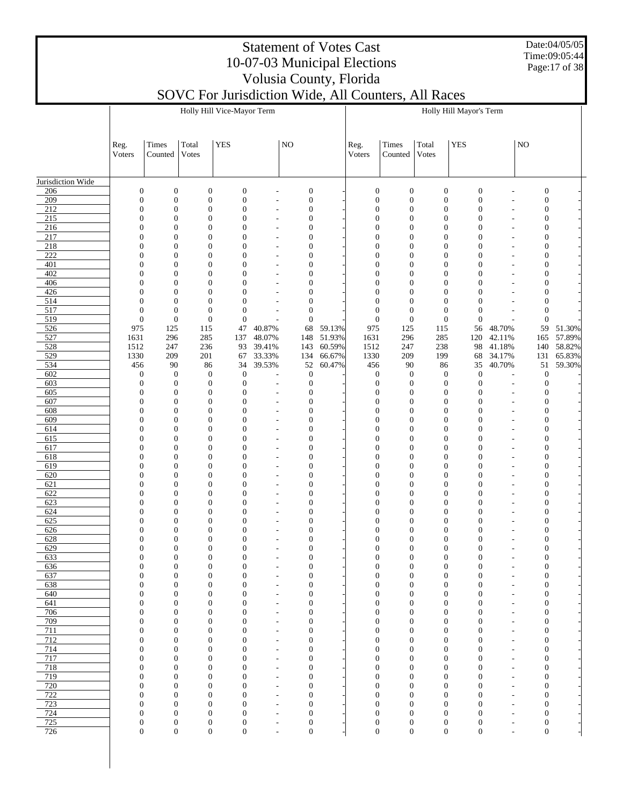Date:04/05/05 Time:09:05:44 Page:17 of 38

# Statement of Votes Cast 10-07-03 Municipal Elections Volusia County, Florida

|                   |                                      |                                      |                                      | Holly Hill Vice-Mayor Term           |                                                      |                                      |        |                                      |                                      |                                      | Holly Hill Mayor's Term              |                                                      |                                      |                  |
|-------------------|--------------------------------------|--------------------------------------|--------------------------------------|--------------------------------------|------------------------------------------------------|--------------------------------------|--------|--------------------------------------|--------------------------------------|--------------------------------------|--------------------------------------|------------------------------------------------------|--------------------------------------|------------------|
|                   | Reg.<br>Voters                       | Times<br>Counted                     | Total<br>Votes                       | <b>YES</b>                           |                                                      | $_{\rm NO}$                          |        | Reg.<br>Voters                       | Times<br>Counted                     | Total<br>Votes                       | <b>YES</b>                           |                                                      | $_{\rm NO}$                          |                  |
| Jurisdiction Wide |                                      |                                      |                                      |                                      |                                                      |                                      |        |                                      |                                      |                                      |                                      |                                                      |                                      |                  |
| 206               | $\boldsymbol{0}$                     | $\boldsymbol{0}$                     | $\boldsymbol{0}$                     | $\boldsymbol{0}$                     |                                                      | $\boldsymbol{0}$                     |        | $\boldsymbol{0}$                     | $\boldsymbol{0}$                     | $\boldsymbol{0}$                     | $\boldsymbol{0}$                     | L,                                                   | $\boldsymbol{0}$                     |                  |
| 209               | $\boldsymbol{0}$                     | $\boldsymbol{0}$                     | $\boldsymbol{0}$                     | $\boldsymbol{0}$                     | $\overline{a}$                                       | $\boldsymbol{0}$                     |        | $\boldsymbol{0}$                     | $\boldsymbol{0}$                     | $\boldsymbol{0}$                     | $\boldsymbol{0}$                     | $\overline{a}$                                       | $\boldsymbol{0}$                     |                  |
| 212<br>215        | $\boldsymbol{0}$<br>$\mathbf{0}$     | $\boldsymbol{0}$<br>$\boldsymbol{0}$ | $\boldsymbol{0}$<br>$\boldsymbol{0}$ | $\boldsymbol{0}$<br>$\boldsymbol{0}$ | $\overline{\phantom{a}}$<br>$\overline{\phantom{a}}$ | $\boldsymbol{0}$<br>$\mathbf{0}$     |        | $\boldsymbol{0}$<br>$\boldsymbol{0}$ | $\mathbf{0}$<br>$\boldsymbol{0}$     | $\boldsymbol{0}$<br>$\boldsymbol{0}$ | $\boldsymbol{0}$<br>$\boldsymbol{0}$ | ä,<br>$\overline{\phantom{m}}$                       | $\boldsymbol{0}$<br>$\boldsymbol{0}$ |                  |
| 216               | $\boldsymbol{0}$                     | $\boldsymbol{0}$                     | $\boldsymbol{0}$                     | $\boldsymbol{0}$                     | $\overline{\phantom{a}}$                             | $\boldsymbol{0}$                     |        | $\boldsymbol{0}$                     | $\mathbf{0}$                         | $\boldsymbol{0}$                     | $\boldsymbol{0}$                     | ÷,                                                   | $\boldsymbol{0}$                     |                  |
| 217               | $\mathbf{0}$                         | $\boldsymbol{0}$                     | $\boldsymbol{0}$                     | $\boldsymbol{0}$                     | $\tilde{\phantom{a}}$                                | $\boldsymbol{0}$                     |        | $\boldsymbol{0}$                     | $\boldsymbol{0}$                     | $\boldsymbol{0}$                     | $\boldsymbol{0}$                     | $\overline{\phantom{a}}$                             | $\boldsymbol{0}$                     |                  |
| 218               | $\boldsymbol{0}$                     | $\boldsymbol{0}$                     | $\boldsymbol{0}$                     | $\boldsymbol{0}$                     | $\overline{\phantom{a}}$                             | $\boldsymbol{0}$                     |        | $\boldsymbol{0}$                     | $\mathbf{0}$                         | $\boldsymbol{0}$                     | $\boldsymbol{0}$                     | $\overline{\phantom{a}}$                             | $\boldsymbol{0}$                     |                  |
| 222<br>401        | $\mathbf{0}$<br>$\boldsymbol{0}$     | $\boldsymbol{0}$<br>$\boldsymbol{0}$ | $\boldsymbol{0}$<br>$\boldsymbol{0}$ | $\boldsymbol{0}$<br>$\boldsymbol{0}$ | $\tilde{\phantom{a}}$<br>$\overline{\phantom{a}}$    | $\mathbf{0}$<br>$\boldsymbol{0}$     |        | $\boldsymbol{0}$<br>$\boldsymbol{0}$ | $\boldsymbol{0}$<br>$\mathbf{0}$     | $\boldsymbol{0}$<br>$\boldsymbol{0}$ | $\boldsymbol{0}$<br>$\boldsymbol{0}$ | $\overline{\phantom{a}}$<br>$\overline{a}$           | $\mathbf{0}$<br>$\mathbf{0}$         |                  |
| 402               | $\boldsymbol{0}$                     | $\boldsymbol{0}$                     | $\boldsymbol{0}$                     | $\boldsymbol{0}$                     | $\tilde{\phantom{a}}$                                | $\boldsymbol{0}$                     |        | $\boldsymbol{0}$                     | $\boldsymbol{0}$                     | $\boldsymbol{0}$                     | $\boldsymbol{0}$                     | $\overline{\phantom{a}}$                             | $\mathbf{0}$                         |                  |
| 406               | $\boldsymbol{0}$                     | $\boldsymbol{0}$                     | $\boldsymbol{0}$                     | $\boldsymbol{0}$                     | $\tilde{\phantom{a}}$                                | $\boldsymbol{0}$                     |        | $\boldsymbol{0}$                     | $\mathbf{0}$                         | $\boldsymbol{0}$                     | $\boldsymbol{0}$                     | $\overline{a}$                                       | $\boldsymbol{0}$                     |                  |
| 426               | $\mathbf{0}$                         | $\boldsymbol{0}$                     | $\boldsymbol{0}$                     | $\mathbf{0}$                         | $\overline{\phantom{a}}$                             | $\mathbf{0}$                         |        | $\boldsymbol{0}$                     | $\boldsymbol{0}$                     | $\mathbf{0}$                         | $\boldsymbol{0}$                     | $\overline{\phantom{a}}$                             | $\mathbf{0}$                         |                  |
| 514               | $\boldsymbol{0}$                     | $\boldsymbol{0}$                     | $\boldsymbol{0}$                     | $\mathbf{0}$                         | $\overline{\phantom{a}}$                             | $\boldsymbol{0}$                     |        | $\boldsymbol{0}$                     | $\mathbf{0}$                         | $\boldsymbol{0}$                     | $\boldsymbol{0}$                     | $\overline{a}$                                       | $\mathbf{0}$                         |                  |
| 517<br>519        | $\boldsymbol{0}$<br>$\boldsymbol{0}$ | $\boldsymbol{0}$<br>$\boldsymbol{0}$ | $\boldsymbol{0}$<br>$\boldsymbol{0}$ | $\boldsymbol{0}$<br>$\boldsymbol{0}$ | $\overline{\phantom{a}}$<br>÷                        | $\boldsymbol{0}$<br>$\boldsymbol{0}$ |        | $\boldsymbol{0}$<br>$\boldsymbol{0}$ | $\boldsymbol{0}$<br>$\boldsymbol{0}$ | $\boldsymbol{0}$<br>$\boldsymbol{0}$ | $\boldsymbol{0}$<br>$\boldsymbol{0}$ | $\overline{\phantom{a}}$<br>L.                       | $\mathbf{0}$<br>$\mathbf{0}$         |                  |
| 526               | 975                                  | 125                                  | 115                                  | 47                                   | 40.87%                                               | 68                                   | 59.13% | 975                                  | 125                                  | 115                                  | 56                                   | 48.70%                                               | 59                                   | 51.30%           |
| 527               | 1631                                 | 296                                  | 285                                  | 137                                  | 48.07%                                               | 148                                  | 51.93% | 1631                                 | 296                                  | 285                                  | 120                                  | 42.11%                                               | 165                                  | 57.89%           |
| 528               | 1512                                 | 247                                  | 236                                  | 93                                   | 39.41%                                               | 143                                  | 60.59% | 1512                                 | 247                                  | 238                                  | 98                                   | 41.18%                                               | 140                                  | 58.82%           |
| 529<br>534        | 1330                                 | 209<br>90                            | 201                                  | 67<br>34                             | 33.33%                                               | 134                                  | 66.67% | 1330                                 | 209<br>90                            | 199                                  | 68<br>35                             | 34.17%<br>40.70%                                     | 131<br>51                            | 65.83%<br>59.30% |
| $\overline{602}$  | 456<br>$\boldsymbol{0}$              | $\mathbf{0}$                         | 86<br>$\boldsymbol{0}$               | $\mathbf{0}$                         | 39.53%<br>÷                                          | 52<br>$\boldsymbol{0}$               | 60.47% | 456<br>$\boldsymbol{0}$              | $\boldsymbol{0}$                     | 86<br>$\mathbf{0}$                   | $\boldsymbol{0}$                     | L,                                                   | $\boldsymbol{0}$                     |                  |
| 603               | $\boldsymbol{0}$                     | $\boldsymbol{0}$                     | $\boldsymbol{0}$                     | $\boldsymbol{0}$                     | $\overline{\phantom{a}}$                             | $\boldsymbol{0}$                     |        | $\boldsymbol{0}$                     | $\boldsymbol{0}$                     | $\boldsymbol{0}$                     | $\boldsymbol{0}$                     | $\overline{\phantom{a}}$                             | $\boldsymbol{0}$                     |                  |
| 605               | $\boldsymbol{0}$                     | $\boldsymbol{0}$                     | $\boldsymbol{0}$                     | $\boldsymbol{0}$                     | $\overline{\phantom{a}}$                             | $\boldsymbol{0}$                     |        | $\boldsymbol{0}$                     | $\mathbf{0}$                         | $\boldsymbol{0}$                     | $\boldsymbol{0}$                     | $\overline{a}$                                       | $\boldsymbol{0}$                     |                  |
| 607               | $\boldsymbol{0}$                     | $\boldsymbol{0}$                     | $\boldsymbol{0}$                     | $\boldsymbol{0}$                     | $\overline{\phantom{a}}$                             | $\mathbf{0}$                         |        | $\boldsymbol{0}$                     | $\boldsymbol{0}$                     | $\boldsymbol{0}$                     | $\boldsymbol{0}$                     | $\overline{\phantom{a}}$                             | $\mathbf{0}$                         |                  |
| 608<br>609        | $\boldsymbol{0}$<br>$\mathbf{0}$     | $\boldsymbol{0}$<br>$\boldsymbol{0}$ | $\boldsymbol{0}$<br>$\boldsymbol{0}$ | $\boldsymbol{0}$<br>$\boldsymbol{0}$ | $\overline{\phantom{a}}$<br>$\overline{\phantom{a}}$ | $\boldsymbol{0}$<br>$\mathbf{0}$     |        | $\boldsymbol{0}$<br>$\boldsymbol{0}$ | $\mathbf{0}$<br>$\boldsymbol{0}$     | $\boldsymbol{0}$<br>$\boldsymbol{0}$ | $\boldsymbol{0}$<br>$\boldsymbol{0}$ | $\overline{\phantom{a}}$<br>$\overline{\phantom{a}}$ | $\boldsymbol{0}$<br>$\mathbf{0}$     |                  |
| 614               | $\boldsymbol{0}$                     | $\boldsymbol{0}$                     | $\boldsymbol{0}$                     | $\boldsymbol{0}$                     | $\overline{\phantom{a}}$                             | $\boldsymbol{0}$                     |        | $\boldsymbol{0}$                     | $\mathbf{0}$                         | $\boldsymbol{0}$                     | $\boldsymbol{0}$                     | $\overline{\phantom{a}}$                             | $\mathbf{0}$                         |                  |
| 615               | $\mathbf{0}$                         | $\boldsymbol{0}$                     | $\boldsymbol{0}$                     | $\boldsymbol{0}$                     | $\overline{\phantom{a}}$                             | $\mathbf{0}$                         |        | $\boldsymbol{0}$                     | $\boldsymbol{0}$                     | $\boldsymbol{0}$                     | $\boldsymbol{0}$                     | $\overline{\phantom{a}}$                             | $\mathbf{0}$                         |                  |
| 617               | $\boldsymbol{0}$                     | $\boldsymbol{0}$                     | $\boldsymbol{0}$                     | $\boldsymbol{0}$                     | $\overline{\phantom{a}}$                             | $\boldsymbol{0}$                     |        | $\boldsymbol{0}$                     | $\mathbf{0}$                         | $\boldsymbol{0}$                     | $\boldsymbol{0}$                     | $\overline{\phantom{a}}$                             | $\mathbf{0}$                         |                  |
| 618               | $\mathbf{0}$                         | $\boldsymbol{0}$                     | $\boldsymbol{0}$                     | $\boldsymbol{0}$                     | $\overline{\phantom{a}}$                             | $\mathbf{0}$                         |        | $\boldsymbol{0}$                     | $\boldsymbol{0}$                     | $\boldsymbol{0}$                     | $\boldsymbol{0}$                     | $\overline{\phantom{a}}$                             | $\mathbf{0}$                         |                  |
| 619<br>620        | $\boldsymbol{0}$<br>$\mathbf{0}$     | $\boldsymbol{0}$<br>$\boldsymbol{0}$ | $\boldsymbol{0}$<br>$\boldsymbol{0}$ | $\boldsymbol{0}$<br>$\boldsymbol{0}$ | $\overline{\phantom{a}}$<br>$\overline{\phantom{a}}$ | $\boldsymbol{0}$<br>$\mathbf{0}$     |        | $\boldsymbol{0}$<br>$\boldsymbol{0}$ | $\mathbf{0}$<br>$\boldsymbol{0}$     | $\boldsymbol{0}$<br>$\boldsymbol{0}$ | $\boldsymbol{0}$<br>$\boldsymbol{0}$ | $\overline{\phantom{a}}$<br>$\overline{\phantom{m}}$ | $\mathbf{0}$<br>$\mathbf{0}$         |                  |
| 621               | $\boldsymbol{0}$                     | $\boldsymbol{0}$                     | $\boldsymbol{0}$                     | $\boldsymbol{0}$                     | $\overline{\phantom{a}}$                             | $\boldsymbol{0}$                     |        | $\boldsymbol{0}$                     | $\mathbf{0}$                         | $\boldsymbol{0}$                     | $\boldsymbol{0}$                     | ÷,                                                   | $\mathbf{0}$                         |                  |
| 622               | $\mathbf{0}$                         | $\boldsymbol{0}$                     | $\boldsymbol{0}$                     | $\boldsymbol{0}$                     | $\overline{\phantom{a}}$                             | $\mathbf{0}$                         |        | $\boldsymbol{0}$                     | $\boldsymbol{0}$                     | $\boldsymbol{0}$                     | $\boldsymbol{0}$                     | $\overline{\phantom{m}}$                             | $\mathbf{0}$                         |                  |
| 623               | $\boldsymbol{0}$                     | $\boldsymbol{0}$                     | $\boldsymbol{0}$                     | $\boldsymbol{0}$                     | $\overline{\phantom{a}}$                             | $\boldsymbol{0}$                     |        | $\boldsymbol{0}$                     | $\mathbf{0}$                         | $\boldsymbol{0}$                     | $\boldsymbol{0}$                     | ÷                                                    | $\mathbf{0}$                         |                  |
| 624<br>625        | $\mathbf{0}$<br>$\boldsymbol{0}$     | $\boldsymbol{0}$<br>$\boldsymbol{0}$ | $\boldsymbol{0}$<br>$\boldsymbol{0}$ | $\boldsymbol{0}$<br>$\boldsymbol{0}$ | $\overline{\phantom{a}}$<br>$\overline{a}$           | $\mathbf{0}$<br>$\boldsymbol{0}$     |        | $\boldsymbol{0}$<br>$\boldsymbol{0}$ | $\boldsymbol{0}$<br>$\mathbf{0}$     | $\boldsymbol{0}$<br>$\boldsymbol{0}$ | $\boldsymbol{0}$<br>$\boldsymbol{0}$ | $\overline{\phantom{m}}$                             | $\mathbf{0}$<br>$\boldsymbol{0}$     |                  |
| 626               | $\mathbf{0}$                         | $\boldsymbol{0}$                     | $\boldsymbol{0}$                     | $\boldsymbol{0}$                     | $\overline{\phantom{a}}$                             | $\boldsymbol{0}$                     |        | $\boldsymbol{0}$                     | $\boldsymbol{0}$                     | $\boldsymbol{0}$                     | $\boldsymbol{0}$                     | ÷<br>$\overline{\phantom{0}}$                        | $\mathbf{0}$                         |                  |
| 628               | $\boldsymbol{0}$                     | $\boldsymbol{0}$                     | $\boldsymbol{0}$                     | $\boldsymbol{0}$                     | $\overline{a}$                                       | $\boldsymbol{0}$                     |        | $\boldsymbol{0}$                     | $\mathbf{0}$                         | $\boldsymbol{0}$                     | $\boldsymbol{0}$                     | ÷,                                                   | $\boldsymbol{0}$                     |                  |
| 629               | $\boldsymbol{0}$                     | $\boldsymbol{0}$                     | $\boldsymbol{0}$                     | $\boldsymbol{0}$                     | $\overline{\phantom{a}}$                             | $\boldsymbol{0}$                     |        | $\boldsymbol{0}$                     | $\boldsymbol{0}$                     | $\boldsymbol{0}$                     | $\boldsymbol{0}$                     | $\overline{\phantom{0}}$                             | $\boldsymbol{0}$                     |                  |
| 633               | $\boldsymbol{0}$                     | $\boldsymbol{0}$                     | $\boldsymbol{0}$                     | $\boldsymbol{0}$                     | $\overline{a}$                                       | $\boldsymbol{0}$                     |        | $\boldsymbol{0}$                     | $\boldsymbol{0}$                     | $\boldsymbol{0}$                     | $\boldsymbol{0}$                     | $\overline{\phantom{a}}$                             | $\mathbf{0}$                         |                  |
| 636<br>637        | 0<br>$\boldsymbol{0}$                | 0<br>$\boldsymbol{0}$                | $\mathbf 0$<br>$\boldsymbol{0}$      | 0<br>$\boldsymbol{0}$                |                                                      | $\mathbf 0$<br>$\mathbf{0}$          |        | 0<br>$\boldsymbol{0}$                | $\boldsymbol{0}$<br>$\boldsymbol{0}$ | 0<br>$\boldsymbol{0}$                | 0<br>$\boldsymbol{0}$                | ٠                                                    | $\mathbf{0}$<br>$\boldsymbol{0}$     |                  |
| 638               | $\boldsymbol{0}$                     | $\boldsymbol{0}$                     | $\boldsymbol{0}$                     | $\boldsymbol{0}$                     | $\overline{\phantom{a}}$                             | $\mathbf{0}$                         |        | $\boldsymbol{0}$                     | $\boldsymbol{0}$                     | $\boldsymbol{0}$                     | $\boldsymbol{0}$                     | $\overline{\phantom{0}}$                             | $\boldsymbol{0}$                     |                  |
| 640               | $\boldsymbol{0}$                     | $\boldsymbol{0}$                     | $\boldsymbol{0}$                     | $\boldsymbol{0}$                     | $\overline{a}$                                       | $\mathbf{0}$                         |        | $\boldsymbol{0}$                     | $\boldsymbol{0}$                     | $\boldsymbol{0}$                     | $\boldsymbol{0}$                     | $\overline{\phantom{0}}$                             | $\boldsymbol{0}$                     |                  |
| 641               | $\mathbf{0}$                         | $\boldsymbol{0}$                     | $\boldsymbol{0}$                     | $\boldsymbol{0}$                     | $\overline{\phantom{a}}$                             | $\mathbf{0}$                         |        | $\boldsymbol{0}$                     | $\boldsymbol{0}$                     | $\boldsymbol{0}$                     | $\boldsymbol{0}$                     | $\overline{\phantom{m}}$                             | $\mathbf{0}$                         |                  |
| 706               | $\boldsymbol{0}$                     | $\boldsymbol{0}$                     | $\boldsymbol{0}$                     | $\boldsymbol{0}$                     | $\overline{a}$                                       | $\mathbf{0}$                         |        | $\boldsymbol{0}$                     | $\boldsymbol{0}$                     | $\boldsymbol{0}$                     | 0                                    | ÷,                                                   | $\mathbf{0}$                         |                  |
| 709<br>711        | $\boldsymbol{0}$<br>$\boldsymbol{0}$ | $\boldsymbol{0}$<br>$\boldsymbol{0}$ | $\boldsymbol{0}$<br>$\boldsymbol{0}$ | $\boldsymbol{0}$<br>$\boldsymbol{0}$ | $\overline{\phantom{a}}$<br>$\overline{\phantom{a}}$ | $\mathbf{0}$<br>$\mathbf{0}$         |        | $\boldsymbol{0}$<br>$\boldsymbol{0}$ | $\boldsymbol{0}$<br>$\boldsymbol{0}$ | $\boldsymbol{0}$<br>$\boldsymbol{0}$ | $\boldsymbol{0}$<br>$\boldsymbol{0}$ | $\overline{\phantom{0}}$<br>$\overline{\phantom{a}}$ | $\mathbf{0}$<br>$\mathbf{0}$         |                  |
| 712               | $\mathbf{0}$                         | $\boldsymbol{0}$                     | $\boldsymbol{0}$                     | $\boldsymbol{0}$                     | $\overline{\phantom{a}}$                             | $\mathbf{0}$                         |        | $\boldsymbol{0}$                     | $\boldsymbol{0}$                     | $\boldsymbol{0}$                     | $\boldsymbol{0}$                     | $\overline{\phantom{a}}$                             | $\mathbf{0}$                         |                  |
| 714               | $\boldsymbol{0}$                     | $\boldsymbol{0}$                     | $\boldsymbol{0}$                     | $\boldsymbol{0}$                     | $\overline{a}$                                       | $\mathbf{0}$                         |        | $\boldsymbol{0}$                     | $\boldsymbol{0}$                     | $\boldsymbol{0}$                     | $\boldsymbol{0}$                     | ÷,                                                   | $\mathbf{0}$                         |                  |
| 717               | $\boldsymbol{0}$                     | $\boldsymbol{0}$                     | $\boldsymbol{0}$                     | $\boldsymbol{0}$                     | $\overline{\phantom{a}}$                             | $\mathbf{0}$                         |        | $\boldsymbol{0}$                     | $\boldsymbol{0}$                     | $\boldsymbol{0}$                     | $\boldsymbol{0}$                     | $\overline{\phantom{a}}$                             | $\mathbf{0}$                         |                  |
| 718<br>719        | $\boldsymbol{0}$                     | $\boldsymbol{0}$                     | $\boldsymbol{0}$                     | $\boldsymbol{0}$                     | $\tilde{\phantom{a}}$                                | $\mathbf{0}$                         |        | $\boldsymbol{0}$                     | $\boldsymbol{0}$                     | $\boldsymbol{0}$                     | $\boldsymbol{0}$                     | $\overline{\phantom{a}}$                             | $\boldsymbol{0}$                     |                  |
| 720               | $\mathbf{0}$<br>$\boldsymbol{0}$     | $\boldsymbol{0}$<br>$\boldsymbol{0}$ | $\boldsymbol{0}$<br>$\boldsymbol{0}$ | $\boldsymbol{0}$<br>$\boldsymbol{0}$ | $\overline{\phantom{a}}$<br>$\tilde{\phantom{a}}$    | $\mathbf{0}$<br>$\mathbf{0}$         |        | $\boldsymbol{0}$<br>$\boldsymbol{0}$ | $\boldsymbol{0}$<br>$\boldsymbol{0}$ | $\boldsymbol{0}$<br>$\boldsymbol{0}$ | $\boldsymbol{0}$<br>$\boldsymbol{0}$ | $\overline{\phantom{a}}$<br>L,                       | $\mathbf{0}$<br>$\mathbf{0}$         |                  |
| 722               | $\boldsymbol{0}$                     | $\boldsymbol{0}$                     | $\boldsymbol{0}$                     | $\boldsymbol{0}$                     | $\tilde{\phantom{a}}$                                | $\mathbf{0}$                         |        | $\boldsymbol{0}$                     | $\boldsymbol{0}$                     | $\boldsymbol{0}$                     | $\boldsymbol{0}$                     | $\overline{\phantom{a}}$                             | $\mathbf{0}$                         |                  |
| 723               | $\boldsymbol{0}$                     | $\boldsymbol{0}$                     | $\boldsymbol{0}$                     | $\boldsymbol{0}$                     | $\tilde{\phantom{a}}$                                | $\mathbf{0}$                         |        | $\boldsymbol{0}$                     | $\boldsymbol{0}$                     | $\boldsymbol{0}$                     | $\boldsymbol{0}$                     | $\overline{\phantom{a}}$                             | $\boldsymbol{0}$                     |                  |
| 724               | $\boldsymbol{0}$                     | $\boldsymbol{0}$                     | $\boldsymbol{0}$                     | $\boldsymbol{0}$                     | $\tilde{\phantom{a}}$                                | $\mathbf{0}$                         |        | $\boldsymbol{0}$                     | $\boldsymbol{0}$                     | $\boldsymbol{0}$                     | $\boldsymbol{0}$                     | $\overline{\phantom{a}}$                             | $\mathbf{0}$                         |                  |
| 725               | $\boldsymbol{0}$<br>$\boldsymbol{0}$ | $\boldsymbol{0}$<br>$\boldsymbol{0}$ | $\boldsymbol{0}$<br>$\mathbf{0}$     | $\boldsymbol{0}$<br>$\boldsymbol{0}$ | $\tilde{\phantom{a}}$                                | $\boldsymbol{0}$                     |        | $\boldsymbol{0}$<br>$\mathbf{0}$     | $\boldsymbol{0}$<br>$\mathbf{0}$     | $\boldsymbol{0}$                     | $\boldsymbol{0}$                     | L,                                                   | $\mathbf{0}$<br>$\mathbf{0}$         |                  |
| 726               |                                      |                                      |                                      |                                      | $\overline{\phantom{a}}$                             | $\boldsymbol{0}$                     |        |                                      |                                      | $\boldsymbol{0}$                     | $\boldsymbol{0}$                     | $\overline{\phantom{a}}$                             |                                      |                  |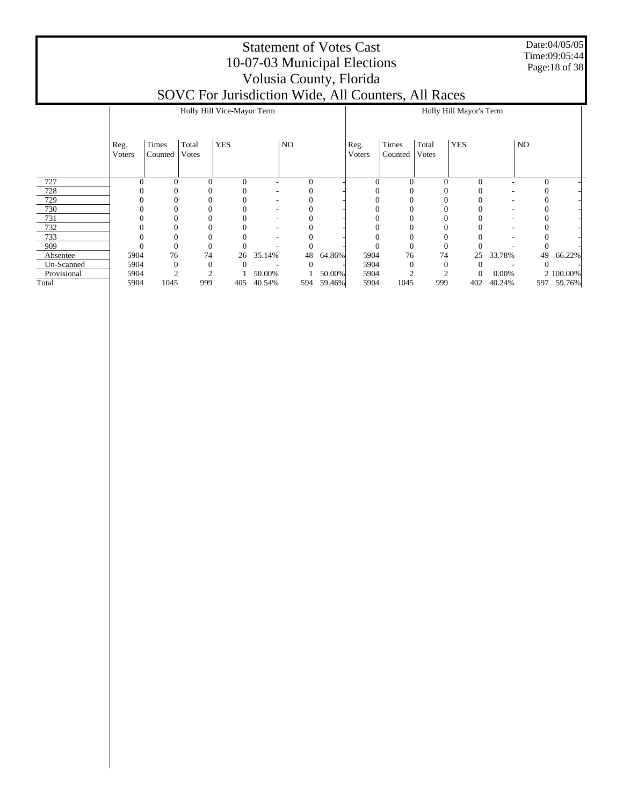Date:04/05/05 Time:09:05:44 Page:18 of 38

|             |                |                  |                       | Holly Hill Vice-Mayor Term |        |                  |        |                |                  |                | Holly Hill Mayor's Term |        |                |           |
|-------------|----------------|------------------|-----------------------|----------------------------|--------|------------------|--------|----------------|------------------|----------------|-------------------------|--------|----------------|-----------|
|             | Reg.<br>Voters | Times<br>Counted | Total<br><b>Votes</b> | <b>YES</b>                 |        | NO               |        | Reg.<br>Voters | Times<br>Counted | Total<br>Votes | <b>YES</b>              |        | NO             |           |
| 727         |                | $\Omega$         | $\Omega$              | $\theta$                   |        | $\boldsymbol{0}$ |        | 0              | 0                | $\Omega$       | $\theta$                |        | $\overline{0}$ |           |
| 728         |                |                  |                       |                            |        |                  |        |                |                  |                |                         |        |                |           |
| 729         |                |                  |                       |                            |        |                  |        |                |                  |                |                         |        |                |           |
| 730         |                |                  |                       |                            |        |                  |        |                |                  |                |                         |        |                |           |
| 731         |                |                  |                       |                            |        |                  |        |                |                  |                |                         |        |                |           |
| 732         |                |                  |                       |                            |        |                  |        |                |                  |                |                         |        |                |           |
| 733         |                |                  |                       |                            |        |                  |        |                |                  |                |                         |        |                |           |
| 909         |                |                  | $\Omega$              |                            |        |                  |        |                | $\Omega$         |                |                         |        |                |           |
| Absentee    | 5904           | 76               | 74                    | 26                         | 35.14% | 48               | 64.86% | 5904           | 76               | 74             | 25                      | 33.78% | 49             | 66.22%    |
| Un-Scanned  | 5904           |                  | $\mathbf{0}$          | 0                          |        |                  |        | 5904           |                  | $\theta$       | 0                       |        |                |           |
| Provisional | 5904           |                  |                       |                            | 50.00% |                  | 50.00% | 5904           |                  |                | $\theta$                | 0.00%  |                | 2 100.00% |
| Total       | 5904           | 1045             | 999                   | 405                        | 40.54% | 594              | 59.46% | 5904           | 1045             | 999            | 402                     | 40.24% | 597            | 59.76%    |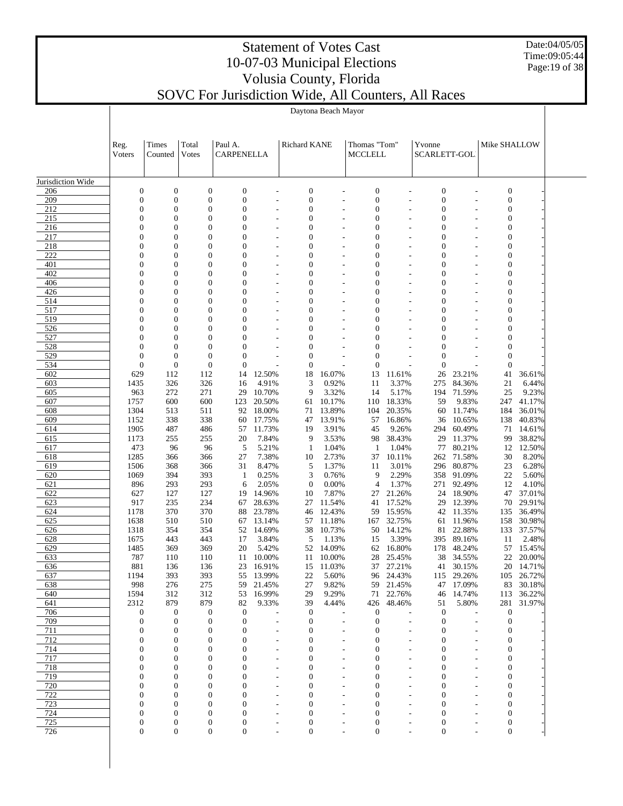Date:04/05/05 Time:09:05:44 Page:19 of 38

# Statement of Votes Cast 10-07-03 Municipal Elections Volusia County, Florida

|                   |                                  |                                      |                                    |                                      |                          |                                      | Daytona Beach Mayor |                                      |                     |                                      |                     |                                      |                     |  |
|-------------------|----------------------------------|--------------------------------------|------------------------------------|--------------------------------------|--------------------------|--------------------------------------|---------------------|--------------------------------------|---------------------|--------------------------------------|---------------------|--------------------------------------|---------------------|--|
|                   |                                  |                                      |                                    |                                      |                          |                                      |                     |                                      |                     |                                      |                     |                                      |                     |  |
|                   |                                  |                                      |                                    |                                      |                          |                                      |                     |                                      |                     |                                      |                     |                                      |                     |  |
|                   | Reg.                             | Times                                | Total                              | Paul A.                              |                          | Richard KANE                         |                     | Thomas "Tom"                         |                     | Yvonne                               |                     | Mike SHALLOW                         |                     |  |
|                   | Voters                           | Counted                              | Votes                              | CARPENELLA                           |                          |                                      |                     | <b>MCCLELL</b>                       |                     | <b>SCARLETT-GOL</b>                  |                     |                                      |                     |  |
|                   |                                  |                                      |                                    |                                      |                          |                                      |                     |                                      |                     |                                      |                     |                                      |                     |  |
| Jurisdiction Wide |                                  |                                      |                                    |                                      |                          |                                      |                     |                                      |                     |                                      |                     |                                      |                     |  |
| 206               | $\boldsymbol{0}$                 | $\boldsymbol{0}$                     | $\boldsymbol{0}$                   | $\boldsymbol{0}$                     |                          | $\boldsymbol{0}$                     |                     | $\boldsymbol{0}$                     |                     | $\boldsymbol{0}$                     |                     | $\boldsymbol{0}$                     |                     |  |
| 209<br>212        | 0<br>$\overline{0}$              | $\boldsymbol{0}$<br>0                | $\mathbf{0}$<br>$\boldsymbol{0}$   | $\boldsymbol{0}$<br>$\boldsymbol{0}$ | $\overline{a}$           | $\boldsymbol{0}$<br>$\boldsymbol{0}$ | $\overline{a}$      | $\boldsymbol{0}$<br>$\boldsymbol{0}$ | $\overline{a}$      | $\boldsymbol{0}$<br>$\boldsymbol{0}$ | $\overline{a}$      | $\boldsymbol{0}$<br>$\boldsymbol{0}$ |                     |  |
| 215               | $\overline{0}$                   | $\overline{0}$                       | $\mathbf{0}$                       | $\mathbf{0}$                         |                          | $\mathbf{0}$                         |                     | $\boldsymbol{0}$                     |                     | $\mathbf{0}$                         |                     | $\boldsymbol{0}$                     |                     |  |
| 216               | $\overline{0}$                   | 0                                    | $\mathbf{0}$                       | $\mathbf{0}$                         |                          | $\mathbf{0}$                         |                     | $\mathbf{0}$                         |                     | $\mathbf{0}$                         |                     | $\boldsymbol{0}$                     |                     |  |
| 217<br>218        | $\overline{0}$<br>$\overline{0}$ | 0<br>0                               | $\overline{0}$<br>$\mathbf{0}$     | $\mathbf{0}$<br>$\mathbf{0}$         |                          | $\mathbf{0}$<br>$\mathbf{0}$         |                     | $\mathbf{0}$<br>$\mathbf{0}$         |                     | $\mathbf{0}$<br>$\mathbf{0}$         |                     | $\boldsymbol{0}$                     |                     |  |
| 222               | $\overline{0}$                   | 0                                    | $\overline{0}$                     | $\mathbf{0}$                         | $\overline{a}$           | $\mathbf{0}$                         | $\overline{a}$      | $\mathbf{0}$                         | $\overline{a}$      | $\mathbf{0}$                         |                     | $\boldsymbol{0}$<br>$\boldsymbol{0}$ |                     |  |
| 401               | $\overline{0}$                   | 0                                    | $\overline{0}$                     | $\mathbf{0}$                         | $\overline{a}$           | $\mathbf{0}$                         | $\overline{a}$      | $\mathbf{0}$                         | $\overline{a}$      | $\mathbf{0}$                         |                     | $\boldsymbol{0}$                     |                     |  |
| 402               | $\overline{0}$                   | 0                                    | $\mathbf{0}$                       | $\mathbf{0}$                         |                          | $\mathbf{0}$                         |                     | $\mathbf{0}$                         |                     | $\mathbf{0}$                         |                     | $\boldsymbol{0}$                     |                     |  |
| 406               | $\overline{0}$<br>$\overline{0}$ | 0<br>$\boldsymbol{0}$                | $\boldsymbol{0}$<br>$\overline{0}$ | $\mathbf{0}$<br>$\mathbf{0}$         | $\overline{a}$           | $\mathbf{0}$<br>$\mathbf{0}$         | $\overline{a}$      | $\mathbf{0}$<br>$\mathbf{0}$         | $\overline{a}$      | $\mathbf{0}$<br>$\mathbf{0}$         |                     | $\boldsymbol{0}$                     |                     |  |
| 426<br>514        | $\overline{0}$                   | $\boldsymbol{0}$                     | $\mathbf{0}$                       | $\mathbf{0}$                         |                          | $\mathbf{0}$                         |                     | $\mathbf{0}$                         |                     | $\mathbf{0}$                         |                     | $\boldsymbol{0}$<br>$\boldsymbol{0}$ |                     |  |
| 517               | $\overline{0}$                   | $\boldsymbol{0}$                     | $\overline{0}$                     | $\mathbf{0}$                         |                          | $\mathbf{0}$                         |                     | $\mathbf{0}$                         |                     | $\mathbf{0}$                         |                     | $\boldsymbol{0}$                     |                     |  |
| 519               | $\overline{0}$                   | $\boldsymbol{0}$                     | $\mathbf{0}$                       | $\mathbf{0}$                         | $\overline{a}$           | $\mathbf{0}$                         |                     | $\mathbf{0}$                         | $\overline{a}$      | $\mathbf{0}$                         |                     | $\boldsymbol{0}$                     |                     |  |
| 526<br>527        | $\overline{0}$<br>$\overline{0}$ | $\boldsymbol{0}$<br>$\boldsymbol{0}$ | $\overline{0}$<br>$\overline{0}$   | $\mathbf{0}$<br>$\mathbf{0}$         |                          | $\mathbf{0}$<br>$\mathbf{0}$         |                     | $\mathbf{0}$<br>$\mathbf{0}$         |                     | $\mathbf{0}$<br>$\mathbf{0}$         |                     | $\boldsymbol{0}$<br>$\mathbf{0}$     |                     |  |
| 528               | $\overline{0}$                   | $\overline{0}$                       | $\mathbf{0}$                       | $\mathbf{0}$                         |                          | $\mathbf{0}$                         |                     | $\mathbf{0}$                         |                     | $\mathbf{0}$                         |                     | $\boldsymbol{0}$                     |                     |  |
| 529               | $\mathbf{0}$                     | $\boldsymbol{0}$                     | $\mathbf{0}$                       | $\mathbf{0}$                         |                          | $\mathbf{0}$                         |                     | $\mathbf{0}$                         |                     | $\mathbf{0}$                         |                     | $\boldsymbol{0}$                     |                     |  |
| 534               | $\boldsymbol{0}$                 | $\boldsymbol{0}$                     | $\mathbf{0}$                       | $\mathbf{0}$                         |                          | $\mathbf{0}$                         |                     | $\mathbf{0}$                         |                     | $\mathbf{0}$                         |                     | $\mathbf{0}$                         |                     |  |
| 602<br>603        | 629<br>1435                      | 112<br>326                           | 112<br>326                         | 14<br>16                             | 12.50%<br>4.91%          | 18<br>3                              | 16.07%<br>0.92%     | 13<br>11                             | 11.61%<br>3.37%     | 26<br>275                            | 23.21%<br>84.36%    | 41<br>21                             | 36.61%<br>6.44%     |  |
| 605               | 963                              | 272                                  | 271                                | 29                                   | 10.70%                   | 9                                    | 3.32%               | 14                                   | 5.17%               |                                      | 194 71.59%          | 25                                   | 9.23%               |  |
| 607               | 1757                             | 600                                  | 600                                | 123                                  | 20.50%                   | 61                                   | 10.17%              | 110                                  | 18.33%              | 59                                   | 9.83%               | 247                                  | 41.17%              |  |
| 608               | 1304                             | 513                                  | 511                                | 92                                   | 18.00%                   | 71                                   | 13.89%              | 104                                  | 20.35%              | 60                                   | 11.74%              | 184                                  | 36.01%              |  |
| 609<br>614        | 1152<br>1905                     | 338<br>487                           | 338<br>486                         | 60<br>57                             | 17.75%<br>11.73%         | 47<br>19                             | 13.91%<br>3.91%     | 57<br>45                             | 16.86%<br>9.26%     | 36<br>294                            | 10.65%<br>60.49%    | 138<br>71                            | 40.83%<br>14.61%    |  |
| 615               | 1173                             | 255                                  | 255                                | 20                                   | 7.84%                    | 9                                    | 3.53%               | 98                                   | 38.43%              | 29                                   | 11.37%              | 99                                   | 38.82%              |  |
| 617               | 473                              | 96                                   | 96                                 | 5                                    | 5.21%                    | $\mathbf{1}$                         | 1.04%               | $\mathbf{1}$                         | 1.04%               | 77                                   | 80.21%              | 12                                   | 12.50%              |  |
| 618               | 1285                             | 366                                  | 366                                | 27                                   | 7.38%                    | 10                                   | 2.73%               | 37                                   | 10.11%              | 262                                  | 71.58%              | 30                                   | 8.20%               |  |
| 619<br>620        | 1506<br>1069                     | 368<br>394                           | 366<br>393                         | 31<br>$\mathbf{1}$                   | 8.47%<br>0.25%           | 5<br>3                               | 1.37%<br>0.76%      | 11<br>9                              | 3.01%<br>2.29%      | 296<br>358                           | 80.87%<br>91.09%    | 23<br>22                             | 6.28%<br>5.60%      |  |
| 621               | 896                              | 293                                  | 293                                | 6                                    | 2.05%                    | $\theta$                             | 0.00%               | $\overline{4}$                       | 1.37%               |                                      | 271 92.49%          | 12                                   | 4.10%               |  |
| 622               | 627                              | 127                                  | 127                                | 19                                   | 14.96%                   | 10                                   | 7.87%               | 27                                   | 21.26%              | 24                                   | 18.90%              | 47                                   | 37.01%              |  |
| 623               | 917                              | 235                                  | 234                                | 67                                   | 28.63%                   | 27                                   | 11.54%              | 41                                   | 17.52%              | 29                                   | 12.39%              | 70                                   | 29.91%              |  |
| 624<br>625        | 1178<br>1638                     | 370<br>510                           | 370<br>510                         | 88<br>67                             | 23.78%<br>13.14%         | 46<br>57                             | 12.43%<br>11.18%    | 59<br>167                            | 15.95%<br>32.75%    | 42<br>61                             | 11.35%<br>11.96%    | 135<br>158                           | 36.49%<br>30.98%    |  |
| 626               | 1318                             | 354                                  | 354                                | 52                                   | 14.69%                   | 38                                   | 10.73%              | 50                                   | 14.12%              | 81                                   | 22.88%              | 133                                  | 37.57%              |  |
| 628               | 1675                             | 443                                  | 443                                | 17                                   | 3.84%                    | 5                                    | 1.13%               | 15                                   | 3.39%               |                                      | 395 89.16%          | 11                                   | 2.48%               |  |
| 629               | 1485                             | 369                                  | 369                                | 20                                   | 5.42%                    | 52                                   | 14.09%              | 62                                   | 16.80%              | 178                                  | 48.24%              |                                      | 57 15.45%           |  |
| 633<br>636        | 787<br>881                       | 110<br>136                           | 110<br>136                         | 11<br>23                             | 10.00%<br>16.91%         | 11<br>15                             | 10.00%<br>11.03%    | 28                                   | 25.45%<br>37 27.21% | 38                                   | 34.55%<br>41 30.15% | 22                                   | 20.00%<br>20 14.71% |  |
| 637               | 1194                             | 393                                  | 393                                | 55                                   | 13.99%                   | 22                                   | 5.60%               |                                      | 96 24.43%           | 115                                  | 29.26%              |                                      | 105 26.72%          |  |
| 638               | 998                              | 276                                  | 275                                | 59                                   | 21.45%                   | 27                                   | 9.82%               | 59                                   | 21.45%              | 47                                   | 17.09%              |                                      | 83 30.18%           |  |
| 640               | 1594                             | 312                                  | 312                                | 53                                   | 16.99%                   | 29                                   | 9.29%               |                                      | 71 22.76%           | 46                                   | 14.74%              |                                      | 113 36.22%          |  |
| 641<br>706        | 2312<br>0                        | 879<br>$\boldsymbol{0}$              | 879<br>$\mathbf{0}$                | 82<br>$\boldsymbol{0}$               | 9.33%                    | 39<br>$\mathbf{0}$                   | 4.44%               | 426<br>$\boldsymbol{0}$              | 48.46%              | 51<br>$\mathbf{0}$                   | 5.80%               | $\boldsymbol{0}$                     | 281 31.97%          |  |
| 709               | 0                                | $\boldsymbol{0}$                     | $\boldsymbol{0}$                   | $\mathbf{0}$                         |                          | $\mathbf{0}$                         |                     | $\mathbf{0}$                         |                     | $\mathbf{0}$                         |                     | $\boldsymbol{0}$                     |                     |  |
| 711               | 0                                | $\overline{0}$                       | $\mathbf{0}$                       | 0                                    |                          | $\mathbf{0}$                         | $\overline{a}$      | 0                                    |                     | 0                                    |                     | $\mathbf{0}$                         |                     |  |
| 712               | 0                                | $\boldsymbol{0}$                     | $\mathbf{0}$                       | $\Omega$                             |                          | 0                                    |                     | $\mathbf{0}$                         |                     | 0                                    |                     | 0                                    |                     |  |
| 714               | 0<br>0                           | $\boldsymbol{0}$<br>$\boldsymbol{0}$ | $\mathbf{0}$<br>$\mathbf{0}$       | $\Omega$<br>$\Omega$                 | $\overline{\phantom{a}}$ | 0<br>0                               | $\overline{a}$      | 0<br>0                               | $\overline{a}$      | 0<br>0                               |                     | 0                                    |                     |  |
| 717<br>718        | 0                                | $\boldsymbol{0}$                     | $\mathbf{0}$                       | $\Omega$                             | $\overline{a}$           | 0                                    | $\overline{a}$      | 0                                    | $\overline{a}$      | 0                                    |                     | 0<br>0                               |                     |  |
| 719               | 0                                | $\overline{0}$                       | $\mathbf{0}$                       | $\Omega$                             |                          | 0                                    |                     | 0                                    |                     | 0                                    |                     | 0                                    |                     |  |
| 720               | $\Omega$                         | $\overline{0}$                       | $\mathbf{0}$                       | $\Omega$                             | $\overline{a}$           | 0                                    |                     | 0                                    |                     | 0                                    |                     | 0                                    |                     |  |
| 722               | 0                                | $\overline{0}$                       | $\mathbf{0}$                       | 0                                    |                          | 0                                    |                     | $\mathbf{0}$                         |                     | 0                                    |                     | 0                                    |                     |  |
| 723<br>724        | 0<br>0                           | 0<br>0                               | $\mathbf{0}$<br>$\mathbf{0}$       | $\mathbf{0}$<br>$\mathbf{0}$         | $\overline{\phantom{a}}$ | $\mathbf{0}$<br>$\boldsymbol{0}$     | $\overline{a}$      | $\mathbf{0}$<br>$\boldsymbol{0}$     | $\overline{a}$      | $\mathbf{0}$<br>$\mathbf{0}$         |                     | $\boldsymbol{0}$<br>0                |                     |  |
| 725               | 0                                | 0                                    | $\boldsymbol{0}$                   | 0                                    |                          | 0                                    |                     | $\boldsymbol{0}$                     |                     | 0                                    |                     | $\boldsymbol{0}$                     |                     |  |
| 726               | 0                                | $\overline{0}$                       | $\boldsymbol{0}$                   | $\boldsymbol{0}$                     |                          | $\boldsymbol{0}$                     |                     | $\boldsymbol{0}$                     |                     | $\boldsymbol{0}$                     |                     | $\boldsymbol{0}$                     |                     |  |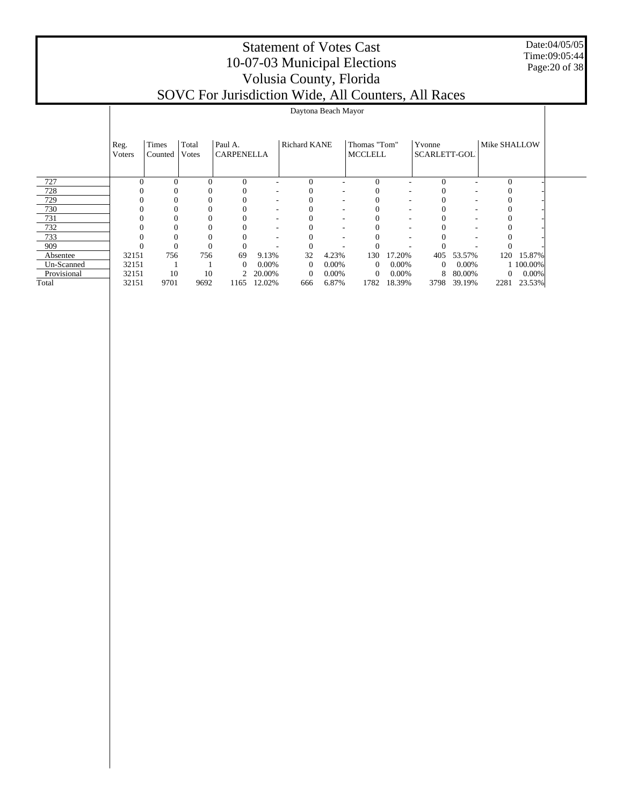#### Date:04/05/05 Time:09:05:44 Page:20 of 38

|             |                | Daytona Beach Mayor |                |                              |        |              |       |                                |        |                               |        |              |           |  |  |
|-------------|----------------|---------------------|----------------|------------------------------|--------|--------------|-------|--------------------------------|--------|-------------------------------|--------|--------------|-----------|--|--|
|             | Reg.<br>Voters | Times<br>Counted    | Total<br>Votes | Paul A.<br><b>CARPENELLA</b> |        | Richard KANE |       | Thomas "Tom"<br><b>MCCLELL</b> |        | Yvonne<br><b>SCARLETT-GOL</b> |        | Mike SHALLOW |           |  |  |
| 727         |                |                     | $\Omega$       | $\Omega$                     |        | $\theta$     |       | $\Omega$                       |        | $\Omega$                      |        | $\Omega$     |           |  |  |
| 728         |                |                     | $\Omega$       |                              |        |              |       |                                |        |                               |        |              |           |  |  |
| 729         |                |                     | $\Omega$       |                              |        |              |       |                                |        |                               |        |              |           |  |  |
| 730         |                |                     |                |                              |        |              |       |                                |        |                               |        |              |           |  |  |
| 731         |                |                     |                |                              |        |              |       |                                |        |                               |        |              |           |  |  |
| 732         |                |                     |                |                              |        |              |       |                                |        |                               |        |              |           |  |  |
| 733         |                |                     |                |                              |        |              |       |                                |        |                               |        |              |           |  |  |
| 909         |                |                     |                | $\theta$                     |        |              |       |                                |        |                               |        |              |           |  |  |
| Absentee    | 32151          | 756                 | 756            | 69                           | 9.13%  | 32           | 4.23% | 130                            | 17.20% | 405                           | 53.57% | 120          | 15.87%    |  |  |
| Un-Scanned  | 32151          |                     |                | $\mathbf{0}$                 | 0.00%  | $\Omega$     | 0.00% | $\theta$                       | 0.00%  | $\Omega$                      | 0.00%  |              | 1 100.00% |  |  |
| Provisional | 32151          | 10                  | 10             | 2                            | 20.00% | $\theta$     | 0.00% | $\mathbf{0}$                   | 0.00%  | 8                             | 80.00% | $\mathbf{0}$ | 0.00%     |  |  |
| Total       | 32151          | 9701                | 9692           | 1165                         | 12.02% | 666          | 6.87% | 1782                           | 18.39% | 3798                          | 39.19% | 2281         | 23.53%    |  |  |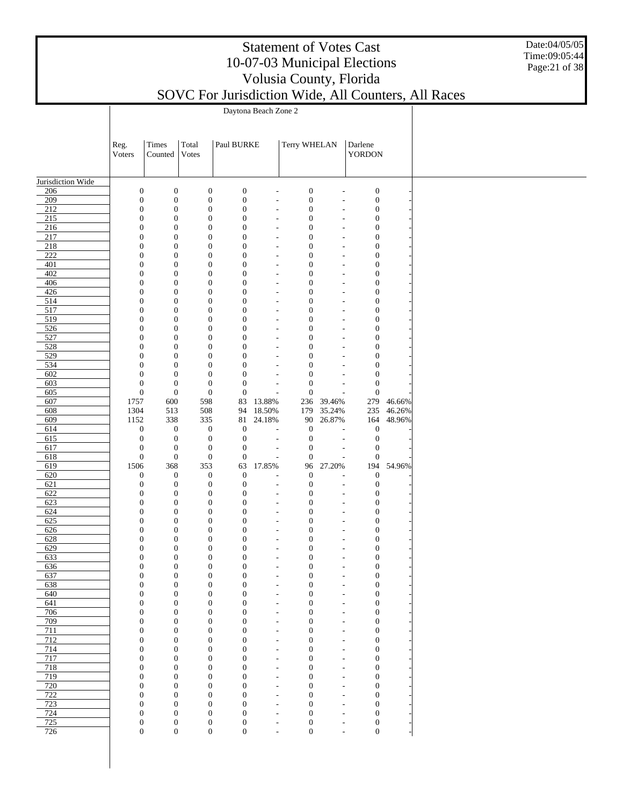| <b>Statement of Votes Cast</b>                                                                              |  |
|-------------------------------------------------------------------------------------------------------------|--|
| 10-07-03 Municipal Elections                                                                                |  |
| Volusia County, Florida                                                                                     |  |
| $\Gamma$ I $\sim$ 1 $\sim$ 1 $\sim$ 1 $\sim$ 1 $\sim$ 1 $\sim$ 1 $\sim$ 1 $\sim$ 1 $\sim$ 1 $\sim$ 1 $\sim$ |  |

Date:04/05/05 Time:09:05:44 Page:21 of 38

|                          |                                      | Daytona Beach Zone 2                 |                                      |                                      |                                                      |                                      |                                                      |                                      |        |  |  |  |  |  |
|--------------------------|--------------------------------------|--------------------------------------|--------------------------------------|--------------------------------------|------------------------------------------------------|--------------------------------------|------------------------------------------------------|--------------------------------------|--------|--|--|--|--|--|
|                          |                                      |                                      |                                      |                                      |                                                      |                                      |                                                      |                                      |        |  |  |  |  |  |
|                          |                                      |                                      |                                      | Paul BURKE                           |                                                      | Terry WHELAN                         |                                                      |                                      |        |  |  |  |  |  |
|                          | Reg.<br>Voters                       | Times<br>Counted                     | Total<br>Votes                       |                                      |                                                      |                                      |                                                      | Darlene<br>YORDON                    |        |  |  |  |  |  |
|                          |                                      |                                      |                                      |                                      |                                                      |                                      |                                                      |                                      |        |  |  |  |  |  |
|                          |                                      |                                      |                                      |                                      |                                                      |                                      |                                                      |                                      |        |  |  |  |  |  |
| Jurisdiction Wide<br>206 | $\boldsymbol{0}$                     | $\boldsymbol{0}$                     | $\boldsymbol{0}$                     | $\boldsymbol{0}$                     | $\overline{\phantom{a}}$                             | $\boldsymbol{0}$                     | $\overline{\phantom{a}}$                             | $\boldsymbol{0}$                     |        |  |  |  |  |  |
| 209                      | $\boldsymbol{0}$                     | $\boldsymbol{0}$                     | $\boldsymbol{0}$                     | $\boldsymbol{0}$                     | $\overline{\phantom{a}}$                             | $\boldsymbol{0}$                     | $\overline{\phantom{a}}$                             | $\boldsymbol{0}$                     |        |  |  |  |  |  |
| $\overline{212}$         | $\boldsymbol{0}$                     | $\boldsymbol{0}$                     | $\boldsymbol{0}$                     | $\boldsymbol{0}$                     | $\tilde{\phantom{a}}$                                | $\boldsymbol{0}$                     | $\overline{\phantom{a}}$                             | $\boldsymbol{0}$                     |        |  |  |  |  |  |
| $\overline{215}$         | $\boldsymbol{0}$                     | $\boldsymbol{0}$                     | $\boldsymbol{0}$                     | $\boldsymbol{0}$                     | $\tilde{\phantom{a}}$                                | $\mathbf{0}$                         | $\tilde{\phantom{a}}$                                | $\boldsymbol{0}$                     |        |  |  |  |  |  |
| 216<br>217               | $\boldsymbol{0}$<br>$\boldsymbol{0}$ | $\boldsymbol{0}$<br>$\boldsymbol{0}$ | $\boldsymbol{0}$<br>$\boldsymbol{0}$ | $\boldsymbol{0}$<br>$\mathbf{0}$     | $\overline{\phantom{a}}$<br>$\overline{\phantom{a}}$ | $\boldsymbol{0}$<br>$\mathbf{0}$     | $\overline{\phantom{a}}$<br>$\overline{\phantom{a}}$ | $\boldsymbol{0}$<br>$\boldsymbol{0}$ |        |  |  |  |  |  |
| 218                      | $\boldsymbol{0}$                     | $\boldsymbol{0}$                     | $\boldsymbol{0}$                     | $\boldsymbol{0}$                     | $\overline{\phantom{a}}$                             | $\boldsymbol{0}$                     | $\overline{\phantom{a}}$                             | $\boldsymbol{0}$                     |        |  |  |  |  |  |
| $\overline{222}$         | $\boldsymbol{0}$                     | $\boldsymbol{0}$                     | $\boldsymbol{0}$                     | $\mathbf{0}$                         | $\overline{\phantom{a}}$                             | $\mathbf{0}$                         | $\overline{a}$                                       | $\boldsymbol{0}$                     |        |  |  |  |  |  |
| 401                      | $\boldsymbol{0}$                     | $\boldsymbol{0}$                     | $\boldsymbol{0}$                     | $\boldsymbol{0}$                     | $\overline{\phantom{a}}$                             | $\boldsymbol{0}$                     | $\overline{\phantom{a}}$                             | $\boldsymbol{0}$                     |        |  |  |  |  |  |
| 402                      | $\boldsymbol{0}$                     | $\boldsymbol{0}$                     | $\boldsymbol{0}$                     | $\boldsymbol{0}$                     | $\overline{\phantom{a}}$                             | $\mathbf{0}$                         | $\overline{\phantom{a}}$                             | $\boldsymbol{0}$                     |        |  |  |  |  |  |
| 406<br>426               | $\boldsymbol{0}$<br>$\boldsymbol{0}$ | $\boldsymbol{0}$<br>$\boldsymbol{0}$ | $\boldsymbol{0}$<br>$\boldsymbol{0}$ | $\boldsymbol{0}$<br>$\mathbf{0}$     | $\tilde{\phantom{a}}$<br>$\overline{\phantom{a}}$    | $\boldsymbol{0}$<br>$\mathbf{0}$     | $\tilde{\phantom{a}}$<br>$\overline{\phantom{a}}$    | $\boldsymbol{0}$<br>$\boldsymbol{0}$ |        |  |  |  |  |  |
| 514                      | $\boldsymbol{0}$                     | $\boldsymbol{0}$                     | $\boldsymbol{0}$                     | $\boldsymbol{0}$                     | $\overline{\phantom{a}}$                             | $\boldsymbol{0}$                     | $\overline{\phantom{a}}$                             | $\boldsymbol{0}$                     |        |  |  |  |  |  |
| 517                      | $\boldsymbol{0}$                     | $\boldsymbol{0}$                     | $\boldsymbol{0}$                     | $\mathbf{0}$                         | $\overline{\phantom{a}}$                             | $\mathbf{0}$                         | $\overline{\phantom{a}}$                             | $\boldsymbol{0}$                     |        |  |  |  |  |  |
| $\overline{519}$         | $\boldsymbol{0}$                     | $\boldsymbol{0}$                     | $\boldsymbol{0}$                     | $\boldsymbol{0}$                     | $\overline{\phantom{a}}$                             | $\boldsymbol{0}$                     | $\overline{\phantom{a}}$                             | $\boldsymbol{0}$                     |        |  |  |  |  |  |
| 526<br>527               | $\boldsymbol{0}$                     | $\boldsymbol{0}$<br>$\boldsymbol{0}$ | $\boldsymbol{0}$                     | $\mathbf{0}$                         | $\overline{\phantom{a}}$                             | $\mathbf{0}$                         | $\overline{\phantom{a}}$                             | $\boldsymbol{0}$                     |        |  |  |  |  |  |
| 528                      | $\boldsymbol{0}$<br>$\boldsymbol{0}$ | $\boldsymbol{0}$                     | $\boldsymbol{0}$<br>$\boldsymbol{0}$ | $\boldsymbol{0}$<br>$\mathbf{0}$     | $\overline{\phantom{a}}$<br>$\overline{\phantom{a}}$ | $\boldsymbol{0}$<br>$\mathbf{0}$     | $\overline{\phantom{a}}$<br>$\overline{\phantom{a}}$ | $\boldsymbol{0}$<br>$\boldsymbol{0}$ |        |  |  |  |  |  |
| $\overline{529}$         | $\boldsymbol{0}$                     | $\boldsymbol{0}$                     | $\boldsymbol{0}$                     | $\boldsymbol{0}$                     | $\overline{\phantom{a}}$                             | $\boldsymbol{0}$                     | $\overline{\phantom{a}}$                             | $\boldsymbol{0}$                     |        |  |  |  |  |  |
| 534                      | $\boldsymbol{0}$                     | $\boldsymbol{0}$                     | $\boldsymbol{0}$                     | $\mathbf{0}$                         | $\overline{\phantom{a}}$                             | $\mathbf{0}$                         | $\overline{\phantom{a}}$                             | $\boldsymbol{0}$                     |        |  |  |  |  |  |
| 602                      | $\boldsymbol{0}$                     | $\boldsymbol{0}$                     | $\boldsymbol{0}$                     | $\boldsymbol{0}$                     | $\overline{\phantom{a}}$                             | $\boldsymbol{0}$                     | $\overline{a}$                                       | $\boldsymbol{0}$                     |        |  |  |  |  |  |
| 603<br>605               | $\boldsymbol{0}$<br>$\boldsymbol{0}$ | $\boldsymbol{0}$<br>$\mathbf{0}$     | $\boldsymbol{0}$<br>$\boldsymbol{0}$ | $\boldsymbol{0}$<br>$\boldsymbol{0}$ | $\overline{\phantom{a}}$<br>$\overline{a}$           | $\boldsymbol{0}$<br>$\boldsymbol{0}$ | $\overline{\phantom{a}}$<br>$\overline{\phantom{a}}$ | $\boldsymbol{0}$<br>$\boldsymbol{0}$ |        |  |  |  |  |  |
| 607                      | 1757                                 | 600                                  | 598                                  | 83                                   | 13.88%                                               | 236                                  | 39.46%                                               | 279                                  | 46.66% |  |  |  |  |  |
| 608                      | 1304                                 | 513                                  | 508                                  | 94                                   | 18.50%                                               | 179                                  | 35.24%                                               | 235                                  | 46.26% |  |  |  |  |  |
| 609                      | 1152                                 | 338                                  | 335                                  | 81                                   | 24.18%                                               | 90                                   | 26.87%                                               | 164                                  | 48.96% |  |  |  |  |  |
| 614                      | $\boldsymbol{0}$                     | $\boldsymbol{0}$                     | $\boldsymbol{0}$                     | $\boldsymbol{0}$                     | $\overline{a}$                                       | $\boldsymbol{0}$                     | $\overline{\phantom{a}}$                             | $\boldsymbol{0}$                     |        |  |  |  |  |  |
| 615<br>617               | $\boldsymbol{0}$<br>$\boldsymbol{0}$ | $\mathbf{0}$<br>$\mathbf{0}$         | $\boldsymbol{0}$<br>$\boldsymbol{0}$ | $\boldsymbol{0}$<br>$\boldsymbol{0}$ | $\overline{\phantom{a}}$<br>$\overline{\phantom{a}}$ | $\boldsymbol{0}$<br>$\boldsymbol{0}$ | $\overline{\phantom{a}}$<br>$\overline{\phantom{a}}$ | $\boldsymbol{0}$<br>$\mathbf{0}$     |        |  |  |  |  |  |
| 618                      | $\boldsymbol{0}$                     | $\mathbf{0}$                         | $\mathbf{0}$                         | $\boldsymbol{0}$                     | $\overline{\phantom{a}}$                             | $\boldsymbol{0}$                     | $\overline{a}$                                       | $\mathbf{0}$                         |        |  |  |  |  |  |
| 619                      | 1506                                 | 368                                  | 353                                  | 63                                   | 17.85%                                               | 96                                   | 27.20%                                               | 194                                  | 54.96% |  |  |  |  |  |
| 620                      | $\boldsymbol{0}$                     | $\boldsymbol{0}$                     | $\mathbf{0}$                         | $\boldsymbol{0}$                     | $\overline{a}$                                       | $\boldsymbol{0}$                     | $\overline{\phantom{a}}$                             | $\boldsymbol{0}$                     |        |  |  |  |  |  |
| 621                      | $\boldsymbol{0}$                     | $\boldsymbol{0}$                     | $\boldsymbol{0}$                     | $\boldsymbol{0}$<br>$\boldsymbol{0}$ | $\overline{\phantom{a}}$                             | $\boldsymbol{0}$                     | $\overline{\phantom{a}}$                             | $\boldsymbol{0}$                     |        |  |  |  |  |  |
| 622<br>623               | $\boldsymbol{0}$<br>$\boldsymbol{0}$ | $\boldsymbol{0}$<br>$\boldsymbol{0}$ | $\boldsymbol{0}$<br>$\boldsymbol{0}$ | $\boldsymbol{0}$                     | $\overline{\phantom{a}}$<br>$\overline{\phantom{a}}$ | $\boldsymbol{0}$<br>$\boldsymbol{0}$ | $\overline{\phantom{a}}$<br>$\overline{\phantom{a}}$ | $\mathbf{0}$<br>$\boldsymbol{0}$     |        |  |  |  |  |  |
| 624                      | $\boldsymbol{0}$                     | $\boldsymbol{0}$                     | $\boldsymbol{0}$                     | $\boldsymbol{0}$                     | $\overline{\phantom{a}}$                             | $\mathbf{0}$                         | $\overline{\phantom{a}}$                             | $\boldsymbol{0}$                     |        |  |  |  |  |  |
| 625                      | $\boldsymbol{0}$                     | $\boldsymbol{0}$                     | $\boldsymbol{0}$                     | $\boldsymbol{0}$                     | $\overline{\phantom{a}}$                             | $\boldsymbol{0}$                     | $\overline{\phantom{a}}$                             | $\boldsymbol{0}$                     |        |  |  |  |  |  |
| 626                      | $\boldsymbol{0}$                     | $\boldsymbol{0}$                     | $\boldsymbol{0}$                     | $\mathbf{0}$                         | $\overline{\phantom{a}}$                             | $\boldsymbol{0}$                     | $\overline{\phantom{a}}$                             | $\mathbf{0}$                         |        |  |  |  |  |  |
| 628<br>629               | $\boldsymbol{0}$<br>$\boldsymbol{0}$ | $\boldsymbol{0}$<br>$\boldsymbol{0}$ | $\boldsymbol{0}$<br>$\boldsymbol{0}$ | $\boldsymbol{0}$<br>$\boldsymbol{0}$ | $\overline{\phantom{a}}$<br>$\overline{\phantom{a}}$ | $\boldsymbol{0}$<br>$\boldsymbol{0}$ | $\overline{\phantom{a}}$<br>$\overline{\phantom{a}}$ | $\boldsymbol{0}$<br>$\boldsymbol{0}$ |        |  |  |  |  |  |
| 633                      | $\mathbf{0}$                         | $\overline{0}$                       | $\overline{0}$                       | $\boldsymbol{0}$                     | $\overline{\phantom{a}}$                             | $\boldsymbol{0}$                     | $\overline{\phantom{a}}$                             | $\boldsymbol{0}$                     |        |  |  |  |  |  |
| 636                      | $\boldsymbol{0}$                     | 0                                    | $\boldsymbol{0}$                     | $\boldsymbol{0}$                     | ٠                                                    | $\boldsymbol{0}$                     | ٠                                                    | $\boldsymbol{0}$                     |        |  |  |  |  |  |
| 637                      | $\boldsymbol{0}$                     | $\boldsymbol{0}$                     | $\boldsymbol{0}$                     | $\boldsymbol{0}$                     | $\overline{\phantom{a}}$                             | $\boldsymbol{0}$                     | $\overline{a}$                                       | $\boldsymbol{0}$                     |        |  |  |  |  |  |
| 638                      | $\boldsymbol{0}$                     | $\boldsymbol{0}$                     | $\mathbf{0}$                         | $\boldsymbol{0}$                     | $\overline{\phantom{a}}$                             | $\boldsymbol{0}$                     | $\overline{\phantom{a}}$                             | $\boldsymbol{0}$                     |        |  |  |  |  |  |
| 640<br>641               | $\boldsymbol{0}$<br>$\boldsymbol{0}$ | $\boldsymbol{0}$<br>$\boldsymbol{0}$ | $\boldsymbol{0}$<br>$\mathbf{0}$     | $\boldsymbol{0}$<br>$\boldsymbol{0}$ | $\overline{\phantom{a}}$<br>$\overline{\phantom{a}}$ | $\boldsymbol{0}$<br>$\boldsymbol{0}$ | $\overline{\phantom{a}}$<br>$\overline{\phantom{a}}$ | $\boldsymbol{0}$<br>$\boldsymbol{0}$ |        |  |  |  |  |  |
| 706                      | $\boldsymbol{0}$                     | $\boldsymbol{0}$                     | $\boldsymbol{0}$                     | $\boldsymbol{0}$                     | $\overline{\phantom{a}}$                             | $\boldsymbol{0}$                     | $\overline{\phantom{a}}$                             | $\boldsymbol{0}$                     |        |  |  |  |  |  |
| 709                      | $\boldsymbol{0}$                     | $\boldsymbol{0}$                     | $\mathbf{0}$                         | $\boldsymbol{0}$                     | $\overline{\phantom{a}}$                             | $\boldsymbol{0}$                     | $\overline{\phantom{a}}$                             | $\boldsymbol{0}$                     |        |  |  |  |  |  |
| 711                      | $\boldsymbol{0}$                     | $\boldsymbol{0}$                     | $\boldsymbol{0}$                     | $\boldsymbol{0}$                     | $\overline{\phantom{a}}$                             | $\boldsymbol{0}$                     | $\tilde{\phantom{a}}$                                | $\boldsymbol{0}$                     |        |  |  |  |  |  |
| 712                      | $\boldsymbol{0}$                     | $\boldsymbol{0}$                     | $\mathbf{0}$                         | $\boldsymbol{0}$                     | $\overline{\phantom{a}}$                             | $\boldsymbol{0}$                     | $\overline{\phantom{a}}$                             | $\boldsymbol{0}$                     |        |  |  |  |  |  |
| 714<br>717               | $\boldsymbol{0}$<br>$\boldsymbol{0}$ | $\boldsymbol{0}$<br>$\boldsymbol{0}$ | $\boldsymbol{0}$<br>$\mathbf{0}$     | $\boldsymbol{0}$<br>$\boldsymbol{0}$ | $\overline{\phantom{a}}$<br>$\overline{\phantom{a}}$ | $\boldsymbol{0}$<br>$\boldsymbol{0}$ | $\overline{\phantom{a}}$<br>$\overline{\phantom{a}}$ | $\boldsymbol{0}$<br>$\boldsymbol{0}$ |        |  |  |  |  |  |
| 718                      | $\boldsymbol{0}$                     | $\boldsymbol{0}$                     | $\boldsymbol{0}$                     | $\boldsymbol{0}$                     | $\overline{\phantom{a}}$                             | $\boldsymbol{0}$                     | $\tilde{\phantom{a}}$                                | $\boldsymbol{0}$                     |        |  |  |  |  |  |
| 719                      | $\boldsymbol{0}$                     | $\boldsymbol{0}$                     | $\mathbf{0}$                         | $\boldsymbol{0}$                     | $\overline{\phantom{a}}$                             | $\boldsymbol{0}$                     | $\tilde{\phantom{a}}$                                | $\boldsymbol{0}$                     |        |  |  |  |  |  |
| 720                      | $\boldsymbol{0}$                     | $\boldsymbol{0}$                     | $\boldsymbol{0}$                     | $\boldsymbol{0}$                     | $\tilde{\phantom{a}}$                                | $\boldsymbol{0}$                     | $\tilde{\phantom{a}}$                                | $\boldsymbol{0}$                     |        |  |  |  |  |  |
| $\overline{722}$<br>723  | $\boldsymbol{0}$<br>$\boldsymbol{0}$ | $\boldsymbol{0}$<br>$\boldsymbol{0}$ | $\mathbf{0}$<br>$\boldsymbol{0}$     | $\boldsymbol{0}$<br>$\boldsymbol{0}$ | $\overline{\phantom{a}}$                             | $\boldsymbol{0}$<br>$\boldsymbol{0}$ | $\overline{\phantom{a}}$                             | $\boldsymbol{0}$<br>$\boldsymbol{0}$ |        |  |  |  |  |  |
| 724                      | $\boldsymbol{0}$                     | $\boldsymbol{0}$                     | $\mathbf{0}$                         | $\boldsymbol{0}$                     | $\overline{\phantom{a}}$<br>$\overline{\phantom{a}}$ | $\boldsymbol{0}$                     | $\overline{\phantom{a}}$<br>$\overline{\phantom{a}}$ | $\boldsymbol{0}$                     |        |  |  |  |  |  |
| 725                      | $\boldsymbol{0}$                     | $\boldsymbol{0}$                     | $\boldsymbol{0}$                     | $\boldsymbol{0}$                     | $\overline{\phantom{a}}$                             | $\boldsymbol{0}$                     | ٠                                                    | $\boldsymbol{0}$                     |        |  |  |  |  |  |
| 726                      | $\boldsymbol{0}$                     | $\boldsymbol{0}$                     | $\overline{0}$                       | $\mathbf{0}$                         | $\tilde{\phantom{a}}$                                | $\boldsymbol{0}$                     | $\tilde{\phantom{a}}$                                | $\mathbf{0}$                         |        |  |  |  |  |  |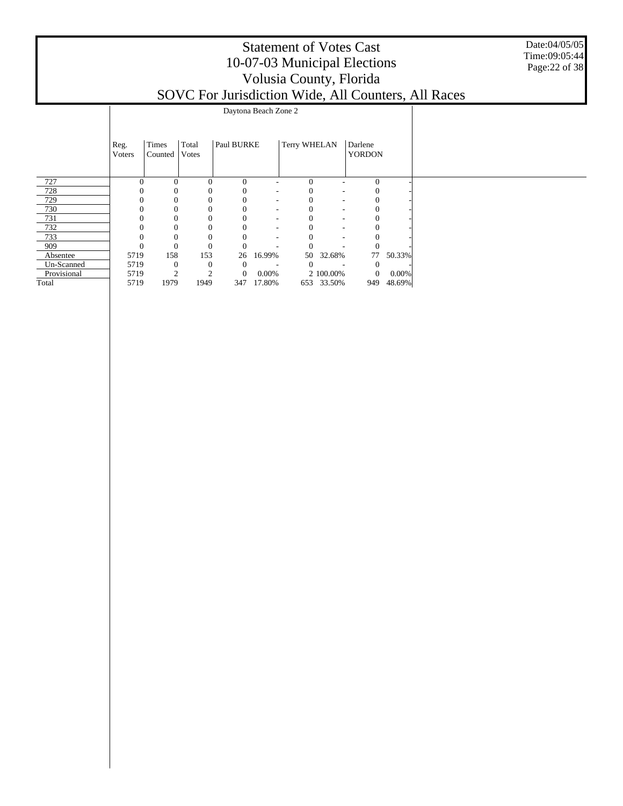| <b>Statement of Votes Cast</b>                      |
|-----------------------------------------------------|
| 10-07-03 Municipal Elections                        |
| Volusia County, Florida                             |
| SOVC For Jurisdiction Wide, All Counters, All Races |

Date:04/05/05 Time:09:05:44 Page:22 of 38

|             |          |                |                |                |                          |              | $\cdots$ $\cdots$ | - - - - - - - - |        |  |
|-------------|----------|----------------|----------------|----------------|--------------------------|--------------|-------------------|-----------------|--------|--|
|             |          |                |                |                | Daytona Beach Zone 2     |              |                   |                 |        |  |
|             |          |                |                |                |                          |              |                   |                 |        |  |
|             |          |                |                |                |                          |              |                   |                 |        |  |
|             | Reg.     | Times          | Total          | Paul BURKE     |                          | Terry WHELAN |                   | Darlene         |        |  |
|             | Voters   | Counted        | Votes          |                |                          |              |                   | <b>YORDON</b>   |        |  |
|             |          |                |                |                |                          |              |                   |                 |        |  |
|             |          |                |                |                |                          |              |                   |                 |        |  |
| 727         | $\theta$ | $\Omega$       | $\Omega$       | $\mathbf{0}$   | ٠                        | $\Omega$     | ۰                 | $\mathbf{0}$    |        |  |
| 728         |          |                | 0              | $\theta$       | ٠                        | $\Omega$     | -                 | 0               |        |  |
| 729         |          | 0              | 0              | $\mathbf{0}$   | ٠                        | 0            |                   | $\mathbf{0}$    |        |  |
| 730         |          |                |                | 0              | ٠                        |              | ٠                 |                 |        |  |
| 731         |          | $\Omega$       |                | $\Omega$       | $\overline{\phantom{a}}$ | 0            | ٠                 | $\Omega$        |        |  |
| 732         |          | $\Omega$       |                | 0              | ٠                        |              | ٠                 |                 |        |  |
| 733         |          | $\mathbf{0}$   |                | $\mathbf{0}$   | ٠                        |              | ٠                 | $\Omega$        |        |  |
| 909         |          | $\Omega$       |                | $\mathbf{0}$   |                          |              |                   | $\theta$        |        |  |
| Absentee    | 5719     | 158            | 153            | 26             | 16.99%                   | 50           | 32.68%            | 77              | 50.33% |  |
| Un-Scanned  | 5719     | $\theta$       | $\theta$       | $\overline{0}$ |                          | $\Omega$     |                   | $\theta$        |        |  |
| Provisional | 5719     | $\overline{2}$ | $\overline{2}$ | $\mathbf{0}$   | 0.00%                    |              | 2 100.00%         | $\mathbf{0}$    | 0.00%  |  |
| Total       | 5719     | 1979           | 1949           | 347            | 17.80%                   |              | 653 33.50%        | 949             | 48.69% |  |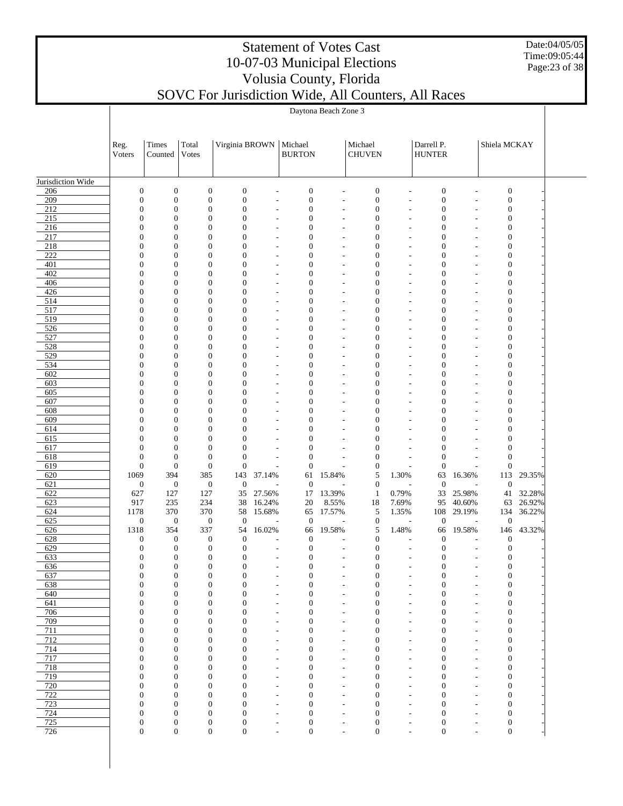Date:04/05/05 Time:09:05:44 Page:23 of 38

# Statement of Votes Cast 10-07-03 Municipal Elections Volusia County, Florida

| SOVC For Jurisdiction Wide, All Counters, All Races |  |  |  |
|-----------------------------------------------------|--|--|--|
|-----------------------------------------------------|--|--|--|

|                          | Daytona Beach Zone 3                 |                                  |                                      |                                      |                                                      |                                      |                          |                                      |                                                      |                                      |                               |                                      |            |  |
|--------------------------|--------------------------------------|----------------------------------|--------------------------------------|--------------------------------------|------------------------------------------------------|--------------------------------------|--------------------------|--------------------------------------|------------------------------------------------------|--------------------------------------|-------------------------------|--------------------------------------|------------|--|
|                          |                                      |                                  |                                      |                                      |                                                      |                                      |                          |                                      |                                                      |                                      |                               |                                      |            |  |
|                          |                                      |                                  |                                      |                                      |                                                      |                                      |                          |                                      |                                                      |                                      |                               |                                      |            |  |
|                          | Reg.<br>Voters                       | Times<br>Counted                 | Total<br>Votes                       | Virginia BROWN                       |                                                      | Michael<br><b>BURTON</b>             |                          | Michael<br><b>CHUVEN</b>             |                                                      | Darrell P.<br><b>HUNTER</b>          |                               | Shiela MCKAY                         |            |  |
|                          |                                      |                                  |                                      |                                      |                                                      |                                      |                          |                                      |                                                      |                                      |                               |                                      |            |  |
|                          |                                      |                                  |                                      |                                      |                                                      |                                      |                          |                                      |                                                      |                                      |                               |                                      |            |  |
| Jurisdiction Wide<br>206 | $\boldsymbol{0}$                     | $\boldsymbol{0}$                 | $\boldsymbol{0}$                     | $\boldsymbol{0}$                     |                                                      | $\boldsymbol{0}$                     |                          | $\boldsymbol{0}$                     |                                                      | $\boldsymbol{0}$                     |                               | $\boldsymbol{0}$                     |            |  |
| 209                      | $\boldsymbol{0}$                     | $\boldsymbol{0}$                 | $\boldsymbol{0}$                     | $\boldsymbol{0}$                     |                                                      | $\boldsymbol{0}$                     |                          | $\boldsymbol{0}$                     |                                                      | $\boldsymbol{0}$                     |                               | $\boldsymbol{0}$                     |            |  |
| 212                      | $\mathbf{0}$                         | $\overline{0}$                   | $\boldsymbol{0}$                     | $\boldsymbol{0}$                     | $\overline{\phantom{a}}$                             | $\boldsymbol{0}$                     | ÷,                       | $\boldsymbol{0}$                     | $\overline{\phantom{a}}$                             | $\boldsymbol{0}$                     |                               | $\boldsymbol{0}$                     |            |  |
| 215<br>216               | $\mathbf{0}$<br>$\theta$             | $\overline{0}$<br>$\overline{0}$ | $\boldsymbol{0}$<br>$\mathbf{0}$     | $\boldsymbol{0}$<br>$\mathbf{0}$     |                                                      | $\boldsymbol{0}$<br>$\boldsymbol{0}$ |                          | $\boldsymbol{0}$<br>$\boldsymbol{0}$ |                                                      | $\boldsymbol{0}$<br>$\boldsymbol{0}$ |                               | $\boldsymbol{0}$<br>$\mathbf{0}$     |            |  |
| 217                      | $\mathbf{0}$                         | $\overline{0}$                   | $\boldsymbol{0}$                     | $\boldsymbol{0}$                     |                                                      | $\boldsymbol{0}$                     |                          | $\boldsymbol{0}$                     |                                                      | $\boldsymbol{0}$                     |                               | $\boldsymbol{0}$                     |            |  |
| 218                      | $\Omega$                             | $\overline{0}$                   | $\mathbf{0}$                         | $\mathbf{0}$                         |                                                      | $\boldsymbol{0}$                     |                          | $\boldsymbol{0}$                     |                                                      | $\boldsymbol{0}$                     |                               | $\boldsymbol{0}$                     |            |  |
| 222<br>401               | $\mathbf{0}$<br>$\Omega$             | $\overline{0}$<br>$\overline{0}$ | $\boldsymbol{0}$<br>$\mathbf{0}$     | $\boldsymbol{0}$<br>$\mathbf{0}$     | ٠                                                    | $\boldsymbol{0}$<br>$\boldsymbol{0}$ | ٠                        | $\boldsymbol{0}$<br>$\boldsymbol{0}$ | ÷,                                                   | $\boldsymbol{0}$<br>$\boldsymbol{0}$ |                               | $\boldsymbol{0}$<br>$\mathbf{0}$     |            |  |
| 402                      | $\mathbf{0}$                         | $\overline{0}$                   | $\boldsymbol{0}$                     | $\boldsymbol{0}$                     |                                                      | $\boldsymbol{0}$                     |                          | $\boldsymbol{0}$                     |                                                      | $\boldsymbol{0}$                     |                               | $\boldsymbol{0}$                     |            |  |
| 406                      | $\Omega$                             | $\overline{0}$                   | $\mathbf{0}$                         | $\mathbf{0}$                         | ÷,                                                   | $\boldsymbol{0}$                     | ٠                        | $\boldsymbol{0}$                     | ÷,                                                   | $\boldsymbol{0}$                     |                               | $\boldsymbol{0}$                     |            |  |
| 426<br>514               | $\mathbf{0}$<br>$\theta$             | $\overline{0}$<br>$\overline{0}$ | $\boldsymbol{0}$<br>$\mathbf{0}$     | $\boldsymbol{0}$<br>$\mathbf{0}$     |                                                      | $\boldsymbol{0}$<br>$\boldsymbol{0}$ |                          | $\boldsymbol{0}$<br>$\boldsymbol{0}$ |                                                      | $\boldsymbol{0}$<br>$\boldsymbol{0}$ |                               | $\boldsymbol{0}$<br>$\mathbf{0}$     |            |  |
| 517                      | $\mathbf{0}$                         | $\overline{0}$                   | $\boldsymbol{0}$                     | $\boldsymbol{0}$                     |                                                      | $\boldsymbol{0}$                     |                          | $\boldsymbol{0}$                     |                                                      | $\boldsymbol{0}$                     |                               | $\boldsymbol{0}$                     |            |  |
| 519                      | $\Omega$                             | $\overline{0}$                   | $\boldsymbol{0}$                     | $\mathbf{0}$                         | ٠                                                    | $\boldsymbol{0}$                     |                          | $\boldsymbol{0}$                     | ٠                                                    | $\boldsymbol{0}$                     |                               | $\boldsymbol{0}$                     |            |  |
| 526<br>527               | $\mathbf{0}$<br>$\theta$             | $\overline{0}$<br>$\overline{0}$ | $\boldsymbol{0}$<br>$\mathbf{0}$     | $\boldsymbol{0}$<br>$\mathbf{0}$     |                                                      | $\boldsymbol{0}$<br>$\boldsymbol{0}$ |                          | $\boldsymbol{0}$<br>$\boldsymbol{0}$ |                                                      | $\boldsymbol{0}$<br>$\boldsymbol{0}$ |                               | $\boldsymbol{0}$<br>$\boldsymbol{0}$ |            |  |
| 528                      | $\mathbf{0}$                         | $\overline{0}$                   | $\boldsymbol{0}$                     | $\boldsymbol{0}$                     | $\overline{\phantom{a}}$                             | $\boldsymbol{0}$                     | ٠                        | $\boldsymbol{0}$                     | ÷,                                                   | $\boldsymbol{0}$                     |                               | $\boldsymbol{0}$                     |            |  |
| 529                      | $\Omega$                             | $\overline{0}$                   | $\mathbf{0}$                         | $\mathbf{0}$                         | ٠                                                    | $\boldsymbol{0}$                     |                          | $\boldsymbol{0}$                     | ٠                                                    | $\boldsymbol{0}$                     |                               | $\boldsymbol{0}$                     |            |  |
| 534                      | $\mathbf{0}$                         | $\overline{0}$                   | $\boldsymbol{0}$                     | $\boldsymbol{0}$                     |                                                      | $\boldsymbol{0}$                     |                          | $\boldsymbol{0}$                     |                                                      | $\boldsymbol{0}$                     |                               | $\boldsymbol{0}$                     |            |  |
| 602<br>603               | $\theta$<br>$\mathbf{0}$             | $\overline{0}$<br>$\overline{0}$ | $\mathbf{0}$<br>$\boldsymbol{0}$     | $\mathbf{0}$<br>$\boldsymbol{0}$     |                                                      | $\boldsymbol{0}$<br>$\boldsymbol{0}$ |                          | $\boldsymbol{0}$<br>$\boldsymbol{0}$ |                                                      | $\boldsymbol{0}$<br>$\boldsymbol{0}$ |                               | $\overline{0}$<br>$\boldsymbol{0}$   |            |  |
| 605                      | $\Omega$                             | $\overline{0}$                   | $\boldsymbol{0}$                     | $\mathbf{0}$                         | ٠                                                    | $\boldsymbol{0}$                     |                          | $\boldsymbol{0}$                     | ÷,                                                   | $\boldsymbol{0}$                     |                               | $\boldsymbol{0}$                     |            |  |
| 607                      | $\mathbf{0}$                         | $\overline{0}$                   | $\boldsymbol{0}$                     | $\boldsymbol{0}$                     |                                                      | $\boldsymbol{0}$                     |                          | $\boldsymbol{0}$                     |                                                      | $\boldsymbol{0}$                     |                               | $\boldsymbol{0}$                     |            |  |
| 608<br>609               | $\theta$<br>$\mathbf{0}$             | $\overline{0}$<br>$\overline{0}$ | $\mathbf{0}$<br>$\boldsymbol{0}$     | $\mathbf{0}$<br>$\boldsymbol{0}$     | $\overline{\phantom{a}}$                             | $\boldsymbol{0}$<br>$\boldsymbol{0}$ |                          | $\boldsymbol{0}$<br>$\boldsymbol{0}$ | ÷,                                                   | $\boldsymbol{0}$<br>$\boldsymbol{0}$ |                               | $\overline{0}$<br>$\boldsymbol{0}$   |            |  |
| 614                      | $\Omega$                             | $\overline{0}$                   | $\mathbf{0}$                         | $\mathbf{0}$                         | ٠                                                    | $\boldsymbol{0}$                     |                          | $\boldsymbol{0}$                     |                                                      | $\boldsymbol{0}$                     |                               | $\boldsymbol{0}$                     |            |  |
| 615                      | $\mathbf{0}$                         | $\overline{0}$                   | $\boldsymbol{0}$                     | $\boldsymbol{0}$                     |                                                      | $\boldsymbol{0}$                     |                          | $\boldsymbol{0}$                     |                                                      | $\boldsymbol{0}$                     |                               | $\boldsymbol{0}$                     |            |  |
| 617<br>618               | $\mathbf{0}$<br>$\boldsymbol{0}$     | $\overline{0}$<br>$\overline{0}$ | $\mathbf{0}$<br>$\overline{0}$       | $\overline{0}$<br>$\boldsymbol{0}$   |                                                      | $\boldsymbol{0}$<br>$\boldsymbol{0}$ |                          | $\overline{0}$<br>$\boldsymbol{0}$   |                                                      | $\boldsymbol{0}$<br>$\boldsymbol{0}$ |                               | $\overline{0}$<br>$\boldsymbol{0}$   |            |  |
| 619                      | $\boldsymbol{0}$                     | $\boldsymbol{0}$                 | $\mathbf{0}$                         | $\boldsymbol{0}$                     |                                                      | $\boldsymbol{0}$                     |                          | $\boldsymbol{0}$                     |                                                      | $\mathbf{0}$                         |                               | $\boldsymbol{0}$                     |            |  |
| 620                      | 1069                                 | 394                              | 385                                  | 143                                  | 37.14%                                               | 61                                   | 15.84%                   | 5                                    | 1.30%                                                | 63                                   | 16.36%                        | 113                                  | 29.35%     |  |
| 621<br>622               | $\boldsymbol{0}$<br>627              | $\boldsymbol{0}$<br>127          | $\mathbf{0}$<br>127                  | $\boldsymbol{0}$<br>35               | 27.56%                                               | $\mathbf{0}$<br>17                   | 13.39%                   | $\boldsymbol{0}$<br>$\mathbf{1}$     | 0.79%                                                | $\boldsymbol{0}$<br>33               | 25.98%                        | $\boldsymbol{0}$<br>41               | 32.28%     |  |
| 623                      | 917                                  | 235                              | 234                                  | 38                                   | 16.24%                                               | 20                                   | 8.55%                    | 18                                   | 7.69%                                                | 95                                   | 40.60%                        | 63                                   | 26.92%     |  |
| 624                      | 1178                                 | 370                              | 370                                  | 58                                   | 15.68%                                               | 65                                   | 17.57%                   | 5                                    | 1.35%                                                | 108                                  | 29.19%                        |                                      | 134 36.22% |  |
| 625                      | $\boldsymbol{0}$                     | $\boldsymbol{0}$                 | $\mathbf{0}$                         | $\boldsymbol{0}$<br>54               |                                                      | $\boldsymbol{0}$                     |                          | $\boldsymbol{0}$                     |                                                      | $\boldsymbol{0}$                     |                               | $\boldsymbol{0}$                     |            |  |
| 626<br>628               | 1318<br>$\boldsymbol{0}$             | 354<br>$\boldsymbol{0}$          | 337<br>$\boldsymbol{0}$              | $\boldsymbol{0}$                     | 16.02%                                               | 66<br>$\mathbf{0}$                   | 19.58%                   | 5<br>$\boldsymbol{0}$                | 1.48%                                                | 66<br>$\mathbf{0}$                   | 19.58%                        | 146<br>$\boldsymbol{0}$              | 43.32%     |  |
| 629                      | $\boldsymbol{0}$                     | $\boldsymbol{0}$                 | $\mathbf{0}$                         | $\boldsymbol{0}$                     | $\overline{a}$                                       | $\boldsymbol{0}$                     |                          | $\boldsymbol{0}$                     | $\overline{a}$                                       | $\boldsymbol{0}$                     |                               | $\boldsymbol{0}$                     |            |  |
| 633                      | $\Omega$                             | $\Omega$                         | $\mathbf{0}$                         | $\mathbf{0}$                         |                                                      | $\Omega$                             |                          | $\theta$                             |                                                      | $\Omega$                             |                               | $\theta$                             |            |  |
| 636<br>637               | $\boldsymbol{0}$<br>$\boldsymbol{0}$ | $\boldsymbol{0}$<br>$\mathbf{0}$ | $\boldsymbol{0}$<br>$\boldsymbol{0}$ | $\boldsymbol{0}$<br>$\boldsymbol{0}$ | $\overline{\phantom{a}}$                             | $\boldsymbol{0}$<br>$\boldsymbol{0}$ | $\overline{\phantom{a}}$ | $\boldsymbol{0}$<br>$\boldsymbol{0}$ | $\overline{\phantom{a}}$                             | $\boldsymbol{0}$<br>$\boldsymbol{0}$ | $\overline{\phantom{a}}$      | $\boldsymbol{0}$<br>$\boldsymbol{0}$ |            |  |
| 638                      | $\boldsymbol{0}$                     | $\mathbf{0}$                     | $\boldsymbol{0}$                     | $\boldsymbol{0}$                     | ٠                                                    | $\boldsymbol{0}$                     | ٠                        | $\boldsymbol{0}$                     | ٠                                                    | $\boldsymbol{0}$                     | ٠                             | $\boldsymbol{0}$                     |            |  |
| 640                      | $\boldsymbol{0}$                     | $\theta$                         | $\boldsymbol{0}$                     | $\boldsymbol{0}$                     | $\overline{\phantom{a}}$                             | $\boldsymbol{0}$                     | ٠                        | $\boldsymbol{0}$                     | $\overline{\phantom{a}}$                             | $\boldsymbol{0}$                     | ٠                             | $\boldsymbol{0}$                     |            |  |
| 641<br>706               | $\boldsymbol{0}$<br>$\boldsymbol{0}$ | $\mathbf{0}$<br>$\theta$         | $\boldsymbol{0}$<br>$\boldsymbol{0}$ | $\boldsymbol{0}$<br>$\boldsymbol{0}$ | $\overline{\phantom{a}}$<br>$\overline{\phantom{a}}$ | $\boldsymbol{0}$<br>$\boldsymbol{0}$ | ٠<br>٠                   | $\boldsymbol{0}$<br>$\boldsymbol{0}$ | $\overline{\phantom{a}}$<br>$\overline{\phantom{a}}$ | $\boldsymbol{0}$<br>$\boldsymbol{0}$ | ٠<br>٠                        | $\boldsymbol{0}$<br>$\boldsymbol{0}$ |            |  |
| 709                      | $\boldsymbol{0}$                     | $\mathbf{0}$                     | $\boldsymbol{0}$                     | $\boldsymbol{0}$                     | ٠                                                    | $\boldsymbol{0}$                     |                          | $\boldsymbol{0}$                     | ٠                                                    | $\boldsymbol{0}$                     |                               | $\boldsymbol{0}$                     |            |  |
| 711                      | $\boldsymbol{0}$                     | $\mathbf{0}$                     | $\boldsymbol{0}$                     | $\boldsymbol{0}$                     | $\overline{\phantom{a}}$                             | $\boldsymbol{0}$                     | ٠                        | $\boldsymbol{0}$                     | ٠                                                    | $\boldsymbol{0}$                     | ٠                             | $\boldsymbol{0}$                     |            |  |
| 712<br>714               | $\boldsymbol{0}$<br>$\boldsymbol{0}$ | $\mathbf{0}$<br>$\mathbf{0}$     | $\boldsymbol{0}$<br>$\boldsymbol{0}$ | $\boldsymbol{0}$<br>$\boldsymbol{0}$ | ٠<br>$\overline{\phantom{a}}$                        | $\boldsymbol{0}$<br>$\boldsymbol{0}$ | ٠                        | $\boldsymbol{0}$<br>$\boldsymbol{0}$ | ٠<br>$\overline{\phantom{a}}$                        | $\boldsymbol{0}$<br>$\boldsymbol{0}$ | ٠                             | $\boldsymbol{0}$<br>$\boldsymbol{0}$ |            |  |
| 717                      | $\boldsymbol{0}$                     | $\mathbf{0}$                     | $\boldsymbol{0}$                     | $\boldsymbol{0}$                     | ٠                                                    | $\boldsymbol{0}$                     | ٠                        | $\boldsymbol{0}$                     | ٠                                                    | $\boldsymbol{0}$                     | ٠                             | $\boldsymbol{0}$                     |            |  |
| 718                      | $\boldsymbol{0}$                     | $\mathbf{0}$                     | $\boldsymbol{0}$                     | $\boldsymbol{0}$                     | $\overline{\phantom{a}}$                             | $\boldsymbol{0}$                     | $\overline{\phantom{a}}$ | $\boldsymbol{0}$                     | $\overline{\phantom{a}}$                             | $\boldsymbol{0}$                     | $\overline{\phantom{a}}$      | $\boldsymbol{0}$                     |            |  |
| 719<br>720               | $\boldsymbol{0}$<br>$\overline{0}$   | $\mathbf{0}$<br>$\mathbf{0}$     | $\boldsymbol{0}$<br>$\boldsymbol{0}$ | $\boldsymbol{0}$<br>$\boldsymbol{0}$ | $\overline{\phantom{a}}$                             | $\boldsymbol{0}$<br>$\boldsymbol{0}$ | ٠                        | $\boldsymbol{0}$<br>$\boldsymbol{0}$ | $\overline{\phantom{a}}$                             | $\boldsymbol{0}$<br>$\boldsymbol{0}$ | ٠                             | $\boldsymbol{0}$<br>$\boldsymbol{0}$ |            |  |
| 722                      | $\boldsymbol{0}$                     | $\mathbf{0}$                     | $\boldsymbol{0}$                     | $\boldsymbol{0}$                     | $\overline{\phantom{a}}$<br>٠                        | $\boldsymbol{0}$                     | ٠                        | $\boldsymbol{0}$                     | $\overline{\phantom{a}}$<br>٠                        | $\boldsymbol{0}$                     | ٠                             | $\boldsymbol{0}$                     |            |  |
| 723                      | $\boldsymbol{0}$                     | $\overline{0}$                   | $\boldsymbol{0}$                     | $\boldsymbol{0}$                     | $\overline{\phantom{a}}$                             | $\boldsymbol{0}$                     | ٠                        | $\boldsymbol{0}$                     | $\overline{\phantom{a}}$                             | $\boldsymbol{0}$                     | ٠                             | $\boldsymbol{0}$                     |            |  |
| 724<br>725               | $\boldsymbol{0}$<br>$\boldsymbol{0}$ | $\mathbf{0}$<br>$\boldsymbol{0}$ | $\boldsymbol{0}$<br>$\boldsymbol{0}$ | $\boldsymbol{0}$<br>$\boldsymbol{0}$ | ٠                                                    | $\boldsymbol{0}$<br>$\boldsymbol{0}$ | ٠                        | $\boldsymbol{0}$<br>$\boldsymbol{0}$ | ٠                                                    | $\boldsymbol{0}$<br>$\boldsymbol{0}$ |                               | $\boldsymbol{0}$<br>$\boldsymbol{0}$ |            |  |
| 726                      | $\boldsymbol{0}$                     | $\boldsymbol{0}$                 | $\boldsymbol{0}$                     | $\boldsymbol{0}$                     | $\overline{\phantom{a}}$<br>÷,                       | $\boldsymbol{0}$                     | ٠<br>÷,                  | $\boldsymbol{0}$                     | ٠<br>÷                                               | $\boldsymbol{0}$                     | ٠<br>$\overline{\phantom{a}}$ | $\boldsymbol{0}$                     |            |  |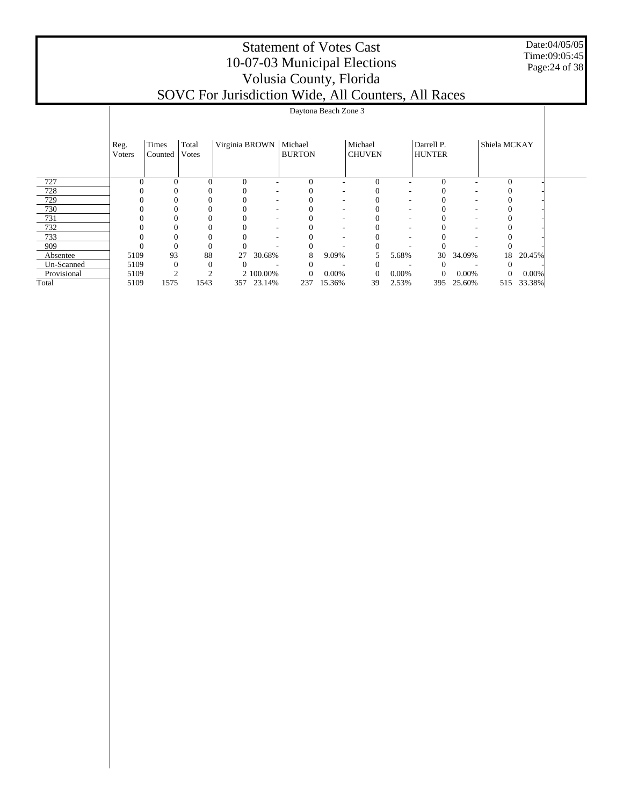Date:04/05/05 Time:09:05:45 Page:24 of 38

|             | Daytona Beach Zone 3   |                  |                |                          |            |               |        |                          |       |                             |        |                  |          |  |
|-------------|------------------------|------------------|----------------|--------------------------|------------|---------------|--------|--------------------------|-------|-----------------------------|--------|------------------|----------|--|
|             | Reg.<br><b>V</b> oters | Times<br>Counted | Total<br>Votes | Virginia BROWN   Michael |            | <b>BURTON</b> |        | Michael<br><b>CHUVEN</b> |       | Darrell P.<br><b>HUNTER</b> |        | Shiela MCKAY     |          |  |
| 727         |                        | $\Omega$         | $\Omega$       | $\Omega$                 |            | $\Omega$      |        | $\Omega$                 |       | 0                           |        | $\Omega$         |          |  |
| 728         |                        | 0                |                |                          | ۰          |               | ٠      | 0                        |       |                             |        |                  |          |  |
| 729         |                        | 0                |                |                          | ۰          |               | ٠      |                          |       |                             | ۰      |                  |          |  |
| 730         |                        | 0                |                |                          | ٠          |               | ٠      |                          | ۰     |                             | ۰      |                  |          |  |
| 731         |                        | 0                |                |                          | ٠          |               | ٠      | $\Omega$                 | ۰     |                             | ۰      |                  |          |  |
| 732         |                        | 0                |                |                          | ٠          |               | ٠      |                          |       |                             | ۰      |                  |          |  |
| 733         |                        | $\Omega$         |                |                          | ۰          |               | ۰      |                          |       |                             | ۰      |                  |          |  |
| 909         |                        | $\Omega$         | $\Omega$       |                          |            | $\Omega$      |        | $\Omega$                 |       |                             |        |                  |          |  |
| Absentee    | 5109                   | 93               | 88             | 27                       | 30.68%     | 8             | 9.09%  |                          | 5.68% | 30                          | 34.09% | 18               | 20.45%   |  |
| Un-Scanned  | 5109                   | $\Omega$         | $\Omega$       |                          |            | $\Omega$      |        | 0                        |       | $\theta$                    |        | 0                |          |  |
| Provisional | 5109                   | ◠                |                |                          | 2 100.00%  | $\mathbf{0}$  | 0.00%  | $\theta$                 | 0.00% | $\mathbf{0}$                | 0.00%  | $\boldsymbol{0}$ | $0.00\%$ |  |
| Total       | 5109                   | 1575             | 1543           |                          | 357 23.14% | 237           | 15.36% | 39                       | 2.53% | 395                         | 25.60% | 515              | 33.38%   |  |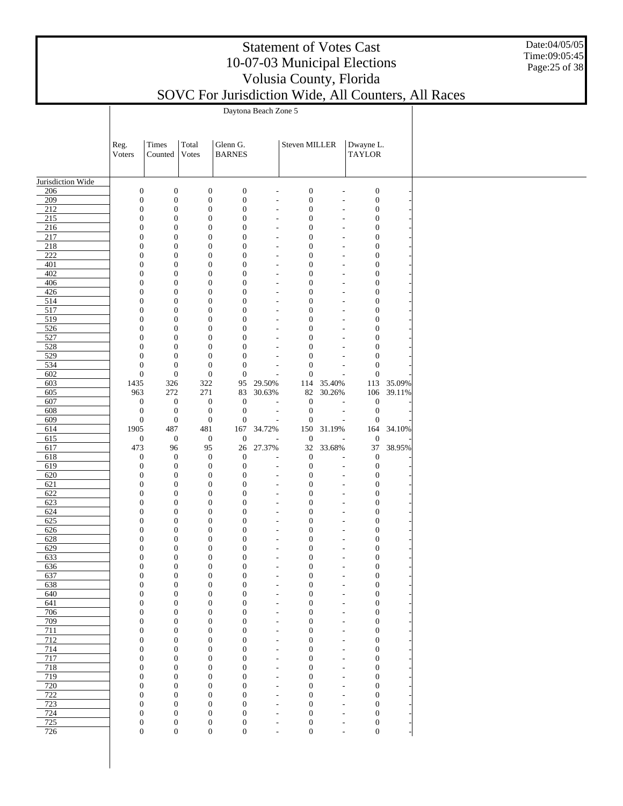Date:04/05/05 Time:09:05:45 Page:25 of 38

|                         |                                      | Daytona Beach Zone 5                 |                                      |                                      |                                                      |                                      |                                                      |                                      |        |  |
|-------------------------|--------------------------------------|--------------------------------------|--------------------------------------|--------------------------------------|------------------------------------------------------|--------------------------------------|------------------------------------------------------|--------------------------------------|--------|--|
|                         |                                      |                                      |                                      |                                      |                                                      |                                      |                                                      |                                      |        |  |
|                         |                                      |                                      |                                      |                                      |                                                      |                                      |                                                      |                                      |        |  |
|                         | Reg.<br>Voters                       | Times<br>Counted                     | Total<br>Votes                       | Glenn G.<br><b>BARNES</b>            |                                                      | Steven MILLER                        |                                                      | Dwayne L.<br><b>TAYLOR</b>           |        |  |
|                         |                                      |                                      |                                      |                                      |                                                      |                                      |                                                      |                                      |        |  |
|                         |                                      |                                      |                                      |                                      |                                                      |                                      |                                                      |                                      |        |  |
| Jurisdiction Wide       |                                      |                                      |                                      |                                      |                                                      |                                      |                                                      |                                      |        |  |
| 206<br>209              | $\boldsymbol{0}$<br>$\boldsymbol{0}$ | $\boldsymbol{0}$<br>$\boldsymbol{0}$ | $\boldsymbol{0}$<br>$\boldsymbol{0}$ | $\boldsymbol{0}$<br>$\boldsymbol{0}$ | $\overline{\phantom{a}}$<br>$\overline{\phantom{a}}$ | $\boldsymbol{0}$<br>$\boldsymbol{0}$ | $\overline{a}$<br>$\overline{\phantom{a}}$           | $\boldsymbol{0}$<br>$\boldsymbol{0}$ |        |  |
| $\overline{212}$        | $\boldsymbol{0}$                     | $\boldsymbol{0}$                     | $\boldsymbol{0}$                     | $\boldsymbol{0}$                     | $\overline{\phantom{a}}$                             | $\boldsymbol{0}$                     | $\overline{\phantom{a}}$                             | $\boldsymbol{0}$                     |        |  |
| 215                     | $\boldsymbol{0}$                     | $\boldsymbol{0}$                     | $\boldsymbol{0}$                     | $\boldsymbol{0}$                     | $\overline{\phantom{a}}$                             | $\boldsymbol{0}$                     | $\overline{\phantom{a}}$                             | $\boldsymbol{0}$                     |        |  |
| 216                     | $\boldsymbol{0}$                     | $\boldsymbol{0}$                     | $\boldsymbol{0}$                     | $\boldsymbol{0}$                     | $\overline{\phantom{a}}$                             | $\boldsymbol{0}$                     | ÷,                                                   | $\boldsymbol{0}$                     |        |  |
| 217                     | $\boldsymbol{0}$                     | $\boldsymbol{0}$                     | $\boldsymbol{0}$                     | $\boldsymbol{0}$                     | $\overline{\phantom{a}}$                             | $\boldsymbol{0}$                     | $\overline{\phantom{a}}$                             | $\boldsymbol{0}$                     |        |  |
| 218<br>$\overline{222}$ | $\boldsymbol{0}$<br>$\boldsymbol{0}$ | $\boldsymbol{0}$<br>$\boldsymbol{0}$ | $\boldsymbol{0}$<br>$\boldsymbol{0}$ | $\boldsymbol{0}$<br>$\boldsymbol{0}$ | $\overline{\phantom{a}}$<br>$\overline{\phantom{a}}$ | $\boldsymbol{0}$<br>$\boldsymbol{0}$ | $\overline{a}$<br>$\overline{\phantom{a}}$           | $\boldsymbol{0}$<br>$\boldsymbol{0}$ |        |  |
| 401                     | $\boldsymbol{0}$                     | $\boldsymbol{0}$                     | $\boldsymbol{0}$                     | $\boldsymbol{0}$                     | $\overline{\phantom{a}}$                             | $\boldsymbol{0}$                     | $\overline{a}$                                       | $\boldsymbol{0}$                     |        |  |
| 402                     | $\boldsymbol{0}$                     | $\boldsymbol{0}$                     | $\boldsymbol{0}$                     | $\boldsymbol{0}$                     | $\overline{\phantom{a}}$                             | $\boldsymbol{0}$                     | $\overline{\phantom{a}}$                             | $\boldsymbol{0}$                     |        |  |
| 406                     | $\boldsymbol{0}$                     | $\boldsymbol{0}$                     | $\boldsymbol{0}$                     | $\boldsymbol{0}$                     | $\overline{\phantom{a}}$                             | $\boldsymbol{0}$                     | ÷,                                                   | $\boldsymbol{0}$                     |        |  |
| 426<br>514              | $\boldsymbol{0}$<br>$\boldsymbol{0}$ | $\boldsymbol{0}$<br>$\boldsymbol{0}$ | $\boldsymbol{0}$<br>$\boldsymbol{0}$ | $\boldsymbol{0}$<br>$\boldsymbol{0}$ | $\overline{\phantom{a}}$<br>$\overline{\phantom{a}}$ | $\boldsymbol{0}$<br>$\boldsymbol{0}$ | $\overline{\phantom{a}}$<br>÷,                       | $\boldsymbol{0}$<br>$\boldsymbol{0}$ |        |  |
| 517                     | $\boldsymbol{0}$                     | $\boldsymbol{0}$                     | $\boldsymbol{0}$                     | $\boldsymbol{0}$                     | $\overline{\phantom{a}}$                             | $\boldsymbol{0}$                     | $\overline{\phantom{a}}$                             | $\boldsymbol{0}$                     |        |  |
| 519                     | $\boldsymbol{0}$                     | $\boldsymbol{0}$                     | $\boldsymbol{0}$                     | $\boldsymbol{0}$                     | $\overline{\phantom{a}}$                             | $\boldsymbol{0}$                     | ÷,                                                   | $\boldsymbol{0}$                     |        |  |
| 526                     | $\boldsymbol{0}$                     | $\boldsymbol{0}$                     | $\boldsymbol{0}$                     | $\boldsymbol{0}$                     | $\overline{\phantom{a}}$                             | $\boldsymbol{0}$                     | $\overline{\phantom{a}}$                             | $\boldsymbol{0}$                     |        |  |
| 527                     | $\boldsymbol{0}$                     | $\boldsymbol{0}$                     | $\boldsymbol{0}$                     | $\boldsymbol{0}$                     | $\overline{\phantom{a}}$                             | $\boldsymbol{0}$                     | $\overline{a}$                                       | $\boldsymbol{0}$                     |        |  |
| 528<br>529              | $\boldsymbol{0}$<br>$\boldsymbol{0}$ | $\mathbf{0}$<br>$\boldsymbol{0}$     | $\boldsymbol{0}$<br>$\boldsymbol{0}$ | $\boldsymbol{0}$<br>$\boldsymbol{0}$ | $\overline{\phantom{a}}$<br>$\overline{\phantom{a}}$ | $\boldsymbol{0}$<br>$\boldsymbol{0}$ | $\overline{\phantom{a}}$<br>$\overline{a}$           | $\boldsymbol{0}$<br>$\boldsymbol{0}$ |        |  |
| 534                     | $\boldsymbol{0}$                     | $\boldsymbol{0}$                     | $\boldsymbol{0}$                     | $\boldsymbol{0}$                     | $\overline{\phantom{a}}$                             | $\boldsymbol{0}$                     | $\overline{\phantom{a}}$                             | $\boldsymbol{0}$                     |        |  |
| 602                     | $\boldsymbol{0}$                     | $\boldsymbol{0}$                     | $\boldsymbol{0}$                     | $\boldsymbol{0}$                     | L,                                                   | $\boldsymbol{0}$                     | L.                                                   | $\boldsymbol{0}$                     |        |  |
| 603                     | 1435                                 | 326                                  | 322                                  | 95                                   | 29.50%                                               | 114                                  | 35.40%                                               | 113                                  | 35.09% |  |
| 605                     | 963                                  | 272                                  | 271                                  | 83                                   | 30.63%                                               | 82                                   | 30.26%                                               | 106                                  | 39.11% |  |
| 607<br>608              | $\boldsymbol{0}$<br>$\boldsymbol{0}$ | $\boldsymbol{0}$<br>$\mathbf{0}$     | $\boldsymbol{0}$<br>$\mathbf{0}$     | $\boldsymbol{0}$<br>$\boldsymbol{0}$ | $\overline{\phantom{a}}$<br>$\overline{\phantom{a}}$ | $\boldsymbol{0}$<br>$\boldsymbol{0}$ | $\overline{\phantom{a}}$<br>$\overline{\phantom{a}}$ | $\boldsymbol{0}$<br>$\mathbf{0}$     |        |  |
| 609                     | $\boldsymbol{0}$                     | $\mathbf{0}$                         | $\boldsymbol{0}$                     | $\boldsymbol{0}$                     | $\overline{\phantom{a}}$                             | $\boldsymbol{0}$                     | ÷,                                                   | $\boldsymbol{0}$                     |        |  |
| 614                     | 1905                                 | 487                                  | 481                                  | 167                                  | 34.72%                                               | 150                                  | 31.19%                                               | 164                                  | 34.10% |  |
| 615                     | $\boldsymbol{0}$                     | $\boldsymbol{0}$                     | $\mathbf{0}$                         | $\mathbf{0}$                         |                                                      | $\boldsymbol{0}$                     |                                                      | $\boldsymbol{0}$                     |        |  |
| 617<br>618              | 473                                  | 96<br>$\boldsymbol{0}$               | 95<br>$\mathbf{0}$                   | 26                                   | 27.37%                                               | $32\,$                               | 33.68%                                               | 37                                   | 38.95% |  |
| 619                     | $\boldsymbol{0}$<br>$\boldsymbol{0}$ | $\boldsymbol{0}$                     | $\boldsymbol{0}$                     | $\boldsymbol{0}$<br>$\boldsymbol{0}$ | $\overline{a}$<br>$\overline{\phantom{a}}$           | $\boldsymbol{0}$<br>$\boldsymbol{0}$ | $\overline{a}$<br>÷,                                 | $\boldsymbol{0}$<br>$\boldsymbol{0}$ |        |  |
| 620                     | $\boldsymbol{0}$                     | $\boldsymbol{0}$                     | $\boldsymbol{0}$                     | $\mathbf{0}$                         | $\overline{\phantom{a}}$                             | $\boldsymbol{0}$                     | $\overline{\phantom{a}}$                             | $\boldsymbol{0}$                     |        |  |
| 621                     | $\boldsymbol{0}$                     | $\boldsymbol{0}$                     | $\boldsymbol{0}$                     | $\boldsymbol{0}$                     | $\overline{\phantom{a}}$                             | $\boldsymbol{0}$                     | $\overline{\phantom{a}}$                             | $\boldsymbol{0}$                     |        |  |
| 622                     | $\boldsymbol{0}$                     | $\boldsymbol{0}$                     | $\boldsymbol{0}$                     | $\boldsymbol{0}$                     | $\overline{\phantom{a}}$                             | $\boldsymbol{0}$                     | $\overline{\phantom{a}}$                             | $\boldsymbol{0}$                     |        |  |
| 623<br>624              | $\boldsymbol{0}$<br>$\boldsymbol{0}$ | $\boldsymbol{0}$<br>$\boldsymbol{0}$ | $\boldsymbol{0}$<br>$\boldsymbol{0}$ | $\boldsymbol{0}$<br>$\boldsymbol{0}$ | $\overline{\phantom{a}}$<br>$\overline{\phantom{a}}$ | $\boldsymbol{0}$<br>$\boldsymbol{0}$ | ÷,<br>$\overline{\phantom{a}}$                       | $\boldsymbol{0}$<br>$\boldsymbol{0}$ |        |  |
| 625                     | $\boldsymbol{0}$                     | $\boldsymbol{0}$                     | $\boldsymbol{0}$                     | $\boldsymbol{0}$                     | $\overline{\phantom{a}}$                             | $\boldsymbol{0}$                     | $\overline{a}$                                       | $\boldsymbol{0}$                     |        |  |
| 626                     | $\boldsymbol{0}$                     | $\boldsymbol{0}$                     | $\boldsymbol{0}$                     | $\boldsymbol{0}$                     | $\overline{\phantom{a}}$                             | $\boldsymbol{0}$                     | $\overline{\phantom{a}}$                             | $\boldsymbol{0}$                     |        |  |
| 628                     | $\boldsymbol{0}$                     | $\boldsymbol{0}$                     | $\boldsymbol{0}$                     | $\boldsymbol{0}$                     | $\overline{\phantom{a}}$                             | $\boldsymbol{0}$                     | $\overline{a}$                                       | $\boldsymbol{0}$                     |        |  |
| 629                     | $\boldsymbol{0}$                     | $\boldsymbol{0}$                     | $\boldsymbol{0}$                     | $\boldsymbol{0}$                     | $\overline{\phantom{a}}$                             | $\boldsymbol{0}$                     | $\overline{\phantom{a}}$                             | $\boldsymbol{0}$                     |        |  |
| 633<br>636              | $\boldsymbol{0}$<br>$\boldsymbol{0}$ | $\overline{0}$<br>$\boldsymbol{0}$   | $\boldsymbol{0}$<br>$\boldsymbol{0}$ | $\boldsymbol{0}$<br>$\mathbf{0}$     | $\overline{\phantom{a}}$<br>$\overline{a}$           | $\boldsymbol{0}$<br>$\boldsymbol{0}$ | ÷,<br>$\overline{a}$                                 | $\boldsymbol{0}$<br>$\mathbf{0}$     |        |  |
| 637                     | $\boldsymbol{0}$                     | $\boldsymbol{0}$                     | $\boldsymbol{0}$                     | $\boldsymbol{0}$                     | $\overline{\phantom{a}}$                             | $\boldsymbol{0}$                     | ÷,                                                   | $\boldsymbol{0}$                     |        |  |
| 638                     | $\boldsymbol{0}$                     | $\boldsymbol{0}$                     | $\mathbf{0}$                         | $\mathbf{0}$                         | $\overline{\phantom{a}}$                             | $\boldsymbol{0}$                     | $\overline{\phantom{a}}$                             | $\mathbf{0}$                         |        |  |
| 640                     | $\boldsymbol{0}$                     | $\boldsymbol{0}$                     | $\mathbf{0}$                         | $\boldsymbol{0}$                     | $\overline{\phantom{a}}$                             | $\boldsymbol{0}$                     | $\overline{a}$                                       | $\mathbf{0}$                         |        |  |
| 641<br>706              | $\boldsymbol{0}$                     | $\mathbf{0}$<br>$\mathbf{0}$         | $\mathbf{0}$<br>$\mathbf{0}$         | $\boldsymbol{0}$                     | $\overline{\phantom{a}}$                             | $\boldsymbol{0}$                     | $\overline{\phantom{a}}$                             | $\mathbf{0}$                         |        |  |
| 709                     | $\boldsymbol{0}$<br>$\boldsymbol{0}$ | $\mathbf{0}$                         | $\mathbf{0}$                         | $\boldsymbol{0}$<br>$\boldsymbol{0}$ | $\overline{\phantom{a}}$<br>$\overline{\phantom{a}}$ | $\boldsymbol{0}$<br>$\boldsymbol{0}$ | $\overline{\phantom{a}}$<br>$\overline{\phantom{a}}$ | $\boldsymbol{0}$<br>$\mathbf{0}$     |        |  |
| 711                     | $\boldsymbol{0}$                     | $\boldsymbol{0}$                     | $\mathbf{0}$                         | $\boldsymbol{0}$                     | $\overline{\phantom{a}}$                             | $\boldsymbol{0}$                     | $\overline{\phantom{a}}$                             | $\boldsymbol{0}$                     |        |  |
| 712                     | $\boldsymbol{0}$                     | $\mathbf{0}$                         | $\mathbf{0}$                         | $\boldsymbol{0}$                     | $\overline{\phantom{a}}$                             | $\boldsymbol{0}$                     | $\overline{\phantom{a}}$                             | $\boldsymbol{0}$                     |        |  |
| 714                     | $\boldsymbol{0}$                     | $\mathbf{0}$                         | $\mathbf{0}$                         | $\boldsymbol{0}$                     | $\overline{\phantom{a}}$                             | $\boldsymbol{0}$                     | $\overline{a}$                                       | $\boldsymbol{0}$                     |        |  |
| 717<br>718              | $\boldsymbol{0}$<br>$\boldsymbol{0}$ | $\mathbf{0}$<br>$\boldsymbol{0}$     | $\mathbf{0}$<br>$\mathbf{0}$         | $\mathbf{0}$<br>$\boldsymbol{0}$     | $\overline{\phantom{a}}$<br>$\overline{\phantom{a}}$ | $\boldsymbol{0}$<br>$\boldsymbol{0}$ | $\overline{\phantom{a}}$<br>$\overline{a}$           | $\mathbf{0}$<br>$\boldsymbol{0}$     |        |  |
| 719                     | $\boldsymbol{0}$                     | $\mathbf{0}$                         | $\mathbf{0}$                         | $\boldsymbol{0}$                     | $\overline{\phantom{a}}$                             | $\boldsymbol{0}$                     | $\overline{\phantom{a}}$                             | $\boldsymbol{0}$                     |        |  |
| 720                     | $\boldsymbol{0}$                     | $\boldsymbol{0}$                     | $\mathbf{0}$                         | $\boldsymbol{0}$                     | $\overline{\phantom{a}}$                             | $\boldsymbol{0}$                     | $\overline{a}$                                       | $\boldsymbol{0}$                     |        |  |
| 722                     | $\boldsymbol{0}$                     | $\mathbf{0}$                         | $\mathbf{0}$                         | $\boldsymbol{0}$                     | $\overline{\phantom{a}}$                             | $\boldsymbol{0}$                     | $\overline{\phantom{a}}$                             | $\mathbf{0}$                         |        |  |
| 723                     | $\boldsymbol{0}$                     | $\mathbf{0}$                         | $\mathbf{0}$                         | $\boldsymbol{0}$                     | $\overline{\phantom{a}}$                             | $\boldsymbol{0}$                     | $\overline{\phantom{a}}$                             | $\boldsymbol{0}$                     |        |  |
| 724<br>725              | $\boldsymbol{0}$<br>$\boldsymbol{0}$ | $\mathbf{0}$<br>$\boldsymbol{0}$     | $\mathbf{0}$<br>$\boldsymbol{0}$     | $\boldsymbol{0}$<br>$\boldsymbol{0}$ | $\overline{\phantom{a}}$<br>$\overline{\phantom{a}}$ | $\boldsymbol{0}$<br>$\boldsymbol{0}$ | $\overline{\phantom{a}}$<br>$\overline{a}$           | $\boldsymbol{0}$<br>$\boldsymbol{0}$ |        |  |
| 726                     | $\boldsymbol{0}$                     | $\boldsymbol{0}$                     | $\overline{0}$                       | $\mathbf{0}$                         | $\overline{\phantom{a}}$                             | $\boldsymbol{0}$                     | $\overline{\phantom{a}}$                             | $\boldsymbol{0}$                     |        |  |
|                         |                                      |                                      |                                      |                                      |                                                      |                                      |                                                      |                                      |        |  |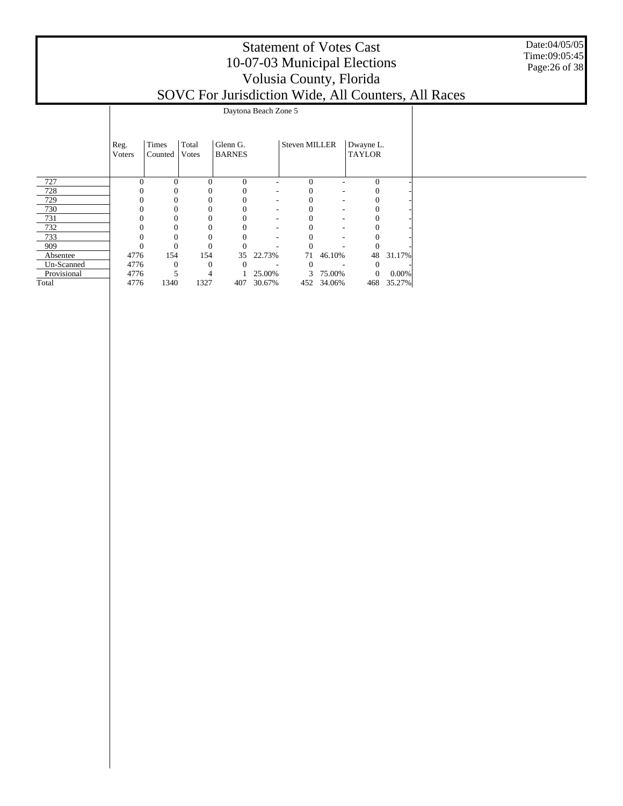Date:04/05/05 Time:09:05:45 Page:26 of 38

|             |                        |                  |                |                           |        |                      |          |                            |        | SOVC For Jurisdiction Wide, All Counters, All Races |
|-------------|------------------------|------------------|----------------|---------------------------|--------|----------------------|----------|----------------------------|--------|-----------------------------------------------------|
|             |                        |                  |                | Daytona Beach Zone 5      |        |                      |          |                            |        |                                                     |
|             | Reg.<br><b>V</b> oters | Times<br>Counted | Total<br>Votes | Glenn G.<br><b>BARNES</b> |        | <b>Steven MILLER</b> |          | Dwayne L.<br><b>TAYLOR</b> |        |                                                     |
| 727         | $\Omega$               | $\Omega$         | 0              | $\Omega$                  |        | 0                    | ۰        | $\Omega$                   |        |                                                     |
| 728         |                        | $\theta$         |                | 0                         |        | 0                    | ۰        |                            |        |                                                     |
| 729         |                        | $\Omega$         |                | $\mathbf{0}$              | ۰      |                      | ۰        |                            |        |                                                     |
| 730         |                        | $\Omega$         |                | $\Omega$                  | ۰      |                      | ۰        |                            |        |                                                     |
| 731         |                        | 0                |                | $\mathbf{0}$              | ۰      |                      | ۰        |                            |        |                                                     |
| 732         |                        |                  |                | $\Omega$                  | ٠      |                      |          |                            |        |                                                     |
| 733         |                        | 0                |                | $\Omega$                  | ۰      |                      | ۰        |                            |        |                                                     |
| 909         | $\overline{0}$         | $\theta$         |                | $\Omega$                  |        |                      |          |                            |        |                                                     |
| Absentee    | 4776                   | 154              | 154            | 35                        | 22.73% | 71                   | 46.10%   | 48                         | 31.17% |                                                     |
| Un-Scanned  | 4776                   | $\Omega$         |                | $\left($                  |        |                      |          | $\theta$                   |        |                                                     |
| Provisional | 4776                   | 5                |                |                           | 25.00% |                      | 3 75.00% | $\mathbf{0}$               | 0.00%  |                                                     |
| Total       | 4776                   | 1340             | 1327           | 407                       | 30.67% | 452                  | 34.06%   | 468                        | 35.27% |                                                     |
|             |                        |                  |                |                           |        |                      |          |                            |        |                                                     |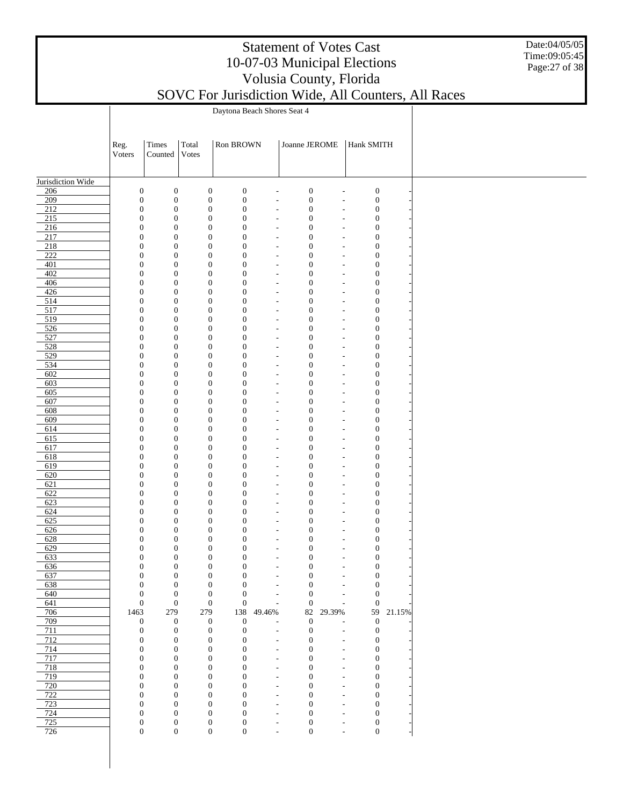| <b>Statement of Votes Cast</b>                                                                                                                                           |  |
|--------------------------------------------------------------------------------------------------------------------------------------------------------------------------|--|
| 10-07-03 Municipal Elections                                                                                                                                             |  |
| Volusia County, Florida                                                                                                                                                  |  |
| $\Gamma_{2}$ $\sim$ $\Gamma_{2}$ $\sim$ $\Lambda$ $\Gamma_{2}$ $\sim$ $\sim$ $\Lambda$ $\Gamma$ $\Gamma_{3}$ $\sim$ $\sim$ $\Lambda$ $\Gamma$ $\Gamma_{3}$ $\sim$ $\sim$ |  |

Date:04/05/05 Time:09:05:45 Page:27 of 38

| SOVC For Jurisdiction Wide, All Counters, All Races |  |
|-----------------------------------------------------|--|

|                                      |                                      |                                      |       |                                      |                                      | Daytona Beach Shores Seat 4                |                                      |                                            |                                      |        |
|--------------------------------------|--------------------------------------|--------------------------------------|-------|--------------------------------------|--------------------------------------|--------------------------------------------|--------------------------------------|--------------------------------------------|--------------------------------------|--------|
|                                      |                                      |                                      |       |                                      |                                      |                                            |                                      |                                            |                                      |        |
|                                      |                                      | Times                                | Total |                                      | Ron BROWN                            |                                            | Joanne JEROME                        |                                            | Hank SMITH                           |        |
|                                      | Reg.<br>Voters                       | $\operatorname{Counted}$             | Votes |                                      |                                      |                                            |                                      |                                            |                                      |        |
|                                      |                                      |                                      |       |                                      |                                      |                                            |                                      |                                            |                                      |        |
| Jurisdiction Wide                    |                                      |                                      |       |                                      |                                      |                                            |                                      |                                            |                                      |        |
| 206                                  | $\boldsymbol{0}$                     | $\boldsymbol{0}$                     |       | $\boldsymbol{0}$                     | $\boldsymbol{0}$                     | $\overline{a}$                             | $\boldsymbol{0}$                     | $\overline{a}$                             | $\boldsymbol{0}$                     |        |
| 209                                  | $\boldsymbol{0}$                     | $\boldsymbol{0}$                     |       | $\boldsymbol{0}$                     | $\boldsymbol{0}$                     | ÷,                                         | $\boldsymbol{0}$                     | $\overline{a}$                             | $\boldsymbol{0}$                     |        |
| $\overline{212}$                     | $\boldsymbol{0}$                     | $\boldsymbol{0}$                     |       | $\boldsymbol{0}$                     | $\boldsymbol{0}$                     | $\overline{a}$                             | $\boldsymbol{0}$                     | $\overline{a}$                             | $\boldsymbol{0}$                     |        |
| $\overline{215}$<br>$\overline{216}$ | $\boldsymbol{0}$<br>$\boldsymbol{0}$ | $\boldsymbol{0}$<br>$\boldsymbol{0}$ |       | $\boldsymbol{0}$<br>$\boldsymbol{0}$ | $\boldsymbol{0}$<br>$\boldsymbol{0}$ | $\overline{a}$<br>$\overline{a}$           | $\boldsymbol{0}$<br>$\boldsymbol{0}$ | $\overline{a}$<br>÷,                       | $\boldsymbol{0}$<br>$\boldsymbol{0}$ |        |
| $\overline{217}$                     | $\boldsymbol{0}$                     | $\boldsymbol{0}$                     |       | $\boldsymbol{0}$                     | $\boldsymbol{0}$                     | $\overline{\phantom{a}}$                   | $\boldsymbol{0}$                     | ÷,                                         | $\boldsymbol{0}$                     |        |
| $\overline{218}$                     | $\boldsymbol{0}$                     | $\boldsymbol{0}$                     |       | $\boldsymbol{0}$                     | $\boldsymbol{0}$                     | L,                                         | $\boldsymbol{0}$                     | ÷,                                         | $\boldsymbol{0}$                     |        |
| $\overline{222}$                     | $\boldsymbol{0}$                     | $\boldsymbol{0}$                     |       | $\boldsymbol{0}$                     | $\boldsymbol{0}$                     | $\overline{\phantom{a}}$                   | $\boldsymbol{0}$                     | $\overline{a}$                             | $\boldsymbol{0}$                     |        |
| 401<br>402                           | $\boldsymbol{0}$<br>$\boldsymbol{0}$ | $\boldsymbol{0}$<br>$\boldsymbol{0}$ |       | $\boldsymbol{0}$<br>$\boldsymbol{0}$ | $\boldsymbol{0}$<br>$\boldsymbol{0}$ | $\overline{a}$<br>$\overline{a}$           | $\boldsymbol{0}$<br>$\boldsymbol{0}$ | $\overline{a}$<br>$\overline{a}$           | $\boldsymbol{0}$<br>$\boldsymbol{0}$ |        |
| 406                                  | $\boldsymbol{0}$                     | $\boldsymbol{0}$                     |       | $\boldsymbol{0}$                     | $\boldsymbol{0}$                     | $\overline{a}$                             | $\boldsymbol{0}$                     | $\overline{a}$                             | $\boldsymbol{0}$                     |        |
| 426                                  | $\boldsymbol{0}$                     | $\boldsymbol{0}$                     |       | $\boldsymbol{0}$                     | $\boldsymbol{0}$                     | $\overline{a}$                             | $\boldsymbol{0}$                     | $\overline{a}$                             | $\boldsymbol{0}$                     |        |
| 514                                  | $\boldsymbol{0}$                     | $\boldsymbol{0}$                     |       | $\boldsymbol{0}$                     | $\boldsymbol{0}$                     | $\overline{a}$                             | $\boldsymbol{0}$                     | ÷,                                         | $\boldsymbol{0}$                     |        |
| 517                                  | $\boldsymbol{0}$                     | $\boldsymbol{0}$                     |       | $\boldsymbol{0}$                     | $\boldsymbol{0}$                     | $\overline{\phantom{a}}$                   | $\boldsymbol{0}$                     | ÷,                                         | $\boldsymbol{0}$                     |        |
| 519<br>526                           | $\boldsymbol{0}$<br>$\boldsymbol{0}$ | $\boldsymbol{0}$<br>$\boldsymbol{0}$ |       | $\boldsymbol{0}$<br>$\boldsymbol{0}$ | $\boldsymbol{0}$<br>$\boldsymbol{0}$ | L,<br>$\overline{\phantom{a}}$             | $\boldsymbol{0}$<br>$\boldsymbol{0}$ | ÷,<br>÷,                                   | $\boldsymbol{0}$<br>$\boldsymbol{0}$ |        |
| 527                                  | $\boldsymbol{0}$                     | $\boldsymbol{0}$                     |       | $\boldsymbol{0}$                     | $\boldsymbol{0}$                     | $\overline{a}$                             | $\boldsymbol{0}$                     | ÷,                                         | $\boldsymbol{0}$                     |        |
| 528                                  | $\boldsymbol{0}$                     | $\boldsymbol{0}$                     |       | $\boldsymbol{0}$                     | $\boldsymbol{0}$                     | $\overline{a}$                             | $\boldsymbol{0}$                     | $\overline{a}$                             | $\boldsymbol{0}$                     |        |
| 529                                  | $\boldsymbol{0}$                     | $\boldsymbol{0}$                     |       | $\boldsymbol{0}$                     | $\boldsymbol{0}$                     | $\overline{a}$                             | $\boldsymbol{0}$                     | $\overline{a}$                             | $\boldsymbol{0}$                     |        |
| 534<br>602                           | $\boldsymbol{0}$<br>$\boldsymbol{0}$ | $\boldsymbol{0}$<br>$\boldsymbol{0}$ |       | $\boldsymbol{0}$<br>$\boldsymbol{0}$ | $\boldsymbol{0}$<br>$\boldsymbol{0}$ | $\overline{a}$<br>$\overline{a}$           | $\boldsymbol{0}$<br>$\boldsymbol{0}$ | $\overline{a}$<br>$\overline{a}$           | $\boldsymbol{0}$<br>$\boldsymbol{0}$ |        |
| 603                                  | $\boldsymbol{0}$                     | $\boldsymbol{0}$                     |       | $\boldsymbol{0}$                     | $\boldsymbol{0}$                     | $\overline{\phantom{a}}$                   | $\boldsymbol{0}$                     | ÷,                                         | $\boldsymbol{0}$                     |        |
| 605                                  | $\boldsymbol{0}$                     | $\boldsymbol{0}$                     |       | $\boldsymbol{0}$                     | $\boldsymbol{0}$                     | L,                                         | $\boldsymbol{0}$                     | ÷,                                         | $\boldsymbol{0}$                     |        |
| 607                                  | $\boldsymbol{0}$                     | $\boldsymbol{0}$                     |       | $\boldsymbol{0}$                     | $\boldsymbol{0}$                     | $\overline{\phantom{a}}$                   | $\boldsymbol{0}$                     | ÷,                                         | $\boldsymbol{0}$                     |        |
| 608                                  | $\boldsymbol{0}$                     | $\boldsymbol{0}$                     |       | $\boldsymbol{0}$                     | $\boldsymbol{0}$                     | $\overline{a}$                             | $\boldsymbol{0}$                     | ÷,                                         | $\boldsymbol{0}$                     |        |
| 609<br>614                           | $\boldsymbol{0}$<br>$\boldsymbol{0}$ | $\boldsymbol{0}$<br>$\boldsymbol{0}$ |       | $\boldsymbol{0}$<br>$\boldsymbol{0}$ | $\boldsymbol{0}$<br>$\boldsymbol{0}$ | $\overline{a}$<br>$\overline{a}$           | $\boldsymbol{0}$<br>$\boldsymbol{0}$ | $\overline{a}$<br>$\overline{a}$           | $\boldsymbol{0}$<br>$\boldsymbol{0}$ |        |
| 615                                  | $\boldsymbol{0}$                     | $\boldsymbol{0}$                     |       | $\boldsymbol{0}$                     | $\boldsymbol{0}$                     | $\overline{a}$                             | $\boldsymbol{0}$                     | $\overline{a}$                             | $\boldsymbol{0}$                     |        |
| 617                                  | $\boldsymbol{0}$                     | $\boldsymbol{0}$                     |       | $\boldsymbol{0}$                     | $\boldsymbol{0}$                     | $\overline{a}$                             | $\boldsymbol{0}$                     | $\overline{a}$                             | $\boldsymbol{0}$                     |        |
| 618                                  | $\boldsymbol{0}$                     | $\boldsymbol{0}$                     |       | $\boldsymbol{0}$                     | $\boldsymbol{0}$                     | $\overline{\phantom{a}}$                   | $\boldsymbol{0}$                     | $\overline{a}$                             | $\boldsymbol{0}$                     |        |
| 619<br>620                           | $\boldsymbol{0}$<br>$\boldsymbol{0}$ | $\boldsymbol{0}$<br>$\boldsymbol{0}$ |       | $\boldsymbol{0}$<br>$\boldsymbol{0}$ | $\boldsymbol{0}$<br>$\boldsymbol{0}$ | L,                                         | $\boldsymbol{0}$<br>$\boldsymbol{0}$ | ÷,<br>÷,                                   | $\boldsymbol{0}$<br>$\boldsymbol{0}$ |        |
| 621                                  | $\boldsymbol{0}$                     | $\boldsymbol{0}$                     |       | $\boldsymbol{0}$                     | $\boldsymbol{0}$                     | $\overline{\phantom{a}}$<br>L,             | $\boldsymbol{0}$                     | ÷,                                         | $\boldsymbol{0}$                     |        |
| 622                                  | $\boldsymbol{0}$                     | $\boldsymbol{0}$                     |       | $\boldsymbol{0}$                     | $\boldsymbol{0}$                     | $\overline{a}$                             | $\boldsymbol{0}$                     | $\overline{a}$                             | $\boldsymbol{0}$                     |        |
| 623                                  | $\boldsymbol{0}$                     | $\boldsymbol{0}$                     |       | $\boldsymbol{0}$                     | $\boldsymbol{0}$                     | $\overline{a}$                             | $\boldsymbol{0}$                     | $\overline{a}$                             | $\boldsymbol{0}$                     |        |
| 624                                  | $\boldsymbol{0}$                     | $\boldsymbol{0}$                     |       | $\boldsymbol{0}$                     | $\boldsymbol{0}$                     | $\overline{a}$                             | $\boldsymbol{0}$                     | $\overline{a}$                             | $\boldsymbol{0}$                     |        |
| 625<br>626                           | $\boldsymbol{0}$<br>$\boldsymbol{0}$ | $\boldsymbol{0}$<br>$\boldsymbol{0}$ |       | $\boldsymbol{0}$<br>$\boldsymbol{0}$ | $\boldsymbol{0}$<br>$\boldsymbol{0}$ | $\overline{a}$<br>$\overline{\phantom{a}}$ | $\boldsymbol{0}$<br>$\boldsymbol{0}$ | $\overline{a}$<br>$\overline{a}$           | $\boldsymbol{0}$<br>$\boldsymbol{0}$ |        |
| 628                                  | $\boldsymbol{0}$                     | $\boldsymbol{0}$                     |       | $\boldsymbol{0}$                     | $\boldsymbol{0}$                     | $\overline{a}$                             | $\boldsymbol{0}$                     | ÷,                                         | $\boldsymbol{0}$                     |        |
| 629                                  | $\boldsymbol{0}$                     | $\boldsymbol{0}$                     |       | $\boldsymbol{0}$                     | $\boldsymbol{0}$                     | $\overline{\phantom{a}}$                   | $\boldsymbol{0}$                     | $\overline{\phantom{a}}$                   | $\boldsymbol{0}$                     |        |
| 633                                  | $\boldsymbol{0}$                     | $\boldsymbol{0}$                     |       | $\boldsymbol{0}$                     | $\boldsymbol{0}$                     | ٠                                          | $\boldsymbol{0}$                     | ٠                                          | $\boldsymbol{0}$                     |        |
| 636                                  | 0<br>$\boldsymbol{0}$                | $\boldsymbol{0}$                     |       | 0<br>$\boldsymbol{0}$                | 0                                    |                                            | $\boldsymbol{0}$                     | L                                          | 0                                    |        |
| 637<br>638                           | $\boldsymbol{0}$                     | $\boldsymbol{0}$<br>$\boldsymbol{0}$ |       | $\boldsymbol{0}$                     | $\boldsymbol{0}$<br>$\boldsymbol{0}$ | ÷,<br>$\overline{a}$                       | $\boldsymbol{0}$<br>$\boldsymbol{0}$ | $\overline{a}$<br>$\overline{a}$           | $\boldsymbol{0}$<br>$\boldsymbol{0}$ |        |
| 640                                  | $\boldsymbol{0}$                     | $\boldsymbol{0}$                     |       | $\boldsymbol{0}$                     | $\boldsymbol{0}$                     | L                                          | $\boldsymbol{0}$                     | $\overline{a}$                             | $\boldsymbol{0}$                     |        |
| 641                                  | $\boldsymbol{0}$                     | $\mathbf{0}$                         |       | $\boldsymbol{0}$                     | $\boldsymbol{0}$                     | ÷,                                         | $\boldsymbol{0}$                     | $\overline{\phantom{a}}$                   | $\boldsymbol{0}$                     |        |
| 706                                  | 1463                                 | 279                                  | 279   |                                      | 138                                  | 49.46%                                     | 82                                   | 29.39%                                     | 59                                   | 21.15% |
| 709<br>711                           | $\boldsymbol{0}$<br>$\boldsymbol{0}$ | $\boldsymbol{0}$<br>$\boldsymbol{0}$ |       | $\mathbf{0}$<br>$\boldsymbol{0}$     | $\boldsymbol{0}$<br>$\boldsymbol{0}$ | ÷,                                         | $\boldsymbol{0}$<br>$\boldsymbol{0}$ | ÷<br>٠                                     | $\boldsymbol{0}$<br>$\boldsymbol{0}$ |        |
| 712                                  | $\boldsymbol{0}$                     | $\boldsymbol{0}$                     |       | $\boldsymbol{0}$                     | $\boldsymbol{0}$                     | $\overline{a}$                             | $\boldsymbol{0}$                     | $\overline{\phantom{a}}$                   | $\boldsymbol{0}$                     |        |
| 714                                  | $\boldsymbol{0}$                     | $\boldsymbol{0}$                     |       | $\boldsymbol{0}$                     | $\boldsymbol{0}$                     | $\overline{a}$                             | $\boldsymbol{0}$                     | $\overline{\phantom{a}}$                   | $\boldsymbol{0}$                     |        |
| 717                                  | $\boldsymbol{0}$                     | $\boldsymbol{0}$                     |       | $\boldsymbol{0}$                     | $\mathbf{0}$                         | $\overline{a}$                             | $\boldsymbol{0}$                     | $\overline{a}$                             | $\boldsymbol{0}$                     |        |
| 718<br>719                           | $\boldsymbol{0}$                     | $\boldsymbol{0}$<br>$\boldsymbol{0}$ |       | $\boldsymbol{0}$                     | $\boldsymbol{0}$<br>$\mathbf{0}$     | $\overline{a}$                             | $\boldsymbol{0}$                     | $\overline{a}$                             | $\boldsymbol{0}$                     |        |
| 720                                  | $\boldsymbol{0}$<br>$\boldsymbol{0}$ | $\boldsymbol{0}$                     |       | $\boldsymbol{0}$<br>$\boldsymbol{0}$ | $\boldsymbol{0}$                     | $\overline{a}$<br>÷,                       | $\boldsymbol{0}$<br>$\boldsymbol{0}$ | $\overline{a}$<br>÷,                       | $\boldsymbol{0}$<br>$\boldsymbol{0}$ |        |
| 722                                  | $\boldsymbol{0}$                     | $\boldsymbol{0}$                     |       | $\boldsymbol{0}$                     | $\boldsymbol{0}$                     | $\overline{\phantom{a}}$                   | $\boldsymbol{0}$                     | ٠                                          | $\boldsymbol{0}$                     |        |
| 723                                  | $\boldsymbol{0}$                     | $\boldsymbol{0}$                     |       | $\boldsymbol{0}$                     | $\boldsymbol{0}$                     | ٠                                          | $\boldsymbol{0}$                     | ٠                                          | $\boldsymbol{0}$                     |        |
| 724                                  | $\boldsymbol{0}$                     | $\boldsymbol{0}$                     |       | $\boldsymbol{0}$                     | $\mathbf{0}$                         | $\overline{\phantom{a}}$                   | $\boldsymbol{0}$                     | $\overline{\phantom{a}}$                   | $\boldsymbol{0}$                     |        |
| 725<br>726                           | $\boldsymbol{0}$<br>$\mathbf{0}$     | $\boldsymbol{0}$<br>$\boldsymbol{0}$ |       | $\boldsymbol{0}$<br>$\boldsymbol{0}$ | $\boldsymbol{0}$<br>$\boldsymbol{0}$ | ÷,<br>$\overline{a}$                       | $\boldsymbol{0}$<br>$\boldsymbol{0}$ | $\overline{a}$<br>$\overline{\phantom{0}}$ | $\boldsymbol{0}$<br>$\boldsymbol{0}$ |        |
|                                      |                                      |                                      |       |                                      |                                      |                                            |                                      |                                            |                                      |        |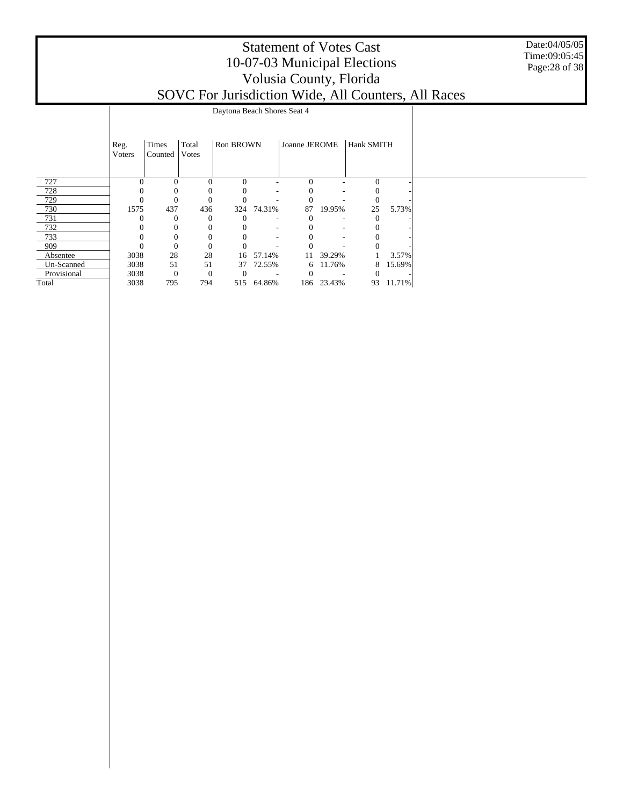#### Statement of Votes Cast 10-07-03 Municipal Elections Volusia County, Florida SOVC For Jurisdiction Wide, All Counters, All Races

Date:04/05/05 Time:09:05:45 Page:28 of 38

|             |                |                  |                | Daytona Beach Shores Seat 4 |            |               |                          |            |        |
|-------------|----------------|------------------|----------------|-----------------------------|------------|---------------|--------------------------|------------|--------|
|             | Reg.<br>Voters | Times<br>Counted | Total<br>Votes | <b>Ron BROWN</b>            |            | Joanne JEROME |                          | Hank SMITH |        |
| 727         | $\Omega$       | $\Omega$         | $\theta$       | $\Omega$                    |            | $\Omega$      |                          | $\Omega$   |        |
| 728         |                |                  | 0              | $\theta$                    | -          |               | ٠                        |            |        |
| 729         | $\theta$       | $\Omega$         | $\theta$       |                             |            |               |                          | $\theta$   |        |
| 730         | 1575           | 437              | 436            | 324                         | 74.31%     | 87            | 19.95%                   | 25         | 5.73%  |
| 731         | O              | $\Omega$         | $\Omega$       |                             |            |               |                          |            |        |
| 732         |                | $\Omega$         | $\Omega$       |                             | $\sim$     |               | $\overline{\phantom{a}}$ |            |        |
| 733         |                |                  | $\theta$       |                             | ٠          |               | ٠                        |            |        |
| 909         | C              | $\Omega$         | $\Omega$       |                             |            |               |                          |            |        |
| Absentee    | 3038           | 28               | 28             | 16                          | 57.14%     | 11            | 39.29%                   |            | 3.57%  |
| Un-Scanned  | 3038           | 51               | 51             | 37                          | 72.55%     | 6             | 11.76%                   | 8          | 15.69% |
| Provisional | 3038           | $\theta$         | $\mathbf{0}$   |                             |            |               |                          |            |        |
| Total       | 3038           | 795              | 794            |                             | 515 64.86% |               | 186 23.43%               | 93         | 11.71% |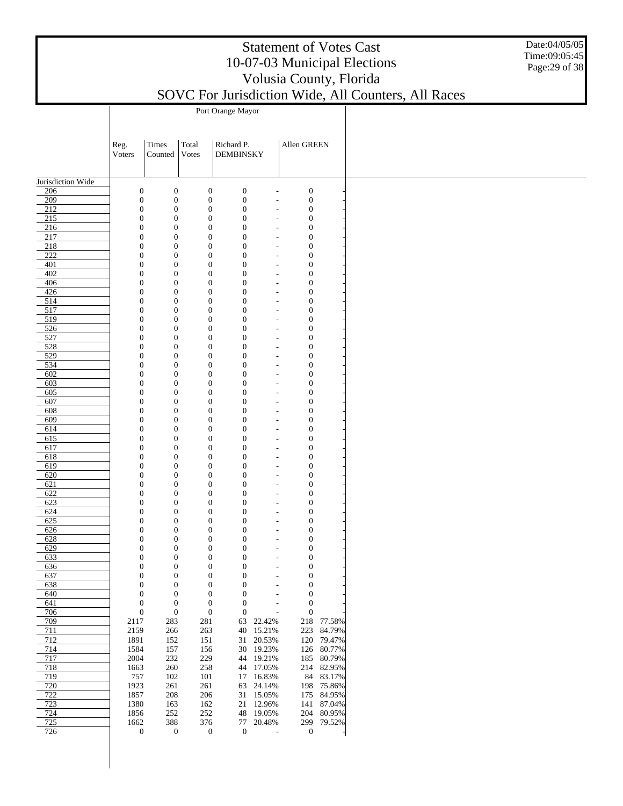#### Date:04/05/05 Time:09:05:45 Page:29 of 38

|  | $50$ v C T'OI JUITSUICHOIL WHIC, $F$ |  |  |
|--|--------------------------------------|--|--|
|  | Port Orange Mayor                    |  |  |

|                   | Reg.<br>Voters                   | Times<br>Counted                     | Total<br><b>Votes</b>                | Richard P.<br><b>DEMBINSKY</b>       |                                                      | Allen GREEN                          |            |  |
|-------------------|----------------------------------|--------------------------------------|--------------------------------------|--------------------------------------|------------------------------------------------------|--------------------------------------|------------|--|
| Jurisdiction Wide |                                  |                                      |                                      |                                      |                                                      |                                      |            |  |
| 206               | $\boldsymbol{0}$                 | $\mathbf{0}$                         | $\boldsymbol{0}$                     | $\boldsymbol{0}$                     | $\overline{\phantom{a}}$                             | $\boldsymbol{0}$                     |            |  |
| 209               | $\mathbf{0}$                     | $\mathbf{0}$                         | $\boldsymbol{0}$                     | $\boldsymbol{0}$                     | $\overline{a}$                                       | $\boldsymbol{0}$                     |            |  |
| 212               | $\mathbf{0}$                     | $\mathbf{0}$                         | $\boldsymbol{0}$                     | $\boldsymbol{0}$                     | $\overline{\phantom{a}}$                             | $\boldsymbol{0}$                     |            |  |
| 215               | $\mathbf{0}$                     | $\boldsymbol{0}$                     | $\boldsymbol{0}$                     | $\boldsymbol{0}$                     | $\overline{\phantom{a}}$                             | $\boldsymbol{0}$                     |            |  |
| 216               | $\mathbf{0}$                     | $\boldsymbol{0}$                     | $\boldsymbol{0}$                     | $\boldsymbol{0}$                     | $\overline{\phantom{a}}$                             | $\boldsymbol{0}$                     |            |  |
| 217               | $\mathbf{0}$                     | $\boldsymbol{0}$                     | $\boldsymbol{0}$                     | $\boldsymbol{0}$                     | $\overline{\phantom{m}}$                             | $\boldsymbol{0}$                     |            |  |
| $\frac{218}{ }$   | $\mathbf{0}$                     | $\boldsymbol{0}$                     | $\boldsymbol{0}$                     | $\boldsymbol{0}$                     | $\overline{\phantom{a}}$                             | $\boldsymbol{0}$                     |            |  |
| 222               | $\mathbf{0}$                     | $\boldsymbol{0}$                     | $\boldsymbol{0}$                     | $\boldsymbol{0}$                     | $\overline{\phantom{m}}$                             | $\boldsymbol{0}$                     |            |  |
| 401               | $\mathbf{0}$                     | $\boldsymbol{0}$                     | $\boldsymbol{0}$                     | $\boldsymbol{0}$                     | $\overline{\phantom{m}}$                             | $\boldsymbol{0}$                     |            |  |
| 402               | $\boldsymbol{0}$                 | $\boldsymbol{0}$                     | $\boldsymbol{0}$                     | $\boldsymbol{0}$                     | $\overline{\phantom{a}}$                             | $\boldsymbol{0}$                     |            |  |
| 406               | $\mathbf{0}$                     | $\boldsymbol{0}$                     | $\boldsymbol{0}$                     | $\boldsymbol{0}$                     | $\overline{\phantom{a}}$                             | $\boldsymbol{0}$                     |            |  |
| 426               | $\boldsymbol{0}$                 | $\boldsymbol{0}$                     | $\boldsymbol{0}$                     | $\boldsymbol{0}$                     | $\overline{\phantom{a}}$                             | $\boldsymbol{0}$                     |            |  |
| 514               | $\mathbf{0}$                     | $\boldsymbol{0}$                     | $\boldsymbol{0}$                     | $\boldsymbol{0}$                     | $\overline{\phantom{a}}$                             | $\boldsymbol{0}$                     |            |  |
| 517               | $\boldsymbol{0}$                 | $\boldsymbol{0}$                     | $\boldsymbol{0}$                     | $\boldsymbol{0}$                     | $\overline{\phantom{a}}$                             | $\boldsymbol{0}$                     |            |  |
| 519               | $\mathbf{0}$                     | $\boldsymbol{0}$                     | $\boldsymbol{0}$                     | $\boldsymbol{0}$                     | $\overline{\phantom{a}}$                             | $\boldsymbol{0}$                     |            |  |
| 526               | $\boldsymbol{0}$                 | $\boldsymbol{0}$                     | $\boldsymbol{0}$                     | $\boldsymbol{0}$                     | $\overline{\phantom{a}}$                             | $\boldsymbol{0}$                     |            |  |
| 527               | $\mathbf{0}$                     | $\boldsymbol{0}$                     | $\boldsymbol{0}$                     | $\boldsymbol{0}$                     | $\overline{\phantom{a}}$                             | $\boldsymbol{0}$                     |            |  |
| 528               | $\boldsymbol{0}$                 | $\boldsymbol{0}$                     | $\boldsymbol{0}$                     | $\boldsymbol{0}$                     | $\overline{\phantom{m}}$                             | $\boldsymbol{0}$                     |            |  |
| 529               | $\mathbf{0}$                     | $\boldsymbol{0}$                     | $\boldsymbol{0}$                     | $\boldsymbol{0}$                     | $\overline{\phantom{a}}$                             | $\boldsymbol{0}$                     |            |  |
| 534               | $\mathbf{0}$                     | $\boldsymbol{0}$                     | $\boldsymbol{0}$                     | $\boldsymbol{0}$                     | $\overline{\phantom{m}}$                             | $\boldsymbol{0}$                     |            |  |
| 602               | $\mathbf{0}$                     | $\boldsymbol{0}$                     | $\boldsymbol{0}$                     | $\boldsymbol{0}$                     | $\overline{\phantom{m}}$                             | $\boldsymbol{0}$                     |            |  |
| 603               | $\mathbf{0}$                     | $\boldsymbol{0}$                     | $\boldsymbol{0}$                     | $\boldsymbol{0}$                     | $\overline{\phantom{m}}$                             | $\boldsymbol{0}$                     |            |  |
| 605               | $\mathbf{0}$                     | $\boldsymbol{0}$                     | $\boldsymbol{0}$                     | $\boldsymbol{0}$                     | $\overline{\phantom{a}}$                             | $\boldsymbol{0}$                     |            |  |
| 607               | $\mathbf{0}$                     | $\boldsymbol{0}$                     | $\boldsymbol{0}$                     | $\boldsymbol{0}$                     | $\overline{\phantom{m}}$                             | $\boldsymbol{0}$                     |            |  |
| 608               | $\mathbf{0}$                     | $\boldsymbol{0}$                     | $\boldsymbol{0}$                     | $\boldsymbol{0}$                     | $\overline{\phantom{m}}$                             | $\boldsymbol{0}$                     |            |  |
| 609               | $\mathbf{0}$                     | $\boldsymbol{0}$                     | $\boldsymbol{0}$                     | $\boldsymbol{0}$                     | $\overline{\phantom{m}}$                             | $\boldsymbol{0}$                     |            |  |
| 614               | $\mathbf{0}$                     | $\boldsymbol{0}$                     | $\boldsymbol{0}$                     | $\boldsymbol{0}$                     | $\overline{\phantom{a}}$                             | $\boldsymbol{0}$                     |            |  |
| 615<br>617        | $\boldsymbol{0}$<br>$\mathbf{0}$ | $\boldsymbol{0}$<br>$\boldsymbol{0}$ | $\boldsymbol{0}$                     | $\boldsymbol{0}$<br>$\boldsymbol{0}$ | $\overline{\phantom{a}}$                             | $\boldsymbol{0}$                     |            |  |
| 618               | $\boldsymbol{0}$                 | $\boldsymbol{0}$                     | $\boldsymbol{0}$<br>$\boldsymbol{0}$ | $\boldsymbol{0}$                     | $\overline{\phantom{a}}$                             | $\boldsymbol{0}$<br>$\boldsymbol{0}$ |            |  |
| 619               | $\mathbf{0}$                     | $\boldsymbol{0}$                     | $\boldsymbol{0}$                     | $\boldsymbol{0}$                     | $\overline{\phantom{a}}$<br>$\overline{\phantom{a}}$ | $\boldsymbol{0}$                     |            |  |
| 620               | $\boldsymbol{0}$                 | $\boldsymbol{0}$                     | $\boldsymbol{0}$                     | $\boldsymbol{0}$                     | $\overline{\phantom{a}}$                             | $\boldsymbol{0}$                     |            |  |
| 621               | $\mathbf{0}$                     | $\boldsymbol{0}$                     | $\boldsymbol{0}$                     | $\boldsymbol{0}$                     | $\overline{a}$                                       | $\boldsymbol{0}$                     |            |  |
| 622               | $\boldsymbol{0}$                 | $\boldsymbol{0}$                     | $\boldsymbol{0}$                     | $\boldsymbol{0}$                     | $\overline{\phantom{m}}$                             | $\boldsymbol{0}$                     |            |  |
| 623               | $\mathbf{0}$                     | $\boldsymbol{0}$                     | $\boldsymbol{0}$                     | $\boldsymbol{0}$                     | $\overline{\phantom{a}}$                             | $\boldsymbol{0}$                     |            |  |
| 624               | $\mathbf{0}$                     | $\boldsymbol{0}$                     | $\boldsymbol{0}$                     | $\boldsymbol{0}$                     | $\overline{\phantom{m}}$                             | $\boldsymbol{0}$                     |            |  |
| 625               | $\mathbf{0}$                     | $\boldsymbol{0}$                     | $\boldsymbol{0}$                     | $\boldsymbol{0}$                     | $\overline{\phantom{a}}$                             | $\boldsymbol{0}$                     |            |  |
| 626               | $\mathbf{0}$                     | $\boldsymbol{0}$                     | $\boldsymbol{0}$                     | $\boldsymbol{0}$                     | $\overline{\phantom{m}}$                             | $\boldsymbol{0}$                     |            |  |
| 628               | $\mathbf{0}$                     | $\boldsymbol{0}$                     | $\boldsymbol{0}$                     | $\boldsymbol{0}$                     | $\overline{\phantom{a}}$                             | $\boldsymbol{0}$                     |            |  |
| 629               | $\mathbf{0}$                     | $\boldsymbol{0}$                     | $\boldsymbol{0}$                     | $\boldsymbol{0}$                     | $\overline{\phantom{a}}$                             | $\boldsymbol{0}$                     |            |  |
| 633               | $\boldsymbol{0}$                 | $\boldsymbol{0}$                     | $\boldsymbol{0}$                     | $\boldsymbol{0}$                     | $\overline{\phantom{m}}$                             | $\boldsymbol{0}$                     |            |  |
| 636               | $\boldsymbol{0}$                 | $\boldsymbol{0}$                     | $\boldsymbol{0}$                     | $\boldsymbol{0}$                     | $\overline{\phantom{a}}$                             | $\boldsymbol{0}$                     |            |  |
| 637               | $\boldsymbol{0}$                 | $\mathbf{0}$                         | $\boldsymbol{0}$                     | $\boldsymbol{0}$                     | $\overline{\phantom{a}}$                             | $\boldsymbol{0}$                     |            |  |
| 638               | $\boldsymbol{0}$                 | $\boldsymbol{0}$                     | $\boldsymbol{0}$                     | $\boldsymbol{0}$                     |                                                      | $\boldsymbol{0}$                     |            |  |
| 640               | $\boldsymbol{0}$                 | $\mathbf{0}$                         | $\boldsymbol{0}$                     | $\boldsymbol{0}$                     |                                                      | $\boldsymbol{0}$                     |            |  |
| 641               | $\boldsymbol{0}$                 | $\mathbf{0}$                         | $\boldsymbol{0}$                     | $\boldsymbol{0}$                     | $\overline{\phantom{m}}$                             | $\boldsymbol{0}$                     |            |  |
| 706               | $\boldsymbol{0}$                 | $\boldsymbol{0}$                     | $\boldsymbol{0}$                     | $\boldsymbol{0}$                     | $\overline{a}$                                       | $\boldsymbol{0}$                     |            |  |
| 709               | 2117                             | 283                                  | 281                                  | 63                                   | 22.42%                                               | 218                                  | 77.58%     |  |
| 711               | 2159                             | 266                                  | 263                                  | 40                                   | 15.21%                                               | 223                                  | 84.79%     |  |
| 712               | 1891                             | 152                                  | 151                                  |                                      | 31 20.53%                                            |                                      | 120 79.47% |  |
| 714               | 1584                             | 157                                  | 156                                  |                                      | 30 19.23%                                            |                                      | 126 80.77% |  |
| 717               | 2004                             | 232                                  | 229                                  |                                      | 44 19.21%                                            |                                      | 185 80.79% |  |
| 718               | 1663                             | 260                                  | 258                                  |                                      | 44 17.05%                                            | 214                                  | 82.95%     |  |
| 719               | 757                              | 102                                  | 101                                  |                                      | 17 16.83%                                            |                                      | 84 83.17%  |  |
| 720               | 1923                             | 261                                  | 261                                  |                                      | 63 24.14%                                            |                                      | 198 75.86% |  |
| 722               | 1857                             | 208                                  | 206                                  |                                      | 31 15.05%                                            |                                      | 175 84.95% |  |
| 723               | 1380                             | 163                                  | 162                                  | 21                                   | 12.96%                                               | 141                                  | 87.04%     |  |
| 724               | 1856                             | 252                                  | 252                                  |                                      | 48 19.05%                                            |                                      | 204 80.95% |  |
| 725               | 1662                             | 388                                  | 376                                  | 77                                   | 20.48%                                               |                                      | 299 79.52% |  |
| 726               | $\boldsymbol{0}$                 | $\boldsymbol{0}$                     | $\boldsymbol{0}$                     | $\boldsymbol{0}$                     | $\overline{\phantom{a}}$                             | $\boldsymbol{0}$                     |            |  |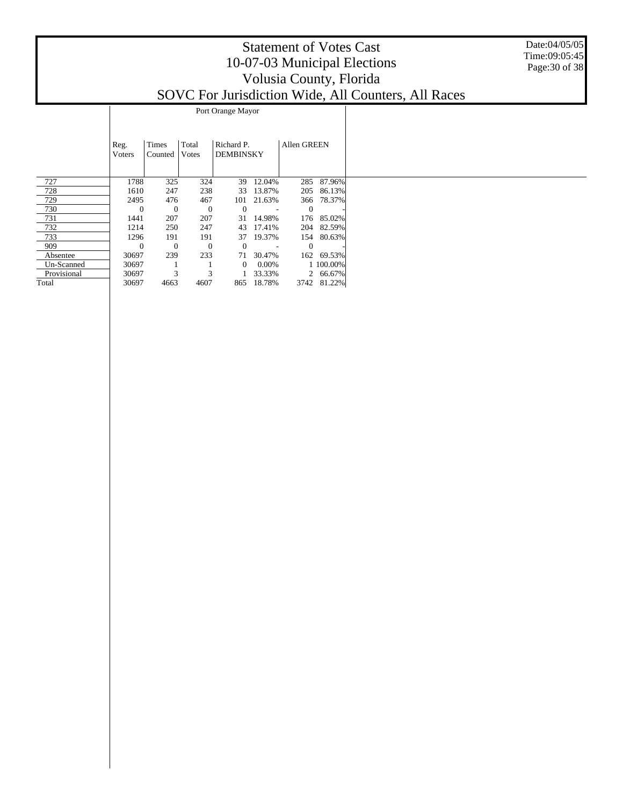#### Date:04/05/05 Time:09:05:45 Page:30 of 38

|             |                |                  |                        | Port Orange Mayor              |        |                    |         |
|-------------|----------------|------------------|------------------------|--------------------------------|--------|--------------------|---------|
|             | Reg.<br>Voters | Times<br>Counted | Total<br><b>V</b> otes | Richard P.<br><b>DEMBINSKY</b> |        | <b>Allen GREEN</b> |         |
| 727         | 1788           | 325              | 324                    | 39                             | 12.04% | 285                | 87.96%  |
| 728         | 1610           | 247              | 238                    | 33                             | 13.87% | 205                | 86.13%  |
| 729         | 2495           | 476              | 467                    | 101                            | 21.63% | 366                | 78.37%  |
| 730         | 0              | 0                | $\Omega$               | $\Omega$                       |        | 0                  |         |
| 731         | 1441           | 207              | 207                    | 31                             | 14.98% | 176                | 85.02%  |
| 732         | 1214           | 250              | 247                    | 43                             | 17.41% | 204                | 82.59%  |
| 733         | 1296           | 191              | 191                    | 37                             | 19.37% | 154                | 80.63%  |
| 909         | 0              | 0                | $\Omega$               | $\Omega$                       |        | 0                  |         |
| Absentee    | 30697          | 239              | 233                    | 71                             | 30.47% | 162                | 69.53%  |
| Un-Scanned  | 30697          |                  |                        | $\Omega$                       | 0.00%  |                    | 100.00% |
| Provisional | 30697          | 3                | 3                      |                                | 33.33% | $\mathfrak{D}$     | 66.67%  |
| Total       | 30697          | 4663             | 4607                   | 865                            | 18.78% | 3742               | 81.22%  |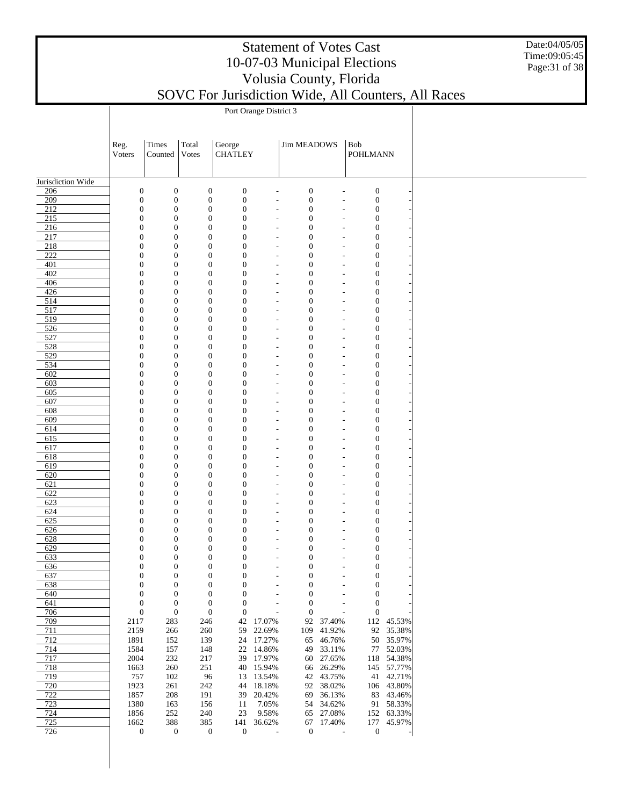Date:04/05/05 Time:09:05:45 Page:31 of 38

|                   | Port Orange District 3               |                                      |                  |                                                                              |                                            |                                      |                      |                                      |                        |  |  |  |
|-------------------|--------------------------------------|--------------------------------------|------------------|------------------------------------------------------------------------------|--------------------------------------------|--------------------------------------|----------------------|--------------------------------------|------------------------|--|--|--|
|                   |                                      |                                      |                  |                                                                              |                                            |                                      |                      |                                      |                        |  |  |  |
|                   |                                      |                                      |                  |                                                                              |                                            |                                      |                      |                                      |                        |  |  |  |
|                   | Reg.<br>Voters                       | Times<br>Counted                     | Total<br>Votes   | George<br><b>CHATLEY</b>                                                     |                                            | <b>Jim MEADOWS</b>                   |                      | Bob<br><b>POHLMANN</b>               |                        |  |  |  |
|                   |                                      |                                      |                  |                                                                              |                                            |                                      |                      |                                      |                        |  |  |  |
|                   |                                      |                                      |                  |                                                                              |                                            |                                      |                      |                                      |                        |  |  |  |
| Jurisdiction Wide |                                      |                                      |                  |                                                                              |                                            |                                      |                      |                                      |                        |  |  |  |
| 206<br>209        | $\boldsymbol{0}$<br>$\boldsymbol{0}$ | $\boldsymbol{0}$<br>$\boldsymbol{0}$ |                  | $\boldsymbol{0}$<br>$\boldsymbol{0}$<br>$\boldsymbol{0}$<br>$\boldsymbol{0}$ | $\overline{\phantom{a}}$<br>$\overline{a}$ | $\boldsymbol{0}$<br>$\boldsymbol{0}$ | ÷,<br>Ĭ.             | $\boldsymbol{0}$<br>$\boldsymbol{0}$ |                        |  |  |  |
| $\overline{212}$  | $\boldsymbol{0}$                     | $\boldsymbol{0}$                     |                  | $\boldsymbol{0}$<br>$\boldsymbol{0}$                                         | $\overline{\phantom{a}}$                   | $\boldsymbol{0}$                     | ÷,                   | $\boldsymbol{0}$                     |                        |  |  |  |
| 215               | $\boldsymbol{0}$                     | $\boldsymbol{0}$                     |                  | $\boldsymbol{0}$<br>$\boldsymbol{0}$                                         | $\overline{\phantom{a}}$                   | $\boldsymbol{0}$                     | ٠                    | $\boldsymbol{0}$                     |                        |  |  |  |
| 216               | $\boldsymbol{0}$                     | $\boldsymbol{0}$                     |                  | $\boldsymbol{0}$<br>$\boldsymbol{0}$                                         | $\overline{a}$                             | $\boldsymbol{0}$                     | ÷,                   | $\boldsymbol{0}$                     |                        |  |  |  |
| 217               | $\boldsymbol{0}$                     | $\boldsymbol{0}$                     |                  | $\boldsymbol{0}$<br>$\overline{0}$                                           | $\overline{\phantom{a}}$                   | $\boldsymbol{0}$                     | $\overline{a}$       | $\boldsymbol{0}$                     |                        |  |  |  |
| 218<br>222        | $\boldsymbol{0}$<br>$\boldsymbol{0}$ | $\boldsymbol{0}$<br>$\boldsymbol{0}$ |                  | $\boldsymbol{0}$<br>$\boldsymbol{0}$<br>$\boldsymbol{0}$<br>$\boldsymbol{0}$ | $\overline{a}$<br>$\overline{\phantom{a}}$ | $\boldsymbol{0}$<br>$\boldsymbol{0}$ | ÷,<br>$\overline{a}$ | $\boldsymbol{0}$<br>$\boldsymbol{0}$ |                        |  |  |  |
| 401               | $\boldsymbol{0}$                     | $\boldsymbol{0}$                     |                  | $\boldsymbol{0}$<br>$\boldsymbol{0}$                                         | $\overline{\phantom{a}}$                   | $\boldsymbol{0}$                     | ÷,                   | $\boldsymbol{0}$                     |                        |  |  |  |
| 402               | $\boldsymbol{0}$                     | $\boldsymbol{0}$                     |                  | $\boldsymbol{0}$<br>$\boldsymbol{0}$                                         | $\overline{\phantom{a}}$                   | $\boldsymbol{0}$                     | $\overline{a}$       | $\boldsymbol{0}$                     |                        |  |  |  |
| 406               | $\boldsymbol{0}$                     | $\boldsymbol{0}$                     |                  | $\boldsymbol{0}$<br>$\boldsymbol{0}$                                         | $\overline{\phantom{a}}$                   | $\boldsymbol{0}$                     | ÷,                   | $\boldsymbol{0}$                     |                        |  |  |  |
| 426               | $\boldsymbol{0}$                     | $\boldsymbol{0}$                     |                  | $\boldsymbol{0}$<br>$\boldsymbol{0}$                                         | $\overline{\phantom{a}}$                   | $\boldsymbol{0}$                     | $\overline{a}$       | $\boldsymbol{0}$                     |                        |  |  |  |
| 514<br>517        | $\boldsymbol{0}$<br>$\boldsymbol{0}$ | $\boldsymbol{0}$<br>$\boldsymbol{0}$ |                  | $\boldsymbol{0}$<br>$\boldsymbol{0}$<br>$\boldsymbol{0}$<br>$\boldsymbol{0}$ | $\overline{\phantom{a}}$<br>$\overline{a}$ | $\boldsymbol{0}$<br>$\boldsymbol{0}$ | ÷,<br>٠              | $\boldsymbol{0}$<br>$\boldsymbol{0}$ |                        |  |  |  |
| 519               | $\boldsymbol{0}$                     | $\boldsymbol{0}$                     |                  | $\boldsymbol{0}$<br>$\boldsymbol{0}$                                         | $\overline{\phantom{a}}$                   | $\boldsymbol{0}$                     | ÷,                   | $\boldsymbol{0}$                     |                        |  |  |  |
| 526               | $\boldsymbol{0}$                     | $\boldsymbol{0}$                     |                  | $\boldsymbol{0}$<br>$\boldsymbol{0}$                                         | $\overline{\phantom{a}}$                   | $\boldsymbol{0}$                     | ٠                    | $\boldsymbol{0}$                     |                        |  |  |  |
| 527               | $\boldsymbol{0}$                     | $\boldsymbol{0}$                     |                  | $\boldsymbol{0}$<br>$\boldsymbol{0}$                                         | $\overline{\phantom{a}}$                   | $\boldsymbol{0}$                     | ÷,                   | $\boldsymbol{0}$                     |                        |  |  |  |
| 528               | $\boldsymbol{0}$                     | $\boldsymbol{0}$                     |                  | $\boldsymbol{0}$<br>$\boldsymbol{0}$                                         | $\overline{\phantom{a}}$                   | $\boldsymbol{0}$                     | $\overline{a}$       | $\boldsymbol{0}$                     |                        |  |  |  |
| 529<br>534        | $\boldsymbol{0}$<br>$\boldsymbol{0}$ | $\boldsymbol{0}$<br>$\boldsymbol{0}$ |                  | $\boldsymbol{0}$<br>$\boldsymbol{0}$<br>$\boldsymbol{0}$<br>$\boldsymbol{0}$ | $\overline{a}$<br>$\overline{\phantom{a}}$ | $\boldsymbol{0}$<br>$\boldsymbol{0}$ | ÷,<br>$\overline{a}$ | $\boldsymbol{0}$<br>$\boldsymbol{0}$ |                        |  |  |  |
| 602               | $\boldsymbol{0}$                     | $\boldsymbol{0}$                     |                  | $\boldsymbol{0}$<br>$\boldsymbol{0}$                                         | $\overline{\phantom{a}}$                   | $\boldsymbol{0}$                     | ÷,                   | $\boldsymbol{0}$                     |                        |  |  |  |
| 603               | $\boldsymbol{0}$                     | $\boldsymbol{0}$                     |                  | $\boldsymbol{0}$<br>$\boldsymbol{0}$                                         | $\overline{\phantom{a}}$                   | $\boldsymbol{0}$                     | $\overline{a}$       | $\boldsymbol{0}$                     |                        |  |  |  |
| 605               | $\boldsymbol{0}$                     | $\boldsymbol{0}$                     |                  | $\boldsymbol{0}$<br>$\boldsymbol{0}$                                         | $\overline{\phantom{a}}$                   | $\boldsymbol{0}$                     | ÷,                   | $\boldsymbol{0}$                     |                        |  |  |  |
| 607               | $\boldsymbol{0}$                     | $\boldsymbol{0}$                     |                  | $\boldsymbol{0}$<br>$\boldsymbol{0}$                                         | $\overline{\phantom{a}}$                   | $\boldsymbol{0}$                     | $\overline{a}$       | $\boldsymbol{0}$                     |                        |  |  |  |
| 608<br>609        | $\boldsymbol{0}$<br>$\boldsymbol{0}$ | $\boldsymbol{0}$<br>$\boldsymbol{0}$ |                  | $\boldsymbol{0}$<br>$\boldsymbol{0}$<br>$\boldsymbol{0}$<br>$\boldsymbol{0}$ | $\overline{\phantom{a}}$<br>$\overline{a}$ | $\boldsymbol{0}$<br>$\boldsymbol{0}$ | ÷,<br>٠              | $\boldsymbol{0}$<br>$\boldsymbol{0}$ |                        |  |  |  |
| 614               | $\boldsymbol{0}$                     | $\boldsymbol{0}$                     |                  | $\boldsymbol{0}$<br>$\boldsymbol{0}$                                         | $\overline{\phantom{a}}$                   | $\boldsymbol{0}$                     | ÷,                   | $\boldsymbol{0}$                     |                        |  |  |  |
| 615               | $\boldsymbol{0}$                     | $\boldsymbol{0}$                     |                  | $\boldsymbol{0}$<br>$\boldsymbol{0}$                                         | $\overline{\phantom{a}}$                   | $\boldsymbol{0}$                     | ٠                    | $\boldsymbol{0}$                     |                        |  |  |  |
| 617               | $\boldsymbol{0}$                     | $\boldsymbol{0}$                     |                  | $\boldsymbol{0}$<br>$\boldsymbol{0}$                                         | $\overline{\phantom{a}}$                   | $\boldsymbol{0}$                     | ÷,                   | $\boldsymbol{0}$                     |                        |  |  |  |
| 618               | $\boldsymbol{0}$                     | $\boldsymbol{0}$                     |                  | $\boldsymbol{0}$<br>$\boldsymbol{0}$                                         | $\overline{\phantom{a}}$                   | $\boldsymbol{0}$                     | $\overline{a}$       | $\boldsymbol{0}$                     |                        |  |  |  |
| 619<br>620        | $\boldsymbol{0}$<br>$\boldsymbol{0}$ | $\boldsymbol{0}$<br>$\boldsymbol{0}$ |                  | $\boldsymbol{0}$<br>$\boldsymbol{0}$<br>$\boldsymbol{0}$<br>$\boldsymbol{0}$ | $\overline{a}$<br>$\overline{\phantom{a}}$ | $\boldsymbol{0}$<br>$\boldsymbol{0}$ | ÷,<br>$\overline{a}$ | $\boldsymbol{0}$<br>$\boldsymbol{0}$ |                        |  |  |  |
| 621               | $\boldsymbol{0}$                     | $\boldsymbol{0}$                     |                  | $\boldsymbol{0}$<br>$\boldsymbol{0}$                                         | $\overline{\phantom{a}}$                   | $\boldsymbol{0}$                     | ÷,                   | $\boldsymbol{0}$                     |                        |  |  |  |
| 622               | $\boldsymbol{0}$                     | $\boldsymbol{0}$                     |                  | $\boldsymbol{0}$<br>$\boldsymbol{0}$                                         | $\overline{\phantom{a}}$                   | $\boldsymbol{0}$                     | $\overline{a}$       | $\boldsymbol{0}$                     |                        |  |  |  |
| 623               | $\boldsymbol{0}$                     | $\boldsymbol{0}$                     |                  | $\boldsymbol{0}$<br>$\boldsymbol{0}$                                         | $\overline{\phantom{a}}$                   | $\boldsymbol{0}$                     | ÷,                   | $\boldsymbol{0}$                     |                        |  |  |  |
| 624               | $\boldsymbol{0}$                     | $\boldsymbol{0}$                     |                  | $\boldsymbol{0}$<br>$\boldsymbol{0}$                                         | $\overline{\phantom{a}}$                   | $\boldsymbol{0}$                     | $\overline{a}$       | $\boldsymbol{0}$                     |                        |  |  |  |
| 625<br>626        | $\boldsymbol{0}$<br>$\boldsymbol{0}$ | $\boldsymbol{0}$<br>$\boldsymbol{0}$ |                  | $\boldsymbol{0}$<br>$\boldsymbol{0}$<br>$\boldsymbol{0}$<br>$\boldsymbol{0}$ | $\overline{\phantom{a}}$<br>$\overline{a}$ | $\boldsymbol{0}$<br>$\boldsymbol{0}$ | ÷,<br>٠              | $\boldsymbol{0}$<br>$\boldsymbol{0}$ |                        |  |  |  |
| 628               | $\boldsymbol{0}$                     | $\boldsymbol{0}$                     |                  | $\boldsymbol{0}$<br>$\boldsymbol{0}$                                         | $\overline{a}$                             | $\boldsymbol{0}$                     | ÷,                   | $\boldsymbol{0}$                     |                        |  |  |  |
| 629               | $\boldsymbol{0}$                     | $\boldsymbol{0}$                     |                  | $\boldsymbol{0}$<br>$\boldsymbol{0}$                                         | $\overline{\phantom{a}}$                   | $\boldsymbol{0}$                     | ٠                    | $\boldsymbol{0}$                     |                        |  |  |  |
| 633               | $\overline{0}$                       | $\overline{0}$                       |                  | $\overline{0}$<br>$\boldsymbol{0}$                                           | $\overline{\phantom{a}}$                   | $\mathbf{0}$                         | ÷,                   | $\boldsymbol{0}$                     |                        |  |  |  |
| 636               | $\mathbf{0}$                         | 0                                    |                  | 0<br>$\mathbf{0}$                                                            |                                            | $\boldsymbol{0}$                     |                      | $\mathbf{0}$                         |                        |  |  |  |
| 637               | $\mathbf{0}$                         | $\boldsymbol{0}$                     |                  | $\boldsymbol{0}$<br>$\mathbf{0}$                                             |                                            | $\mathbf{0}$                         | Ĭ.                   | $\mathbf{0}$                         |                        |  |  |  |
| 638<br>640        | $\boldsymbol{0}$<br>$\boldsymbol{0}$ | $\boldsymbol{0}$<br>$\boldsymbol{0}$ |                  | 0<br>$\mathbf{0}$<br>$\boldsymbol{0}$<br>$\boldsymbol{0}$                    | $\overline{a}$<br>$\overline{a}$           | $\boldsymbol{0}$<br>$\boldsymbol{0}$ | $\overline{a}$<br>÷  | $\mathbf{0}$<br>$\mathbf{0}$         |                        |  |  |  |
| 641               | $\boldsymbol{0}$                     | $\boldsymbol{0}$                     |                  | $\boldsymbol{0}$<br>$\boldsymbol{0}$                                         | $\overline{a}$                             | $\mathbf{0}$                         | $\overline{a}$       | $\mathbf{0}$                         |                        |  |  |  |
| 706               | $\boldsymbol{0}$                     | $\boldsymbol{0}$                     | $\boldsymbol{0}$ | $\boldsymbol{0}$                                                             |                                            | $\boldsymbol{0}$                     | ÷,                   | $\mathbf{0}$                         |                        |  |  |  |
| 709               | 2117                                 | 283                                  | 246              | 42                                                                           | 17.07%                                     | 92                                   | 37.40%               |                                      | 112 45.53%             |  |  |  |
| 711               | 2159                                 | 266                                  | 260              | 59                                                                           | 22.69%                                     | 109                                  | 41.92%               |                                      | 92 35.38%              |  |  |  |
| 712<br>714        | 1891<br>1584                         | 152<br>157                           | 139<br>148       | 24<br>22                                                                     | 17.27%<br>14.86%                           | 65<br>49                             | 46.76%<br>33.11%     |                                      | 50 35.97%<br>77 52.03% |  |  |  |
| 717               | 2004                                 | 232                                  | 217              | 39                                                                           | 17.97%                                     | 60                                   | 27.65%               |                                      | 118 54.38%             |  |  |  |
| 718               | 1663                                 | 260                                  | 251              | 40                                                                           | 15.94%                                     | 66                                   | 26.29%               |                                      | 145 57.77%             |  |  |  |
| 719               | 757                                  | 102                                  | 96               | 13                                                                           | 13.54%                                     | 42                                   | 43.75%               |                                      | 41 42.71%              |  |  |  |
| 720               | 1923                                 | 261                                  | 242              | 44                                                                           | 18.18%                                     | 92                                   | 38.02%               |                                      | 106 43.80%             |  |  |  |
| 722<br>723        | 1857<br>1380                         | 208<br>163                           | 191<br>156       | 39<br>11                                                                     | 20.42%<br>7.05%                            | 69<br>54                             | 36.13%<br>34.62%     |                                      | 83 43.46%<br>91 58.33% |  |  |  |
| 724               | 1856                                 | 252                                  | 240              | 23                                                                           | 9.58%                                      | 65                                   | 27.08%               |                                      | 152 63.33%             |  |  |  |
| 725               | 1662                                 | 388                                  | 385              | 141                                                                          | 36.62%                                     | 67                                   | 17.40%               |                                      | 177 45.97%             |  |  |  |
| 726               | $\boldsymbol{0}$                     | $\boldsymbol{0}$                     | $\boldsymbol{0}$ | $\boldsymbol{0}$                                                             | $\overline{\phantom{a}}$                   | $\boldsymbol{0}$                     | ÷,                   | $\boldsymbol{0}$                     |                        |  |  |  |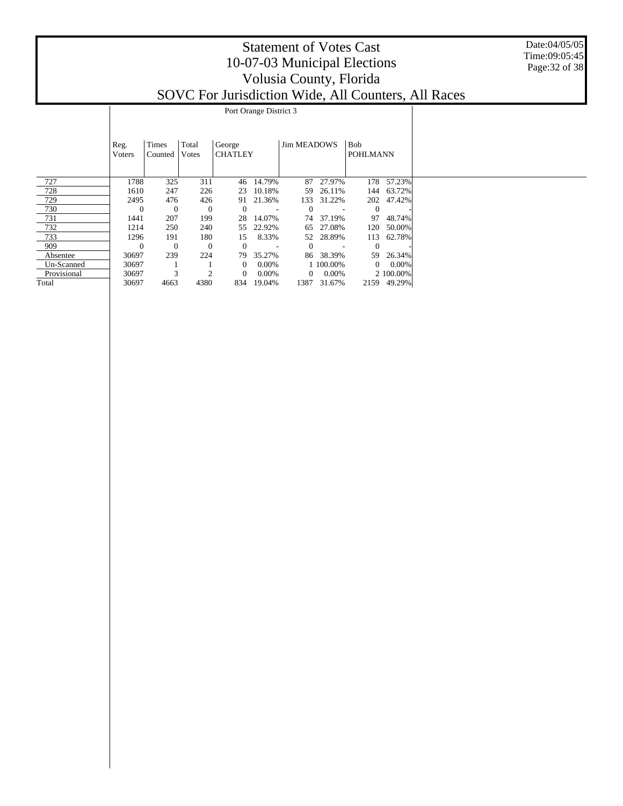|             | Reg.<br>Voters | Times<br>Counted | Total<br>Votes | George<br><b>CHATLEY</b> |          | Jim MEADOWS |           | <b>Bob</b><br><b>POHLMANN</b> |             |  |
|-------------|----------------|------------------|----------------|--------------------------|----------|-------------|-----------|-------------------------------|-------------|--|
| 727         | 1788           | 325              | 311            | 46                       | 14.79%   | 87          | 27.97%    | 178                           | 57.23%      |  |
| 728         | 1610           | 247              | 226            | 23                       | 10.18%   | 59          | 26.11%    | 144                           | 63.72%      |  |
| 729         | 2495           | 476              | 426            | 91                       | 21.36%   | 133         | 31.22%    | 202                           | 47.42%      |  |
| 730         | $\mathbf{0}$   | $\overline{0}$   | $\mathbf{0}$   | $\theta$                 |          | $\Omega$    |           | $\theta$                      |             |  |
| 731         | 1441           | 207              | 199            | 28                       | 14.07%   | 74          | 37.19%    | 97                            | 48.74%      |  |
| 732         | 1214           | 250              | 240            | 55                       | 22.92%   | 65          | 27.08%    | 120                           | 50.00%      |  |
| 733         | 1296           | 191              | 180            | 15                       | 8.33%    | 52          | 28.89%    | 113                           | 62.78%      |  |
| 909         | $\theta$       | $\theta$         | $\theta$       | $\theta$                 |          | $\Omega$    |           | $\theta$                      |             |  |
| Absentee    | 30697          | 239              | 224            | 79                       | 35.27%   | 86          | 38.39%    | 59                            | 26.34%      |  |
| Un-Scanned  | 30697          |                  |                | $\overline{0}$           | $0.00\%$ |             | 1 100.00% | $\overline{0}$                | $0.00\%$    |  |
| Provisional | 30697          | 3                |                | $\overline{0}$           | 0.00%    | 0           | $0.00\%$  |                               | 2 100.00%   |  |
| Total       | 30697          | 4663             | 4380           | 834                      | 19.04%   | 1387        | 31.67%    |                               | 2159 49.29% |  |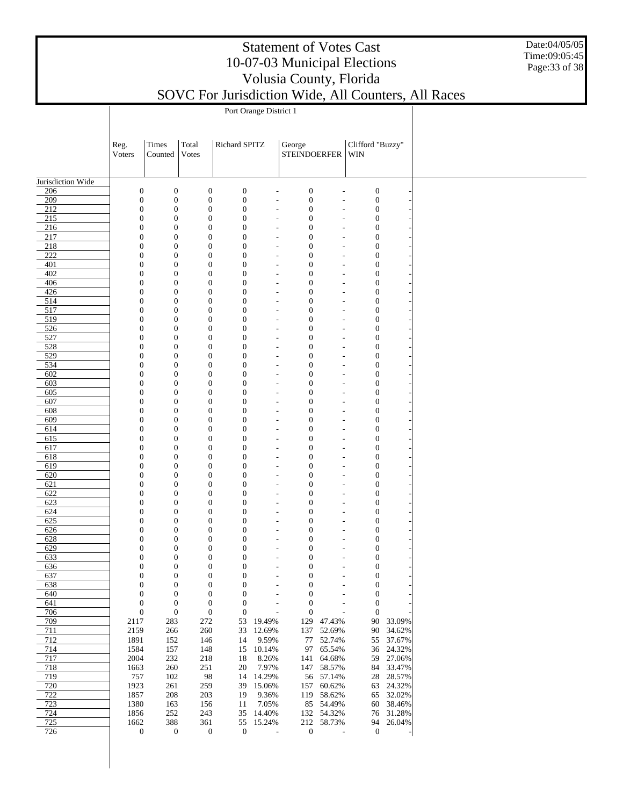| <b>Statement of Votes Cast</b>                                                                                                                                                                                                                                                                                                     |  |
|------------------------------------------------------------------------------------------------------------------------------------------------------------------------------------------------------------------------------------------------------------------------------------------------------------------------------------|--|
| 10-07-03 Municipal Elections                                                                                                                                                                                                                                                                                                       |  |
| Volusia County, Florida                                                                                                                                                                                                                                                                                                            |  |
| $\mathbf{I}$ $\mathbf{I}$ $\mathbf{I}$ $\mathbf{I}$ $\mathbf{I}$ $\mathbf{I}$ $\mathbf{I}$ $\mathbf{I}$ $\mathbf{I}$ $\mathbf{I}$ $\mathbf{I}$ $\mathbf{I}$ $\mathbf{I}$ $\mathbf{I}$ $\mathbf{I}$ $\mathbf{I}$ $\mathbf{I}$ $\mathbf{I}$ $\mathbf{I}$ $\mathbf{I}$ $\mathbf{I}$ $\mathbf{I}$ $\mathbf{I}$ $\mathbf{I}$ $\mathbf{$ |  |

Date:04/05/05 Time:09:05:45 Page:33 of 38

|                   | Port Orange District 1       |                                      |                                      |                                      |                                  |                                      |                                  |                                      |                     |  |  |  |
|-------------------|------------------------------|--------------------------------------|--------------------------------------|--------------------------------------|----------------------------------|--------------------------------------|----------------------------------|--------------------------------------|---------------------|--|--|--|
|                   |                              |                                      |                                      |                                      |                                  |                                      |                                  |                                      |                     |  |  |  |
|                   |                              |                                      |                                      |                                      |                                  |                                      |                                  |                                      |                     |  |  |  |
|                   | Reg.                         | Times                                | Total                                | Richard SPITZ                        |                                  | George                               |                                  | Clifford "Buzzy"                     |                     |  |  |  |
|                   | Voters                       | Counted                              | Votes                                |                                      |                                  | STEINDOERFER   WIN                   |                                  |                                      |                     |  |  |  |
|                   |                              |                                      |                                      |                                      |                                  |                                      |                                  |                                      |                     |  |  |  |
| Jurisdiction Wide |                              |                                      |                                      |                                      |                                  |                                      |                                  |                                      |                     |  |  |  |
| 206               | $\mathbf{0}$                 | $\boldsymbol{0}$                     | $\boldsymbol{0}$                     | $\boldsymbol{0}$                     | $\overline{a}$                   | $\boldsymbol{0}$                     | $\overline{a}$                   | $\boldsymbol{0}$                     |                     |  |  |  |
| 209               | $\mathbf{0}$                 | $\boldsymbol{0}$                     | $\boldsymbol{0}$                     | $\boldsymbol{0}$                     | $\overline{\phantom{a}}$         | $\boldsymbol{0}$                     | $\overline{a}$                   | $\boldsymbol{0}$                     |                     |  |  |  |
| 212<br>215        | $\mathbf{0}$<br>$\mathbf{0}$ | $\boldsymbol{0}$<br>$\boldsymbol{0}$ | $\boldsymbol{0}$<br>$\boldsymbol{0}$ | $\boldsymbol{0}$<br>$\boldsymbol{0}$ | ٠<br>$\overline{\phantom{a}}$    | $\boldsymbol{0}$<br>$\boldsymbol{0}$ | $\overline{a}$                   | $\boldsymbol{0}$<br>$\boldsymbol{0}$ |                     |  |  |  |
| 216               | $\mathbf{0}$                 | $\boldsymbol{0}$                     | $\boldsymbol{0}$                     | $\boldsymbol{0}$                     | ٠                                | $\boldsymbol{0}$                     | $\overline{\phantom{a}}$<br>٠    | $\boldsymbol{0}$                     |                     |  |  |  |
| 217               | $\mathbf{0}$                 | $\boldsymbol{0}$                     | $\boldsymbol{0}$                     | $\boldsymbol{0}$                     | $\tilde{\phantom{a}}$            | $\mathbf{0}$                         | $\tilde{\phantom{a}}$            | $\boldsymbol{0}$                     |                     |  |  |  |
| 218               | $\mathbf{0}$                 | $\boldsymbol{0}$                     | $\boldsymbol{0}$                     | $\boldsymbol{0}$                     | ٠                                | $\boldsymbol{0}$                     | ٠                                | $\boldsymbol{0}$                     |                     |  |  |  |
| 222               | $\mathbf{0}$                 | $\boldsymbol{0}$                     | $\boldsymbol{0}$                     | $\boldsymbol{0}$                     | $\overline{a}$                   | $\mathbf{0}$                         | $\overline{a}$                   | $\boldsymbol{0}$                     |                     |  |  |  |
| 401               | $\mathbf{0}$                 | $\boldsymbol{0}$                     | $\boldsymbol{0}$                     | $\boldsymbol{0}$                     | ٠                                | $\boldsymbol{0}$                     | $\overline{a}$                   | $\boldsymbol{0}$                     |                     |  |  |  |
| 402               | $\mathbf{0}$                 | $\boldsymbol{0}$                     | $\boldsymbol{0}$                     | $\boldsymbol{0}$                     | $\overline{\phantom{a}}$         | $\boldsymbol{0}$                     | $\overline{\phantom{a}}$         | $\boldsymbol{0}$                     |                     |  |  |  |
| 406               | $\mathbf{0}$                 | $\boldsymbol{0}$                     | $\boldsymbol{0}$                     | $\boldsymbol{0}$                     | ٠                                | $\boldsymbol{0}$                     | ٠                                | $\boldsymbol{0}$                     |                     |  |  |  |
| 426<br>514        | $\mathbf{0}$<br>$\mathbf{0}$ | $\boldsymbol{0}$<br>$\boldsymbol{0}$ | $\boldsymbol{0}$<br>$\boldsymbol{0}$ | $\boldsymbol{0}$<br>$\boldsymbol{0}$ | $\overline{a}$<br>$\overline{a}$ | $\mathbf{0}$<br>$\boldsymbol{0}$     | ٠<br>$\overline{a}$              | $\boldsymbol{0}$<br>$\boldsymbol{0}$ |                     |  |  |  |
| 517               | $\mathbf{0}$                 | $\boldsymbol{0}$                     | $\boldsymbol{0}$                     | $\boldsymbol{0}$                     | $\overline{\phantom{a}}$         | $\boldsymbol{0}$                     | $\overline{\phantom{a}}$         | $\boldsymbol{0}$                     |                     |  |  |  |
| 519               | $\mathbf{0}$                 | $\boldsymbol{0}$                     | $\boldsymbol{0}$                     | $\boldsymbol{0}$                     | ٠                                | $\boldsymbol{0}$                     | $\overline{a}$                   | $\boldsymbol{0}$                     |                     |  |  |  |
| 526               | $\mathbf{0}$                 | $\boldsymbol{0}$                     | $\boldsymbol{0}$                     | $\boldsymbol{0}$                     | $\overline{a}$                   | $\mathbf{0}$                         | $\overline{a}$                   | $\boldsymbol{0}$                     |                     |  |  |  |
| 527               | $\mathbf{0}$                 | $\boldsymbol{0}$                     | $\boldsymbol{0}$                     | $\boldsymbol{0}$                     | ٠                                | $\boldsymbol{0}$                     | ٠                                | $\boldsymbol{0}$                     |                     |  |  |  |
| 528               | $\mathbf{0}$                 | $\boldsymbol{0}$                     | $\boldsymbol{0}$                     | $\boldsymbol{0}$                     | $\overline{\phantom{a}}$         | $\boldsymbol{0}$                     | $\overline{\phantom{a}}$         | $\boldsymbol{0}$                     |                     |  |  |  |
| 529               | $\mathbf{0}$                 | $\boldsymbol{0}$                     | $\boldsymbol{0}$                     | $\boldsymbol{0}$                     | ٠                                | $\boldsymbol{0}$                     | ٠                                | $\boldsymbol{0}$                     |                     |  |  |  |
| 534               | $\mathbf{0}$                 | $\boldsymbol{0}$                     | $\boldsymbol{0}$                     | $\boldsymbol{0}$                     | $\overline{a}$                   | $\mathbf{0}$                         | $\overline{\phantom{a}}$         | $\boldsymbol{0}$                     |                     |  |  |  |
| 602<br>603        | $\mathbf{0}$<br>$\mathbf{0}$ | $\boldsymbol{0}$<br>$\boldsymbol{0}$ | $\boldsymbol{0}$<br>$\boldsymbol{0}$ | $\boldsymbol{0}$<br>$\boldsymbol{0}$ | ٠                                | $\boldsymbol{0}$<br>$\boldsymbol{0}$ | ٠                                | $\boldsymbol{0}$<br>$\boldsymbol{0}$ |                     |  |  |  |
| 605               | $\mathbf{0}$                 | $\boldsymbol{0}$                     | $\boldsymbol{0}$                     | $\boldsymbol{0}$                     | $\overline{a}$<br>$\overline{a}$ | $\boldsymbol{0}$                     | $\overline{a}$<br>$\overline{a}$ | $\boldsymbol{0}$                     |                     |  |  |  |
| 607               | $\mathbf{0}$                 | $\boldsymbol{0}$                     | $\boldsymbol{0}$                     | $\boldsymbol{0}$                     | $\overline{a}$                   | $\mathbf{0}$                         | $\overline{a}$                   | $\boldsymbol{0}$                     |                     |  |  |  |
| 608               | $\mathbf{0}$                 | $\boldsymbol{0}$                     | $\boldsymbol{0}$                     | $\boldsymbol{0}$                     | ٠                                | $\boldsymbol{0}$                     | ٠                                | $\boldsymbol{0}$                     |                     |  |  |  |
| 609               | $\mathbf{0}$                 | $\boldsymbol{0}$                     | $\boldsymbol{0}$                     | $\boldsymbol{0}$                     | $\overline{\phantom{a}}$         | $\boldsymbol{0}$                     | $\overline{\phantom{a}}$         | $\boldsymbol{0}$                     |                     |  |  |  |
| 614               | $\mathbf{0}$                 | $\boldsymbol{0}$                     | $\boldsymbol{0}$                     | $\boldsymbol{0}$                     | $\overline{a}$                   | $\boldsymbol{0}$                     | $\overline{a}$                   | $\boldsymbol{0}$                     |                     |  |  |  |
| 615               | $\overline{0}$               | $\boldsymbol{0}$                     | $\boldsymbol{0}$                     | $\boldsymbol{0}$                     | $\overline{a}$                   | $\mathbf{0}$                         | $\overline{a}$                   | $\boldsymbol{0}$                     |                     |  |  |  |
| 617               | $\mathbf{0}$                 | $\boldsymbol{0}$                     | $\boldsymbol{0}$                     | $\boldsymbol{0}$                     | ٠                                | $\boldsymbol{0}$                     | ٠                                | $\boldsymbol{0}$                     |                     |  |  |  |
| 618               | $\mathbf{0}$                 | $\boldsymbol{0}$                     | $\boldsymbol{0}$                     | $\boldsymbol{0}$                     | $\overline{\phantom{a}}$         | $\boldsymbol{0}$                     | $\overline{\phantom{a}}$         | $\boldsymbol{0}$                     |                     |  |  |  |
| 619               | $\mathbf{0}$                 | $\boldsymbol{0}$<br>$\boldsymbol{0}$ | $\boldsymbol{0}$<br>$\boldsymbol{0}$ | $\boldsymbol{0}$<br>$\boldsymbol{0}$ | ٠                                | $\boldsymbol{0}$<br>$\mathbf{0}$     | $\overline{a}$                   | $\boldsymbol{0}$                     |                     |  |  |  |
| 620<br>621        | $\mathbf{0}$<br>$\mathbf{0}$ | $\boldsymbol{0}$                     | $\boldsymbol{0}$                     | $\boldsymbol{0}$                     | $\overline{\phantom{a}}$<br>٠    | $\boldsymbol{0}$                     | $\overline{a}$<br>٠              | $\boldsymbol{0}$<br>$\boldsymbol{0}$ |                     |  |  |  |
| 622               | $\mathbf{0}$                 | $\boldsymbol{0}$                     | $\boldsymbol{0}$                     | $\boldsymbol{0}$                     | $\tilde{\phantom{a}}$            | $\boldsymbol{0}$                     | $\tilde{\phantom{a}}$            | $\boldsymbol{0}$                     |                     |  |  |  |
| 623               | $\mathbf{0}$                 | $\boldsymbol{0}$                     | $\boldsymbol{0}$                     | $\boldsymbol{0}$                     | $\overline{a}$                   | $\boldsymbol{0}$                     | ٠                                | $\boldsymbol{0}$                     |                     |  |  |  |
| 624               | $\overline{0}$               | $\boldsymbol{0}$                     | $\boldsymbol{0}$                     | $\boldsymbol{0}$                     | $\overline{a}$                   | $\mathbf{0}$                         | $\overline{a}$                   | $\boldsymbol{0}$                     |                     |  |  |  |
| 625               | $\mathbf{0}$                 | $\boldsymbol{0}$                     | $\boldsymbol{0}$                     | $\boldsymbol{0}$                     | ٠                                | $\boldsymbol{0}$                     | $\overline{a}$                   | $\boldsymbol{0}$                     |                     |  |  |  |
| 626               | $\overline{0}$               | $\boldsymbol{0}$                     | $\boldsymbol{0}$                     | $\boldsymbol{0}$                     | $\overline{\phantom{a}}$         | $\boldsymbol{0}$                     | $\overline{\phantom{a}}$         | $\boldsymbol{0}$                     |                     |  |  |  |
| 628               | $\mathbf{0}$                 | $\boldsymbol{0}$                     | $\boldsymbol{0}$                     | $\boldsymbol{0}$                     | ٠                                | $\boldsymbol{0}$                     | ٠                                | $\boldsymbol{0}$                     |                     |  |  |  |
| 629               | $\overline{0}$               | $\boldsymbol{0}$                     | $\boldsymbol{0}$                     | $\boldsymbol{0}$                     | $\overline{\phantom{a}}$         | $\boldsymbol{0}$                     | $\overline{\phantom{a}}$         | $\boldsymbol{0}$                     |                     |  |  |  |
| 633               | $\overline{0}$               | $\mathbf{0}$                         | $\boldsymbol{0}$                     | $\boldsymbol{0}$                     | $\overline{\phantom{a}}$         | $\boldsymbol{0}$                     | $\overline{\phantom{a}}$         | $\boldsymbol{0}$                     |                     |  |  |  |
| 636<br>637        | 0<br>$\mathbf{0}$            | $\boldsymbol{0}$<br>$\boldsymbol{0}$ | $\mathbf{0}$<br>$\boldsymbol{0}$     | 0                                    |                                  | 0                                    |                                  | 0                                    |                     |  |  |  |
| 638               | $\mathbf{0}$                 | $\boldsymbol{0}$                     | $\mathbf{0}$                         | $\boldsymbol{0}$<br>$\boldsymbol{0}$ | ٠<br>$\overline{a}$              | $\boldsymbol{0}$<br>$\boldsymbol{0}$ | ٠<br>$\overline{a}$              | $\boldsymbol{0}$<br>$\boldsymbol{0}$ |                     |  |  |  |
| 640               | $\mathbf{0}$                 | $\boldsymbol{0}$                     | $\mathbf{0}$                         | $\boldsymbol{0}$                     | $\overline{a}$                   | $\boldsymbol{0}$                     | ٠                                | $\boldsymbol{0}$                     |                     |  |  |  |
| 641               | $\mathbf{0}$                 | $\mathbf{0}$                         | $\mathbf{0}$                         | $\boldsymbol{0}$                     | $\overline{\phantom{a}}$         | $\boldsymbol{0}$                     | $\overline{a}$                   | $\boldsymbol{0}$                     |                     |  |  |  |
| 706               | $\boldsymbol{0}$             | $\boldsymbol{0}$                     | $\boldsymbol{0}$                     | $\boldsymbol{0}$                     |                                  | $\boldsymbol{0}$                     |                                  | $\boldsymbol{0}$                     |                     |  |  |  |
| 709               | 2117                         | 283                                  | 272                                  | 53                                   | 19.49%                           | 129                                  | 47.43%                           | 90                                   | 33.09%              |  |  |  |
| 711               | 2159                         | 266                                  | 260                                  | 33                                   | 12.69%                           | 137                                  | 52.69%                           | 90                                   | 34.62%              |  |  |  |
| 712               | 1891                         | 152                                  | 146                                  | 14                                   | 9.59%                            | 77                                   | 52.74%                           | 55                                   | 37.67%              |  |  |  |
| 714               | 1584                         | 157                                  | 148                                  | 15                                   | 10.14%                           | 97                                   | 65.54%                           | 36                                   | 24.32%              |  |  |  |
| 717               | 2004                         | 232                                  | 218                                  | 18                                   | 8.26%                            | 141                                  | 64.68%                           | 59                                   | 27.06%              |  |  |  |
| 718<br>719        | 1663<br>757                  | 260<br>102                           | 251<br>98                            | 20<br>14                             | 7.97%<br>14.29%                  | 147                                  | 58.57%<br>56 57.14%              | 28                                   | 84 33.47%<br>28.57% |  |  |  |
| 720               | 1923                         | 261                                  | 259                                  | 39                                   | 15.06%                           | 157                                  | 60.62%                           | 63                                   | 24.32%              |  |  |  |
| 722               | 1857                         | 208                                  | 203                                  | 19                                   | 9.36%                            | 119                                  | 58.62%                           |                                      | 65 32.02%           |  |  |  |
| 723               | 1380                         | 163                                  | 156                                  | 11                                   | 7.05%                            | 85                                   | 54.49%                           |                                      | 60 38.46%           |  |  |  |
| 724               | 1856                         | 252                                  | 243                                  | 35                                   | 14.40%                           |                                      | 132 54.32%                       |                                      | 76 31.28%           |  |  |  |
| 725               | 1662                         | 388                                  | 361                                  | 55                                   | 15.24%                           |                                      | 212 58.73%                       |                                      | 94 26.04%           |  |  |  |
| 726               | $\boldsymbol{0}$             | $\boldsymbol{0}$                     | $\boldsymbol{0}$                     | $\boldsymbol{0}$                     | ÷,                               | $\boldsymbol{0}$                     |                                  | $\boldsymbol{0}$                     |                     |  |  |  |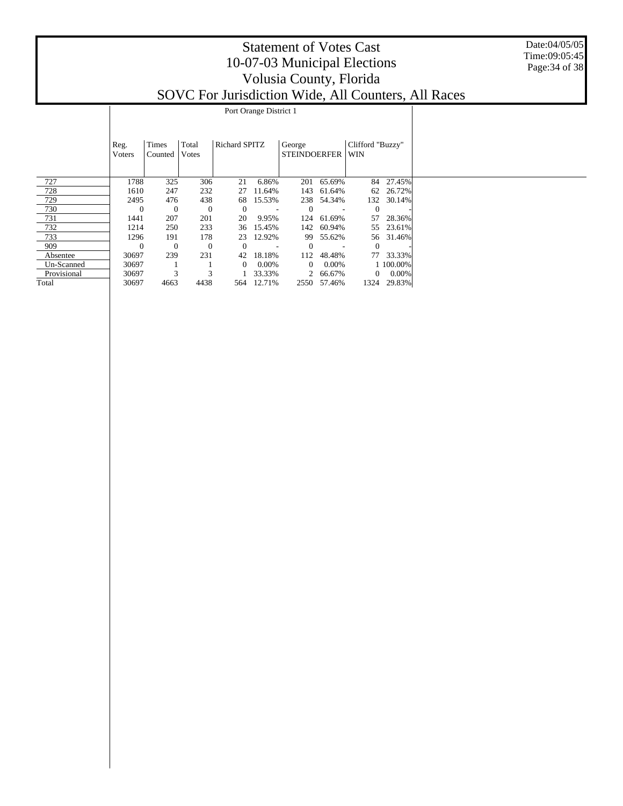|             |                |                  |                |                               | Port Orange District 1 |                         |             |              |           |  |  |  |  |  |
|-------------|----------------|------------------|----------------|-------------------------------|------------------------|-------------------------|-------------|--------------|-----------|--|--|--|--|--|
|             |                |                  |                |                               |                        |                         |             |              |           |  |  |  |  |  |
|             | Reg.<br>Voters | Times<br>Counted | Total<br>Votes | George<br><b>STEINDOERFER</b> |                        | Clifford "Buzzy"<br>WIN |             |              |           |  |  |  |  |  |
| 727         | 1788           | 325              | 306            | 21                            | 6.86%                  | 201                     | 65.69%      | 84           | 27.45%    |  |  |  |  |  |
| 728         | 1610           | 247              | 232            | 27                            | 11.64%                 | 143                     | 61.64%      | 62           | 26.72%    |  |  |  |  |  |
| 729         | 2495           | 476              | 438            | 68                            | 15.53%                 | 238                     | 54.34%      | 132          | 30.14%    |  |  |  |  |  |
| 730         | $\theta$       | $\theta$         | $\theta$       | $\theta$                      |                        | $\Omega$                |             | $\theta$     |           |  |  |  |  |  |
| 731         | 1441           | 207              | 201            | 20                            | 9.95%                  | 124                     | 61.69%      | 57           | 28.36%    |  |  |  |  |  |
| 732         | 1214           | 250              | 233            | 36                            | 15.45%                 | 142                     | 60.94%      | 55           | 23.61%    |  |  |  |  |  |
| 733         | 1296           | 191              | 178            | 23                            | 12.92%                 | 99                      | 55.62%      |              | 56 31.46% |  |  |  |  |  |
| 909         | $\Omega$       | $\theta$         | $\theta$       | $\left($                      |                        | $\Omega$                |             | $\Omega$     |           |  |  |  |  |  |
| Absentee    | 30697          | 239              | 231            | 42                            | 18.18%                 | 112                     | 48.48%      | 77           | 33.33%    |  |  |  |  |  |
| Un-Scanned  | 30697          |                  |                | $\Omega$                      | $0.00\%$               | $\overline{0}$          | $0.00\%$    |              | 1 100.00% |  |  |  |  |  |
| Provisional | 30697          | 3                | 3              |                               | 33.33%                 | 2                       | 66.67%      | $\mathbf{0}$ | 0.00%     |  |  |  |  |  |
| Total       | 30697          | 4663             | 4438           |                               | 564 12.71%             |                         | 2550 57.46% | 1324         | 29.83%    |  |  |  |  |  |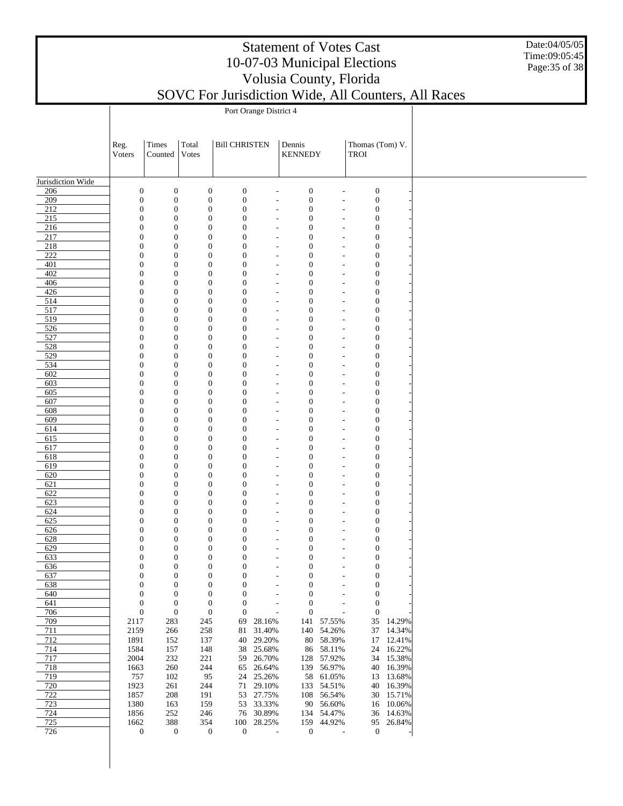Date:04/05/05 Time:09:05:45 Page:35 of 38

|                   | Port Orange District 4               |                                      |                                      |                                      |                                  |                                      |                                                      |                                      |                     |  |  |  |  |
|-------------------|--------------------------------------|--------------------------------------|--------------------------------------|--------------------------------------|----------------------------------|--------------------------------------|------------------------------------------------------|--------------------------------------|---------------------|--|--|--|--|
|                   |                                      |                                      |                                      |                                      |                                  |                                      |                                                      |                                      |                     |  |  |  |  |
|                   |                                      |                                      |                                      |                                      |                                  |                                      |                                                      |                                      |                     |  |  |  |  |
|                   | Reg.<br>Voters                       | Times<br>Counted                     | Total<br>Votes                       | <b>Bill CHRISTEN</b>                 |                                  | Dennis<br><b>KENNEDY</b>             |                                                      | Thomas (Tom) V.<br><b>TROI</b>       |                     |  |  |  |  |
|                   |                                      |                                      |                                      |                                      |                                  |                                      |                                                      |                                      |                     |  |  |  |  |
|                   |                                      |                                      |                                      |                                      |                                  |                                      |                                                      |                                      |                     |  |  |  |  |
| Jurisdiction Wide |                                      |                                      |                                      | $\boldsymbol{0}$                     |                                  |                                      |                                                      |                                      |                     |  |  |  |  |
| 206<br>209        | $\boldsymbol{0}$<br>$\boldsymbol{0}$ | $\boldsymbol{0}$<br>$\boldsymbol{0}$ | $\boldsymbol{0}$<br>$\boldsymbol{0}$ | $\boldsymbol{0}$                     | $\overline{a}$<br>$\overline{a}$ | $\boldsymbol{0}$<br>$\boldsymbol{0}$ | $\overline{\phantom{a}}$<br>$\overline{\phantom{a}}$ | $\boldsymbol{0}$<br>$\boldsymbol{0}$ |                     |  |  |  |  |
| $\overline{212}$  | $\boldsymbol{0}$                     | $\boldsymbol{0}$                     | $\boldsymbol{0}$                     | $\mathbf{0}$                         | ÷,                               | $\boldsymbol{0}$                     | $\overline{\phantom{a}}$                             | $\boldsymbol{0}$                     |                     |  |  |  |  |
| 215               | $\mathbf{0}$                         | $\boldsymbol{0}$                     | $\boldsymbol{0}$                     | $\boldsymbol{0}$                     | $\overline{a}$                   | $\boldsymbol{0}$                     | $\overline{\phantom{a}}$                             | $\boldsymbol{0}$                     |                     |  |  |  |  |
| 216               | $\boldsymbol{0}$                     | $\boldsymbol{0}$                     | $\boldsymbol{0}$                     | $\boldsymbol{0}$                     | ÷,                               | $\boldsymbol{0}$                     | $\overline{\phantom{a}}$                             | $\boldsymbol{0}$                     |                     |  |  |  |  |
| 217<br>218        | $\mathbf{0}$<br>$\boldsymbol{0}$     | $\boldsymbol{0}$<br>$\boldsymbol{0}$ | $\boldsymbol{0}$<br>$\boldsymbol{0}$ | $\mathbf{0}$<br>$\boldsymbol{0}$     | ٠<br>÷,                          | $\boldsymbol{0}$<br>$\boldsymbol{0}$ | $\overline{\phantom{a}}$<br>$\overline{\phantom{a}}$ | $\boldsymbol{0}$<br>$\boldsymbol{0}$ |                     |  |  |  |  |
| 222               | $\mathbf{0}$                         | $\boldsymbol{0}$                     | $\boldsymbol{0}$                     | $\mathbf{0}$                         | $\overline{a}$                   | $\boldsymbol{0}$                     | $\overline{\phantom{a}}$                             | $\boldsymbol{0}$                     |                     |  |  |  |  |
| 401               | $\boldsymbol{0}$                     | $\boldsymbol{0}$                     | $\boldsymbol{0}$                     | $\boldsymbol{0}$                     | ÷,                               | $\boldsymbol{0}$                     | $\overline{\phantom{a}}$                             | $\boldsymbol{0}$                     |                     |  |  |  |  |
| 402               | $\boldsymbol{0}$                     | $\boldsymbol{0}$                     | $\boldsymbol{0}$                     | $\boldsymbol{0}$                     | ٠                                | $\boldsymbol{0}$                     | $\overline{a}$                                       | $\boldsymbol{0}$                     |                     |  |  |  |  |
| 406<br>426        | $\boldsymbol{0}$<br>$\mathbf{0}$     | $\boldsymbol{0}$<br>$\boldsymbol{0}$ | $\boldsymbol{0}$<br>$\mathbf{0}$     | $\boldsymbol{0}$<br>$\mathbf{0}$     | ÷,<br>$\overline{a}$             | $\boldsymbol{0}$<br>$\boldsymbol{0}$ | $\overline{\phantom{a}}$<br>$\overline{\phantom{a}}$ | $\boldsymbol{0}$<br>$\boldsymbol{0}$ |                     |  |  |  |  |
| 514               | $\boldsymbol{0}$                     | $\boldsymbol{0}$                     | $\boldsymbol{0}$                     | $\boldsymbol{0}$                     | ÷,                               | $\boldsymbol{0}$                     | $\overline{a}$                                       | $\boldsymbol{0}$                     |                     |  |  |  |  |
| 517               | $\boldsymbol{0}$                     | $\boldsymbol{0}$                     | $\boldsymbol{0}$                     | $\boldsymbol{0}$                     | $\overline{a}$                   | $\boldsymbol{0}$                     | $\overline{\phantom{a}}$                             | $\boldsymbol{0}$                     |                     |  |  |  |  |
| 519               | $\boldsymbol{0}$                     | $\boldsymbol{0}$                     | $\boldsymbol{0}$                     | $\boldsymbol{0}$                     | ٠                                | $\boldsymbol{0}$                     | $\overline{\phantom{a}}$                             | $\boldsymbol{0}$                     |                     |  |  |  |  |
| 526<br>527        | $\mathbf{0}$                         | $\boldsymbol{0}$<br>$\boldsymbol{0}$ | $\boldsymbol{0}$<br>$\boldsymbol{0}$ | $\mathbf{0}$                         | ٠                                | $\boldsymbol{0}$                     | $\overline{\phantom{a}}$                             | $\boldsymbol{0}$                     |                     |  |  |  |  |
| 528               | $\boldsymbol{0}$<br>$\boldsymbol{0}$ | $\boldsymbol{0}$                     | $\boldsymbol{0}$                     | $\boldsymbol{0}$<br>$\boldsymbol{0}$ | ÷,<br>$\overline{a}$             | $\boldsymbol{0}$<br>$\boldsymbol{0}$ | $\overline{\phantom{a}}$<br>$\overline{\phantom{a}}$ | $\boldsymbol{0}$<br>$\boldsymbol{0}$ |                     |  |  |  |  |
| 529               | $\boldsymbol{0}$                     | $\boldsymbol{0}$                     | $\boldsymbol{0}$                     | $\boldsymbol{0}$                     | ÷,                               | $\boldsymbol{0}$                     | $\overline{\phantom{a}}$                             | $\boldsymbol{0}$                     |                     |  |  |  |  |
| 534               | $\boldsymbol{0}$                     | $\boldsymbol{0}$                     | $\boldsymbol{0}$                     | $\boldsymbol{0}$                     | ٠                                | $\boldsymbol{0}$                     | $\overline{\phantom{a}}$                             | $\boldsymbol{0}$                     |                     |  |  |  |  |
| 602               | $\boldsymbol{0}$                     | $\boldsymbol{0}$                     | $\boldsymbol{0}$                     | $\boldsymbol{0}$                     | ÷,                               | $\boldsymbol{0}$                     | $\overline{\phantom{a}}$                             | $\boldsymbol{0}$                     |                     |  |  |  |  |
| 603<br>605        | $\boldsymbol{0}$<br>$\boldsymbol{0}$ | $\boldsymbol{0}$<br>$\boldsymbol{0}$ | $\boldsymbol{0}$<br>$\boldsymbol{0}$ | $\mathbf{0}$<br>$\boldsymbol{0}$     | $\overline{a}$<br>÷,             | $\boldsymbol{0}$<br>$\boldsymbol{0}$ | $\overline{\phantom{a}}$<br>÷,                       | $\boldsymbol{0}$<br>$\boldsymbol{0}$ |                     |  |  |  |  |
| 607               | $\boldsymbol{0}$                     | $\boldsymbol{0}$                     | $\boldsymbol{0}$                     | $\boldsymbol{0}$                     | $\overline{a}$                   | $\boldsymbol{0}$                     | $\overline{\phantom{a}}$                             | $\boldsymbol{0}$                     |                     |  |  |  |  |
| 608               | $\boldsymbol{0}$                     | $\boldsymbol{0}$                     | $\boldsymbol{0}$                     | $\boldsymbol{0}$                     | ÷,                               | $\boldsymbol{0}$                     | $\overline{\phantom{a}}$                             | $\boldsymbol{0}$                     |                     |  |  |  |  |
| 609               | $\boldsymbol{0}$                     | $\boldsymbol{0}$                     | $\boldsymbol{0}$                     | $\mathbf{0}$                         | ٠                                | $\boldsymbol{0}$                     | $\overline{\phantom{a}}$                             | $\boldsymbol{0}$                     |                     |  |  |  |  |
| 614               | $\boldsymbol{0}$                     | $\boldsymbol{0}$                     | $\boldsymbol{0}$                     | $\boldsymbol{0}$                     | ÷,                               | $\boldsymbol{0}$                     | $\overline{\phantom{a}}$                             | $\boldsymbol{0}$                     |                     |  |  |  |  |
| 615<br>617        | $\mathbf{0}$<br>$\boldsymbol{0}$     | $\boldsymbol{0}$<br>$\boldsymbol{0}$ | $\boldsymbol{0}$<br>$\boldsymbol{0}$ | $\mathbf{0}$<br>$\boldsymbol{0}$     | $\overline{a}$<br>÷,             | $\boldsymbol{0}$<br>$\boldsymbol{0}$ | $\overline{\phantom{a}}$<br>$\overline{\phantom{a}}$ | $\boldsymbol{0}$<br>$\boldsymbol{0}$ |                     |  |  |  |  |
| 618               | $\boldsymbol{0}$                     | $\boldsymbol{0}$                     | $\boldsymbol{0}$                     | $\boldsymbol{0}$                     | ٠                                | $\boldsymbol{0}$                     | $\overline{a}$                                       | $\boldsymbol{0}$                     |                     |  |  |  |  |
| 619               | $\boldsymbol{0}$                     | $\boldsymbol{0}$                     | $\boldsymbol{0}$                     | $\boldsymbol{0}$                     | ÷,                               | $\boldsymbol{0}$                     | $\overline{\phantom{a}}$                             | $\boldsymbol{0}$                     |                     |  |  |  |  |
| 620               | $\mathbf{0}$                         | $\boldsymbol{0}$                     | $\boldsymbol{0}$                     | $\mathbf{0}$                         | $\overline{a}$                   | $\boldsymbol{0}$                     | $\overline{\phantom{a}}$                             | $\boldsymbol{0}$                     |                     |  |  |  |  |
| 621<br>622        | $\boldsymbol{0}$<br>$\boldsymbol{0}$ | $\boldsymbol{0}$<br>$\boldsymbol{0}$ | $\boldsymbol{0}$<br>$\boldsymbol{0}$ | $\boldsymbol{0}$<br>$\boldsymbol{0}$ | ÷,                               | $\boldsymbol{0}$<br>$\boldsymbol{0}$ | $\overline{\phantom{a}}$                             | $\boldsymbol{0}$<br>$\boldsymbol{0}$ |                     |  |  |  |  |
| 623               | $\boldsymbol{0}$                     | $\boldsymbol{0}$                     | $\boldsymbol{0}$                     | $\boldsymbol{0}$                     | $\overline{a}$<br>٠              | $\boldsymbol{0}$                     | $\overline{\phantom{a}}$<br>$\overline{\phantom{a}}$ | $\boldsymbol{0}$                     |                     |  |  |  |  |
| 624               | $\mathbf{0}$                         | $\boldsymbol{0}$                     | $\boldsymbol{0}$                     | $\mathbf{0}$                         | ٠                                | $\boldsymbol{0}$                     | $\overline{\phantom{a}}$                             | $\boldsymbol{0}$                     |                     |  |  |  |  |
| 625               | $\boldsymbol{0}$                     | $\boldsymbol{0}$                     | $\boldsymbol{0}$                     | $\boldsymbol{0}$                     | ÷,                               | $\boldsymbol{0}$                     | $\overline{\phantom{a}}$                             | $\boldsymbol{0}$                     |                     |  |  |  |  |
| 626               | $\mathbf{0}$                         | $\boldsymbol{0}$                     | $\boldsymbol{0}$                     | $\mathbf{0}$                         | $\overline{a}$                   | $\boldsymbol{0}$                     | $\overline{\phantom{a}}$                             | $\boldsymbol{0}$                     |                     |  |  |  |  |
| 628<br>629        | $\boldsymbol{0}$<br>$\boldsymbol{0}$ | $\boldsymbol{0}$<br>$\boldsymbol{0}$ | $\boldsymbol{0}$<br>$\boldsymbol{0}$ | $\boldsymbol{0}$<br>$\boldsymbol{0}$ | ÷,<br>$\overline{a}$             | $\boldsymbol{0}$<br>$\boldsymbol{0}$ | ٠<br>$\overline{\phantom{a}}$                        | $\boldsymbol{0}$<br>$\boldsymbol{0}$ |                     |  |  |  |  |
| 633               | $\mathbf{0}$                         | $\mathbf{0}$                         | $\mathbf{0}$                         | $\theta$                             | ÷,                               | $\mathbf{0}$                         | $\overline{a}$                                       | $\boldsymbol{0}$                     |                     |  |  |  |  |
| 636               | 0                                    | $\boldsymbol{0}$                     | 0                                    | 0                                    |                                  | 0                                    |                                                      | $\mathbf{0}$                         |                     |  |  |  |  |
| 637               | $\boldsymbol{0}$                     | $\boldsymbol{0}$                     | $\boldsymbol{0}$                     | $\mathbf{0}$                         |                                  | $\boldsymbol{0}$                     | ٠                                                    | $\boldsymbol{0}$                     |                     |  |  |  |  |
| 638               | $\boldsymbol{0}$                     | $\mathbf{0}$                         | $\boldsymbol{0}$                     | $\mathbf{0}$                         | ÷,                               | $\boldsymbol{0}$                     | $\overline{\phantom{a}}$                             | $\mathbf{0}$                         |                     |  |  |  |  |
| 640<br>641        | $\boldsymbol{0}$<br>$\boldsymbol{0}$ | $\boldsymbol{0}$<br>$\mathbf{0}$     | $\boldsymbol{0}$<br>$\boldsymbol{0}$ | $\mathbf{0}$<br>$\boldsymbol{0}$     | Ĭ.<br>÷,                         | $\boldsymbol{0}$<br>$\boldsymbol{0}$ | ÷,<br>$\overline{\phantom{a}}$                       | $\boldsymbol{0}$<br>$\boldsymbol{0}$ |                     |  |  |  |  |
| 706               | $\boldsymbol{0}$                     | $\boldsymbol{0}$                     | $\boldsymbol{0}$                     | $\mathbf{0}$                         |                                  | $\boldsymbol{0}$                     |                                                      | $\boldsymbol{0}$                     |                     |  |  |  |  |
| 709               | 2117                                 | 283                                  | 245                                  | 69                                   | 28.16%                           |                                      | 141 57.55%                                           | 35 <sup>5</sup>                      | 14.29%              |  |  |  |  |
| 711               | 2159                                 | 266                                  | 258                                  | 81                                   | 31.40%                           | 140                                  | 54.26%                                               | 37                                   | 14.34%              |  |  |  |  |
| 712<br>714        | 1891<br>1584                         | 152<br>157                           | 137<br>148                           | 40<br>38                             | 29.20%<br>25.68%                 | 86                                   | 80 58.39%<br>58.11%                                  | 17                                   | 12.41%<br>24 16.22% |  |  |  |  |
| 717               | 2004                                 | 232                                  | 221                                  | 59                                   | 26.70%                           | 128                                  | 57.92%                                               | 34                                   | 15.38%              |  |  |  |  |
| 718               | 1663                                 | 260                                  | 244                                  | 65                                   | 26.64%                           | 139                                  | 56.97%                                               | 40                                   | 16.39%              |  |  |  |  |
| 719               | 757                                  | 102                                  | 95                                   | 24                                   | 25.26%                           | 58                                   | 61.05%                                               | 13                                   | 13.68%              |  |  |  |  |
| 720               | 1923                                 | 261                                  | 244                                  | 71                                   | 29.10%                           | 133                                  | 54.51%                                               | 40                                   | 16.39%              |  |  |  |  |
| 722<br>723        | 1857<br>1380                         | 208<br>163                           | 191<br>159                           | 53<br>53                             | 27.75%<br>33.33%                 | 108<br>90                            | 56.54%<br>56.60%                                     | 30<br>16                             | 15.71%<br>10.06%    |  |  |  |  |
| 724               | 1856                                 | 252                                  | 246                                  | 76                                   | 30.89%                           | 134                                  | 54.47%                                               | 36                                   | 14.63%              |  |  |  |  |
| 725               | 1662                                 | 388                                  | 354                                  | 100                                  | 28.25%                           | 159                                  | 44.92%                                               | 95                                   | 26.84%              |  |  |  |  |
| 726               | $\boldsymbol{0}$                     | $\boldsymbol{0}$                     | $\boldsymbol{0}$                     | $\boldsymbol{0}$                     | $\overline{\phantom{a}}$         | $\boldsymbol{0}$                     | J.                                                   | $\boldsymbol{0}$                     |                     |  |  |  |  |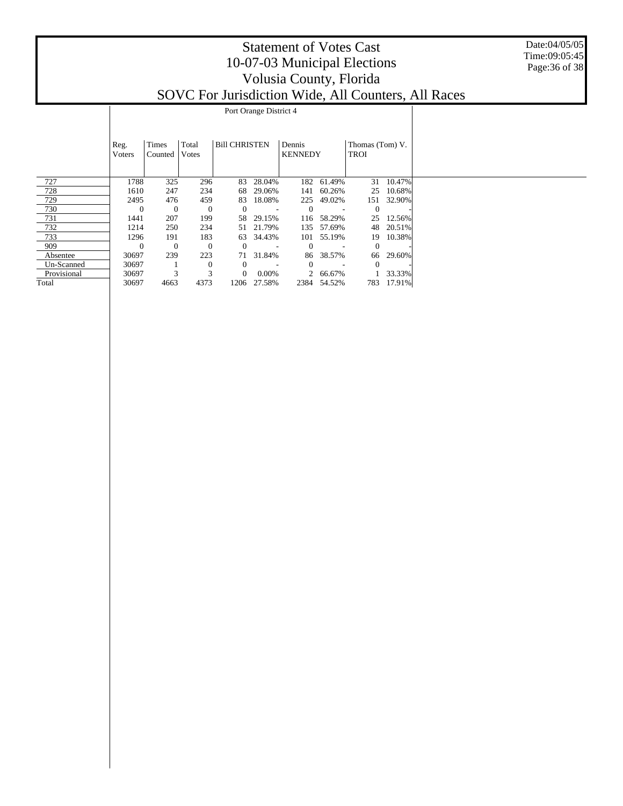|             |                                                                             |          |              |          | Port Orange District 4 |                |             |              |        |  |  |  |  |  |
|-------------|-----------------------------------------------------------------------------|----------|--------------|----------|------------------------|----------------|-------------|--------------|--------|--|--|--|--|--|
|             |                                                                             |          |              |          |                        |                |             |              |        |  |  |  |  |  |
|             |                                                                             |          |              |          |                        |                |             |              |        |  |  |  |  |  |
|             |                                                                             |          |              |          |                        |                |             |              |        |  |  |  |  |  |
|             | Times<br>Total<br><b>Bill CHRISTEN</b><br>Dennis<br>Thomas (Tom) V.<br>Reg. |          |              |          |                        |                |             |              |        |  |  |  |  |  |
|             | Voters                                                                      | Counted  | Votes        |          |                        | <b>KENNEDY</b> |             | <b>TROI</b>  |        |  |  |  |  |  |
|             |                                                                             |          |              |          |                        |                |             |              |        |  |  |  |  |  |
|             |                                                                             |          |              |          |                        |                |             |              |        |  |  |  |  |  |
| 727         | 1788                                                                        | 325      | 296          | 83       | 28.04%                 | 182            | 61.49%      | 31           | 10.47% |  |  |  |  |  |
| 728         | 1610                                                                        | 247      | 234          | 68       | 29.06%                 | 141            | 60.26%      | 25           | 10.68% |  |  |  |  |  |
| 729         | 2495                                                                        | 476      | 459          | 83       | 18.08%                 | 225            | 49.02%      | 151          | 32.90% |  |  |  |  |  |
| 730         | $\Omega$                                                                    | $\theta$ | $\theta$     |          |                        | $\Omega$       |             | $\theta$     |        |  |  |  |  |  |
| 731         | 1441                                                                        | 207      | 199          | 58       | 29.15%                 | 116            | 58.29%      | 25           | 12.56% |  |  |  |  |  |
| 732         | 1214                                                                        | 250      | 234          | 51       | 21.79%                 | 135            | 57.69%      | 48           | 20.51% |  |  |  |  |  |
| 733         | 1296                                                                        | 191      | 183          | 63       | 34.43%                 | 101            | 55.19%      | 19           | 10.38% |  |  |  |  |  |
| 909         | $\Omega$                                                                    | $\theta$ | $\theta$     | $\Omega$ |                        | $\Omega$       |             | $\theta$     |        |  |  |  |  |  |
| Absentee    | 30697                                                                       | 239      | 223          | 71       | 31.84%                 | 86             | 38.57%      | 66           | 29.60% |  |  |  |  |  |
| Un-Scanned  | 30697                                                                       |          | $\mathbf{0}$ | $\Omega$ |                        | $\Omega$       |             | $\mathbf{0}$ |        |  |  |  |  |  |
| Provisional | 30697                                                                       | 3        | 3            | $\Omega$ | 0.00%                  | $\overline{2}$ | 66.67%      |              | 33.33% |  |  |  |  |  |
| Total       | 30697                                                                       | 4663     | 4373         |          | 1206 27.58%            |                | 2384 54.52% | 783          | 17.91% |  |  |  |  |  |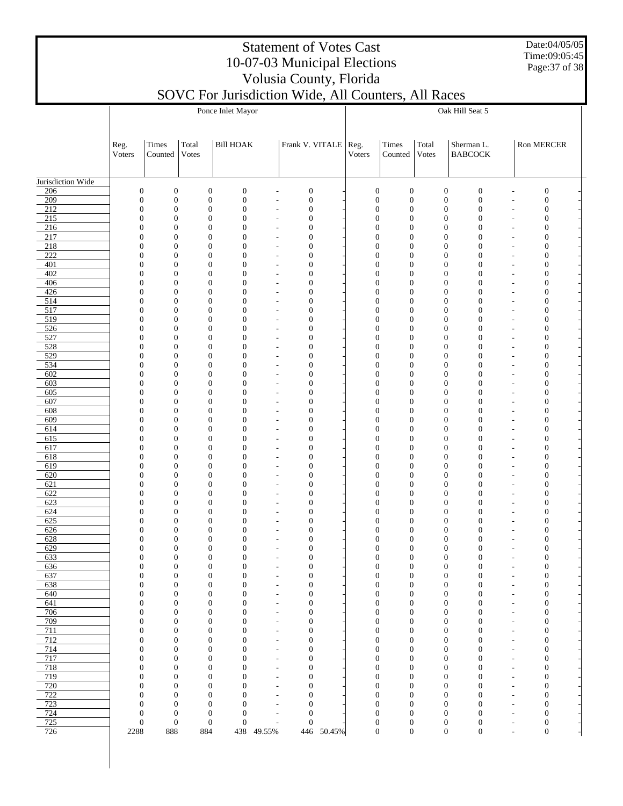Date:04/05/05 Time:09:05:45 Page:37 of 38

## Statement of Votes Cast 10-07-03 Municipal Elections Volusia County, Florida

| SOVC For Jurisdiction Wide, All Counters, All Races |  |
|-----------------------------------------------------|--|
|-----------------------------------------------------|--|

|                   |                |                                                                              |                                      | Ponce Inlet Mayor                                            |                              |                                      | Oak Hill Seat 5 |                                      |                                      |                                      |                                      |                          |                                      |  |
|-------------------|----------------|------------------------------------------------------------------------------|--------------------------------------|--------------------------------------------------------------|------------------------------|--------------------------------------|-----------------|--------------------------------------|--------------------------------------|--------------------------------------|--------------------------------------|--------------------------|--------------------------------------|--|
|                   |                |                                                                              |                                      |                                                              |                              |                                      |                 |                                      |                                      |                                      |                                      |                          |                                      |  |
|                   |                |                                                                              |                                      |                                                              |                              |                                      |                 |                                      |                                      |                                      |                                      |                          |                                      |  |
|                   | Reg.<br>Voters | Times<br>Counted                                                             | Total<br>Votes                       | <b>Bill HOAK</b>                                             |                              | Frank V. VITALE   Reg.               |                 | Voters                               | Times<br>Counted                     | Total<br>Votes                       | Sherman L.<br><b>BABCOCK</b>         |                          | Ron MERCER                           |  |
|                   |                |                                                                              |                                      |                                                              |                              |                                      |                 |                                      |                                      |                                      |                                      |                          |                                      |  |
|                   |                |                                                                              |                                      |                                                              |                              |                                      |                 |                                      |                                      |                                      |                                      |                          |                                      |  |
| Jurisdiction Wide |                |                                                                              |                                      |                                                              |                              |                                      |                 |                                      |                                      |                                      |                                      |                          |                                      |  |
| 206<br>209        |                | $\boldsymbol{0}$<br>$\boldsymbol{0}$<br>$\boldsymbol{0}$<br>$\boldsymbol{0}$ | $\boldsymbol{0}$<br>$\boldsymbol{0}$ | $\mathbf{0}$<br>$\mathbf{0}$                                 | ÷,                           | $\boldsymbol{0}$<br>$\boldsymbol{0}$ |                 | $\mathbf{0}$<br>$\boldsymbol{0}$     | $\mathbf{0}$<br>$\boldsymbol{0}$     | $\boldsymbol{0}$<br>$\boldsymbol{0}$ | $\boldsymbol{0}$<br>$\boldsymbol{0}$ |                          | $\boldsymbol{0}$<br>$\boldsymbol{0}$ |  |
| 212               |                | $\mathbf{0}$<br>$\boldsymbol{0}$                                             |                                      | $\mathbf{0}$<br>$\theta$                                     |                              | $\mathbf{0}$                         |                 | $\mathbf{0}$                         | $\mathbf{0}$                         | $\boldsymbol{0}$                     | $\mathbf{0}$                         |                          | $\boldsymbol{0}$                     |  |
| 215               |                | $\mathbf{0}$<br>$\mathbf{0}$                                                 |                                      | $\mathbf{0}$<br>$\theta$                                     |                              | $\boldsymbol{0}$                     |                 | $\mathbf{0}$                         | $\mathbf{0}$                         | $\boldsymbol{0}$                     | $\boldsymbol{0}$                     |                          | $\boldsymbol{0}$                     |  |
| 216<br>217        |                | $\mathbf{0}$<br>$\mathbf{0}$<br>$\mathbf{0}$<br>$\mathbf{0}$                 |                                      | $\mathbf{0}$<br>$\mathbf{0}$<br>$\mathbf{0}$<br>$\theta$     |                              | $\mathbf{0}$<br>$\boldsymbol{0}$     |                 | $\theta$<br>$\theta$                 | $\mathbf{0}$<br>$\theta$             | $\boldsymbol{0}$<br>$\boldsymbol{0}$ | $\mathbf{0}$<br>$\mathbf{0}$         |                          | $\boldsymbol{0}$<br>$\boldsymbol{0}$ |  |
| 218               |                | $\mathbf{0}$<br>$\mathbf{0}$                                                 |                                      | $\mathbf{0}$<br>$\theta$                                     | ÷,                           | $\mathbf{0}$                         |                 | $\theta$                             | $\theta$                             | $\boldsymbol{0}$                     | $\mathbf{0}$                         |                          | $\boldsymbol{0}$                     |  |
| 222               |                | $\mathbf{0}$<br>$\mathbf{0}$                                                 |                                      | $\mathbf{0}$<br>$\theta$                                     |                              | $\boldsymbol{0}$                     |                 | $\mathbf{0}$                         | $\theta$                             | $\boldsymbol{0}$                     | $\mathbf{0}$                         |                          | $\boldsymbol{0}$                     |  |
| 401<br>402        |                | $\mathbf{0}$<br>$\mathbf{0}$<br>$\mathbf{0}$<br>$\mathbf{0}$                 |                                      | $\mathbf{0}$<br>$\theta$<br>$\mathbf{0}$<br>$\theta$         | ÷,                           | $\mathbf{0}$<br>$\boldsymbol{0}$     |                 | $\theta$<br>$\boldsymbol{0}$         | $\mathbf{0}$<br>$\theta$             | $\boldsymbol{0}$<br>$\boldsymbol{0}$ | $\mathbf{0}$<br>$\mathbf{0}$         |                          | $\boldsymbol{0}$<br>$\boldsymbol{0}$ |  |
| 406               |                | $\mathbf{0}$<br>$\boldsymbol{0}$                                             |                                      | $\mathbf{0}$<br>$\theta$                                     | ÷,<br>Ĭ.                     | $\mathbf{0}$                         |                 | $\theta$                             | $\theta$                             | $\boldsymbol{0}$                     | $\mathbf{0}$                         |                          | $\boldsymbol{0}$                     |  |
| 426               |                | $\mathbf{0}$<br>$\mathbf{0}$                                                 |                                      | $\mathbf{0}$<br>$\theta$                                     | ÷,                           | $\boldsymbol{0}$                     |                 | $\mathbf{0}$                         | $\theta$                             | $\boldsymbol{0}$                     | $\mathbf{0}$                         |                          | $\boldsymbol{0}$                     |  |
| 514               |                | $\mathbf{0}$<br>$\mathbf{0}$                                                 |                                      | $\mathbf{0}$<br>$\theta$                                     | L,                           | $\mathbf{0}$                         |                 | $\theta$                             | $\theta$                             | $\boldsymbol{0}$                     | $\mathbf{0}$                         |                          | $\boldsymbol{0}$                     |  |
| 517<br>519        |                | $\mathbf{0}$<br>$\mathbf{0}$<br>$\mathbf{0}$<br>$\mathbf{0}$                 |                                      | $\mathbf{0}$<br>$\theta$<br>$\mathbf{0}$<br>$\theta$         | ÷,<br>L,                     | $\boldsymbol{0}$<br>$\mathbf{0}$     |                 | $\boldsymbol{0}$<br>$\overline{0}$   | $\theta$<br>$\theta$                 | $\boldsymbol{0}$<br>$\boldsymbol{0}$ | $\mathbf{0}$<br>$\mathbf{0}$         |                          | $\boldsymbol{0}$<br>$\boldsymbol{0}$ |  |
| 526               |                | $\mathbf{0}$<br>$\mathbf{0}$                                                 |                                      | $\mathbf{0}$<br>$\theta$                                     | ÷,                           | $\boldsymbol{0}$                     |                 | $\mathbf{0}$                         | $\theta$                             | $\boldsymbol{0}$                     | $\mathbf{0}$                         |                          | $\boldsymbol{0}$                     |  |
| 527               |                | $\mathbf{0}$<br>$\mathbf{0}$                                                 |                                      | $\mathbf{0}$<br>$\theta$                                     | ÷,                           | $\mathbf{0}$                         |                 | $\overline{0}$                       | $\theta$                             | $\boldsymbol{0}$                     | $\mathbf{0}$                         |                          | $\boldsymbol{0}$                     |  |
| 528<br>529        |                | $\mathbf{0}$<br>$\mathbf{0}$<br>$\mathbf{0}$<br>$\mathbf{0}$                 |                                      | $\mathbf{0}$<br>$\theta$<br>$\mathbf{0}$<br>$\theta$         | ÷,                           | $\boldsymbol{0}$<br>$\mathbf{0}$     |                 | $\mathbf{0}$<br>$\overline{0}$       | $\theta$<br>$\theta$                 | $\boldsymbol{0}$<br>$\boldsymbol{0}$ | $\mathbf{0}$<br>$\mathbf{0}$         |                          | $\boldsymbol{0}$<br>$\boldsymbol{0}$ |  |
| 534               |                | $\mathbf{0}$<br>$\mathbf{0}$                                                 |                                      | $\mathbf{0}$<br>$\theta$                                     |                              | $\boldsymbol{0}$                     |                 | $\mathbf{0}$                         | $\theta$                             | $\boldsymbol{0}$                     | $\mathbf{0}$                         |                          | $\boldsymbol{0}$                     |  |
| 602               |                | $\mathbf{0}$<br>$\mathbf{0}$                                                 |                                      | $\mathbf{0}$<br>$\theta$                                     | ÷,                           | $\mathbf{0}$                         |                 | $\overline{0}$                       | $\theta$                             | $\boldsymbol{0}$                     | $\mathbf{0}$                         |                          | $\boldsymbol{0}$                     |  |
| 603               |                | $\mathbf{0}$<br>$\mathbf{0}$                                                 |                                      | $\mathbf{0}$<br>$\theta$                                     |                              | $\boldsymbol{0}$                     |                 | $\mathbf{0}$                         | $\theta$                             | $\boldsymbol{0}$                     | $\mathbf{0}$                         |                          | $\boldsymbol{0}$                     |  |
| 605<br>607        |                | $\mathbf{0}$<br>$\boldsymbol{0}$<br>$\mathbf{0}$<br>$\mathbf{0}$             |                                      | $\mathbf{0}$<br>$\theta$<br>$\mathbf{0}$<br>$\theta$         | ÷,                           | $\mathbf{0}$<br>$\boldsymbol{0}$     |                 | $\overline{0}$<br>$\mathbf{0}$       | $\theta$<br>$\theta$                 | $\boldsymbol{0}$<br>$\boldsymbol{0}$ | $\mathbf{0}$<br>$\mathbf{0}$         |                          | $\boldsymbol{0}$<br>$\boldsymbol{0}$ |  |
| 608               |                | $\mathbf{0}$<br>$\mathbf{0}$                                                 |                                      | $\mathbf{0}$<br>$\theta$                                     | ÷,                           | $\mathbf{0}$                         |                 | $\overline{0}$                       | $\mathbf{0}$                         | $\boldsymbol{0}$                     | $\mathbf{0}$                         |                          | $\boldsymbol{0}$                     |  |
| 609               |                | $\mathbf{0}$<br>$\mathbf{0}$                                                 |                                      | $\mathbf{0}$<br>$\theta$                                     | ÷,                           | $\boldsymbol{0}$                     |                 | $\boldsymbol{0}$                     | $\theta$                             | $\boldsymbol{0}$                     | $\mathbf{0}$                         |                          | $\boldsymbol{0}$                     |  |
| 614               |                | $\mathbf{0}$<br>$\boldsymbol{0}$<br>$\mathbf{0}$<br>$\mathbf{0}$             |                                      | $\mathbf{0}$<br>$\theta$<br>$\mathbf{0}$<br>$\theta$         | ÷,                           | $\mathbf{0}$<br>$\boldsymbol{0}$     |                 | $\theta$<br>$\mathbf{0}$             | $\theta$<br>$\theta$                 | $\boldsymbol{0}$                     | $\mathbf{0}$<br>$\mathbf{0}$         |                          | $\boldsymbol{0}$<br>$\boldsymbol{0}$ |  |
| 615<br>617        |                | $\mathbf{0}$<br>$\mathbf{0}$                                                 |                                      | $\mathbf{0}$<br>$\theta$                                     | ÷,<br>L,                     | $\mathbf{0}$                         |                 | $\theta$                             | $\theta$                             | $\boldsymbol{0}$<br>$\boldsymbol{0}$ | $\mathbf{0}$                         |                          | $\boldsymbol{0}$                     |  |
| 618               |                | $\mathbf{0}$<br>$\mathbf{0}$                                                 |                                      | $\mathbf{0}$<br>$\theta$                                     | ÷,                           | $\boldsymbol{0}$                     |                 | $\boldsymbol{0}$                     | $\theta$                             | $\boldsymbol{0}$                     | $\mathbf{0}$                         |                          | $\boldsymbol{0}$                     |  |
| 619               |                | $\mathbf{0}$<br>$\mathbf{0}$                                                 |                                      | $\mathbf{0}$<br>$\theta$                                     | Ĭ.                           | $\mathbf{0}$                         |                 | $\theta$                             | $\theta$                             | $\boldsymbol{0}$                     | $\mathbf{0}$                         | $\overline{a}$           | $\boldsymbol{0}$                     |  |
| 620<br>621        |                | $\mathbf{0}$<br>$\mathbf{0}$<br>$\mathbf{0}$<br>$\mathbf{0}$                 |                                      | $\mathbf{0}$<br>$\theta$<br>$\mathbf{0}$<br>$\theta$         | ÷,<br>÷,                     | $\boldsymbol{0}$<br>$\mathbf{0}$     |                 | $\theta$<br>$\theta$                 | $\theta$<br>$\theta$                 | $\boldsymbol{0}$<br>$\boldsymbol{0}$ | $\mathbf{0}$<br>$\mathbf{0}$         |                          | $\boldsymbol{0}$<br>$\boldsymbol{0}$ |  |
| 622               |                | $\mathbf{0}$<br>$\mathbf{0}$                                                 |                                      | $\mathbf{0}$<br>$\theta$                                     |                              | $\boldsymbol{0}$                     |                 | $\theta$                             | $\theta$                             | $\boldsymbol{0}$                     | $\mathbf{0}$                         |                          | $\boldsymbol{0}$                     |  |
| 623               |                | $\mathbf{0}$<br>$\mathbf{0}$                                                 |                                      | $\mathbf{0}$<br>$\mathbf{0}$                                 | ÷,                           | $\mathbf{0}$                         |                 | $\theta$                             | $\theta$                             | $\boldsymbol{0}$                     | $\mathbf{0}$                         |                          | $\boldsymbol{0}$                     |  |
| 624<br>625        |                | $\mathbf{0}$<br>$\mathbf{0}$<br>$\mathbf{0}$<br>$\mathbf{0}$                 |                                      | $\mathbf{0}$<br>$\theta$<br>$\mathbf{0}$<br>$\mathbf{0}$     |                              | $\boldsymbol{0}$<br>$\mathbf{0}$     |                 | $\theta$<br>$\overline{0}$           | $\theta$<br>$\mathbf{0}$             | $\boldsymbol{0}$<br>$\boldsymbol{0}$ | $\mathbf{0}$<br>$\mathbf{0}$         |                          | $\boldsymbol{0}$<br>$\boldsymbol{0}$ |  |
| 626               |                | $\mathbf{0}$<br>$\mathbf{0}$                                                 |                                      | $\mathbf{0}$<br>$\theta$                                     |                              | $\boldsymbol{0}$                     |                 | $\theta$                             | $\mathbf{0}$                         | $\boldsymbol{0}$                     | $\mathbf{0}$                         |                          | $\boldsymbol{0}$                     |  |
| 628               |                | $\mathbf{0}$<br>$\mathbf{0}$                                                 |                                      | $\mathbf{0}$<br>$\overline{0}$                               |                              | $\mathbf{0}$                         |                 | $\theta$                             | $\mathbf{0}$                         | $\boldsymbol{0}$                     | $\mathbf{0}$                         |                          | $\boldsymbol{0}$                     |  |
| 629               |                | $\mathbf{0}$<br>$\mathbf{0}$                                                 |                                      | $\boldsymbol{0}$<br>$\theta$                                 |                              | $\boldsymbol{0}$                     |                 | $\mathbf{0}$                         | $\theta$                             | $\boldsymbol{0}$                     | $\mathbf{0}$                         |                          | $\boldsymbol{0}$<br>$\Omega$         |  |
| 633<br>636        |                | $\Omega$<br>$\Omega$<br>$\boldsymbol{0}$<br>$\mathbf{0}$                     | $\boldsymbol{0}$                     | $\theta$<br>$\Omega$<br>$\boldsymbol{0}$                     |                              | $\Omega$<br>$\boldsymbol{0}$         |                 | $\Omega$<br>0                        | $\Omega$<br>$\boldsymbol{0}$         | $\Omega$<br>$\boldsymbol{0}$         | $\Omega$<br>$\boldsymbol{0}$         |                          | $\boldsymbol{0}$                     |  |
| 637               |                | $\boldsymbol{0}$<br>$\boldsymbol{0}$                                         |                                      | $\mathbf{0}$<br>$\mathbf{0}$                                 | $\overline{a}$               | $\boldsymbol{0}$                     |                 | $\mathbf{0}$                         | $\mathbf{0}$                         | $\boldsymbol{0}$                     | $\boldsymbol{0}$                     |                          | $\boldsymbol{0}$                     |  |
| 638               |                | $\boldsymbol{0}$<br>$\boldsymbol{0}$                                         |                                      | $\boldsymbol{0}$<br>$\mathbf{0}$                             | ÷,                           | $\boldsymbol{0}$                     |                 | $\boldsymbol{0}$                     | $\mathbf{0}$                         | $\boldsymbol{0}$                     | $\boldsymbol{0}$                     |                          | $\boldsymbol{0}$                     |  |
| 640<br>641        |                | $\boldsymbol{0}$<br>$\boldsymbol{0}$<br>$\boldsymbol{0}$<br>$\boldsymbol{0}$ |                                      | $\mathbf{0}$<br>$\mathbf{0}$<br>$\mathbf{0}$<br>$\mathbf{0}$ | $\overline{a}$               | $\mathbf{0}$<br>$\boldsymbol{0}$     |                 | $\mathbf{0}$<br>$\boldsymbol{0}$     | $\boldsymbol{0}$<br>$\boldsymbol{0}$ | $\boldsymbol{0}$<br>$\boldsymbol{0}$ | $\mathbf{0}$<br>$\boldsymbol{0}$     | $\overline{\phantom{a}}$ | $\boldsymbol{0}$<br>$\boldsymbol{0}$ |  |
| 706               |                | $\boldsymbol{0}$<br>$\boldsymbol{0}$                                         |                                      | $\mathbf{0}$<br>$\mathbf{0}$                                 | ÷,<br>Ĭ.                     | $\mathbf{0}$                         |                 | $\overline{0}$                       | $\boldsymbol{0}$                     | $\boldsymbol{0}$                     | $\mathbf{0}$                         | $\overline{\phantom{a}}$ | $\boldsymbol{0}$                     |  |
| 709               |                | $\boldsymbol{0}$<br>$\boldsymbol{0}$                                         |                                      | $\mathbf{0}$<br>$\theta$                                     | ÷,                           | $\boldsymbol{0}$                     |                 | $\boldsymbol{0}$                     | $\mathbf{0}$                         | $\boldsymbol{0}$                     | $\mathbf{0}$                         |                          | $\boldsymbol{0}$                     |  |
| 711               |                | $\boldsymbol{0}$<br>$\boldsymbol{0}$                                         |                                      | $\mathbf{0}$<br>$\mathbf{0}$                                 | Ĭ.                           | $\mathbf{0}$                         |                 | $\mathbf{0}$                         | $\boldsymbol{0}$                     | $\boldsymbol{0}$                     | $\mathbf{0}$                         | $\overline{\phantom{a}}$ | $\boldsymbol{0}$                     |  |
| 712<br>714        |                | $\boldsymbol{0}$<br>$\boldsymbol{0}$<br>$\boldsymbol{0}$<br>$\boldsymbol{0}$ |                                      | $\mathbf{0}$<br>$\mathbf{0}$<br>$\mathbf{0}$<br>$\mathbf{0}$ | ÷,<br>$\overline{a}$         | $\boldsymbol{0}$<br>$\mathbf{0}$     |                 | $\boldsymbol{0}$<br>$\overline{0}$   | $\mathbf{0}$<br>$\boldsymbol{0}$     | $\boldsymbol{0}$<br>$\boldsymbol{0}$ | $\boldsymbol{0}$<br>$\mathbf{0}$     | $\overline{a}$           | $\boldsymbol{0}$<br>$\boldsymbol{0}$ |  |
| 717               |                | $\boldsymbol{0}$<br>$\boldsymbol{0}$                                         |                                      | $\mathbf{0}$<br>$\theta$                                     | ÷,                           | $\boldsymbol{0}$                     |                 | $\boldsymbol{0}$                     | $\boldsymbol{0}$                     | $\boldsymbol{0}$                     | $\mathbf{0}$                         |                          | $\boldsymbol{0}$                     |  |
| 718               |                | $\boldsymbol{0}$<br>$\boldsymbol{0}$                                         |                                      | $\mathbf{0}$<br>$\mathbf{0}$                                 | $\overline{a}$               | $\mathbf{0}$                         |                 | $\mathbf{0}$                         | $\boldsymbol{0}$                     | $\boldsymbol{0}$                     | $\mathbf{0}$                         | $\overline{a}$           | $\boldsymbol{0}$                     |  |
| 719               |                | $\boldsymbol{0}$<br>$\boldsymbol{0}$                                         |                                      | $\mathbf{0}$<br>$\mathbf{0}$                                 | ÷,                           | $\boldsymbol{0}$                     |                 | $\boldsymbol{0}$                     | $\mathbf{0}$                         | $\boldsymbol{0}$                     | $\boldsymbol{0}$                     |                          | $\boldsymbol{0}$                     |  |
| 720<br>722        |                | $\boldsymbol{0}$<br>$\boldsymbol{0}$<br>$\boldsymbol{0}$<br>$\boldsymbol{0}$ |                                      | $\mathbf{0}$<br>$\mathbf{0}$<br>$\mathbf{0}$<br>$\theta$     | $\overline{a}$<br>÷,         | $\mathbf{0}$<br>$\boldsymbol{0}$     |                 | $\mathbf{0}$<br>$\boldsymbol{0}$     | $\boldsymbol{0}$<br>$\boldsymbol{0}$ | $\boldsymbol{0}$<br>$\boldsymbol{0}$ | $\mathbf{0}$<br>$\mathbf{0}$         | $\overline{a}$           | $\boldsymbol{0}$<br>$\boldsymbol{0}$ |  |
| 723               |                | $\boldsymbol{0}$<br>$\boldsymbol{0}$                                         |                                      | $\mathbf{0}$<br>$\mathbf{0}$                                 | Ĭ.                           | $\mathbf{0}$                         |                 | $\mathbf{0}$                         | $\boldsymbol{0}$                     | $\boldsymbol{0}$                     | $\mathbf{0}$                         | $\overline{a}$           | $\boldsymbol{0}$                     |  |
| 724               |                | $\boldsymbol{0}$<br>$\boldsymbol{0}$                                         | $\mathbf{0}$                         | $\theta$                                                     | ÷,                           | $\boldsymbol{0}$                     |                 | $\boldsymbol{0}$                     | $\mathbf{0}$                         | $\boldsymbol{0}$                     | $\boldsymbol{0}$                     |                          | $\boldsymbol{0}$                     |  |
| 725<br>726        | 2288           | $\boldsymbol{0}$<br>$\boldsymbol{0}$<br>888                                  | $\mathbf{0}$<br>884                  | $\theta$                                                     | $\overline{a}$<br>438 49.55% | $\mathbf{0}$                         | 446 50.45%      | $\boldsymbol{0}$<br>$\boldsymbol{0}$ | $\boldsymbol{0}$<br>$\boldsymbol{0}$ | $\boldsymbol{0}$<br>$\boldsymbol{0}$ | $\boldsymbol{0}$<br>$\boldsymbol{0}$ |                          | $\boldsymbol{0}$<br>$\boldsymbol{0}$ |  |
|                   |                |                                                                              |                                      |                                                              |                              |                                      |                 |                                      |                                      |                                      |                                      |                          |                                      |  |